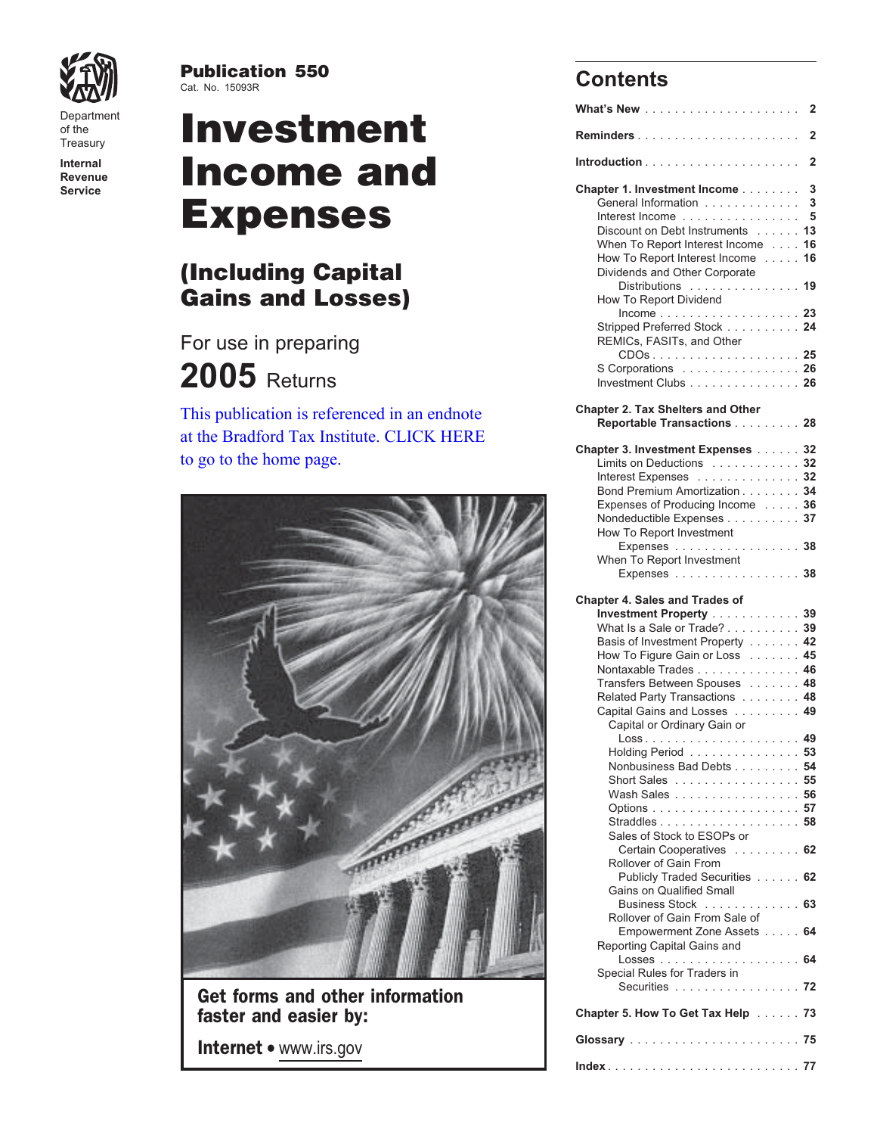

**Revenue Service**

**Publication 550**<br>Cat. No. 15093R

# **What's New** ..................... **<sup>2</sup>** Department of the **Investment Reminders** ...................... **<sup>2</sup>** Treasury **Internal Introduction** ..................... **2 Income and Chapter 1. Investment Income** ........ **<sup>3</sup> Expenses**

## **(Including Capital Gains and Losses)**

For use in preparing  $2005$  Returns

This publication is referenced in an endnote [at the Bradford Tax Institute. CLICK HERE](http://www.bradfordtaxinstitute.com/)  to go to the home page.



## **Get forms and other information** faster and easier by:

**Internet • www.irs.gov** 

## **Contents**

|                                                                                                                                                                                                                                                                                      | 2                             |
|--------------------------------------------------------------------------------------------------------------------------------------------------------------------------------------------------------------------------------------------------------------------------------------|-------------------------------|
|                                                                                                                                                                                                                                                                                      | 2                             |
|                                                                                                                                                                                                                                                                                      | 2                             |
| <b>Chapter 1. Investment Income</b><br>General Information<br>Interest Income<br>Discount on Debt Instruments<br>When To Report Interest Income<br>How To Report Interest Income                                                                                                     | 3<br>3<br>5<br>13<br>16<br>16 |
| Dividends and Other Corporate<br>Distributions 19<br>How To Report Dividend                                                                                                                                                                                                          |                               |
| Stripped Preferred Stock 24<br>REMICs, FASITs, and Other<br>S Corporations 26<br>Investment Clubs 26                                                                                                                                                                                 |                               |
| <b>Chapter 2. Tax Shelters and Other</b><br>Reportable Transactions 28                                                                                                                                                                                                               |                               |
| Chapter 3. Investment Expenses<br>Limits on Deductions 32<br>Interest Expenses 32<br>Bond Premium Amortization<br>Expenses of Producing Income<br>Nondeductible Expenses<br>How To Report Investment<br>Expenses 38<br>When To Report Investment<br>Expenses 38                      | 32<br>34<br>36<br>37          |
| <b>Chapter 4. Sales and Trades of</b><br>Investment Property<br>What Is a Sale or Trade?<br>Basis of Investment Property 42<br>How To Figure Gain or Loss 45<br>Nontaxable Trades 46<br>Transfers Between Spouses 48<br>Related Party Transactions 48<br>Capital Gains and Losses 49 | 39<br>39                      |
| Capital or Ordinary Gain or<br>Holding Period 53<br>Nonbusiness Bad Debts 54<br>Short Sales 55<br>Wash Sales<br>Sales of Stock to ESOPs or                                                                                                                                           | 56<br>58                      |
| Certain Cooperatives 62<br>Rollover of Gain From<br>Publicly Traded Securities 62<br>Gains on Qualified Small                                                                                                                                                                        |                               |
| Business Stock 63<br>Rollover of Gain From Sale of<br>Empowerment Zone Assets                                                                                                                                                                                                        | 64                            |
| Reporting Capital Gains and<br>Special Rules for Traders in                                                                                                                                                                                                                          |                               |
| Securities 72                                                                                                                                                                                                                                                                        |                               |
| Chapter 5. How To Get Tax Help 73                                                                                                                                                                                                                                                    |                               |
|                                                                                                                                                                                                                                                                                      |                               |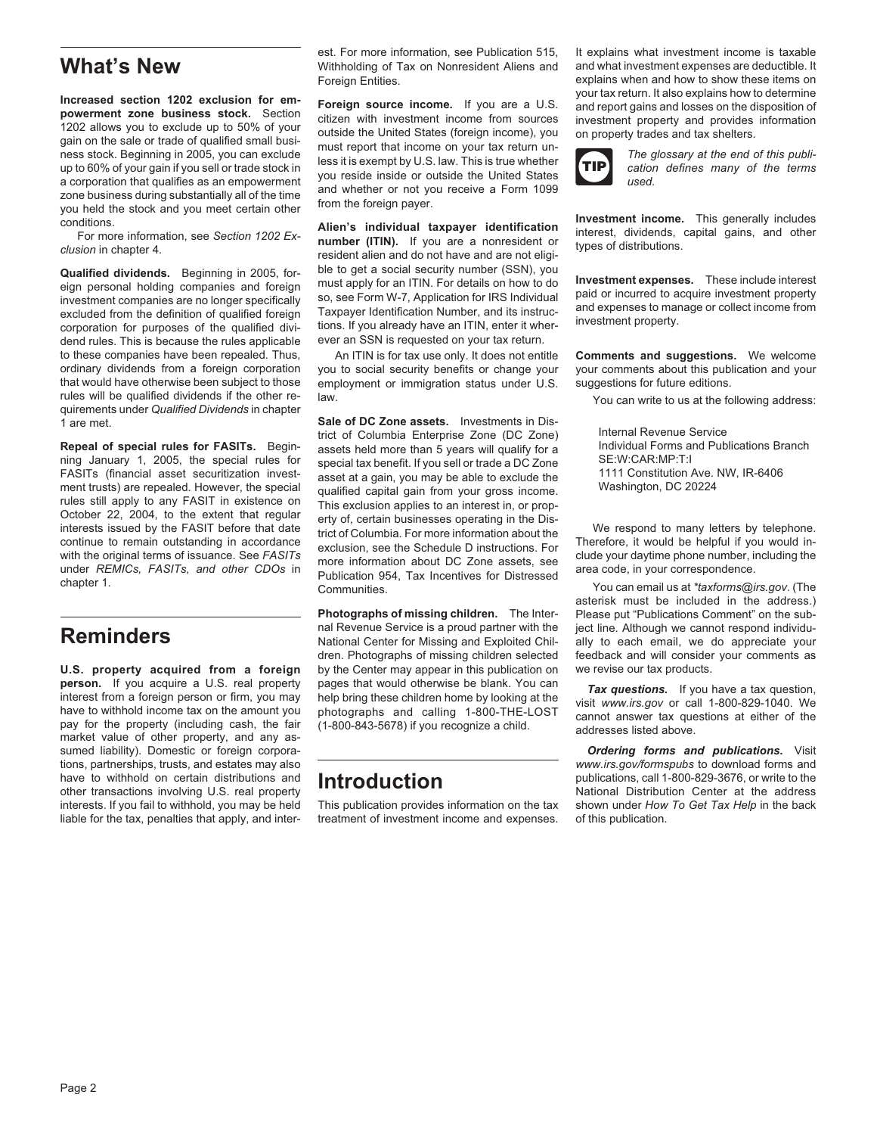Increased section 1202 exclusion for em-<br>
powerment zone business stock. Section citizen with investment income. If you are a U.S.<br>
1202 allows you to exclude up to 50% of your<br>
gain on the sale or trade of qualified small

eign personal holding companies and foreign must apply for an ITIN. For details on how to do **Investment expenses.** These include interest<br>investment companies are no longer specifically so, see Form W-7, Application for I excluded from the definition of qualified foreign Taxpayer Identification Number, and its instrucant and expenses to mar<br>corporation for purposes of the qualified divi-<br>dend rules. This is because the rules applicable ever dend rules. This is because the rules applicable to these companies have been repealed. Thus, An ITIN is for tax use only. It does not entitle **Comments and suggestions.** We welcome ordinary dividends from a foreign corporation you to social security benefits or change your your comments about this publication and your<br>that would have otherwise been subject to those employment or immigration status un that would have otherwise been subject to those employment or immigration status under U.S. suggestions for future editions.<br>The rules will be qualified dividends if the other re- law. rules will be qualified dividends if the other re- law. The section of the control of the following address:<br>The section of the property of the property of the property of the following address:<br>guirements under *Qualified* 1 are met. **Sale of DC Zone assets.** Investments in Dis-

**Repeal of special rules for FASITs.** Begin-<br>
ning January 1, 2005, the special rules for special tax benefit If you sell or trade a DC Zone SE:W:CAR:MP:T:I

**person.** If you acquire a U.S. real property pages that would otherwise be blank. You can<br>interest from a foreign person or firm, you may help bring these children home by looking at the<br>have to withhold income tax on the sumed liability). Domestic or foreign corpora- *Ordering forms and publications.* Visit tions, partnerships, trusts, and estates may also *www.irs.gov/formspubs* to download forms and have to withhold on certain distributions and **Introduction**<br>other transactions involving U.S. real property **Introduction CENT Actional Distribution Center at the address** interests. If you fail to withhold, you may be held This publication provides information on the tax shown under *How To Get Tax Help* in the back liable for the tax, penalties that apply, and inter- treatment of investment income and expenses. of this publication.

est. For more information, see Publication 515, It explains what investment income is taxable **What's New** Withholding of Tax on Nonresident Aliens and and what investment expenses are deductible. It reversion Foreign Entities.

**Qualified dividends.** Beginning in 2005, for- ble to get a social security number (SSN), you

trict of Columbia Enterprise Zone (DC Zone) Internal Revenue Service<br>seeds held more than 5 years will qualify for a lindividual Forms and Publications Branch ming January 1, 2005, the special rules for<br>
FASIT is (financial asset at a gain, you may be able to exclude the<br>
FASIT in existence on<br>
This exclusion applies to an interest in, or prop-<br>
October 22, 2004, to the extent t

**Photographs of missing children.** The Inter-<br>nal Revenue Service is a proud partner with the ject line. Although we cannot respond individunal Revenue Service is a proud partner with the ject line. Although we cannot respond individu-<br>National Center for Missing and Exploited Chil- ally to each email, we do appreciate your<br>dren. Photographs of missing childre dren. Photographs of missing children selected feedback and will consider<br>by the Center may appear in this publication on we revise our tax products. **U.S. property acquired from a foreign** by the Center may appear in this publication on **person.** If you acquire a U.S. real property pages that would otherwise be blank. You can

explains when and how to show these items on<br>your tax return. It also explains how to determine



Example business during substantially all of the time<br>you held the stock and you meet certain other<br>conditions.<br>For more information, see Section 1202 Ex-<br>clusion in chapter 4.<br>This generally includes<br>clusion in chapter 4.

asterisk must be included in the address.)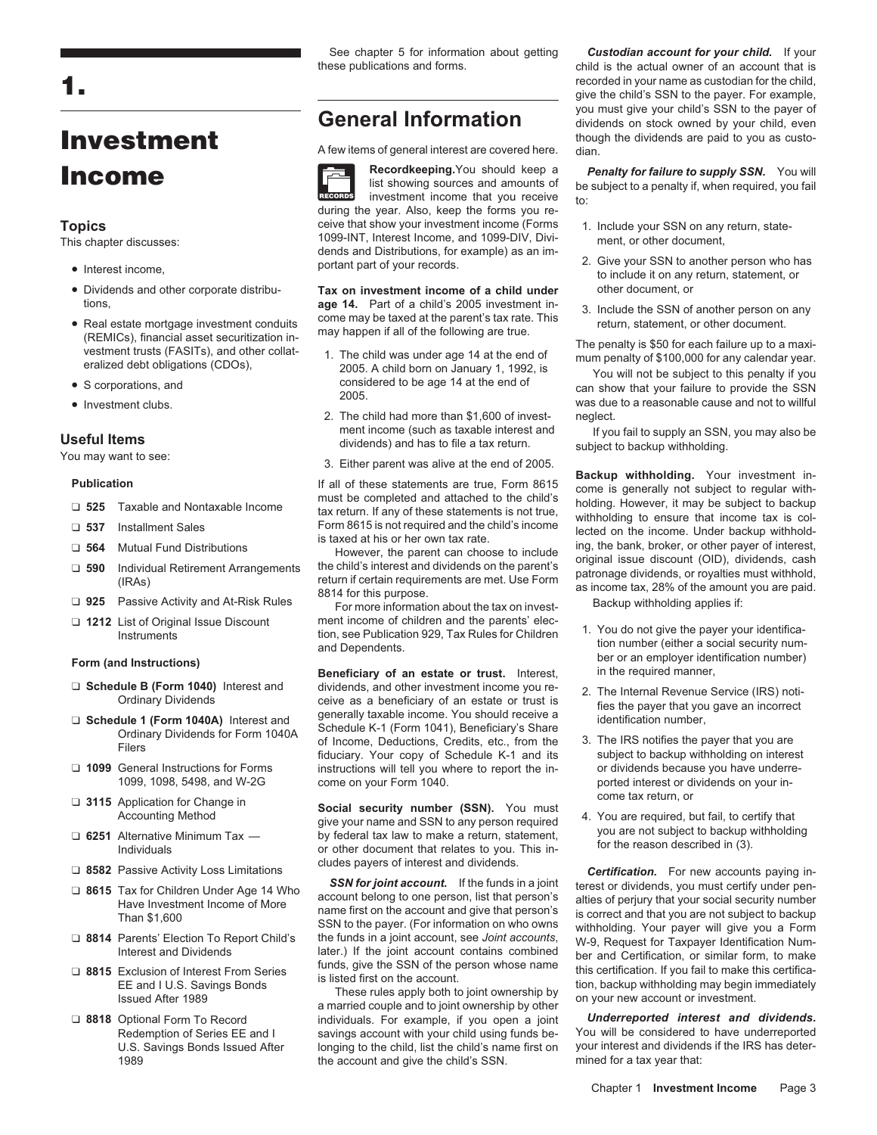- 
- 
- 
- 
- 

- 
- 
- 
- 
- 
- 

- 
- 
- 
- 
- 
- 
- 
- 
- 
- 

**Investment** A few items of general interest are covered here. dian.



investment income that you receive to: during the year. Also, keep the forms you re-**Topics** and the state-that show your investment income (Forms and nuclude your SSN on any return, state-This chapter discusses: 1099-INT, Interest Income, and 1099-DIV, Divi-<br>dends and Distributions, for example) as an im-

• Dividends and other corporate distribu- **Tax on investment income of a child under** other document, or

- tions,<br>
 Real estate mortgage investment conduits<br>
(REMICs), financial asset securitization in-<br>
extment trusts (FASITs), and other collat-<br>
externed trusts (FASITs), and other collat-<br>
externed trusts (FASITs), and othe
	- 2. The child had more than \$1,600 of invest- neglect.
	-

<table>\n<tbody>\n<tr>\n<td>□</td>\n<td>Scheduling</td>\n<td>3. The Internal Revenue Service (IRS) noticive as a beneficially taxable income. You should receive a<br/>Ordinary Dividends for Form 1040A</td>\n<td>3. The IRS noticative<br/>of Income, Dedutions, Credits, etc., from the<br/>fiduciary. Your copy of Schedule K-1 and its</td>\n<td>4.4.4</td>\n<td>4.5</td>\n<td>5.2</td>\n<td>6.4</td>\n<td>6.4</td>\n<td>7.4</td>\n<td>7.4</td>\n<td>8.4</td>\n<td>8.4</td>\n<td>9.4</td>\n<td>1040A</td>\n<td>1040A Theis<br> **1099** General Instructions for Forms instructions will tell you where to report the in-<br>
1099, 1098, 5498, and W-2G come on your Form 1040.<br>
2009, 1099, 1098, 5498, and W-2G come on your Form 1040. 1099, 1099, 1099, 2099, 2099, 2098, 2099, 2099, 2099, 2099, 2099, 2099, 2099, 2099, 2099, 2099, 2099, 2099, 20

<table>\n<tbody>\n<tr>\n<td>□ 3115 Application for Change in<br/>Accounting Method</td>\n<td>Social security number (SSN). You must<br/>give your name and SSN to any person required<br/>by federal tax law to make a return, statement,<br/>or other document that relates to you. This in</td>\n<td>4. You are required, but fail, to certify that<br/>you are not subject to backup withholding<br/>for the reason described in (3).</td>\n</tr>\n</tbody>\n</table>

■ **8615** Tax for Children Under Age 14 Who **SSN for joint account.** If the funds in a joint terest or dividends, you must certify under pen-<br>Have Investment Income of More name first on the account and give that person's

❏ **8818** Optional Form To Record *Underreported interest and dividends.* individuals. For example, if you open a joint savings account with your child using funds be-<br>longing to the child, list the child's name first on your interest and dividends if the IRS has deter-U.S. Savings Bonds Issued After longing to the child, list the child's name first on your interest and dividend<br>1989 1989 1989 has deter-that: the account and give the child's SSN. 1989 **1989 the account and give the child's SSN.** 

See chapter 5 for information about getting *Custodian account for your child.* If your these publications and forms. child is the actual owner of an account that is recorded in your name as custodian for the child, give the child's SSN to the payer. For example, **General Information** you must give your child's SSN to the payer of dividends on stock owned by your child, even though the dividends are paid to you as custo-

**Recordkeeping.**You should keep a *Penalty for failure to supply SSN.* You will list showing sources and amounts of be subject to a penalty if, when required, you fail

- 
- Interest income, and Distributions, for example) as an im-<br>portant part of your records.<br>to include it on any return, statement, or
	-

ment income (such as taxable interest and If you fail to supply an SSN, you may also be<br>dividends) and has to file a tax return.<br>3. Either parent was alive at the end of 2005.

Publication<br>
If all of these statements are true, Form 8615<br>
must be completed and attached to the child's<br>
must be completed and attached to the child's<br>
tax return. If any of these statements is not true,<br>
withholding. <p>□ 537<br/>\n In the same example, and the child's income<br/>\n — 537<br/>\n — 564<br/>\n Mutual Fund Distributions<br/>\n — 564<br/>\n — 564<br/>\n - 564<br/>\n - 564<br/>\n - 564<br/>\n - 564<br/>\n - 564<br/>\n - 564<br/>\n - 564<br/>\n - 564<br/>\n - 564<br/>\n - 564<br/>\n - 564<br/>\n - 564<br/>\n - 564<br/>\n - 564<br/>\n - 5 □ 564 Mutual Fund Distributions<br>
In dividual Retirement Arrangements<br>
(IRAs)<br>
29. Depend to the parent can choose to include<br>
the child's interest and dividends on the parent's<br>
teurn if certain requirements are met. Use

- □ 1212 List of Original Issue Discount ment income of children and the parents' elec-<br>Instruments tion, see Publication 929, Tax Rules for Children<br>and Dependents.<br>**Form (and Instructions)**<br>Beneficiary of an estate or tru
	-
	-
	-

cludes payers of interest and dividends. ❏ **<sup>8582</sup>** Passive Activity Loss Limitations *Certification.* For new accounts paying in-■ 1981 Parents' Election To Report Child's the funds in a joint account, see Joint accounts, w-9, Request for Taxpayer Identification Number and Dividends later.) If the joint account contains combined later. The secure o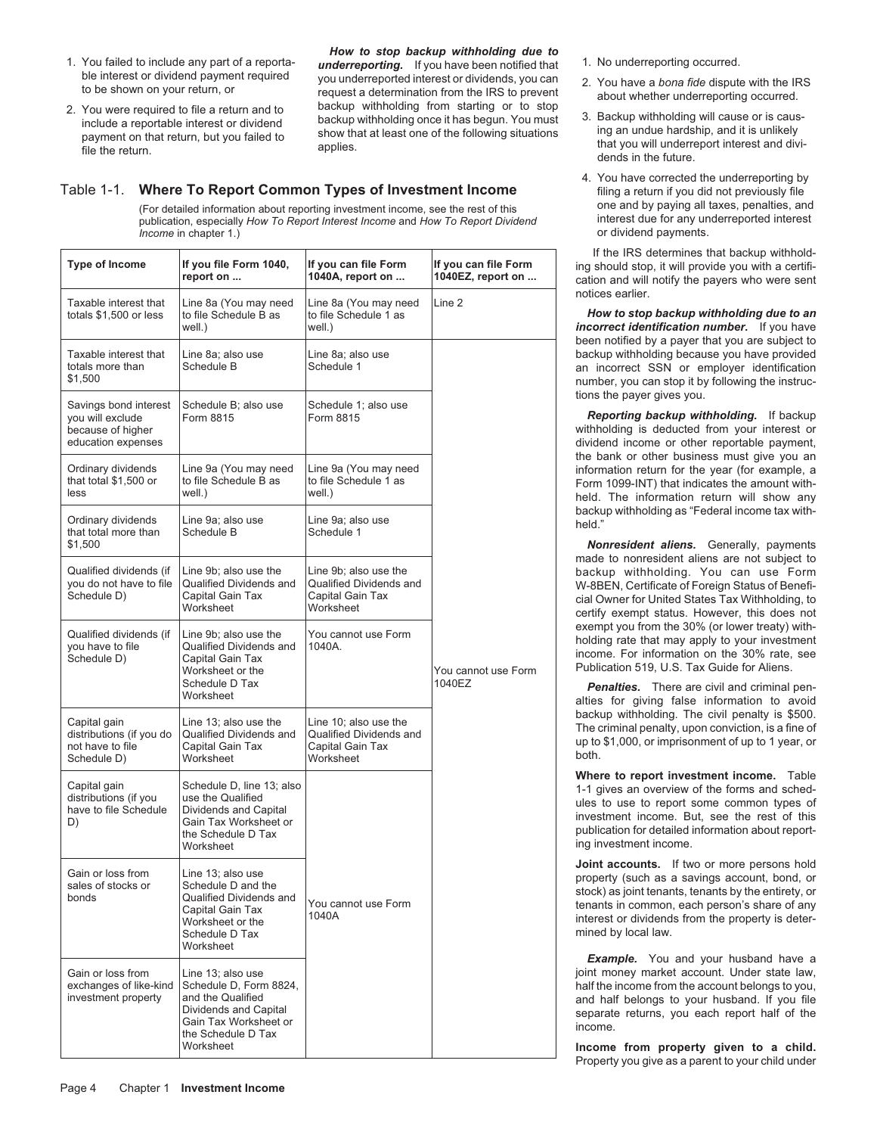- 
- 

**How to stop backup withholding due to**<br>1. No underreporting occurred.<br>1. ble interest or dividend payment required you underreported interest or dividends, you can <br>2. You have a hona fide dispute ble interest or dividend payment required<br>
to be shown on your return, or<br>
2. You were required to file a return and to<br>
include a reportable interest or dividend<br>
2. You have a bona fide dispute with the IRS<br>
2. You have

### Table 1-1. **Where To Report Common Types of Investment Income** filing a return if you did not previously file

(For detailed information about reporting investment income, see the rest of this one and by paying all taxes, penalties, and publication. especially How To Report Interest Income and How To Report Dividend interest due fo publication, especially *How To Report Interest Income* and *How To Report Dividend Income* in chapter 1.) *Income* in chapter 1.

| <b>Type of Income</b>                                                                | If you file Form 1040,<br>report on                                                                                                       | If you can file Form<br>1040A, report on                                          | If you can file Form<br>1040EZ, report on | if the IRS determines that backup withhold-<br>ing should stop, it will provide you with a certifi-<br>cation and will notify the payers who were sent                                                                                                                            |
|--------------------------------------------------------------------------------------|-------------------------------------------------------------------------------------------------------------------------------------------|-----------------------------------------------------------------------------------|-------------------------------------------|-----------------------------------------------------------------------------------------------------------------------------------------------------------------------------------------------------------------------------------------------------------------------------------|
| Taxable interest that<br>totals \$1,500 or less                                      | Line 8a (You may need<br>to file Schedule B as<br>well.)                                                                                  | Line 8a (You may need<br>to file Schedule 1 as<br>well.)                          | Line 2                                    | notices earlier.<br>How to stop backup withholding due to an<br>incorrect identification number. If you have                                                                                                                                                                      |
| Taxable interest that<br>totals more than<br>\$1,500                                 | Line 8a; also use<br>Schedule B                                                                                                           | Line 8a; also use<br>Schedule 1                                                   |                                           | been notified by a payer that you are subject to<br>backup withholding because you have provided<br>an incorrect SSN or employer identification<br>number, you can stop it by following the instruc-                                                                              |
| Savings bond interest<br>you will exclude<br>because of higher<br>education expenses | Schedule B; also use<br>Form 8815                                                                                                         | Schedule 1; also use<br>Form 8815                                                 |                                           | tions the payer gives you.<br>Reporting backup withholding. If backup<br>withholding is deducted from your interest or<br>dividend income or other reportable payment,                                                                                                            |
| Ordinary dividends<br>that total \$1,500 or<br>less                                  | Line 9a (You may need<br>to file Schedule B as<br>well.)                                                                                  | Line 9a (You may need<br>to file Schedule 1 as<br>well.)                          |                                           | the bank or other business must give you an<br>information return for the year (for example, a<br>Form 1099-INT) that indicates the amount with-<br>held. The information return will show any                                                                                    |
| Ordinary dividends<br>that total more than<br>\$1,500                                | Line 9a; also use<br>Schedule B                                                                                                           | Line 9a; also use<br>Schedule 1                                                   |                                           | backup withholding as "Federal income tax with-<br>held."<br><b>Nonresident aliens.</b> Generally, payments                                                                                                                                                                       |
| Qualified dividends (if<br>you do not have to file<br>Schedule D)                    | Line 9b; also use the<br>Qualified Dividends and<br>Capital Gain Tax<br>Worksheet                                                         | Line 9b: also use the<br>Qualified Dividends and<br>Capital Gain Tax<br>Worksheet |                                           | made to nonresident aliens are not subject to<br>backup withholding. You can use Form<br>W-8BEN, Certificate of Foreign Status of Benefi-<br>cial Owner for United States Tax Withholding, to<br>certify exempt status. However, this does not                                    |
| Qualified dividends (if<br>vou have to file<br>Schedule D)                           | Line 9b: also use the<br>Qualified Dividends and<br>Capital Gain Tax<br>Worksheet or the<br>Schedule D Tax                                | You cannot use Form<br>1040A.                                                     | You cannot use Form<br>1040EZ             | exempt you from the 30% (or lower treaty) with-<br>holding rate that may apply to your investment<br>income. For information on the 30% rate, see<br>Publication 519, U.S. Tax Guide for Aliens.                                                                                  |
| Capital gain<br>distributions (if you do<br>not have to file<br>Schedule D)          | Worksheet<br>Line 13; also use the<br>Qualified Dividends and<br>Capital Gain Tax<br>Worksheet                                            | Line 10; also use the<br>Qualified Dividends and<br>Capital Gain Tax<br>Worksheet |                                           | <b>Penalties.</b> There are civil and criminal pen-<br>alties for giving false information to avoid<br>backup withholding. The civil penalty is \$500.<br>The criminal penalty, upon conviction, is a fine of<br>up to \$1,000, or imprisonment of up to 1 year, or<br>both.      |
| Capital gain<br>distributions (if you<br>have to file Schedule<br>D)                 | Schedule D, line 13; also<br>use the Qualified<br>Dividends and Capital<br>Gain Tax Worksheet or<br>the Schedule D Tax<br>Worksheet       |                                                                                   |                                           | Where to report investment income. Table<br>1-1 gives an overview of the forms and sched-<br>ules to use to report some common types of<br>investment income. But, see the rest of this<br>publication for detailed information about report-<br>ing investment income.           |
| Gain or loss from<br>sales of stocks or<br>bonds                                     | Line 13; also use<br>Schedule D and the<br>Qualified Dividends and<br>Capital Gain Tax<br>Worksheet or the<br>Schedule D Tax<br>Worksheet | You cannot use Form<br>1040A                                                      |                                           | Joint accounts. If two or more persons hold<br>property (such as a savings account, bond, or<br>stock) as joint tenants, tenants by the entirety, or<br>tenants in common, each person's share of any<br>interest or dividends from the property is deter-<br>mined by local law. |
| Gain or loss from<br>exchanges of like-kind<br>investment property                   | Line 13; also use<br>Schedule D, Form 8824,<br>and the Qualified<br>Dividends and Capital<br>Gain Tax Worksheet or<br>the Schedule D Tax  |                                                                                   |                                           | <b>Example.</b> You and your husband have a<br>joint money market account. Under state law,<br>half the income from the account belongs to you,<br>and half belongs to your husband. If you file<br>separate returns, you each report half of the<br>income.                      |
|                                                                                      | Worksheet                                                                                                                                 |                                                                                   |                                           | Income from property given to a child.                                                                                                                                                                                                                                            |

- 
- 
- 4. You have corrected the underreporting by

If the IRS determines that backup withholding should stop, it will provide you with a certifi-<br>cation and will notify the payers who were sent notices earlier.

Income from property given to a child. Property you give as a parent to your child under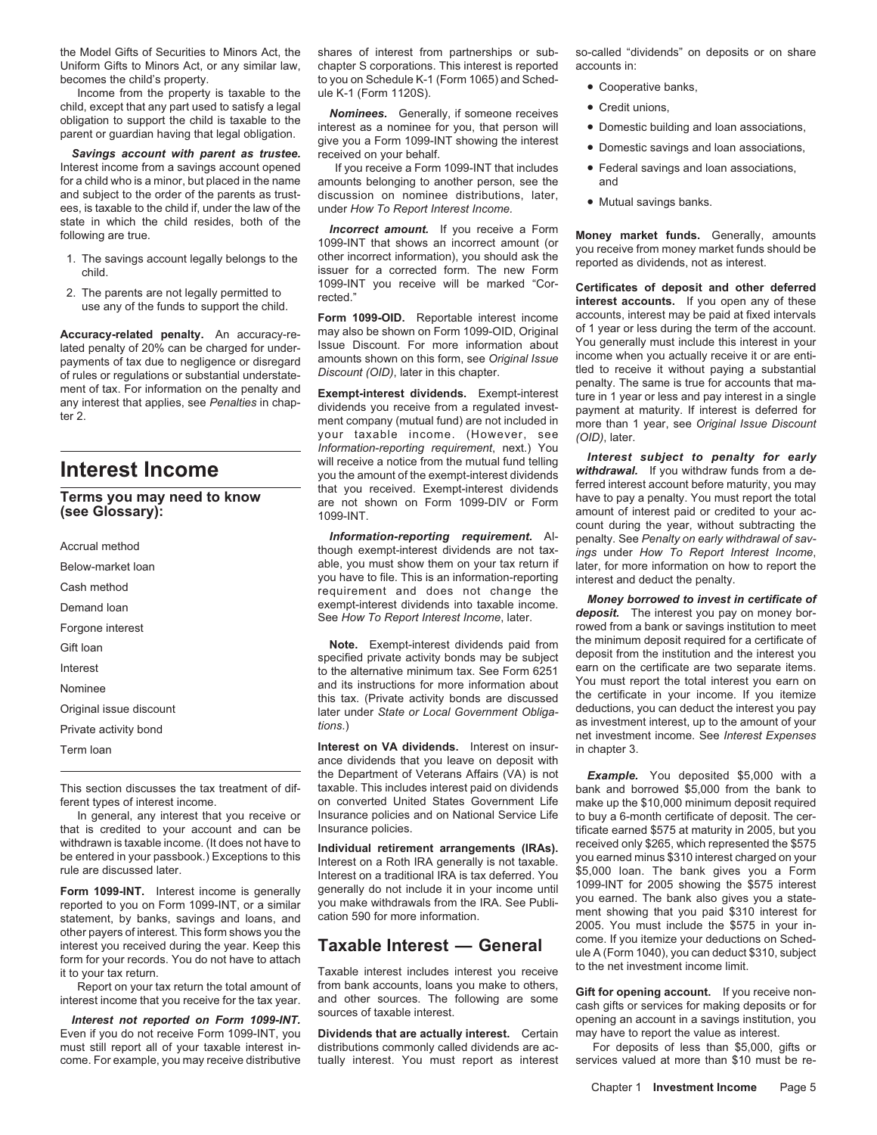Uniform Gifts to Minors Act, or any similar law, chapter S corporations. This interest is reported accounts in:

- 
- 

| Below-market loan       |  |
|-------------------------|--|
| Cash method             |  |
| Demand loan             |  |
| Forgone interest        |  |
| Gift Ioan               |  |
| Interest                |  |
| Nominee                 |  |
| Original issue discount |  |
| Private activity bond   |  |
| Term Ioan               |  |

that is credited to your account and can be Insurance policies.<br>withdrawn is taxable income. (It does not have to Individual retirement arrangements (IPAs) received only \$265, which represented the \$575

Form 1099-INT. Interest income is generally generally do not include it in your income until 1099-INT for 2005 showing the \$575 interest reported to you on Form 1099-INT, or a similar you make withdrawals from the IRA. See

Even if you do not receive Form 1099-INT, you **Dividends that are actually interest.** Certain may have to report the value as interest. must still report all of your taxable interest in- distributions commonly called dividends are ac- For deposits of less than \$5,000, gifts or

the Model Gifts of Securities to Minors Act, the shares of interest from partnerships or sub- so-called "dividends" on deposits or on share becomes the child's property. to you on Schedule K-1 (Form 1065) and Sched-<br>Income from the property is taxable to the ule K-1 (Form 1120S).

child, except that any part used to satisfy a legal **child is taken to satisfy a legal child is takent of the child is takent of the child is takent of support the child is takent of the extingular interest as a nominee** 

Interest income from a savings account opened If you receive a Form 1099-INT that includes Federal savings and loan associations, for a child who is a minor, but placed in the name amounts belonging to another person, see a mounts belonging to another person, see the and and subject to the order of the parents as trust-<br>ees, is taxable to the child if, under the law of the under *How To Report Interest Income.* • Mutual savings banks.

state in which the child resides, both of the<br>following are true. 1099-INT that shows an incorrect amount (or<br>1. The savings account legally belongs to the other incorrect information), you should ask the<br>child. The saving

a the metal of the exempt-interest dividends<br> **Interest subject to penalty for early**<br>
Terms you may need to know<br>
(see Glossary): The metal fund telling<br>
that you received. Exempt-interest dividends<br>
Terms you may need to

**Information-reporting requirement.** Al- penalty See Penalty on early withdrawal of sav-<br>though exempt-interest dividends are not tax- ings under How To Report Interest Income,<br>Below-market loan able, you must show them on you have to file. This is an information-reporting interest and deduct the penalty.<br>
Frame interest dividends into taxable income.<br>
See How To Report Interest Income, later. **Money borrowed to invest in certificate of**<br>
Se

**Interest on VA dividends.** Interest on insur- in chapter 3. ance dividends that you leave on deposit with the Department of Veterans Affairs (VA) is not **Example.** You deposited \$5,000 with a taxable. This includes interest paid on dividends bank and borrowed \$5,000 from the bank to This section discusses the tax treatment of dif-<br>This includes interest paid on dividends bank and borrowed \$5,000 from the bank to<br>ferent types of interest income. on converted United States Government Life make up the \$1 ent types of interest income. on converted United States Government Life make up the \$10,000 minimum deposit required<br>In general, any interest that you receive or Insurance policies and on National Service Life to buy a 6-In general, any interest that you receive or Insurance policies and on National Service Life to buy a 6-month certificate of deposit. The cer-<br>that is credited to your account and can be Insurance policies.

- 
- 
- 
- 
- 
- 

2. The parents are not legally permitted to the child.<br>Interest accounts. If you open any of these interest accounts. If you open any of these<br>Form 1099-OID. Reportable interest income accounts, interest may be paid at fix accounts, interest may be paid at fixed intervals<br>of 1 year or less during the term of the account. **Accuracy-related penalty.** An accuracy-re-<br>
lated penalty of 20% can be charged for under-<br>
lated penalty of 20% can be charged for under-<br>
payments of tax due to negligence or disregard<br>
payments of tax due to negligenc

count during the year, without subtracting the

See How To Report Interest Income, later.<br>rowed from a bank or savings institution to meet<br>Note Exempt interest dividends poid from the minimum deposit required for a certificate of Gift loan<br> **Note.** Exempt-interest dividends paid from the minimum deposit required for a certificate of<br>
specified private activity bonds may be subject the deposit from the institution and the interest you<br>
to the altern to the alternative minimum tax. See Form 6251 earn on the certificate are two separate items.<br>and its instructions for more information about<br>this tax. (Private activity bonds are discussed the certificate in your income. This tax. (Private activity bonds are discussed the certificate in your income. If you itemize<br>Original issue discount later under *State or Local Government Obliga*-<br>Private activity bond *tions.*) as investment income. S

withdrawn is taxable income. (It does not have to **Individual retirement arrangements (IRAs)** received only \$265, which represented the \$575<br>be entered in your passbook.) Exceptions to this Interest on a Roth IRA generally

Report on your tax return the total amount of from bank accounts, loans you make to others,<br>interest income that you receive for the tax year. and other sources. The following are some cash gifts or services for making dep

come. For example, you may receive distributive tually interest. You must report as interest services valued at more than \$10 must be re-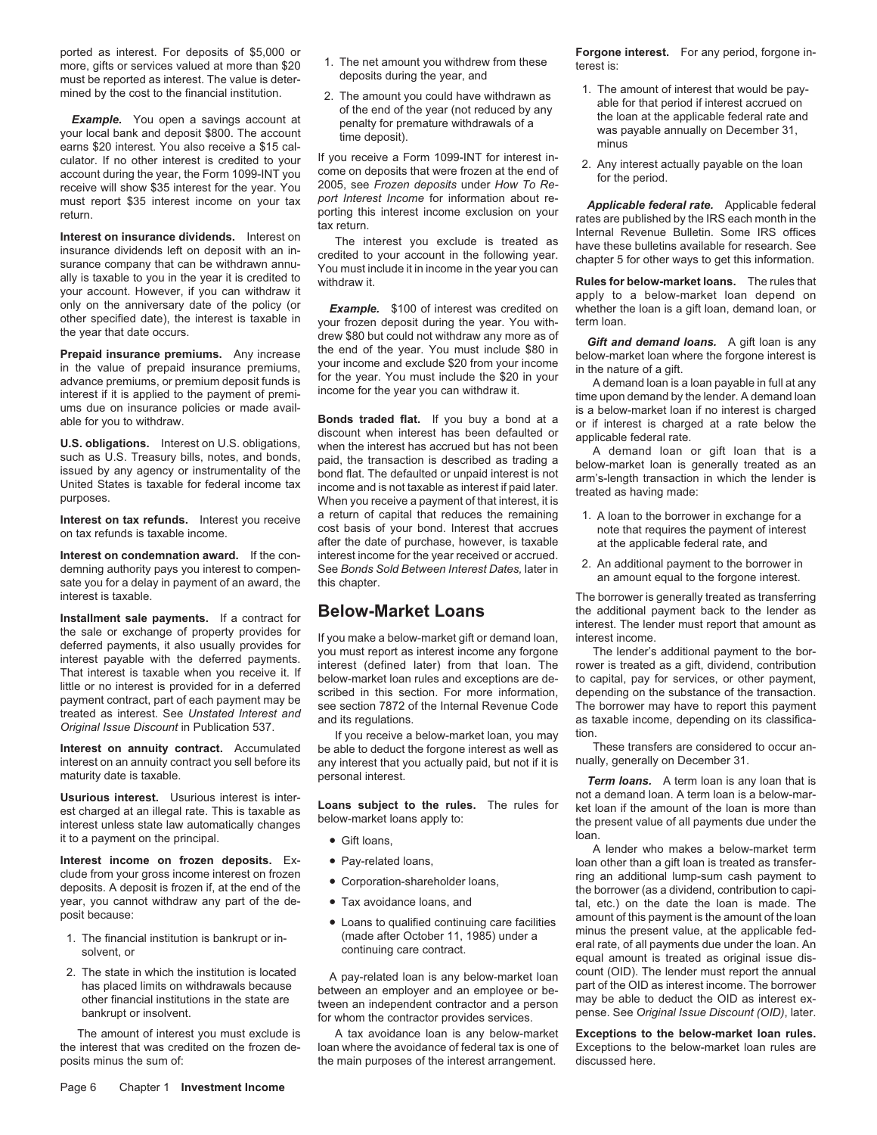more, gifts or services valued at more than \$20 1. The net amount you withdrew from these terest is:<br>must be reported as interest. The value is deter- deposits during the year, and must be reported as interest. The value is deter-

ally is taxable to you in the year it is credited to<br>your account. However, if you can withdraw it<br>only on the anniversary date of the policy (or<br>of interest was credited on whether the loan is a gift loan, demand loan, or

Installment sale payments. If a contract for<br>the sale or exchange of property provides for<br>deferred payments, it also usually provides for<br>deferred payments, it also usually provides for<br>interest payable with the deferred

maturity date is taxable. **personal interest.** personal interest. **Term loans.** A term loan is any loan that is

interest unless state law automatically changes the present value of all payment on the principal under the pre<br>it to a nayment on the principal

- 
- 

the interest that was credited on the frozen de- loan where the avoidance of federal tax is one of Exceptions to the below-market loan rules are posits minus the sum of: the main purposes of the interest arrangement. discussed here.

- 
- 

culator. If no other interest is credited to your If you receive a Form 1099-INT for interest in-<br>account during the year, the Form 1099-INT you come on deposits that were frozen at the end of for the period.<br>receive will

the year that date occurs.<br> **Prepaid insurance premiums.** Any increase the end of the year. You must include \$80 in<br>
in the value of prepaid insurance premiums, when the formulation of the year. You must include \$80 in<br>
ad

able for you to withdraw.<br> **U.S. obligations.** Interest on U.S. obligations,<br> **U.S. obligations.** Interest on U.S. obligations, when the interest has been defaulted or<br>
such as U.S. Treasury bills, notes, and bonds,<br>
issue Interest on tax refunds. Interest you receive a return of capital that reduces the remaining 1. A loan to the borrower in exchange for a<br>on tax refunds is taxable income.<br>Interest on condemnation award. If the con-<br>Interes demning authority pays you interest to compense of the search of the year received of accrued.<br>See Bonds Sold Between Interest Dates, later in an annount equal to the borrower in sate you for a delay in payment of an award

Interest on annuity contract. Accumulated be able to deduct the forgone interest as well as These transfers are considered to occur an-<br>Interest on annuity contract. Accumulated be able to deduct the forgone interest as we interest on an annuity contract you sell before its any interest that you actually paid, but not if it is

- 
- 
- 
- 
- 

2. The state in which the institution is located<br>has placed limits on withdrawals because<br>there inancial institutions in the state are<br>bankrupt or insolvent. The bare in the state are<br>bankrupt or insolvent. The bankrupt or

The amount of interest you must exclude is A tax avoidance loan is any below-market **Exceptions to the below-market loan rules.**

ported as interest. For deposits of \$5,000 or **Formation Control of the Forgone interest**. For any period, forgone in-

- mined by the cost to the financial institution.<br> **Example.** You open a savings account at<br>
your local bank and deposit \$800. The account<br>
your local bank and deposit \$800. The account<br>
earns \$20 interest. You also receive
	-

must report \$35 interest income on your tax port Interest income for information about re-<br>return.<br>Interest on insurance dividends. Interest on<br>insurance dividends. Interest on<br>insurance dividends. Interest on<br>insurance di

ums due on insurance policies or made avail-<br>
Bonds traded flat. If you buy a bond at a contract is charged at a rate below the

- 
- 

interest is taxable.<br> **ERENT STERN SERVIEW-MATKET LOANS** The borrower is generally treated as transferring<br> **ERENT STERN SERVIEW-MATKET LOANS** the additional payment back to the lender as

Usurious interest. Usurious interest is inter-<br>est charged at an illegal rate. This is taxable as **Loans subject to the rules.** The rules for ket loan if the amount of the loan is more than est charged at an illegal rate. This is taxable as **Loans subject to the rules.** The rules for the loan if the amount of the loan is more than interest unless state law automatically changes below-market loans apply to:<br>in

it to a payment on the principal.<br>
• Gift loans,<br> **Interest income on frozen deposits.** Ex-<br>
• Pay-related loans,<br>
Pay-related loans,<br>
A lender who makes a below-market term<br>
loan other than a gift loan is treated as trans Interest income on frozen deposits. Ex- • Pay-related loans, loan other than a gift loan is treated as transfer-<br>
clude from your gross income interest on frozen clude from your gross income interest on frozen<br>deposits. A deposit is frozen if, at the end of the<br>year, you cannot withdraw any part of the de-<br>year, you cannot withdraw any part of the de-<br>Tax avoidance loans, and<br>and t year, you cannot withdraw any part of the de- • Tax avoidance loans, and tal, etc.) on the date the loan is made. The posit because: to the loans to qualified continuing care facilities amount of this payment is the amount of the loans<br>1. The financial institution is bankrupt or in-<br>1. Solvent, or continuing care contract. An equal amount is treated as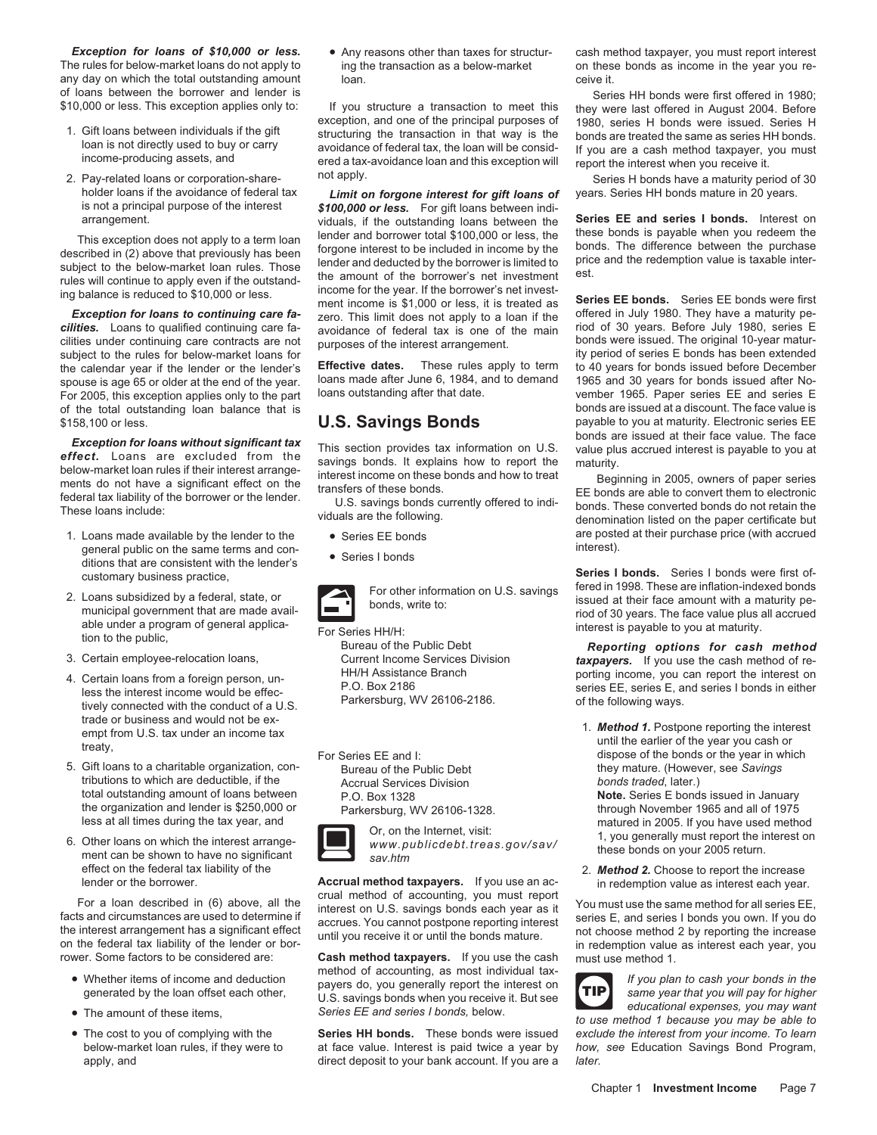The rules for below-market loans do not apply to ing the transaction as a below-market on these bonds as income in the year you reany day on which the total outstanding amount loan.<br>
of loans between the borrower and lender is Series Series of loans between the borrower and lender is<br>\$10,000 or less. This exception applies only to: If you structure a transaction to meet this they were last offered in August 2004. Before

- 
- 2. Pay-related loans or corporation-share- <sup>not apply.</sup> Noting the result of the avoidance of federal tax *Limit on forgone interest for gift loans of* vears. Series HH bonds mature in 20 years.

cilities under continuing care contracts are not<br>subject to the rules for below-market loans for<br>ity period of series E bonds has been extended<br>ity period of series E bonds has been extended subject to the rules for below-market loans for<br>the calendar vear if the lender or the lender's Effective dates. These rules apply to term to 40 years for bonds issued before December the calendar year if the lender or the lender's **Effective dates.** These rules apply to term sports for older at the end of the year. I can be achieved before Dune 6, 1984, and to demand For 2005, this exception applies only to the part loans outstanding after that date.<br>
of the total outstanding loan balance that is<br>
onds are issued at a discount. The face value is of the total outstanding loan balance that is

**Exception for loans without significant tax**<br> **Exception for loans** are excluded from the<br>
below-market loan rules if their interest arrange-<br>
ments do not have a significant effect on the<br>
federal tax liability of the bo

- general public on the same terms and con-<br>
ditions that are consistent with the lender's 
<br>
series I bonds. Series I bonds were first of-<br> **Series I bonds.** Series I bonds were first of-
- 
- 
- 
- 5. Gift loans to a charitable organization, con-<br> **E** Bureau of the Public Debt the they mature. (However, see *Savings*<br>
tributions to which are deductible, if the the Accrual Services Division the state of the *bonds tra* tributions to which are deductible, if the **Accrual Services Division** *bonds traded*, later.)<br>
total outstanding amount of loans between PO Box 1328 **Bonds Note**. Series E bonds issued in January total outstanding amount of loans between **P.O. Box 1328 Note. Series E** bonds issued in January<br>1975 the organization and lender is \$250,000 or Parkersburg, WV 26106-1328.
- 

For a loan described in (6) above, all the crual method of accounting, you must report<br>facts and circumstances are used to determine if<br>the interest arrangement has a significant effect and series. You cannot postpone repo

- 
- 
- 

loan is not directly used to buy or carry avoidance of federal tax, the loan will be consid-<br>income-producing assets, and ered a tax-avoidance loan and this exception will report the interest when you receive it.<br>Pay-relat

holder loans if the avoidance of federal tax **Limit on forgone interest for gift loans of**<br>is not a principal purpose of the interest \$100.000 or less. For gift loans between indiis not a principal purpose of the interest *\$100,000 or less.* For gift loans between individuals, if the outstanding loans between the **Series EE and series I bonds.** Interest on lender and borrower total \$100,000 or less, the these bonds is payable when you redeem the This exception does not apply to a term loan<br>described in (2) above that previously has been<br>subject to the below-market loan rules. Those<br>subject to the below-market loan rules. Those<br>rules will continue to apply even if **Exception for loans to continuing care fa-** zero. This limit does not apply to a loan if the offered in July 1980. They have a maturity pe-<br> **cilities.** Loans to qualified continuing care fa-<br>
avoidance of federal tax is avoidance of federal tax is one of the main and of 30 years. Before July 1980, series E avoidance of federal tax is one of the main bonds were issued. The original 10-year matur-

spouse is age 65 or older at the end of the year. Ioans made after June 6, 1984, and to demand 1965 and 30 years for bonds issued after No-<br>For 2005, this exception applies only to the part Ioans outstanding after that dat

- 
- 



lender or the borrower. **Accrual method taxpayers.** If you use an ac- in redemption value as interest each year.

rower. Some factors to be considered are: **Cash method taxpayers.** If you use the cash must use method 1. • Whether items of income and deduction<br>generated by the loan offset each other,<br>a The expect the loan offset each other,<br>a The expect of these items series there is a series the same year that you will pay for higher<br>seri

apply, and direct deposit to your bank account. If you are a *later.*

*Exception for loans of \$10,000 or less.* • Any reasons other than taxes for structur- cash method taxpayer, you must report interest

If you structure a transaction to meet this they were last offered in August 2004. Before exception, and one of the principal purposes of  $1980$  series H bonds were issued. Series H exception, and one of the principal purposes of 1980, series H bonds were issued. Series H<br>1. Gift loans between individuals if the gift structuring the transaction in that way is the bonds are treated the same as series H

\$158,100 or less. **U.S. Savings Bonds** payable to you at maturity. Electronic series EE

1. Loans made available by the lender to the <br>
e Series EE bonds<br>
eneral public on the same terms and con-<br>
interest).<br>
interest).

Customary business practice,<br>
2. Loans subsidized by a federal, state, or<br>
municipal government that are made avail-<br>
able under a program of general applica-<br>
For other information on U.S. savings<br>
For other information o

3. Certain employee-relocation loans, Bureau of the Public Debt **Reporting options for cash method**<br>3. Certain employee-relocation loans, Current Income Services Division *taxpayers.* If you use the cash method of re-<br>4. C 4. Certain loans from a foreign person, un-<br>less the interest income would be effec-<br>tively connected with the conduct of a U.S. Parkersburg, WV 26106-2186.<br>The Parkersburg, WV 26106-2186. The following ways.<br>of the follow

trade or business and would not be ex-<br>empt from U.S. tax under an income tax<br>freaty, freaty, treaty, treaty, treaty, treaty, treaty, treaty, treaty, treaty, treaty, treaty, treaty, treaty

the organization and lender is \$250,000 or example arkersburg, WV 26106-1328. through November 1965 and all of 1975<br>These at all times during the tax year, and the company of the lateral state of the matured in 2005. If yo less at all times during the tax year, and<br>
6. Other loans on which the interest arrange-<br>
ment can be shown to have no significant<br>
metrican be shown to have no significant<br>
metrican be shown to have no significant<br>
av.ht

effect on the federal tax liability of the 2. **Accrual method taxpayers.** If you use an ac-<br>In redemption value as interest each year **Accrual method taxpayers.** If you use an ac-<br>In redemption value as interest each year

**TIP** • The amount of these items, *Series EE and series I bonds,* below. *to use method 1 because you may be able to* • The cost to you of complying with the **Series HH bonds.** These bonds were issued *exclude the interest from your income. To learn* how, see Education Savings Bond Program,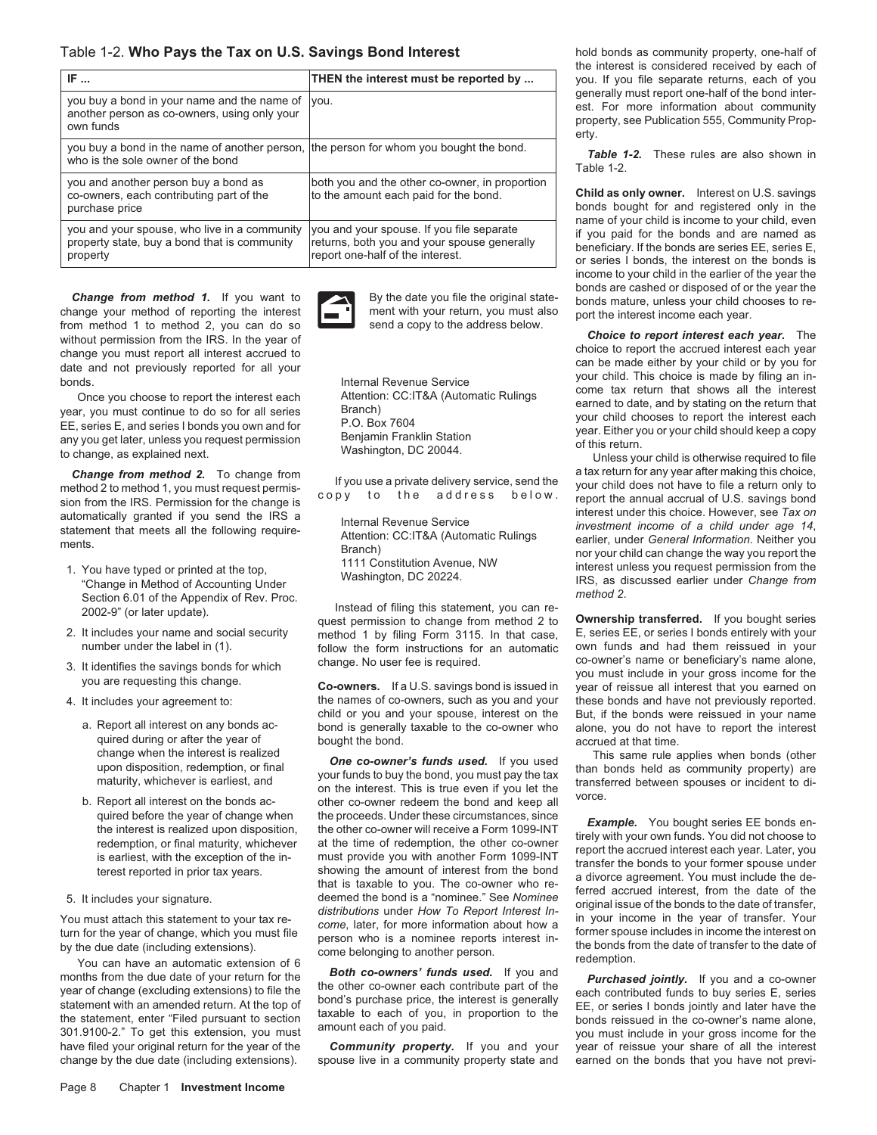### Table 1-2. Who Pays the Tax on U.S. Savings Bond Interest **hold bonds as community property, one-half** of

|                                                                                                                             |                                                                                                                              | the interest is considered received by cach of                                                                                                            |
|-----------------------------------------------------------------------------------------------------------------------------|------------------------------------------------------------------------------------------------------------------------------|-----------------------------------------------------------------------------------------------------------------------------------------------------------|
| IF $\dots$                                                                                                                  | THEN the interest must be reported by                                                                                        | you. If you file separate returns, each of you                                                                                                            |
| you buy a bond in your name and the name of you.<br>another person as co-owners, using only your<br>own funds               |                                                                                                                              | generally must report one-half of the bond inter-<br>est. For more information about community<br>property, see Publication 555, Community Prop-<br>erty. |
| you buy a bond in the name of another person, the person for whom you bought the bond.<br>who is the sole owner of the bond |                                                                                                                              | These rules are also shown in<br>Table 1-2.<br>Table 1-2.                                                                                                 |
| you and another person buy a bond as<br>co-owners, each contributing part of the<br>purchase price                          | both you and the other co-owner, in proportion<br>to the amount each paid for the bond.                                      | Child as only owner. Interest on U.S. savings<br>bonds bought for and registered only in the<br>name of your child is income to your child, even          |
| you and your spouse, who live in a community<br>property state, buy a bond that is community<br>property                    | vou and your spouse. If you file separate<br>returns, both you and your spouse generally<br>report one-half of the interest. | if you paid for the bonds and are named as<br>beneficiary. If the bonds are series EE, series E,<br>or series I bonds, the interest on the bonds is       |

**Change from method 1.** If you want to by the date you file the original stateboots are cashed or disposed of or the year the change your method of reporting the interest change your method of reporting the interest from m

- 
- 
- 
- - quired during or after the year of bought the bond.<br>change when the interest is realized at that time.<br>This same rule at that time.
	-

months from the due date of your return for the **Both co-owners' funds used.** If you and **purchased jointly.** If you and a co-owner<br>year of change (excluding extensions) to file the the other co-owner each contribute part have filed your original return for the year of the **Community property.** If you and your year of reissue your share of all the interest change by the due date (including extensions). spouse live in a community property st



Section 6.01 of the Appendix of Rev. Proc.<br>2002-9" (or later update). Instead of filing this statement, you can re-<br>2. It includes your name and social security method 1 by filing Form 3115. In that case E, series EE, or s It includes your name and social security method 1 by filing Form 3115. In that case,<br>number under the label in (1). entitly a follow the form instructions for an automatic follow the form instructions for an automatic own funds and had them reissued in your change. No user fee is required.

change when the interest is realized<br>upon disposition, redemption, or final<br>maturity, whichever is earliest, and<br>b. Report all interest on the bonds ac-<br>b. Report all interest on the bonds ac-<br>cher co-owner redeem the bond

the interest is considered received by each of you. If you file separate returns, each of you

**Child as only owner.** Interest on U.S. savings bonds bought for and registered only in the name of your child is income to your child, even income to your child in the earlier of the year the

without permission from the IRS. In the year of<br>
change you must report all interest accrued to<br>
date and not previously reported for all your<br>
bonds.<br>
bonds.<br>
Cocid and the interest each your child. This choice to report

**Change from method 2.** To change from<br>
method 2 to method 1, you must request permis-<br>
sion from the IRS. Permission for the change is<br>
automatically granted if you send the IRS a<br>
automatically granted if you send the IR Example of the data the top,<br>
1. You have typed or printed at the top,<br>
"Change in Method of Accounting Under Washington, DC 20224.<br>
Section 6.01 of the Annendix of Pey, Proc<br>
Section 6.01 of the Annendix of Pey, Proc

3. It identifies the savings bonds for which change. No user fee is required.<br>
you are requesting this change.<br>
4. It includes your agreement to: the names of co-owners, such as you and your these bonds and have not previo 4. It includes your agreement to: the names of co-owners, such as you and your these bonds and have not previously reported. child or you and your spouse, interest on the But, if the bonds were reissued in your name<br>bond is generally taxable to the co-owner who alone, you do not have to report the interest a. Report all interest on any bonds ac-<br>quired during or after the year of bought the bond.<br>accrued at that time.

quired before the year of change when<br>the interest is realized upon disposition, the other co-owner will receive a Form 1099-INT<br>redemption, or final maturity, whichever a the the me of redemption, the other co-owner will

spouse live in a community property state and earned on the bonds that you have not previ-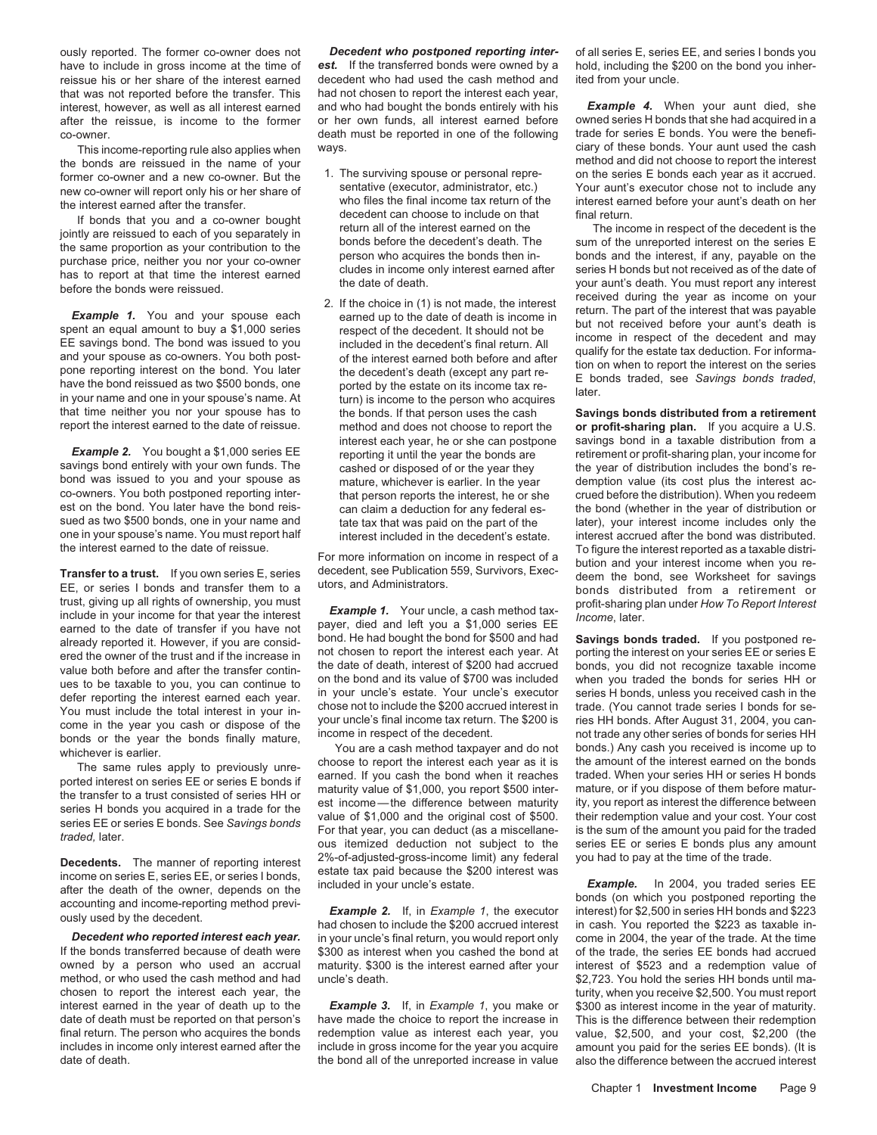have to include in gross income at the time of est. If the transferred bonds were owned by a hold, including the \$200 on the bond you inherreissue his or her share of the interest earned decedent who had used the cash method and ited from your uncle. that was not reported before the transfer. This had not chosen to report the interest each year, interest each year, interest, however, as well as all interest earned and who had bought the bonds entirely with his **Example 4.** When your aunt died, she after the reissue, is income to the former or her own funds, all interest earned before after the reissue, is income to the former or her own funds, all interest earned before owned series H bonds that she had acquired in a<br>death must be reported in one of the following trade for series E bonds. You were the

the bonds are reissued in the name of your<br>former co-owner and a new co-owner. But the the surviving spouse or personal repre-<br>new co-owner will report only his or her share of sentative (executor, administrator, etc.) You

that time neither you nor your spouse has to the bonds. If that person uses the cash **Savings bonds distributed from a retirement**

co-owners. You both postponed reporting inter-<br>est on the bond. You later have the bond reis-<br>can claim a deduction for any federal es-

trust, giving up all rights of ownership, you must<br>include in your income for that year the interest<br>earned to the date of transfer if you have not payer, died and left you a \$1,000 series EE *Income*, later.<br>already repor already reported it. However, if you are considence in and bought the bond for \$500 and had **Savings bonds traded.** If you postponed re-<br>ered the owner of the trust and if the increase in and chosen to report the interest

**Decedents.** The manner of reporting interest and the state tax paid because the \$200 interest was<br>income on series E, series EE, or series I bonds, estate tax paid because the \$200 interest was<br>after the death of the owne

method, or who used the cash method and had uncle's death. \$2,723. You hold the series HH bonds until ma-<br>
chosen to report the interest each year, the the series the series the series the series the interest each year, th interest earned in the year of death up to the *Example 3.* If, in *Example 1*, you make or \$300 as interest income in the year of maturity. date of death must be reported on that person's have made the choice to report the increase in This is the difference between their redemption final return. The person who acquires the bonds redemption value as interest each year, you value, \$2,500, and your cost, \$2,200 (the includes in income only interest earned after the include in gross income for the year you acquire amount you paid for the series EE bonds). (It is

ously reported. The former co-owner does not **Decedent who postponed reporting inter-** of all series E, series EE, and series I bonds you co-owner. death must be reported in one of the following trade for series E bonds. You were the benefi-

- 
- 

The same rules apply to previously unrections are the interest each year as it is the amount of the interest earned on the bonds<br>ported interest on series EE or series E bonds if<br>the transfer to a trust consisted of series

**Decedent who reported interest each year.** in your uncle's final return, you would report only come in 2004, the year of the trade. At the time If the bonds transferred because of death were \$300 as interest when you cash If the bonds transferred because of death were \$300 as interest when you cashed the bond at of the trade, the series EE bonds had accrued owned by a person who used an accrual maturity. \$300 is the interest earned after yo maturity. \$300 is the interest earned after your

the bond all of the unreported increase in value also the difference between the accrued interest

This income-reporting rule also applies when ways.<br>
honds are reissued in the name of your contract the cash method and did not choose to report the interest new co-owner will report only his or her share of<br>the interest earned after the transfer.<br>If bonds that you and a secure house house to include<br>the interest earned before your aunt's death on her<br>the interest earned before

If bonds that you and a co-owner bought<br>
iginity are reissued to each of you separately in the interest earned on the<br>
the interest earned on the interest amend on the interest earned on the interest earned on the series

report the interest earned to the date of reissue. method and does not choose to report the **or profit-sharing plan.** If you acquire a U.S. interest each year, he or she can postpone savings bond in a taxable distribution from a **Example 2.** You bought a \$1,000 series EE reporting it until the year the bonds are retirement or profit-sharing plan, your income for sayings bond entirely with your own funds. The cashed or disposed of or the year they savings bond entirely with your own funds. The cashed or disposed of or the year they the year of distribution includes the bond's re-<br>bond was issued to you and your spouse as mature, whichever is earlier. In the year dem mature, whichever is earlier. In the year demption value (its cost plus the interest ac-<br>that person reports the interest, he or she crued before the distribution). When you redeem est on the bond. You later have the bond reis-<br>sued as two \$500 bonds, one in your name and tate tax that was paid on the part of the later), your interest income includes only the sued as two \$500 bonds, one in your name and tate tax that was paid on the part of the later), your interest income includes only the one in your space only the later the bond was distributed one in your spouse's name. You must report half interest included in the decedent's estate. Interest accrued after the bond was distributed.<br>To figure the interest reported as a taxable distri-For more information on income in respect of a<br>decedent, see Publication 559, Survivors, Exec-<br>decedent, see Publication 559, Survivors, Exec-<br>decemt the band assound that for equipment **Transfer to a trust.** If you own series E, series decedent, see Publication 559, Survivors, Exec-<br>E. or series I bonds and transfer them to a utors, and Administrators. **Executions** bonds distributed from a retirement or EE, or series I bonds and transfer them to a utors, and Administrators. bonds distributed from a retirement or<br>trust, giving up all rights of ownership, you must brown and a under How To Report Interest

value both before and after the transfer continuous to be taxable income<br>ues to be taxable to you, you can continue to<br>defer reporting the interest earned each year. The bond and its value of \$700 was included<br>of the bonds

turity, when you receive \$2,500. You must report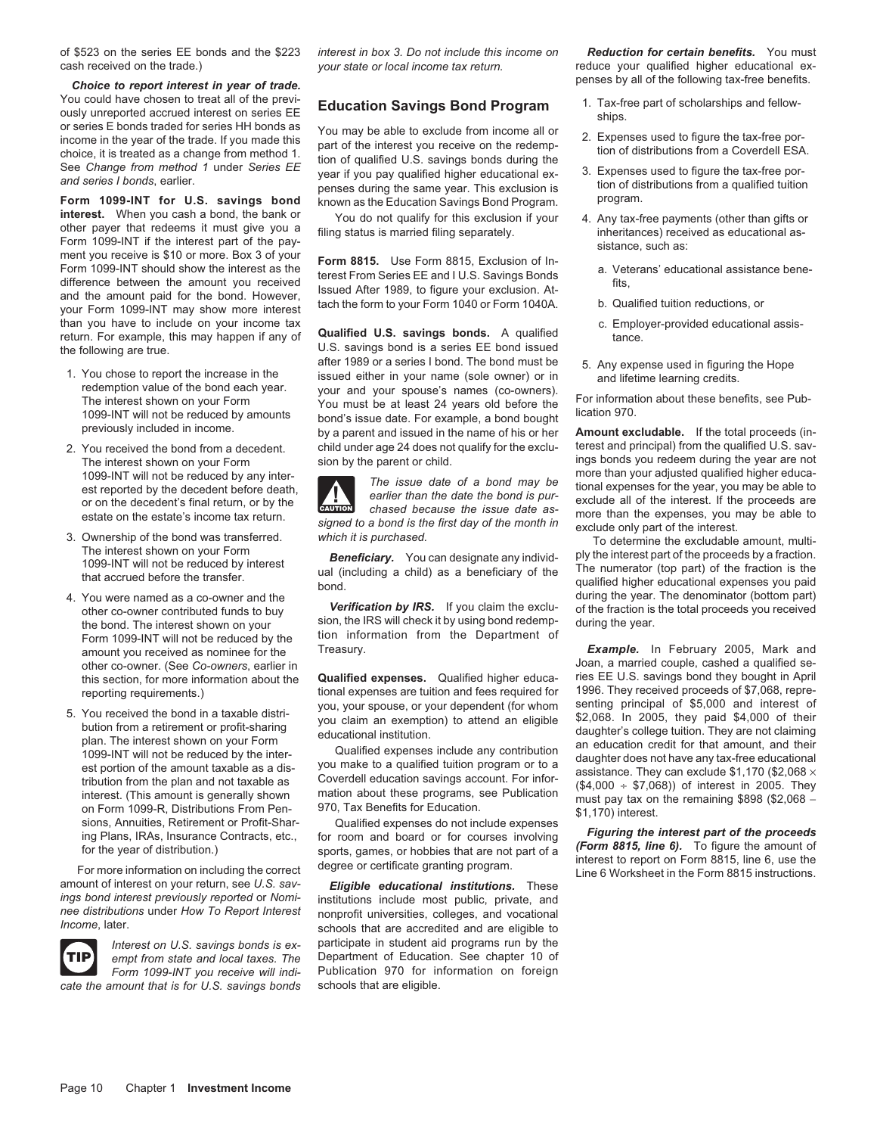Choice to report interest in year of trade. You could have chosen to treat all of the previ-<br>ously unreported accrued interest on series EE<br>or series E bonds traded for series HH bonds as<br>income in the year of the trade. If you made this<br>choice, it is treated as a c

**Form 1099-INT for U.S. savings bond** known as the Education Savings Bond Program.<br>**interest.** When you cash a bond, the bank or you do not qualify for this exclusion if your interest. When you cash a bond, the bank or<br>
other payer that redeems it must give you a<br>
Form 1099-INT if the interest part of the pay-<br>
ment you receive is \$10 or more. Box 3 of your<br>
ment wave received as educational as than you have to include on your income tax<br>
return. For example, this may happen if any of **Qualified U.S. savings bonds.** A qualified return. For example, this may happen if any of **Qualified U.S. savings bonds.** A quali

- 
- 
- 
- Fou were named as a co-owner and the total properties of the fraction is other co-owner contributed funds to buy **Verification by IRS.** If you claim the exclu-<br>the bond. The interest shown on your sion, the IRS will check amount you received as nominee for the
- 5. You received the bond in a taxable distri<br>
bution from a retirement or profit-sharing<br>
bution from a retirement or profit-sharing<br>
bution from a retirement or profit-sharing<br>
educational materion) to attend an eligible

amount of interest on your return, see *U.S. sav- Eligible educational institutions.* These *ings bond interest previously reported* or *Nomi-* institutions include most public, private, and



of \$523 on the series EE bonds and the \$223 *interest in box 3. Do not include this income on Reduction for certain benefits.* You must

From 1099-INT for U.S. savings bond known as the Education Savings Bond Program.<br>
From 1099-INT for U.S. savings bond known as the Education Savings Bond Program.

the following are true.<br>
U.S. savings bond is a series EE bond issued<br>
after 1989 or a series I bond. The bond must be after 1989 or a series I bond. The bond must be bust be the figuring the Hope<br>1. You chose to report the increase in the issued either in your name (sole owner) or in and lifetime learning credits.<br>1. redemption value of t The interest shown on your Form<br>1099-INT will not be reduced by amounts<br>previously included in income.<br>by a parent and issued in the name of his or her<br>by a parent and issued in the name of his or her<br>by a parent and issue 2. You received the bond from a decedent. child under age 24 does not qualify for the exclu- terest and principal) from the qualified U.S. sav-

**AUTION** 

Form 1099-INT will not be reduced by the tion information from the Department of  $\frac{1}{100}$  Example. In February 2005, Mark and

reporting requirements.) ional expenses are tuition and fees required for 1996. They received proceeds of \$7,068, repre-<br>You, your spouse, or your dependent (for whom senting principal of \$5,000 and interest of

*nee distributions* under *How To Report Interest* nonprofit universities, colleges, and vocational *Income*, later. schools that are accredited and are eligible to *Interest on U.S. savings bonds is ex-* participate in student aid programs run by the empt from state and local taxes. The Department of Education. See chapter 10 of Form 1099-INT you receive will indi-<br>Publication 970 for information on foreign Publication 970 for information on foreign *cate the amount that is for U.S. savings bonds* schools that are eligible.

cash received on the trade.) *your state or local income tax return.* reduce your qualified higher educational ex-<br>Choice to repert interest in vear of trade

- 
- 
- 
- -
	-
	-
- 

The interest shown on your Form sion by the parent or child. in ings bonds you redeem during the year are not<br>1099-INT will not be reduced by any inter-1099-INT will not be reduced by any inter-<br>est reported by the decedent before death,<br>or on the decedent's final return, or by the<br>cause the issue date as-<br>chased because the issue date as-<br>more than the expenses you may b

example the state in the expenses, you may be able to<br>3. Ownership of the bond was transferred.<br>3. Ownership of the bond was transferred.<br>1099-INT will not be reduced by interest<br>1099-INT will not be reduced by interest<br>th 4. You were named as a co-owner and the<br>other co-owner contributed funds to buy **Verification by IRS.** If you claim the exclu-<br>of the fraction is the total proceeds you received

other co-owner. (See *Co-owners*, earlier in<br>this section, for more information about the **Qualified expenses.** Qualified higher educa- ries EE U.S. savings bond they bought in April this section, for more information about the **Qualified expenses.** Qualified higher educa- ries EE U.S. savings bond they bought in April they received proceeds of \$7,068, repre-<br>reporting requirements.)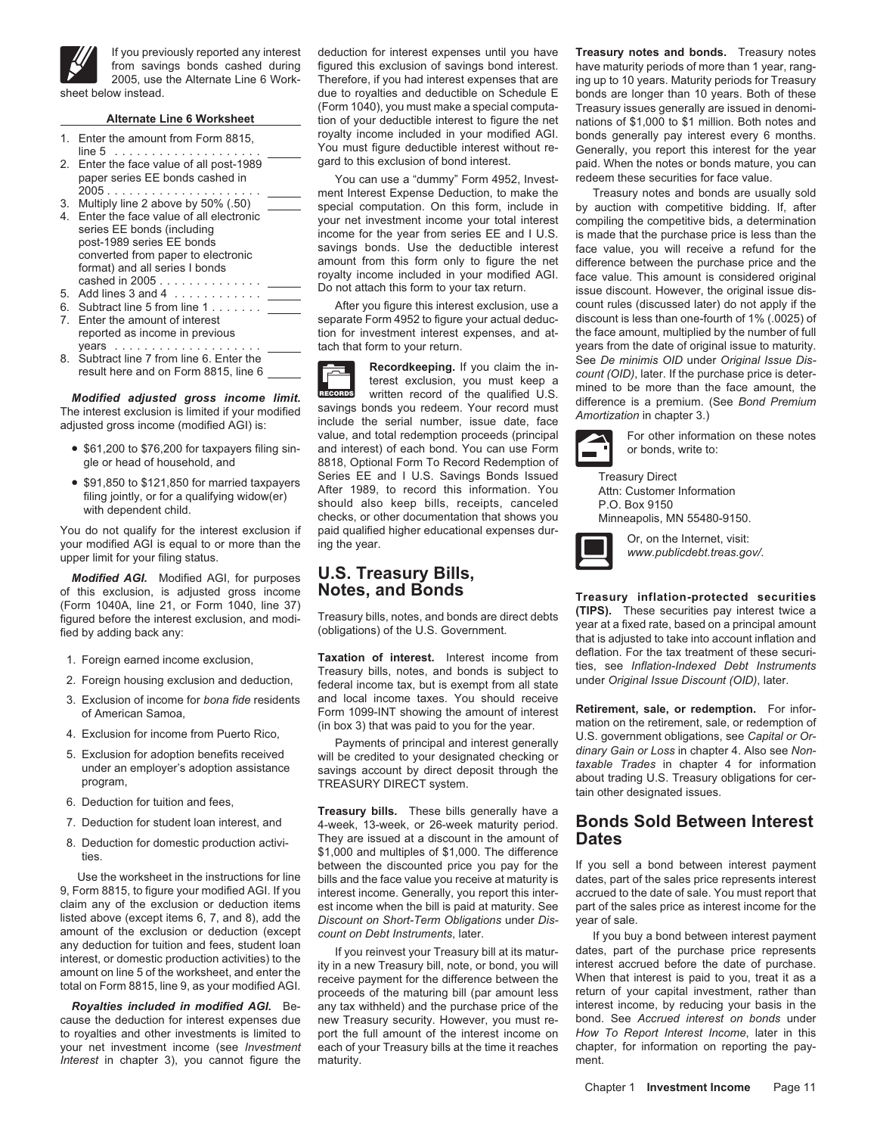

- 
- 
- 
- 
- 
- 
- 
- 

- 
- 

You do not qualify for the interest exclusion if paid qualified higher educational expenses dur-<br>your modified AGI is equal to or more than the ing the year.<br>upper limit for your filing status. www.publicdebt.treas.gov/.

*Modified AGI.* Modified AGI, for purposes **U.S. Treasury Bills,** of this exclusion, is adjusted gross income **Notes, and Bonds**<br>(Form 1040A, line 21, or Form 1040, line 37) (TIPS). These securities (Form 1040A, line 21, or Form 1040, line 37)<br>figured before the interest exclusion, and m

- 
- 
- 
- 
- 
- 
- 
- 

If you previously reported any interest deduction for interest expenses until you have **Treasury notes and bonds.** Treasury notes

paper series EE bonds cashed in You can use a "dummy" Form 4952, Invest- redeem these securities for face value.

7. Enter the amount of interest separate Form 4952 to figure your actual deduc-<br>reported as income in previous tion for investment interest expenses, and atreported as income in previous tion for investment interest expenses, and at- the face amount, multiplied by the number of full

**Modified adjusted gross income limit.** Exercise written record of the qualified U.S.<br>The interest exclusion is limited if your modified<br>adjusted gross income (modified AGI) is:<br>adjusted gross income (modified AGI) is:<br>val • \$61,200 to \$76,200 for taxpayers filing sin- and interest) of each bond. You can use Form  $\Box$  or bonds, write to:<br>gle or head of household, and 8818, Optional Form To Record Redemption of 8818, Optional Form To Record Redemption of • \$91,850 to \$121,850 for married taxpayers Series EE and I U.S. Savings Bonds Issued Treasury Direct Filing jointly, or for a qualifying widow(er) After 1989, to record this information. You attn: Customer Information sho

2. Foreign housing exclusion and deduction, federal income tax, but is exempt from all state under Original Issue Discount (OID), later. 3. Exclusion of income for *bona fide* residents and local income taxes. You should receive

7. Deduction for student loan interest, and 4-week, 13-week, or 26-week maturity period. **Bonds Sold Between Interest** 8. Deduction for domestic production activi- They are issued at a discount in the amount of **Dates** \$1,000 and multiples of \$1,000. The difference ties. between the discounted price you pay for the If you sell a bond between interest payment Use the worksheet in the instructions for line bills and the face value you receive at maturity is dates, part of the sales price represents interest 9. Form 8815, to figure your modified AGI. If you interest income. Gener 9, Form 8815, to figure your modified AGI. If you interest income. Generally, you report this inter- accrued to the date of sale. You must report that claim any of the exclusion or deduction items est income when the bill is paid at maturity. See part of the sales price as interest income for the listed above (except items 6, 7, and 8), add the *Discount on Short-Term Ob* listed above (except items 6, 7, and 8), add the *Discount on Short-Term Obligations* under *Dis-* year of sale.

*Royalties included in modified AGI.* Be- any tax withheld) and the purchase price of the interest income, by reducing your basis in the cause the deduction for interest expenses due new Treasury security. However, you must re- bond. See *Accrued interest on bonds* under to royalties and other investments is limited to port the full amount of the interest income on *How To Report Interest Income*, later in this your net investment income (see *Investment* each of your Treasury bills at the time it reaches chapter, for information on reporting the pay-*Interest* in chapter 3), you cannot figure the maturity. The ment ment.

from savings bonds cashed during figured this exclusion of savings bond interest. have maturity periods of more than 1 year, rang-2005, use the Alternate Line 6 Work- Therefore, if you had interest expenses that are ing up to 10 years. Maturity periods for Treasury sheet below instead.  $\blacksquare$  due to royalties and deductible on Schedule E bonds are longer than 10 years. Both of these (Form 1040), you must make a special computa- Treasury issues generally are issued in denomi-**Alternate Line 6 Worksheet** tion of your deductible interest to figure the net nations of \$1,000 to \$1 million. Both notes and 1. Enter the amount from Form 8815, royalty income included in your modified AGI. bonds generally pay interest every 6 months.<br>You must figure deductible interest without re-<br>Generally you report this interest for the year line 5 .................... You must figure deductible interest without re- Generally, you report this interest for the year 2. Enter the face value of all post-1989 gard to this exclusion of bond interest. paid. When the notes or bonds mature, you can

<sup>2005</sup> ..................... ment Interest Expense Deduction, to make the Treasury notes and bonds are usually sold 3. Multiply line 2 above by 50% (.50) special computation. On this form, include in by auction with competitive bidding. If, after 4. Enter the face value of all electronic your net investment income your total interest compiling the competitive bids, a determination series EE bonds (including income for the year from series EE and I U.S. is made that the purchase price is less than the post-1989 series EE bonds savings bonds. Use the deductible interest face value, you will receive a refund for the converted from paper to electronic amount from this form only to figure the net difference between the purchase price and the format) and all series I bonds royalty income included in your modified AGI. face value. This amount is considered original cashed in 2005 .............. Do not attach this form to your tax return. issue discount. However, the original issue dis- 5. Add lines 3 and 4 ............ 6. Subtract line 5 from line 1 ....... After you figure this interest exclusion, use a count rules (discussed later) do not apply if the years .................... tach that form to your return. years from the date of original issue to maturity. 8. Subtract line 7 from line 6. Enter the<br>result here and on Form 8815, line 6 enter the street exclusion, you must keep a street exclusion and the in-<br>record of the qualified U.S. mined to be more than the face amount, t





1. Foreign earned income exclusion, **Taxation of interest.** Interest income from deflation. For the tax treatment of these securi-<br>Treasury bills, notes, and bonds is subject to ties, see *Inflation-Indexed Debt Instrument* 

of American Samoa,<br>
at Exclusion for income from Puerto Rico,<br>
Form 1099-INT showing the amount of interest<br>
4. Exclusion for income from Puerto Rico,<br>
Factors of Payments of principal and interest generally<br>
5. Exclusion

amount of the exclusion or deduction (except count on Debt Instruments, later. If you buy a bond between interest payment<br>interest, or domestic production activities) to the interest if you reinvest your Treasury bill at i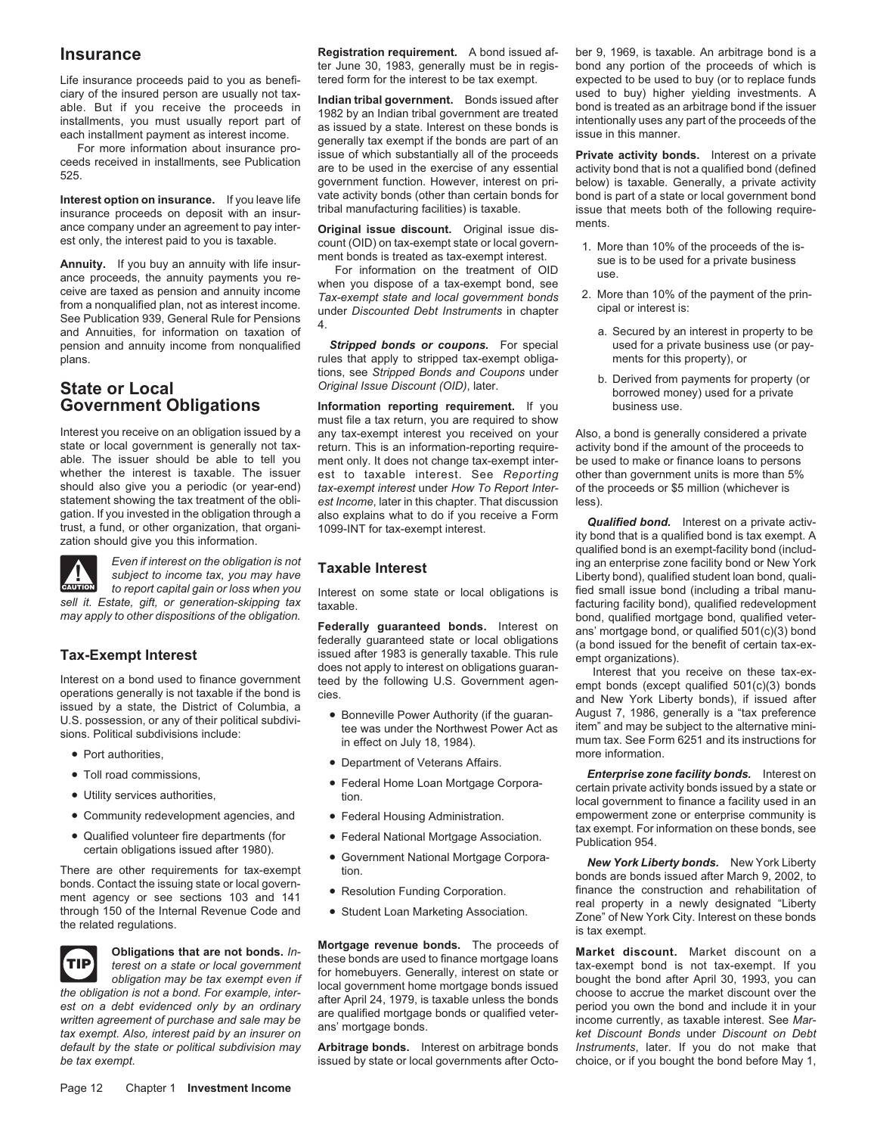Interest option on insurance. If you leave life vate activity bonds (other than certain bonds for bond is part of a state or local government bond<br>insurance proceeds on deposit with an insur- tribal manufacturing facilitie

example the interest paid to you is taxable.<br> **Annuity**. If you buy an annuity with life insurance proceeds, the annuity payments you re-<br>
ance proceeds, the annuity payments you re-<br>
ceive are taxed as pension and annuity pension and annuity income from nonqualified *Stripped bonds or coupons.* For special used for a private business use (or payplans. rules that apply to stripped tax-exempt obliga- ments for this property), or

# **Government Obligations Information reporting requirement.** If you business use.

Interest you receive on an obligation issued by a any tax-exempt interest you received on your Also, a bond is generally considered a private state or local government is generally not tax-exempt interest state or local go state or local government is generally not tax-<br>able. The issuer should be able to tell you ment only it does not change tax-exempt inter- be used to make or finance loans to persons able. The issuer should be able to tell you ment only. It does not change tax-exempt inter- be used to make or finance loans to persons<br>whether the interest is taxable. The issuer est to taxable interest. See *Reporting* o whether the interest is taxable. The issuer est to taxable interest. See *Reporting* other than government units is more than 5%<br>should also give you a periodic (or year-end) *tax-exempt interest* under How To Report Inter should also give you a periodic (or year-end) *tax-exempt interest* under *How To Report Inter-* of the proceeds or \$5 million (whichever is statement showing the tax treatment of the obli- est *Income*. later in this chap statement showing the tax treatment of the obli-<br>gation. If you invested in the obligation through a also explains what to do if you receive a Form



- 
- 
- 
- 
- 



**Insurance Registration requirement.** A bond issued af- ber 9, 1969, is taxable. An arbitrage bond is a **Insurance**<br>ter June 30, 1983, generally must be in regis- bond any portion of the proceeds of which is ter June 30, 1983, generally must be in regis-

ciary of the insured person are usually not tax-<br>able. But if you receive the proceeds in<br>installments, you must usually report part of<br>last issued by a state. Interest on these bonds is<br>each installment payment as interes

tions, see *Stripped Bonds and Coupons* under b. Derived from payments for property (or **State or Local** *Original Issue Discount (OID)*, later. borrowed money) used for a private

must file a tax return, you are required to show

- 
- 
- 
- 
- 
- 
- 
- 

**Obligations that are not bonds.** In-<br>these bonds are used to finance mortgage loans<br>terest on a state or local government<br>obligation may be tax exempt even if<br>obligation may be tax exempt even if<br>obligation may be tax ex

Life insurance proceeds paid to you as benefi-<br>
ciary of the insured person are usually not tax-<br> **Letter of the insured person are usually not tax-**<br> **Letter of the insured person are usually not tax-**<br> **Letter of the ins** 

- 
- -
	-

gation. If you invested in the obligation through a also explains what to do if you receive a Form **Qualified bond.** Interest on a private activents, a fund, or other organization, that organi- 1099-INT for tax-exempt inte *Even if interest on the obligation is not*<br> *subject to income tax, you may have*<br> *subject to income tax, you may have*<br> *Interest on some state or local obligations is* fied small issue bond (including a tribal manu-<br> Interest on some state or local obligations is fied small issue bond (including a tribal manu-Interest on some state or local obligations of the obligation.<br>Interversion of the obligation.<br>bond, qualified mortgage bond, qualified veter-<br>bond, qualified mortgage bond, qualified veter-

may apply to other dispositions of the obligation.<br> **Federally guaranteed bonds.** Interest on a community of the obligations<br> **Federally guaranteed state or local obligations**<br> **Federally guaranteed state or local obligati** • Port authorities, more information. • Department of Veterans Affairs.

• Ton toda commissions,<br>• Utility services authorities,<br>• Utility services authorities,<br>• Utility services authorities,<br>• Utility services authorities,<br>• Utility services authorities,<br>• Constraint private activity bonds is • Community redevelopment agencies, and <br>
• Federal Housing Administration. empowerment zone or enterprise community is<br>
tax exempt. For information on these bonds, see

• Qualified volunteer fire departments (for<br>
certain obligations issued after 1980).<br>
There are other requirements for tax-exempt<br>
bonds. Contact the issuing state or local govern-<br>
bonds. Contact the issuing state or loca

bigation is not a bold. For example, inter-<br>est on a debt evidenced only by an ordinary<br>est on a debt evidenced only by an ordinary<br>written agreement of purchase and sale may be<br>written agreement of purchase and sale may b *default by the state or political subdivision may* **Arbitrage bonds.** Interest on arbitrage bonds *Instruments*, later. If you do not make that *be tax exempt.* issued by state or local governments after Octo- choice, or if you bought the bond before May 1,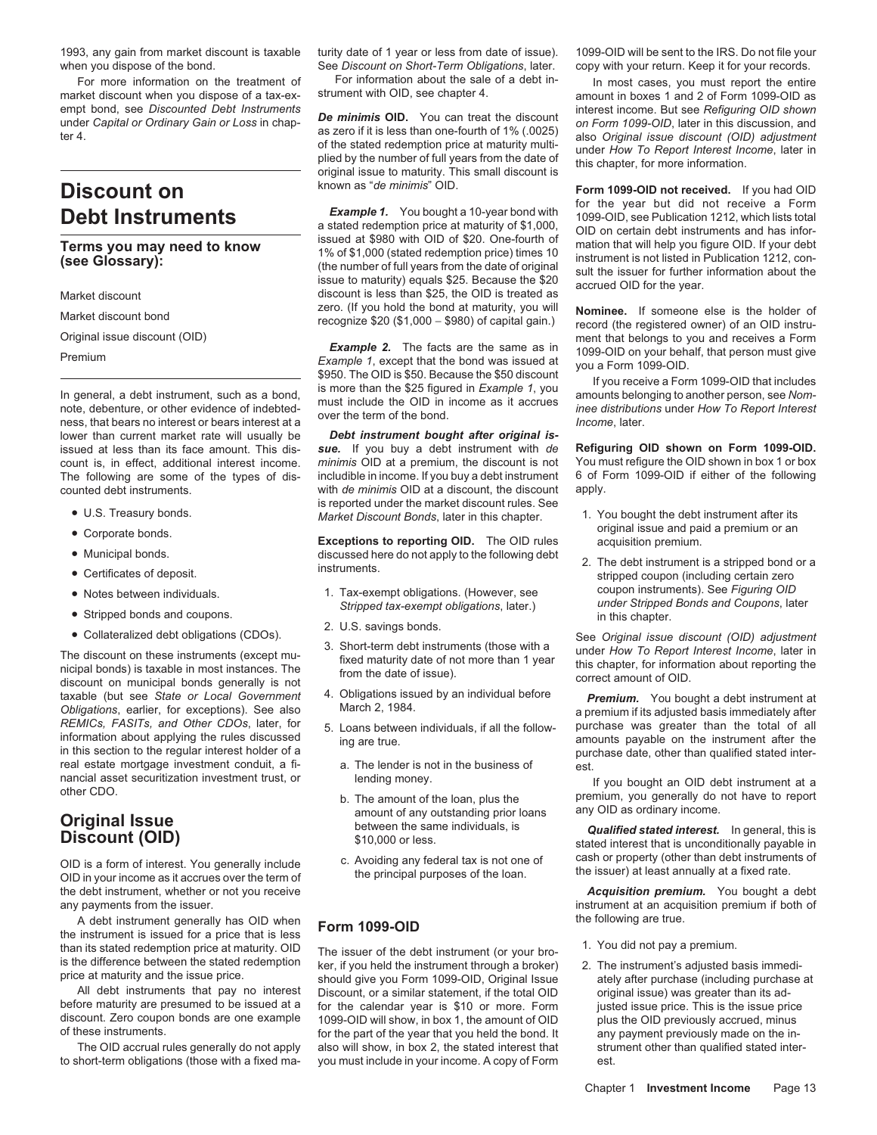when you dispose of the bond. See *Discount on Short-Term Obligations*, later. copy with your return. Keep it for your records.

lower than current market rate will usually be **Debt instrument bought after original is**issued at less than its face amount. This dis-<br>count is, in effect, additional interest income, minimis OID at a premium, the discount is not<br>You must refigure the OID shown in box 1 or box count is, in effect, additional interest income. *minimis* OID at a premium, the discount is not You must refigure the OID shown in box 1 or box The following are some of the types of dis-<br>
rounted debt instruments<br>
muith de minimis OID at a discount the discount apply.

- 
- 
- 
- 
- 
- 
- 

taxable (but see *State or Local Government* 4. Obligations issued by an individual before *Premium.* You bought a debt instrument at *Coligations*, earlier, for exceptions). See also March 2, 1984. *Obligations*, earlier, for exceptions). See also REMICs, FASITs, and Other CDOs, later, for in this section to the regular interest holder of a real estate mortgage investment conduit, a fi-<br>
nancial asset securitization investment trust, or lending money.<br>
lending money.

the debt instrument, whether or not you receive *Acquisition premium.* You bought a debt

A debt instrument generally has OID when **Form 1099-OID** the following are true.<br>the instrument is issued for a price that is less **Form 1099-OID** the instrument (or your bre 1. You did not pay a premium. than its stated redemption price at maturity. OID<br>is the difference between the stated redemption<br>price at maturity and the issue price.<br>price at maturity and the issue price.<br>should give you Form 1099-OID, Original Issue<br>

to short-term obligations (those with a fixed ma- you must include in your income. A copy of Form est.

For more information on the treatment of For information about the sale of a debt in-<br>market discount when you dispose of a tax-ex-<br>strument with OID, see chapter 4. amount in boxes 1 and 2 of Form 1099-OID as

empt bond, see Discounted Debt Instruments<br>under Capital or Ordinary Gain or Loss in chap<br>as zero if it is less than one-fourth of 1% (.0025)<br>on Form 1099-OID, later in this discussion, and<br>discount (OID) adjustment<br>of the

Market discount discount discount discount is less than \$25, the OID is treated as<br>Market discount discount is less than \$25, the OID is treated as

Original issue discount (OID)<br>
Example 2. The facts are the same as in<br>
Example 1, except that the bond was issued at<br>
Standard Example 1, except that the bond was issued at<br>
Standard Standard Standard Standard Standard St

counted debt instruments. with *de minimis* OID at a discount, the discount<br>is reported under the market discount rules. See

original issue and paid a paid a premium original issue and paid a paid a premium original issue and paid is the **Exceptions to reporting OID.** The OID rules acquisition premium.<br>• Municipal bonds. **A propertion by a premi** 

- 
- 
- 
- 
- -
- amount of any outstanding prior loans any OID as ordinary income.<br>Discount (OID) The same individuals, is a mail of a care of the same individuals, is a mail of the same individuals, is<br>Stated interest that is unconditiona
	-

All debt instruments that pay no interest Discount, or a similar statement, if the total OID original issue) was greater than its adbefore maturity are presumed to be issued at a for the calendar year is \$10 or more. Form justed issue price. This is the issue price discount. Zero coupon bonds are one example 1099-OID will show, in box 1, the amount of OID plus the OID previously accrued, minus for the part of the year that you held the bond. It any payment previously made on the infor the part of the year that you held the bond. It The OID accrual rules generally do not apply also will show, in box 2, the stated interest that strument other than qualified stated inter-

1993, any gain from market discount is taxable turity date of 1 year or less from date of issue). 1099-OID will be sent to the IRS. Do not file your

market discount when you dispose of a tax-ex- strument with OID, see chapter 4. amount in boxes 1 and 2 of Form 1099-OID as<br>empt bond, see *Discounted Debt Instruments* 

**Discount on**<br>**Discount on Example 2012 Example 2013 Example 2013 Example 2013 Example 2013 Example 2013 Example 2013 Example 2013 Example 2013 Example 2013 Example 2013 Example 2013 Example 2013 Debt Instruments**<br> **Example 1.** You bought a 10-year bond with<br>
a stated redemption price at maturity of \$1,000,<br>
Terms you may need to know<br>
(see Glossary):<br>
(see Glossary):<br>
a stated redemption price at maturity of \$1,0

Market discount bond<br>Market discount bond at maturity, you will **Nominee.** If someone else is the holder of recognize \$20 (\$1,000 − \$980) of capital gain.)<br>The ment that belongs to you and receives a Form corresponse to y

- I.S. Treasury bonds. **Market Discount Bonds**, later in this chapter. 1. You bought the debt instrument after its<br>
 Corporate bonds<br>
 Corporate bonds
- Municipal bonds. discussed here do not apply to the following debt 2. The debt instrument is a stripped bond or a<br>• Certificates of deposit. instruments. instruments. Tax-exempt obligations. (However, see coupon instrume 1. Tax-exempt obligations. (However, see coupon instruments). See *Figuring OID* • Notes between individuals.

• Stripped bonds and coupons.<br>
• Collateralized debt obligations (CDOs).<br>
The discount on these instruments (except mu-<br>
in this chapter.<br>
2. U.S. savings bonds.<br>
3. Short-term debt instruments (those with a<br>
fixed maturit

*REMICs, FASITs, and Other CDOs*, later, for 5. Loans between individuals, if all the follow- purchase was greater than the total of all ing are true.<br> **ing are true.** All the rules discussed in the rules date, other than qualified stated inter-

nancial asset securitization investment trust, or lending money. If you bought an OID debt instrument at a other CDO.<br>b. The amount of the loan, plus the premium, you generally do not have to report amount of any outstandi

OID is a form of interest. You generally include c. Avoiding any federal tax is not one of cash or property (other than debt instruments of cash or property (other than debt instruments of the principal purposes of the loa

any payments from the issuer. instrument at an acquisition premium if both of

- 
-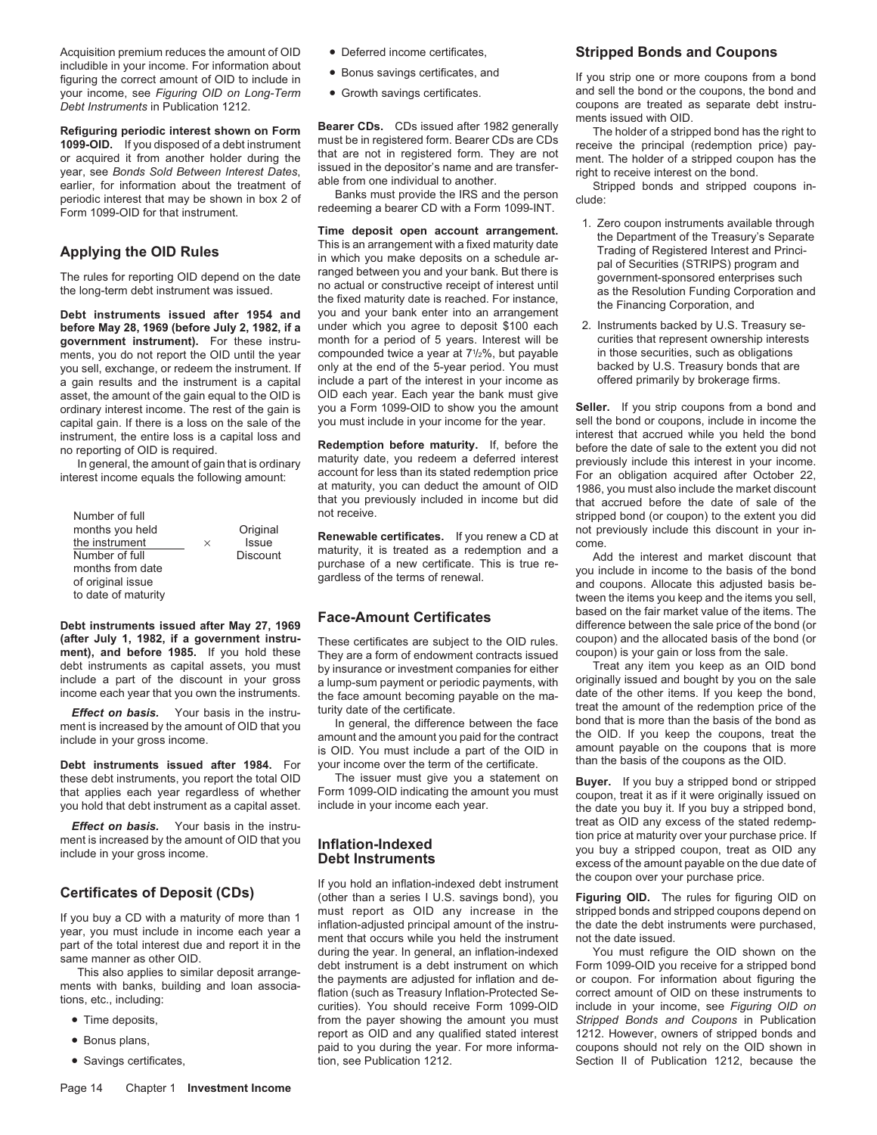Acquisition premium reduces the amount of OID • Deferred income certificates, **Stripped Bonds and Coupons**<br>
includible in your income. For information about includible in your income. For information about **•** Bonus savings certificates, and If you strip one or more coupons from a bond figuring the correct amount of OID to include in If you strip one or more coupons from a bon your income, see *Figuring OID on Long-Term*<br>*Debt Instruments* in Publication 1212.

**Refiguring periodic interest shown on Form**<br>**Refiguring periodic interest shown on Form**<br>**Refiguring the holder of a stripped bond has the right to<br><b>1099-OID.** If you disposed of a debt instrument<br>or acquired it from anot

**before May 28, 1969 (before July 2, 1982, if a** under which you agree to deposit \$100 each 2. Instruments backed by U.S. Treasury se-<br>**government instrument**). For these instru-<br>month for a period of 5 years. Interest wil ments, you do not report the OID until the year compounded twice a year at  $71/2\%$ , but payable<br>you sell exchange or redeem the instrument If only at the end of the 5-year period. You must you sell, exchange, or redeem the instrument. If only at the end of the 5-year period. You must backed by U.S. Treasury bonds that a capital include a part of the interest in your income as ferred primarily by brokerage fi a gain results and the instrument is a capital include a part of the interest in your income as asset, the amount of the gain equal to the OID is OID each year. Each year the bank must give asset, the amount of the gain equal to the OID is OID each year. Each year the bank must give ordinary interest income. The rest of the gain is you a Form 1099-OID to show you the amount ordinary interest income. The rest of the gain is you a Form 1099-OID to show you the amount **Seller.** If you strip coupons from a bond and capital gain. If there is a loss on the sale of the instrument, the entire loss is a capital loss and<br> **Redemption before maturity.** If, before the before the date of sale to the extent you did not

| months you held<br>the instrument<br>$\times$<br>Number of full<br>months from date<br>of original issue<br>to date of maturity | <b>Issue</b><br>Discount |
|---------------------------------------------------------------------------------------------------------------------------------|--------------------------|
|---------------------------------------------------------------------------------------------------------------------------------|--------------------------|

(after July 1, 1982, if a government instru-<br>ment), and before 1985. If you hold these They are a form of endowment contracts issued coupon) is your gain or loss from the sale.

these debt instruments, you report the total OID The issuer must give you a statement on **Buyer**. If you buy a stripped bond or stripped<br>that applies each year regardless of whether Form 1099-OID indicating the amount you that applies each year regardless of whether Form 1099-OID indicating the amount you hold that debt instrument as a capital asset. include in your income each year.

- 
- 
- 
- -

**Applying the OID Rules**<br>
The rules of the Department of the Treasury's Separate<br>
The rules for reporting OID depend on the date<br>
the long-term debt instrument was issued.<br>
The rules for reporting OID depend on the date<br>
t month for a period of 5 years. Interest will be

no reporting of OID is required.<br>In general the amount of gain that is ordinary maturity date, you redeem a deferred interest previously include this interest in your income. In general, the amount of gain that is ordinary<br>interest income equals the following amount:<br>account for less than its stated redemption price<br>at maturity, you can deduct the amount of OID<br>that you previously included in i that you previously included in income but did that accrued before the date of sale of the<br>not receive stripped bond (or coupon) to the oxtent you did

Renewable certificates. If you renew a CD at maturity, it is treated as a redemption and a<br>purchase of a new certificate. This is true re-<br>purchase of a new certificate. This is true re-

**Certificates of Deposit (CDs)** If you hold an inflation-indexed debt instrument<br>(other than a series I U.S. savings bond), you **Figuring OID**. The rules for figuring OID on If you buy a CD with a maturity of more than 1<br>west report as OID any increase in the stripped bonds and stripped coupons depend on<br>year, you must include in income each year a<br>part of the total interest due and report it • Time deposits, entity of the payer showing the amount you must *Stripped Bonds and Coupons* in Publication<br>Figure also conduct the payer as OID and any qualified stated interest 1212. However, owners of stripped bonds an ■ Bonus plans, and any qualified stated interest 1212. However, owners of stripped bonds and • Bonus paid to you during the year. For more informa- coupons should not rely on the OID shown in

coupons are treated as separate debt instru-<br>ments issued with OID.

- 
- in those securities, such as obligations<br>backed by U.S. Treasury bonds that are

stripped bond (or coupon) to the extent you did<br>not previously include this discount in your in-

purchase of a new certificate. This is true re-<br>gardless of the terms of renewal.  $\frac{1}{\text{total}}$  and coupons. Allocate this adjusted basis between the items you keep and the items you sell, **Face-Amount Certificates** based on the fair market value of the items. The **Debt instruments issued after May 27, 1969 Face-Amount Certificates** be difference between the sale price of the bond (or **after July 1, 1982,** 

ment), and before 1985. If you hold these They are a form of endowment contracts issued<br>
debt instruments as capital assets, you must<br>
include a part of the discount in your gross a lump-sum payment or periodic payments, w

the date you buy it. If you buy a stripped bond, **Effect on basis.** Your basis in the instru-<br>ment is increased by the amount of OID that you **inflation Indoxed** tion the stated price at maturity over your purchase price. If ment is increased by the amount of OID that you **Inflation-Indexed the computance of the conduct of C**ip of the t<br>include in your gross income. **Debt Instruments of the all of the amount** payable on the due date of the amo

• Savings certificates, The Savings certificates, The Cause the Savings certificates, The Savings certificates, The Savings of the Savings certificates, The Savings certificates, The Savings of the Savings of The Savings o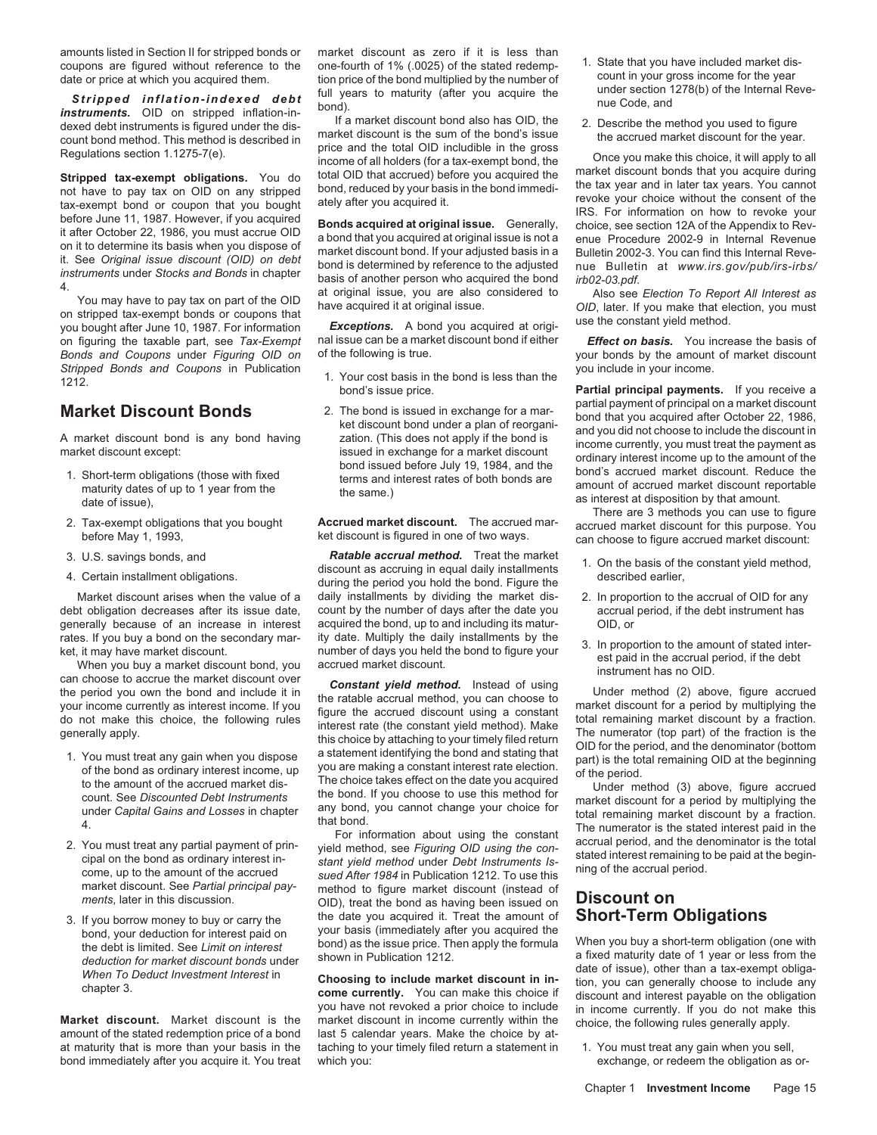instruments. OID on stripped inflation-in-<br>dexed debt instruments is figured under the dis-<br>count bond method. This method is described in market discount is the sum of the bond's issue<br>the accrued market discount for the

*Stripped Bonds and Coupons* in Publication 1. Your cost basis in the bond is less than the you include in your income.<br>hond's issue price

- maturity dates of up to 1 year from the the same.) and interest rates or both bonds are amount of accrued market discount reportable<br>date of issue), There are 3 methods you can use to figure
- 
- 
- 

debt obligation decreases after its issue date,

- 
- 
- 

bond immediately after you acquire it. You treat which you: exchange, or redeem the obligation as or-

amounts listed in Section II for stripped bonds or market discount as zero if it is less than coupons are figured without reference to the one-fourth of 1% (.0025) of the stated redemp-<br>date or price at which you acquired them.<br>**Stripped** inflation-indexed debt full years to maturity (after you acquire the under s

on figuring the taxable part, see *Tax-Exempt* nal issue can be a market discount bond if either *Effect on basis.* You increase the basis of

- 
- 

3. U.S. savings bonds, and<br>
4. Certain installment obligations.<br>
4. Certain installment obligations.<br>
during the period you hold the bond. Figure the<br>
during the period you hold the bond. Figure the<br>
described earlier, Market discount arises when the value of a daily installments by dividing the market dis-<br>
2. In proportion to the accrual of OID for any<br>
2. In proportion to the accrual of OID for any<br>
2. In proportion to the accrual of generally because of an increase in interest acquired the bond, up to and including its matur- OID, or rates. If you buy a bond on the secondary mar- ity date. Multiply the daily installments by the  $\frac{1}{2}$  is area.

The secondary mar-<br>
Note it and the secondary mar-<br>
Note this may have market discount.<br>
We also carrued market discount to mome of days you held the bond to figure your<br>
Note in the accust of excuted market discount to th

market discount. See *Partial principal pay*-<br>method to figure market discount (instead of<br>ments, later in this discussion.<br>OID) treat the bond as having been issued on *Indition* is highly manter discussion. (included on **Discount on** Obligations the date you acquired it. Treat the amount of **Short-Term Obligations** 3. If you borrow money to buy or carry the the date you acquired it. Treat the amount of **Short-Term Obligations** bond, your deduction for interest paid on your basis (immediately after you acquired the<br>the debt is limited. See Limit on interest bond) as the issue price. Then apply the formula When you buy a short-term obligation (one

at maturity that is more than your basis in the taching to your timely filed return a statement in 1. You must treat any gain when you sell,

- 
- 

count bond method. This method is described in<br>
Regulations section 1.1275-7(e).<br>
Regulations section 1.1275-7(e).<br>
Stripped tax-exempt obligations. You do total OID inta accrued pefore you acquired the corrued market disc

*Bonds and Coupons under Figuring OID on* of the following is true. The same of your bonds by the amount of market discount

Partial principal payments. If you receive a **Market Discount Bonds**<br>
A market discount bond is any bond having<br>
A market discount bond is any bond having<br>
A market discount bond is any bond having<br>
Market discount bond is any bond having<br>
time such come a plan of re

2. Tax-exempt obligations that you bought **Accrued market discount.** The accrued mar-<br>before May 1, 1993, beta discount is figured in one of two ways. can choose to figure accrued market discount: can choose to figure accrued market discount:

- 
- 
- 

deduction for market discount bonds under<br>
When To Deduct Investment Interest in<br>
Choosing to include market discount in in-<br>
Choosing to include market discount in in-<br>
chapter 3.<br>
Market discount. Market discount is the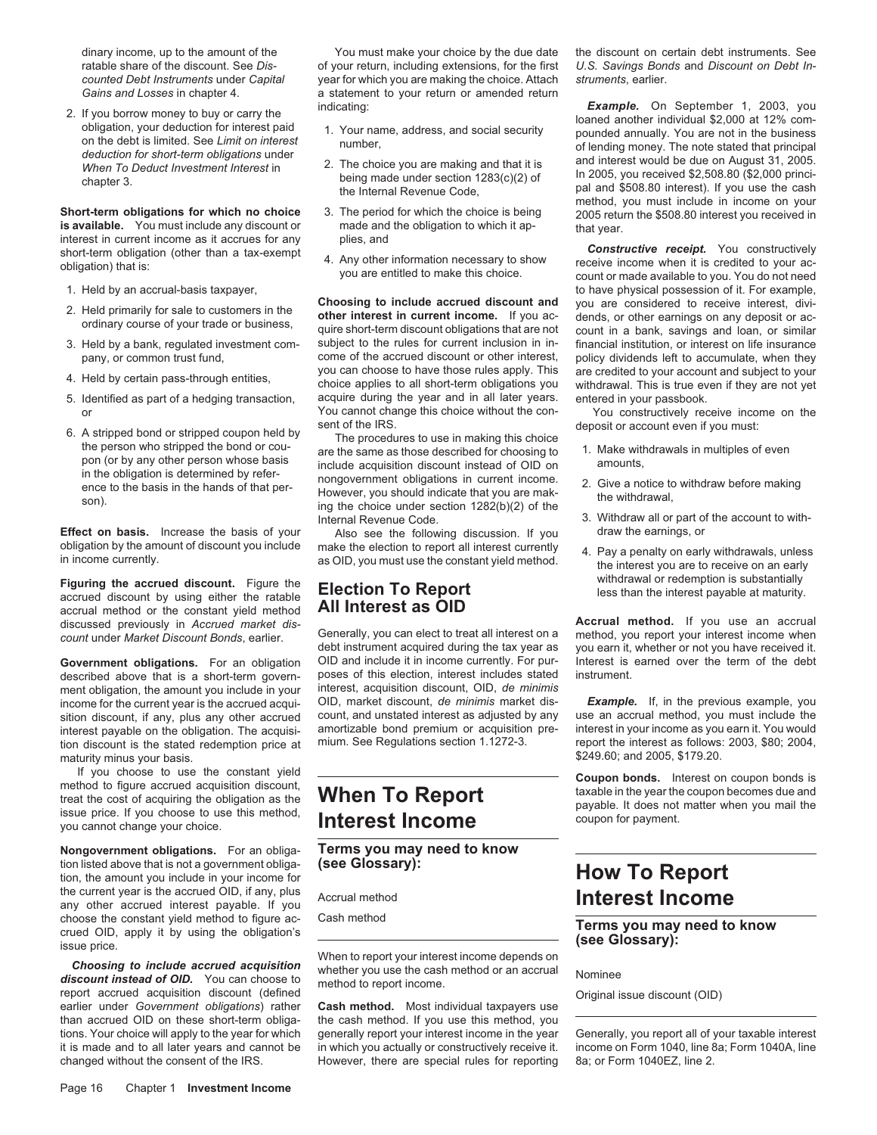**Short-term obligations for which no choice** 3. The period for which the choice is being 2005 return the \$508.80 interest you received in is available. You must include any discount or made and the obligation to which it a **is available.** You must include any discount or made and the obligation to which it ap-<br>interest in current income as it accrues for any plies, and

- 
- 
- 
- 
- 
- 

**Effect on basis.** Increase the basis of your Also see the following discussion. If you obligation by the amount of discount you include make the election to report all interest currently

**Figuring the accrued discount.** Figure the **Election To Report** withdrawal or redemption is substantially accrued discount by using either the ratable **Election To Report** less than the interest payable at maturity. accrual method or the constant yield method

described above that is a short-term govern-<br>ment obligation, the amount you include in your<br>interest, acquisition discount, OID, de minimis ment obligation, the amount you include in your interest, acquisition discount, OID, *de minimis*<br>income for the current year is the accrued acqui-<br>OID, market discount, *de minimis* market disincome for the current year is the accrued acqui- OID, market discount, *de minimis* market dis- **Example.** If, in the previous example, you<br>sition discount, if any, plus any other accrued count, and unstated interest as a sition discount, if any, plus any other accrued count, and unstated interest as adjusted by any use an accrual method, you must include the<br>interest payable on the obligation. The acquisi- amortizable bond premium or acqui interest payable on the obligation. The acquisi-<br>tion discount is the stated redemption price at your mind. See Regulations section 1.1272-3. tion discount is the stated redemption price at mium. See Regulations section 1.1272-3. report the interest as follows: 2003, \$80; 2004, maturity minus vour basis. maturity minus your basis.

If you choose to use the constant yield<br>
method to figure accrued acquisition discount,<br>
treat the cost of acquiring the obligation as the **When To Report**<br>
issue price. If you choose to use this method,<br>
you cannot change

**Nongovernment obligations.** For an obliga- **Terms you may need to know** tion listed above that is not a government obliga- (see Glossary): tion listed above that is not a government obligation, its a move that is not a government opilga-<br>tion, the amount you include in your income for<br>**How To Report** the current year is the accrued OID, if any, plus Accrual method **interest Income**<br>any other accrued interest payable. If you Accrual method choose the constant yield method to figure ac-<br>
crued OID, apply it by using the obligation's<br>
issue price.<br> **When to report your interest income depends on**<br> **Signe Glossary):** 

**Choosing to include accrued acquisition**<br> **aliscount instead of OID.** You can choose to<br>
report accrued acquisition discount (defined<br>
earlier under Government obligations) rather<br> **Cash method.** Most individual taxpayers earlier under *Government obligations*) rather than accrued OID on these short-term obliga- the cash method. If you use this method, you<br>tions. Your choice will apply to the year for which generally report your interest income in the year it is made and to all later years and cannot be in which you actually or constructively receive it. income on Form 1040, line 8a; Form 1040A, line

ratable share of the discount. See *Dis-* of your return, including extensions, for the first *U.S. Savings Bonds* and *Discount on Debt Incounted Debt Instruments* under *Capital* year for which you are making the choice. Attach *struments*, earlier. *Gains and Losses* in chapter 4. a statement to your return or amended return

- 
- 
- 
- 

2. Held primarily for sale to customers in the<br>other interest in current income. If you ac-<br>ordinary course of your trade or business,<br>quire short-term discount obligations that are not<br>count in a bank, savings and loan, o 3. Held by a bank, regulated investment com-<br>come of the accrued discount or other interest, policy dividends left to accumulate, when they<br>nany or common trust fund. pany, or common trust fund, come of the accrued discount or other interest, policy dividends left to accumulate, when they<br>come the accumulate of the accrued discount or other interest, policy dividends left to accumulate, 4. Held by certain pass-through entities,<br>choice applies to all short-term obligations you withdrawal. This is true even if they are not yet<br>5. Identified as part of a hedging transaction. acquire during the year and in al 5. Identified as part of a hedging transaction, acquire during the year and in all later years. entered in your passbook.<br>or and the con- You cannot change this choice without the con- You constructively receive income on or You cannot change this choice without the construction of the IRS.

6. A stripped bond or stripped coupon held by<br>the person who stripped the bond or cou-<br>pon (or by any other person whose basis<br>in the obligation is determined by refer-<br>ence to the basis in the hands of that per-<br>son).<br>the

obligation by the amount of discount you include make the election to report all interest currently 4. Pay a penalty on early withdrawals, unless<br>as OID, you must use the constant yield method. The interest you are to rece

generally report your interest income in the year Generally, you report all of your taxable interest changed without the consent of the IRS. However, there are special rules for reporting 8a; or Form 1040EZ, line 2.

dinary income, up to the amount of the You must make your choice by the due date the discount on certain debt instruments. See

2. If you borrow money to buy or carry the<br>
obligation, your deduction for interest paid<br>
on the debt is limited. See *Limit on interest*<br>
on the debt is limited. See *Limit on interest*<br>
on the debt is limited. See *Limi* 

interest in current income as it accrues for any plies, and<br>short-term obligation (other than a tax-exempt 4. Any other information necessary to show receive income when it is credited to your ac-<br>you are entitled to make 1. Held by an accrual-basis taxpayer,<br>Choosing to include accrued discount and you are considered to receive interest, divi-

- 
- 
- Internal Revenue Code.<br>Also see the following discussion If you draw the earnings or
	-

discussed previously in *Accrued market dis*-<br>count under Market Discount Bonds, earlier. Generally, you can elect to treat all interest on a method, you report your interest income when<br>debt instrument acquired during the Government obligations. For an obligation OID and include it in income currently. For pur-<br>described above that is a short-term govern- poses of this election, interest includes stated instrument.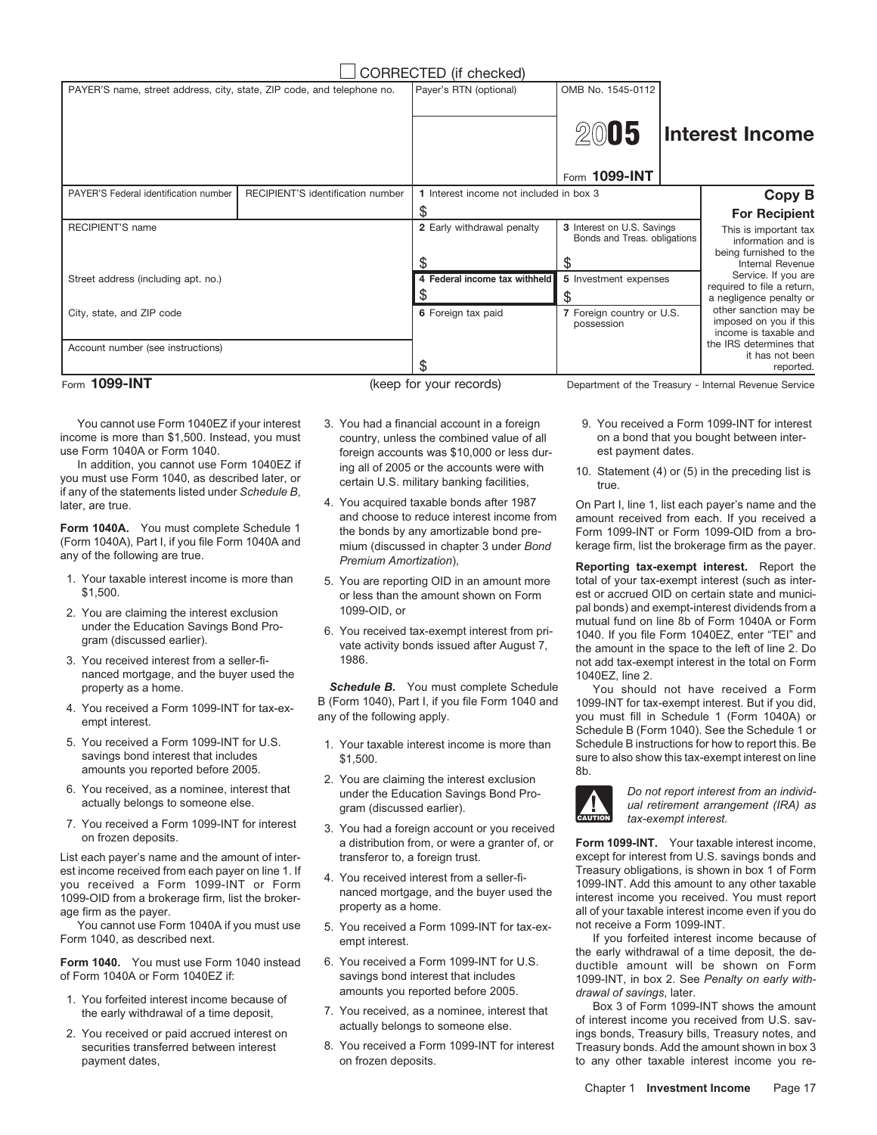|                                                                        |                                   | CORRECTED (if checked)                  |                                                            |                                                                          |
|------------------------------------------------------------------------|-----------------------------------|-----------------------------------------|------------------------------------------------------------|--------------------------------------------------------------------------|
| PAYER'S name, street address, city, state, ZIP code, and telephone no. |                                   | Payer's RTN (optional)                  | OMB No. 1545-0112<br>2005                                  | Interest Income                                                          |
|                                                                        |                                   |                                         | Form 1099-INT                                              |                                                                          |
| PAYER'S Federal identification number                                  | RECIPIENT'S identification number | 1 Interest income not included in box 3 |                                                            | Copy B                                                                   |
|                                                                        |                                   |                                         |                                                            | <b>For Recipient</b>                                                     |
| <b>RECIPIENT'S name</b>                                                |                                   | 2 Early withdrawal penalty              | 3 Interest on U.S. Savings<br>Bonds and Treas. obligations | This is important tax<br>information and is<br>being furnished to the    |
|                                                                        |                                   |                                         |                                                            | Internal Revenue                                                         |
| Street address (including apt. no.)                                    |                                   | 4 Federal income tax withheld           | 5 Investment expenses                                      | Service. If you are<br>required to file a return,                        |
|                                                                        |                                   |                                         | S                                                          | a negligence penalty or                                                  |
| City, state, and ZIP code                                              |                                   | 6 Foreign tax paid                      | 7 Foreign country or U.S.<br>possession                    | other sanction may be<br>imposed on you if this<br>income is taxable and |
| Account number (see instructions)                                      |                                   |                                         |                                                            | the IRS determines that<br>it has not been                               |
|                                                                        |                                   | S                                       |                                                            | reported.                                                                |

(keep for your records)

income is more than \$1,500. Instead, you must country, unless the combined value of all on a bond that you bought between inter-<br>use Form 1040A or Form 1040.<br>foreign accounts was \$10,000 or less dur-

In addition, you cannot use Form 1040EZ if ing all of 2005 or the accounts were with<br>you must use Form 1040, as described later, or certain U.S. military banking facilities,<br>if any of the statements listed under Schedule B

- 
- 
- nanced mortgage, and the buyer used the **Schedule B.** You must complete Schedule 1040EZ, line 2.<br>
property as a home. **Schedule B.** You must complete Schedule You should not have received a Form
- 
- 
- 
- 

- 
- 
- Form 1040A or Form 1040.<br>In addition, you cannot use Form 1040EZ if eac ing all of 2005 or the accounts were with
- (Form 1040A), Part I, if you file Form 1040A and<br>any of the following are true.<br>1. Your taxable interest income is more than<br>1. Your taxable interest income is more than<br>1. Your tax-exempt interest (such as inter-
	-
	-

**Schedule B.** You must complete Schedule B (Form 1040), Part I, if you file Form 1040 and

- 
- amounts you reported before 2005.<br>6. You received, as a nominee, interest that under the Education Savings Bond Pro-<br>actually belongs to someone else.<br>**19. Interest from an individ-**<br>and refirement arrangement (IRA) as gram (discussed earlier). **actually belongs to some example of the example of the example of the example of the example of the example of the example of the example of the example of the example of the example of the examp**
- 7. You received a Form 1099-INT for interest 3. You had a foreign account or you received<br>a distribution from, or were a granter of, or **Form 1099-INT.** Your taxable interest income,
	-
- You cannot use Form 1040A if you must use 5. You received a Form 1099-INT for tax-ex- not receive a Form 1099-INT.<br>Form 1040, as described next. empt interest emptionerest empt interest
	-
	-
	-

Form 1099-INT **DEPTIT Example 20 Term 2008** (keep for your records) Department of the Treasury - Internal Revenue Service

- You cannot use Form 1040EZ if your interest 3. You had a financial account in a foreign 9. You received a Form 1099-INT for interest
	-

later, are true. 4. You acquired taxable bonds after 1987 On Part I, line 1, list each payer's name and the compunition of the distribution of the distribution of the distribution of the distribution of the distribution of Form 1040A. You must complete Schedule 1 the bonds by any amortizable bond pre-<br>Form 1099-INT or Form 1099-OID from a bro-<br>Form 1040A), Part I, if you file Form 1040A and mium (discussed in chapter 3 under *Bond* kerage fi

1. Your taxable interest income is more than  $\frac{5.}{2}$  You are reporting OID in an amount more total of your tax-exempt interest (such as inter-<br>1.500. Stripped OID on certain state and municior less than the amount shown on Form est or accrued OID on certain state and munici-<br>1099-OID. or example in pal bonds) and exempt-interest dividends from a 2. You are claiming the interest exclusion 1099-OID, or pall bonds) and exempt-interest dividends from a<br>under the Education Savings Bond Pro-<br>gram (discussed earlier). 6. You received tax-exempt interest from pri-<br>vate ac 3. You received interest from a seller-fi- 1986. not add tax-exempt interest in the total on Form

4. You received a Form 1099-INT for tax-ex-<br>any of the following apply. where Form 1040 and 1099-INT for tax-exempt interest. But if you did,<br>you must fill in Schedule 1 (Form 1040A) or<br>Schedule B (Form 1040). See the Sche 5. You received a Form 1099-INT for U.S. 1. Your taxable interest income is more than Schedule B instructions for how to report this. Be savings bond interest that includes  $$1, 500$ <br>Sure to also show this tax-exempt inter savings bond interest that includes  $$1,500$ .<br>amounts you reported before 2005.



 $tax$ -exempt interest.

List each payer's name and the amount of inter-<br>
est income received from each payer on line 1. If<br>
est income received from each payer on line 1. If<br>
except for interest from U.S. savings bonds and<br>
Treasury obligations, est income received from each payer on line 1. If you received interest from a seller-fi-<br>you received a Form 1099-INT or Form 1099-INT on Form 1099-INT anced mortgage, and the buyer used the 1.16 met<br>1099-OID from a broke

Form 1040, as described next. empt interest.<br>Form 1040. You must use Form 1040 instead 6. You received a Form 1099-INT for U.S. the early withdrawal of a time deposit, the de-<br>Form 1040 instead 6. You received a Form 1099of Form 1040A or Form 1040EZ if: savings bond interest that includes 1099-INT, in box 2. See *Penalty on early with-*

1. You forfeited interest income because of amounts you reported before 2005. <br>1. You for a time deposit, The early withdrawal of a time deposit, The early withdrawal of a time deposit, The early withdrawal of a time depos securities transferred between interest 8. You received a Form 1099-INT for interest Treasury bonds. Add the amount shown in box 3 payment dates, the controller controller on frozen deposits. The controller controller taxable interest income you re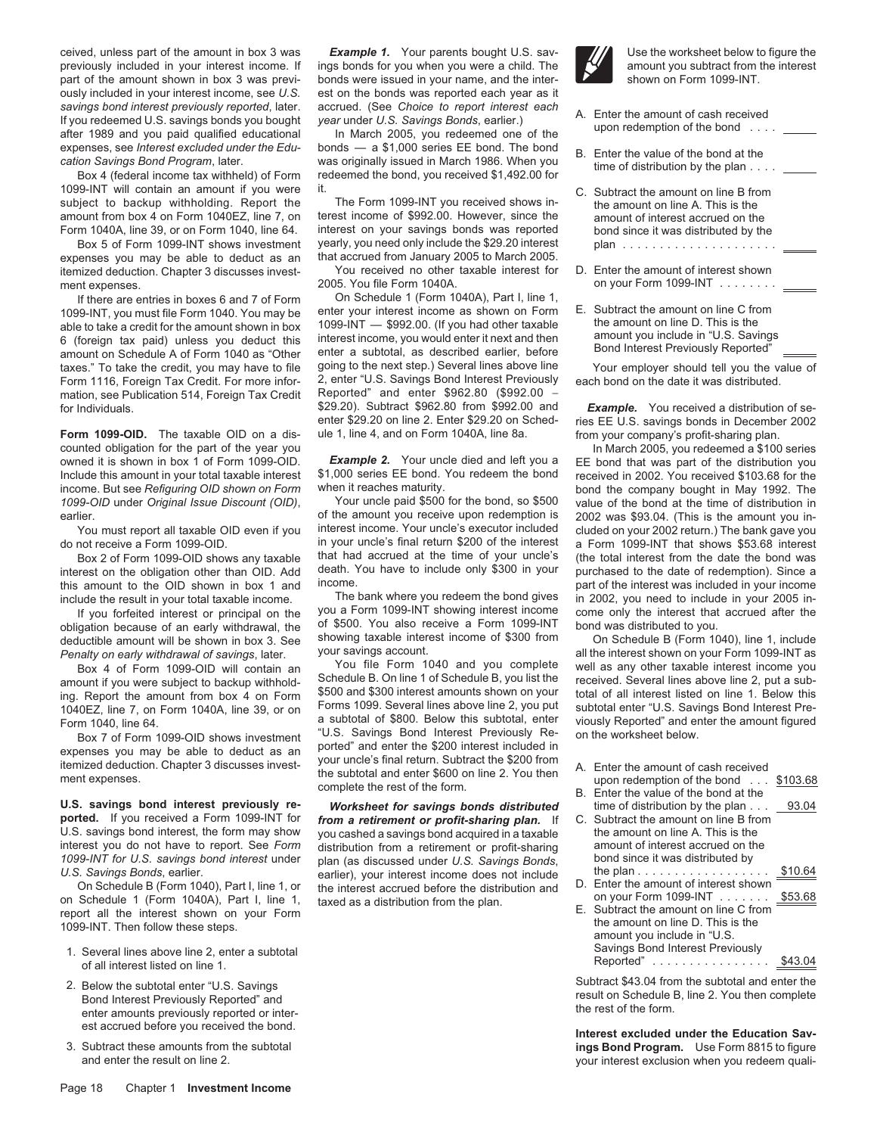ceived, unless part of the amount in box 3 was **Example 1.** Your parents bought U.S. sav-<br> previously included in your interest income. If ings bonds for you when you were a child. The  $\blacksquare$  amount you subtract from the interest part of the amount shown in box 3 was previ- bonds were issued in your name, and the inter- shown on Form 1099-INT. ously included in your interest income, see *U.S.* est on the bonds was reported each year as it savings bond interest previously reported, later. accrued. (See Choice to report interest each If you redeemed U.S. savings bonds you bought year under U.S. Savings Bonds, earlier.) A. Enter the amount of cash received aft

1099-INT will contain an amount if you were it.<br>
subject to backup withholding. Report the The Form 1099-INT you received shows in-<br>
the amount on line A. This is the

expenses you may be able to deduct as an that accrued from January 2005 to March 2005.<br>itemized deduction, Chapter 3 discusses invest-<br>You received no other taxable interest for itemized deduction. Chapter 3 discusses invest-<br>2005. You file Form 1040A. The received no other taxable interest for D. Enter the amount of interest shown<br>2005. You file Form 1040A. on your Form 1099-INT . . . . . . . . ment expenses. The result of the state of the Form 1040A. The contract of the Superintensis on your Form 1099-INT  $\ldots \ldots$ 

**Form 1099-OID.** The taxable OID on a dis- ule 1, line 4, and on Form 1040A, line 8a. from your company's profit-sharing plan. counted obligation for the part of the year you<br>owned it is shown in box 1 of Form 1099-OID. Example 2. Your uncle died and left you a FF bond that was part of the distribution you

interest on the obligation other than OID. Add death. You have to include only \$300 in your this omount to the OID shown in box 1 and income.

1040EZ, line 7, on Form 1040A, line 39, or on Forms 1099. Several lines above line 2, you put<br>Enter 1040 line 64

**ported.** If you received a Form 1099-INT for *from a retirement or profit-sharing plan.* If C. Subtract the amount on line B from<br>U.S. savings bond interest, the form may show vou cashed a savings bond acquired in a taxab interest you do not have to report. See *Form* distribution from a retirement or profit-sharing amount of interest accrued on the

report all the interest shown on your Form example the state of the subtract the amount on line C from the amount on line C from the amount on line C from the amount on line D. This is the amount on line D. This is the

- of all interest listed on line 1.<br>
of all interest listed on line 1.
- 
- 

expenses, see *Interest excluded under the Edu*-<br>cation Savings Bond Program, later.<br>Box 4 (federal income tax withheld) of Form redeemed the bond, you received \$1,492.00 for<br>Box 4 (federal income tax withheld) of Form red

subject to backup withholding. Report the The Form 1099-INT you received shows in-<br>amount from box 4 on Form 1040EZ, line 7, on terest income of \$992.00. However, since the amount of interest accrued on the terest income of \$992.00. However, since the interest on your savings bonds was reported Form 1040A, line 39, or on Form 1040, line 64. interest on your savings bonds was reported bond since it was distributed by the Box 5 of Form 1099-INT shows investment yearly, you need only include the \$29.20 interest plan yearly, you need only include the \$29.20 interest plan ..........................<br>that accrued from January 2005 to March 2005.

If there are entries in boxes 6 and 7 of Form Connect Schedule 1 (Form 1040A), Part I, line 1, If the 1, Inc. 1040 You may be enter your interest income as shown on Form 1099-INT, you must file Form 1040. You may be enter your interest income as shown on Form E. Subtract the amount on line C from able to take a credit for the amount shown in box 1099-INT — \$992.00. (If you had other taxabl able to take a credit for the amount shown in box 1099-INT — \$992.00. (If you had other taxable the amount on line D. This is the able to take a credit for the amount shown in box 1099-INT — \$992.00. (If you had other taxa amount on Schedule A of Form 1040 as "Other enter a subtotal, as described earlier, before<br>taxes." To take the credit, you may have to file going to the next step.) Several lines above line Your employer should tell you th Form 1116, Foreign Tax Credit. For more infor- 2, enter "U.S. Savings Bond Interest Previously each bond on the date it was distributed.<br>mation, see Publication 514, Foreign Tax Credit Reported" and enter \$962.80 (\$992.00 mation, see Publication 514, Foreign Tax Credit Reported" and enter \$962.80 (\$992.00 −<br>for Individuals for Individuals. \$29.20). Subtract \$962.80 from \$992.00 and *Example.* You received a distribution of seenter \$29.20 on line 2. Enter \$29.20 on Sched- ries EE U.S. savings bonds in December 2002

*1099-OID* under *Original Issue Discount (OID)*, Your uncle paid \$500 for the bond, so \$500 value of the bond at the time of distribution in earlier. of the amount you receive upon redemption is 2002 was \$93.04. (This is the amount you in-You must report all taxable OID even if you interest income. Your uncle's executor included cluded on your 2002 return.) The bank gave you<br>do not receive a Form 1099-0ID. in your uncle's final return \$200 of the interest a in your uncle's final return \$200 of the interest a Form 1099-INT that shows \$53.68 interest that interest that<br>that had accrued at the time of your uncle's (the total interest from the date the bond was Box 2 of Form 1099-OID shows any taxable that had accrued at the time of your uncle's (the total interest from the date the bond was rest on the date the bond was rest on the obligation other than OID. Add death. You have

include the result in your total taxable income. The bank where you redeem the bond gives in 2002, you need to include in your 2005 in-<br>If you forfeited interest or principal on the you a Form 1099-INT showing interest inc If you forfeited interest or principal on the you a Form 1099-INT showing interest income come only the interest that accrued after the<br>ination because of an early withdrawal the of \$500. You also receive a Form 1099-INT b obligation because of an early withdrawal, the of \$500. You also receive a Form 1099-INT bond was distributed to you.<br>deductible amount will be shown in box 3. See showing taxable interest income of \$300 from On Schedule B deductible amount will be shown in box 3. See showing taxable interest income of \$300 from On Schedule B (Form 1040), line 1, include <br>Penalty on early withdrawal of savings later your savings account.

Box 4 of Form 1099-OID will contain an The Form 1040 and you complete well as any other taxable interest income you<br>ount if you were subject to backup withhold-<br>Schedule B. On line 1 of Schedule B. On line 1 of Schedule B, amount if you were subject to backup withhold-<br>ing. Report the amount from box 4 on Form \$500 and \$300 interest amounts shown on your<br>1040EZ line 7 on Form 1040A line 39 or on Forms 1099. Several lines above line 2, you pu Form 1040, line 64.<br>Box 7 of Form 1099-OID shows investment "U.S. Savings Bond Interest Previously Re- on the worksheet below. Box 7 of Form 1099-OID shows investment<br>example and enter the \$200 interest included in expenses you may be able to deduct as an ported" and enter the \$200 interest included in<br>itemized deduction. Chapter 3 discusses invest-<br>ment expenses.<br>ment expenses.<br>ment expenses.<br>ment expenses.<br>expenses.<br>expenses invest

you cashed a savings bond acquired in a taxable On Schedule B (Form 1040), Part I, line 1, or the interest accrued before the distribution and D. Enter the amount of interest shown Schedule 1, (Form 1040A), Part I, line 1, towed as a distribution from the plan



owned it is shown in box 1 of Form 1099-OID. *Example 2.* Your uncle died and left you a EE bond that was part of the distribution you Include this amount in your total taxable interest \$1,000 series EE bond. You redeem the bond received in 2002. You received \$103.68 for the income. But see Refiguring OID shown on Form when it reaches maturity. income. But see *Refiguring OID shown on Form* when it reaches maturity. **income.** Income bond the company bought in May 1992. The income. The company bought in May 1992. The reaches incompany bought in May 1992. The reach this amount to the OID shown in box 1 and income.<br>include the result in your total taxable income The bank where you redeem the bond gives in 2002 you need to include in your 2005 in-

*Penalty on early withdrawal of savings*, later. your savings account. all the interest shown on your Form 1099-INT as

**U.S. savings bond interest previously re-** *Worksheet for savings bonds distributed* time of distribution by the plan . . . <u>93.04</u> ported. If you received a Form 1099-INT for *from a retirement or profit-sharing plan*. I 1099-INT for U.S. savings bond interest under plan (as discussed under U.S. Savings Bonds, bond since it was distributed by<br>U.S. Savings Bonds, earlier. earlier. earlier), your interest income does not include the plan . . on Schedule 1 (Form 1040A), Part I, line 1, taxed as a distribution from the plan.<br>Figure 1. Subtract the amount on line C from the properties on your Form on your Form on your Form the amount on line D. This is the 1099-INT. Then follow these steps. amount on line D. This is the 1099-INT. Then follow these steps. amount you include in "U.S. 1. Several lines above line 2, enter a subtotal Savings Bond Interest Previously

2. Below the subtotal enter "U.S. Savings and the same state of the subtract \$43.04 from the subtotal and enter the Subtract \$43.04 from the subtotal and enter the Bond Interest Previously Reported" and particle and the re

est accrued before you received the bond. **Interest excluded under the Education Sav-**<br> **Interest excluded under the Education Sav-**3. Subtract these amounts from the subtotal **ings Bond Program.** Use Form 8815 to figure and enter the result on line 2. your interest exclusion when you redeem quali-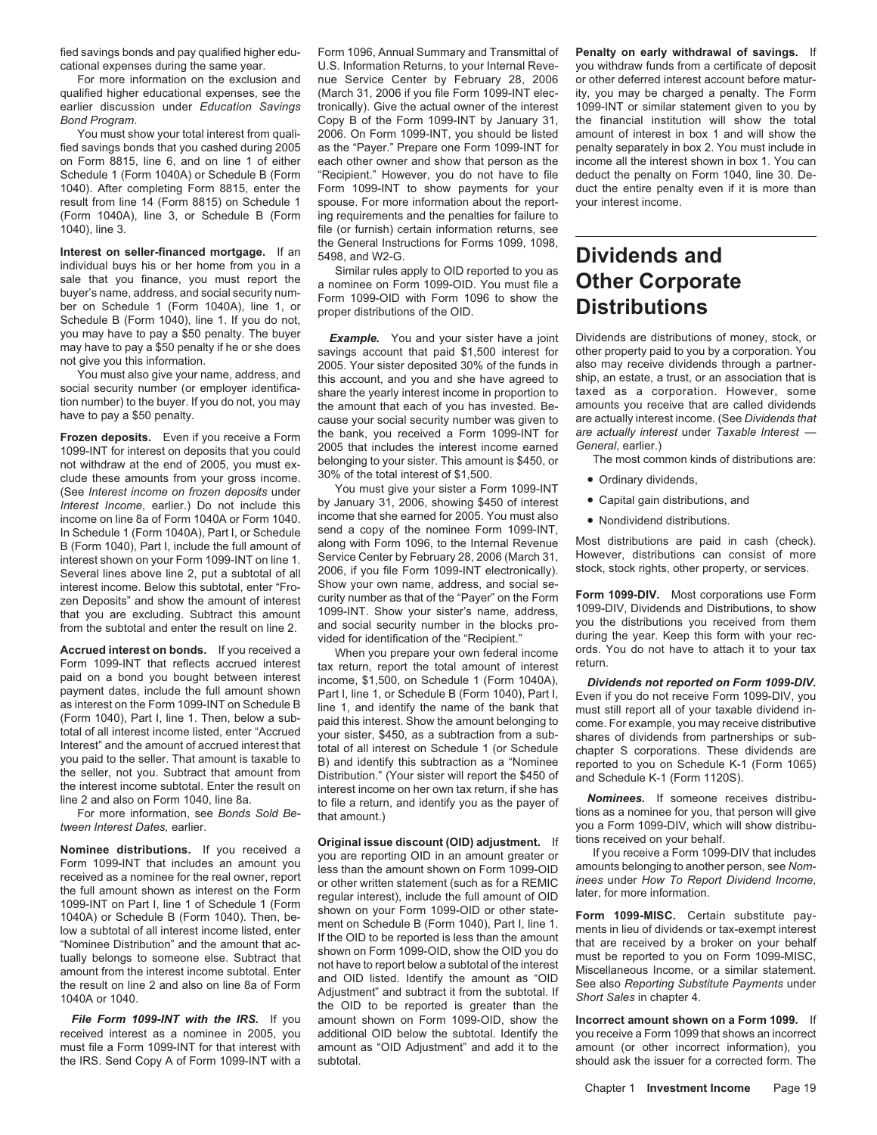Interest on seller-financed mortgage. If an<br>individual buys his or her home from you in a<br>sale that you finance, you must report the<br>buyer's name, address, and social security num-<br>ber on Schedule 1 (Form 1040A), line 1, o Schedule B (Form 1040), line 1. If you do not,

1099-INT for interest on deposits that you could 2005 that includes the interest income earned General, earlier.)<br>
not withdraw at the end of 2005, you must ex<br>
clude these amounts from your gross income. 30% of the total clude these amounts from your gross income. 30% of the total interest or \$1,500.<br>(See *Interest income on frozen deposits* under You must give your sister a Form 1099-INT by January 31, 2006, showing \$450 of interest  $\frac{1}{2}$  Capital gain distributions, and *Interest Income*, earlier.) Do not include this by January 31, 2006, showing \$450 of interest **•** Capital gain distributions, and income on line 8a of Form 1040A or Form 1040. income that she earned for 2005. You must also **• Nondividend distributions.**<br>In Schedule 1 (Form 1040A), Part Lor Schedule send a copy of the nominee Form 1099-INT, In Schedule 1 (Form 1040A), Part I, or Schedule along with Form 1040-6, the Internal Revenue<br>B (Form 1040), Part I, include the full amount of along with Form 1096, to the Internal Revenue Most distributions are paid in cash (check).<br>B (Form 1040), Part I, include the f interest shown on your Form 1099-INT on line 1. Service Center by February 28, 2006 (March 31, However, distributions can consist of more interest shown on your Form 1099-INT on line 1. Services interest shown line 2, put Several lines above line 2, put a subtotal of all 2006, if you file Form 1099-INT electronically).<br>interest income, Below this subtotal enter "Fro- Show your own name, address, and social seinterest income. Below this subtotal, enter "Frocurity number as that of the "Payer" on the Form **Form 1099-DIV.** Most corporations use Form zen Deposits" and show the amount of interest curity number as that of the "Payer" on the Form **Form 1099-DIV.** Most corporations

**Accrued interest on bonds.** If you received a When you prepare your own federal income ords. You do not have to position of the refurn. Form 1099-INT that reflects accrued interest tax return, report the total amount of interest paid on a bond you bought between interest income \$1,500 on Schedule 1 (Form 1040A)

must file a Form 1099-INT for that interest with amount as "OID Adjustment" and add it to the the IRS. Send Copy A of Form 1099-INT with a subtotal. Should ask the issuer for a corrected form. The

fied savings bonds and pay qualified higher edu- Form 1096, Annual Summary and Transmittal of **Penalty on early withdrawal of savings.** If cational expenses during the same year. U.S. Information Returns, to your Internal Reve- you withdraw funds from a certificate of deposit For more information on the exclusion and nue Service Center by February 28, 2006 or other deferred interest account before maturqualified higher educational expenses, see the (March 31, 2006 if you file Form 1099-INT elec- ity, you may be charged a penalty. The Form earlier discussion under *Education Savings* tronically). Give the actual owner of the interest 1099-INT or similar statement given to you by *Bond Program*. Copy B of the Form 1099-INT by January 31, the financial institution will show the total You must show your total interest from quali- 2006. On Form 1099-INT, you should be listed amount of interest in box 1 and will show the fied savings bonds that you cashed during 2005 as the "Payer." Prepare one Form 1099-INT for penalty separately in box 2. You must include in on Form 8815, line 6, and on line 1 of either each other owner and show that person as the income all the interest shown in box 1. You can Schedule 1 (Form 1040A) or Schedule B (Form 1040A) or Schedule B (Form 1040A) ine 3 "Recipient." However, you do not have to file 1040). After completing Form 8815, enter the Form 1099-INT to show payments for your duct the entire penalty even if it is more than result from line 14 (Form 8815) on Schedule 1 spouse. For more information about the report- your interest income. (Form 1040A), line 3, or Schedule B (Form ing requirements and the penalties for failure to 1040), line 3. file (or furnish) certain information returns, see

you may have to pay a \$50 penalty. The buyer<br>may have to pay a \$50 penalty if he or she does<br>not give you this information.<br>The savings account that paid \$1,500 interest for the property paid to you by a corporation. You<br>n **Frozen deposits.** Even if you receive a Form the bank, you received a Form 1099-INT for *are actually interest* under Taxable Interest —<br>1099-INT for interest on deposits that you could 2005 that includes the interest inc

1099-INT. Show your sister's name, address, and social security number in the blocks pro-

paid on a bond you bought between interest<br>payment dates, include the full amount shown<br>as interest on Form 1099-DIV. The summer shown and the full amount shown in Part I, line 1, or Schedule B (Form 1040A), Part I,<br>as int

**Nominee distributions.** If you received a<br>
Form 1099-INT that includes an amount you are reporting OID in an amount greater or<br>
Form 1099-INT that includes an amount you<br>
received as a nominee for the real owner, report<br> the result on line 2 and also on line 8a of Form and OID listed. Identity the amount as "OID" See also Reporting Substitute Payments under<br>1040A or 1040.<br>**File Form 1099-INT with the IRS.** If you amount shown on Form 1099-*File Form 1099-INT with the IRS.* If you amount shown on Form 1099-OID, show the **Incorrect amount shown on a Form 1099.** If received interest as a nominee in 2005, you additional OID below the subtotal. Identify the you receive a Form 1099 that shows an incorrect metal must file a Form 1099-INT for that interest with amount as "OID Adjustment"

- 
- 
- 

from the subtotal and enter the result on line 2.<br>
The subtotal and enter the result on line 2.<br>
Then you prepare your perfect income of the and social security number in the blocks pro-<br>
Mhen you prepare your own federal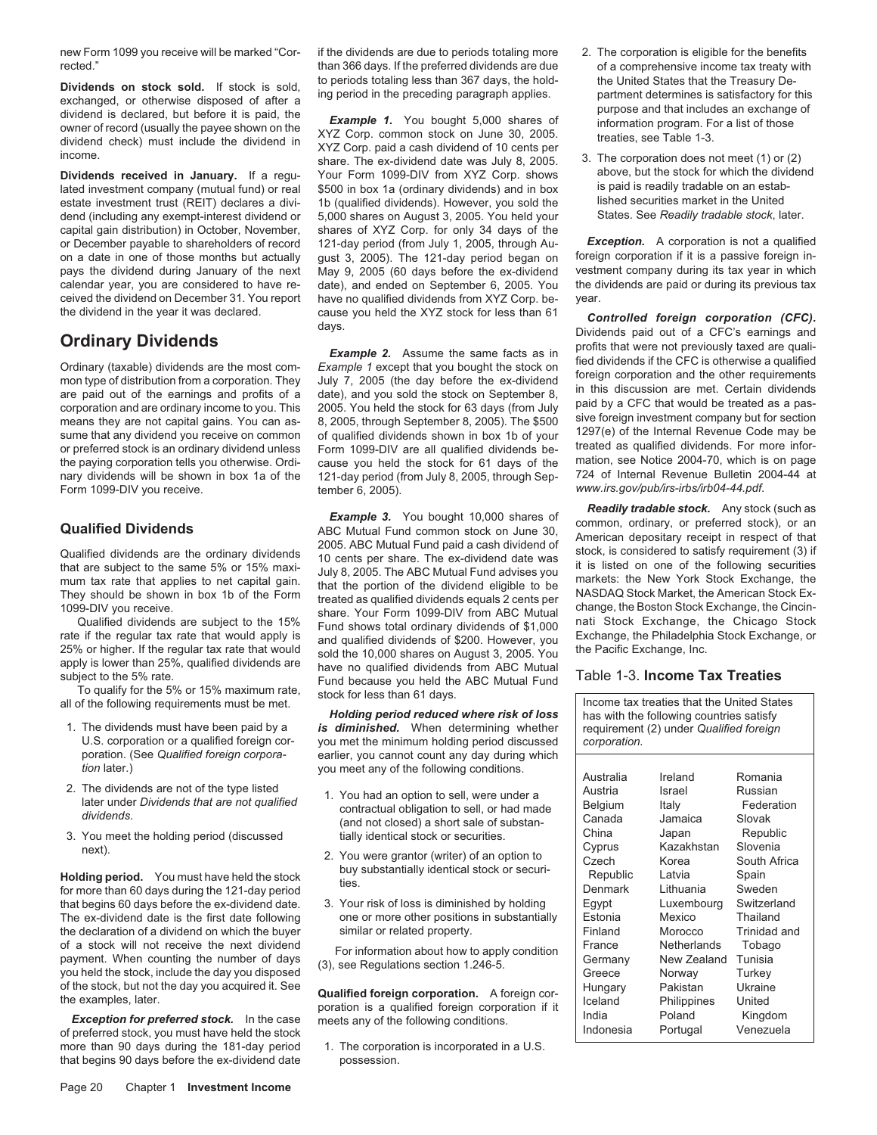**Dividends on stock sold.** If stock is sold, to periods totaling less than 367 days, the hold-<br>exchanged, or otherwise disposed of after a dividend is declared, but before it is paid, the<br>dividend is declared, but before i

dend (including any exempt-interest dividend or 5,000 shares on August 3, 2005. You held your capital gain distribution) in October, November, shares of XYZ Corp. for only 34 days of the calendar year, you are considered to have re- date), and ended on September 6, 2005. You ceived the dividend on December 31. You report have no qualified dividends from XYZ Corp. be-

nary dividends will be shown in box 1a of the  $121$ -day period (from July 8, 2005, through Sep-Form 1099-DIV you receive. *www.irs.gov/pub/irs-irbs/irb04-44.pdf.* **by** tember 6, 2005). *www.irs.gov/pub/irs-irbs/irb04-44.pdf.* 

- 
- 
- 3. You meet the holding period (discussed tially identical stock or securities.

*Exception for preferred stock.* In the case meets any of the following conditions. of preferred stock, you must have held the stock more than 90 days during the 181-day period 1. The corporation is incorporated in a U.S. that begins 90 days before the ex-dividend date possession.

new Form 1099 you receive will be marked "Cor- if the dividends are due to periods totaling more 2. The corporation is eligible for the benefits rected." than 366 days. If the preferred dividends are due of a comprehensive income tax treaty with<br>to periods totaling less than 367 days, the hold-<br>the United States that the Treasury De-

**Dividends received in January.** If a regu-<br>lated investment company (mutual fund) or real \$500 in box 1a (ordinary dividends) and in box is paid is readily tradable on an establated investment company (mutual fund) or real \$500 in box 1a (ordinary dividends) and in box is paid is readily tradable on an estab-<br>estate investment trust (RFIT) declares a divi- 1b (qualified dividends). However, you estate investment trust (REIT) declares a divi- 1b (qualified dividends). However, you sold the lished securities market in the United<br>dend (including any exempt-interest dividend or 5.000 shares on August 3, 2005. You hel or December payable to shareholders of record 121-day period (from July 1, 2005, through Au-<br>on a date in one of those months but actually qust 3, 2005). The 121-day period began on foreign corporation if it is a passive f gust 3, 2005). The 121-day period began on foreign corporation if it is a passive foreign in-<br>May 9, 2005 (60 days before the ex-dividend vestment company during its tax year in which pays the dividend during January of the next May 9, 2005 (60 days before the ex-dividend vestment company during its tax year in which calendar year, you are considered to have re- date), and ended on September 6, 2005. Yo have no qualified dividends from XYZ Corp. be- year.

corporation and are ordinary income to you. This 2005. You held the stock for 63 days (from July paid by a CFC that would be treated as a pas-<br>means they are not capital gains. You can as-<br>sume that any dividend you receiv or preferred stock is an ordinary dividend unless Form 1099-DIV are all qualified dividends be-<br>the paying corporation tells you otherwise. Ordi- cause you held the stock for 61 days of the mation, see Notice 2004-70, whic cause you held the stock for 61 days of the mation, see Notice 2004-70, which is on page<br>121-day period (from July 8, 2005 through Sen- 724 of Internal Revenue Bulletin 2004-44 at

**Qualified Dividends**<br> **Example 3.** You bought 10,000 shares of<br>
Qualified dividends<br>
2006. Alco Mutual Fund common stock on June 30, common, ordinary, or preferred stock), or an<br>
2011 Fund of American depositary receipt

Holding period reduced where risk of loss  $\vert$  has with the following countries satisfy 1. The dividends must have been paid by a **is diminished.** When determining whether equirement (2) under *Qualified foreign*<br>U.S. corporation or a qualified foreign cor-<br>you met the minimum holding period discussed corpora U.S. corporation or a qualified foreign cor-<br>
poration. (See Qualified foreign corpora-<br>
earlier, you cannot count any day during which poration. (See *Qualified foreign corpora-* earlier, you cannot count any day during which *tion* later.) you meet any of the following conditions.<br>2. The dividends are not of the type listed<br> $\overline{A}$ 

- 
- next).<br>2. You were grantor (writer) of an option to Cyprus Karakhan Slovenia Slovenia Support Cyprus Support Cyprus S
	-

- 
- 

the dividend in the year it was declared.<br> **Ordinary Dividends**<br> **Ordinary Dividends**<br>
Controlled foreign corporation (CFC).<br>
Ordinary Dividends<br>
Controlled foreign corporation (CFC).<br>
Ordinary Dividends<br>
Controlled foreig

|                                                 | <i>tion</i> later.)                                                                                       | you meet any of the following conditions.                                                                                              | Australia                    | Ireland                    | Romania                         |
|-------------------------------------------------|-----------------------------------------------------------------------------------------------------------|----------------------------------------------------------------------------------------------------------------------------------------|------------------------------|----------------------------|---------------------------------|
|                                                 | 2. The dividends are not of the type listed<br>later under Dividends that are not qualified<br>dividends. | 1. You had an option to sell, were under a<br>contractual obligation to sell, or had made<br>(and not closed) a short sale of substan- | Austria<br>Belgium<br>Canada | Israel<br>Italy<br>Jamaica | Russian<br>Federation<br>Slovak |
|                                                 | 3. You meet the holding period (discussed                                                                 | tially identical stock or securities.                                                                                                  | China                        | Japan                      | Republic                        |
|                                                 | next).                                                                                                    | 2. You were grantor (writer) of an option to                                                                                           | Cyprus<br>Czech              | Kazakhstan<br>Korea        | Slovenia<br>South Africa        |
|                                                 | <b>olding period.</b> You must have held the stock<br>or more than 60 days during the 121-day period      | buy substantially identical stock or securi-<br>ties.                                                                                  | Republic<br>Denmark          | Latvia<br>Lithuania        | Spain<br>Sweden                 |
|                                                 | at begins 60 days before the ex-dividend date.                                                            | 3. Your risk of loss is diminished by holding                                                                                          | Egypt                        | Luxembourg                 | Switzerland                     |
|                                                 | he ex-dividend date is the first date following                                                           | one or more other positions in substantially                                                                                           | Estonia                      | Mexico                     | Thailand                        |
|                                                 | e declaration of a dividend on which the buyer                                                            | similar or related property.                                                                                                           | Finland                      | Morocco                    | Trinidad and                    |
|                                                 | f a stock will not receive the next dividend                                                              | For information about how to apply condition                                                                                           | France                       | <b>Netherlands</b>         | Tobago                          |
|                                                 | ayment. When counting the number of days                                                                  | (3), see Regulations section 1.246-5.                                                                                                  | Germany                      | New Zealand                | Tunisia                         |
| ou held the stock, include the day you disposed |                                                                                                           |                                                                                                                                        | Greece                       | Norway                     | Turkey                          |
|                                                 | f the stock, but not the day you acquired it. See                                                         | Qualified foreign corporation. A foreign cor-                                                                                          | Hungary                      | Pakistan                   | Ukraine                         |
|                                                 | ne examples, later.                                                                                       | poration is a qualified foreign corporation if it                                                                                      | Iceland                      | Philippines                | United                          |
|                                                 | <b>Exception for preferred stock.</b> In the case                                                         | meets any of the following conditions.                                                                                                 | India                        | Poland                     | Kingdom                         |
|                                                 | f preferred stock, you must have held the stock.                                                          |                                                                                                                                        | Indonesia                    | Portugal                   | Venezuela                       |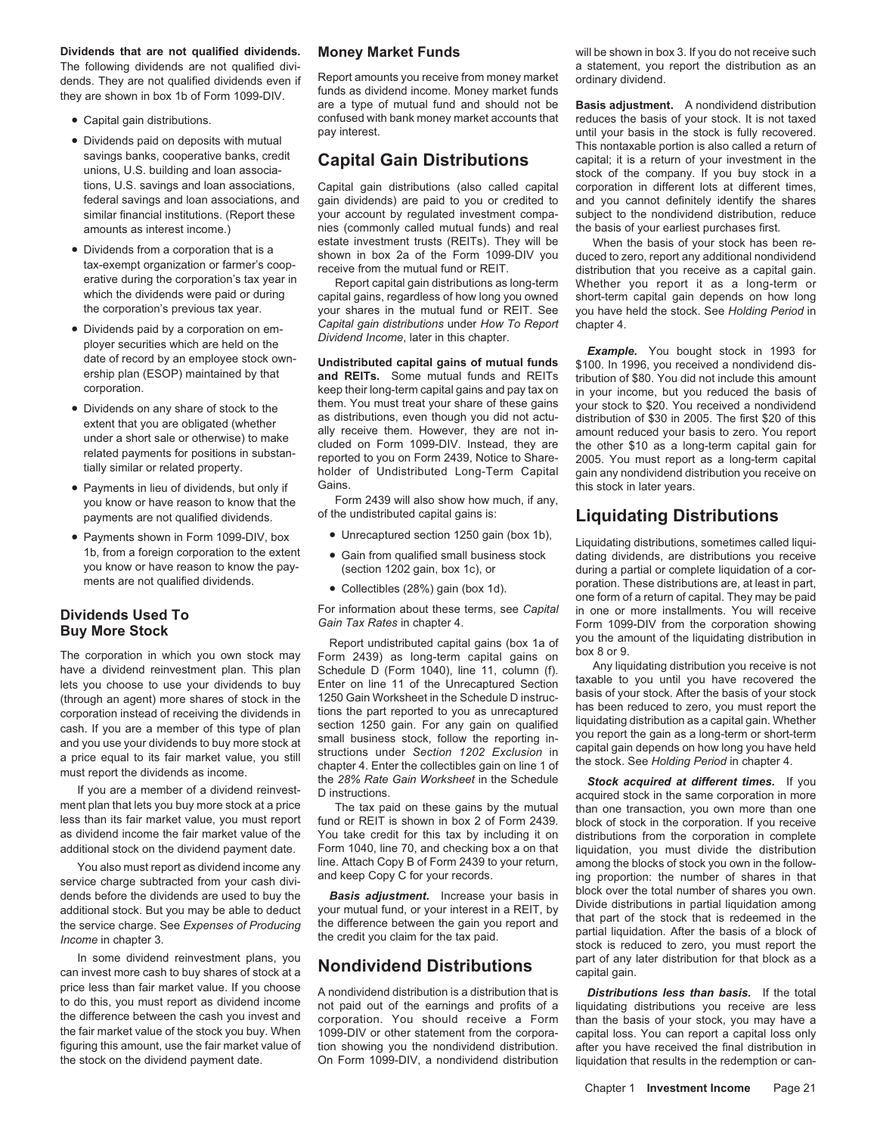### **Dividends that are not qualified dividends. Money Market Funds** will be shown in box 3. If you do not receive such

dends. They are not qualified dividends even if Report amounts you receive from money market<br>they are shown in boy 1b of Ferm 1000 DIV. funds as dividend income. Money market funds

- 
- 
- 
- Dividends paid by a corporation on em-<br>
ployer securities which are held on the Dividend Income, later in this chapter.<br>
date of record by an employee stock own-<br>
ership plan (ESOP) maintained by that **Undistributed capi**
- 
- Payments in lieu of dividends, but only if Gains.<br>Solu know or have reason to know that the Form 2439 will also show how much, if any. you know or have reason to know that the Form 2439 will also show how n<br>The undistributed capital gains is:<br>of the undistributed capital gains is: payments are not qualified dividends. **but are not only of the undistributed capital gains is: Liquidating Distributions**
- Payments shown in Form 1099-DIV, box Unrecaptured section 1250 gain (box 1b),<br>
1b, from a foreign corporation to the extent<br>
you know or have reason to know the pay-<br>
you know or have reason to know the pay-<br>
(section

can invest more cash to buy shares of stock at a **Nondividend Distributions** capital gain. price less than fair market value. If you choose A nondividend distribution is a distribution that is **Distributions less than basis.** If the total to do this, you must report as dividend income not paid out of the earning to do this, you must report as dividend income<br>the difference between the cash you invest and<br>the fair market value of the stock you buy. When 1099-DIV or other statement from the corpora-<br>the fair market value of the stoc the fair market value of the stock you buy. When 1099-DIV or other statement from the corpora- capital loss. You can report a capital loss only figuring this amount, use the fair market value of tion showing you the nondiv figuring this amount, use the fair market value of tion showing you the nondividend distribution. after you have received the final distribution in the stock on the dividend payment date. On Form 1099-DIV, a nondividend di

funds as dividend income. Money market funds<br>are a type of mutual fund and should not be **Basis adjustment.** A nondividend distribution<br>Capital gain distributions confused with bank money market accounts that reduces the b

gain dividends) are paid to you or credited to and you cannot definitely identify the shares similar financial institutions. (Report these your account by regulated investment compa- subject to the nondividend distribution, reduce amounts as interest income.) <br>amounts as interest income.) and responding commonly c amounts as interest income.) nies (commonly called mutual funds) and real the basis of your earliest purchases first.<br>estate investment trusts (REITs). They will be When the basis of your stock has been re-

ership pian (ESOP) maintained by that **and REITs.** Some mutual funds and REITs tribution of \$80. You did not include this amount<br>corporation. keep their long-term capital gains and pay tax on in your income, but you reduce • Dividends on any share of stock to the them. You must treat your share of these gains your stock to \$20. You received a nondividend as distributions, even though you did not actu-<br>extent that you are obligated (whether a

- 
- 
- 
- 

**Dividends Used To**<br> **Buy More Stock**<br>
Tax Rates in chapter 4.<br>
The corporation in which you own stock may<br>
Form 2439) as long-term capital gains on<br>
The corporation in which you own stock may<br>
Form 2439) as long-term capi comporation instead of receiving the dividends in<br>cash. If you are a member of this type of plan<br>cash. If you are a member of this type of plan<br>and you use your dividends to buy more stock at<br>a price equal to its fair mark

less than its fair market value, you must report fund or REIT is shown in box 2 of Form 2439. block of stock in the corporation. If you receive as dividend income the fair market value of the You take credit for this tax b You take credit for this tax by including it on distributions from the corporation in complete<br>Form 1040, line 70, and checking box a on that liquidation, you must divide the distribution additional stock on the dividend payment date. Form 1040, line 70, and checking box a on that liquidation, you must divide the distribution<br>You also must report as dividend income any line. Attach Copy B of Form 2439 to yo

The following dividends are not qualified divi-<br>dends. They are not qualified dividends even if Report amounts you receive from money market ordinary dividend.

• Capital gain distributions. confused with bank money market accounts that reduces the basis of your stock. It is not taxed<br>pay interest. pay interest until your basis in the stock is fully recovered. • Dividends paid on deposits with mutual pay interest.<br>
savings banks, cooperative banks, credit<br>
unions, U.S. building and loan associa-<br>
unions, U.S. building and loan associa-<br>
unions, U.S. building and loan associa-<br>
a tions, U.S. savings and loan associations, Capital gain distributions (also called capital corporation in different lots at different times, tederal savings and loan associations, and gain dividends) are paid to you or cre

• Dividends from a corporation that is a<br>tax-exempt organization or farmer's coop-<br>examptor of armer's coop-<br>examptor of armer's coop-<br>examptor of armer's coop-<br>examptor of armer's coop-<br>examptor of armer's coop-<br>examptor which the dividends were paid or during capital gains, regardless of how long you owned short-term capital gain depends on how long<br>the corporation's previous tax year. your shares in the mutual fund or REIT. See vou have your shares in the mutual fund or REIT. See you have held the stock. See *Holding Period* in

you know or have reason to know the pay-<br>ments are not qualified dividends.<br>Collectibles (2001) animations are and poration. These distributions are, at least in part, • Collectibles (28%) gain (box 1d). poration. These distributions are, at least in part, one form of a return of capital. They may be paid For information about these terms, see *Capital* in one or more installments. You

You also must report as dividend income any line. Attach Copy B of Form 2439 to your return, among the blocks of stock you own in the follow-<br>Vice charge subtracted from your cash divi- and keep Copy C for your records. Th service charge subtracted from your cash dividends are used to buy the<br>dends before the dividends are used to buy the<br>additional stock. But you may be able to deduct your mutual fund, or your interest in a REIT, by<br>the ser In some dividend reinvestment plans, you because the case of  $\text{D}$  and  $\text{D}$  and  $\text{D}$  and  $\text{D}$  and  $\text{D}$  and  $\text{D}$  and  $\text{D}$  and  $\text{D}$  and  $\text{D}$  and  $\text{D}$  and  $\text{D}$  and  $\text{D}$  and  $\text{D}$  and  $\text{D$ 

liquidation that results in the redemption or can-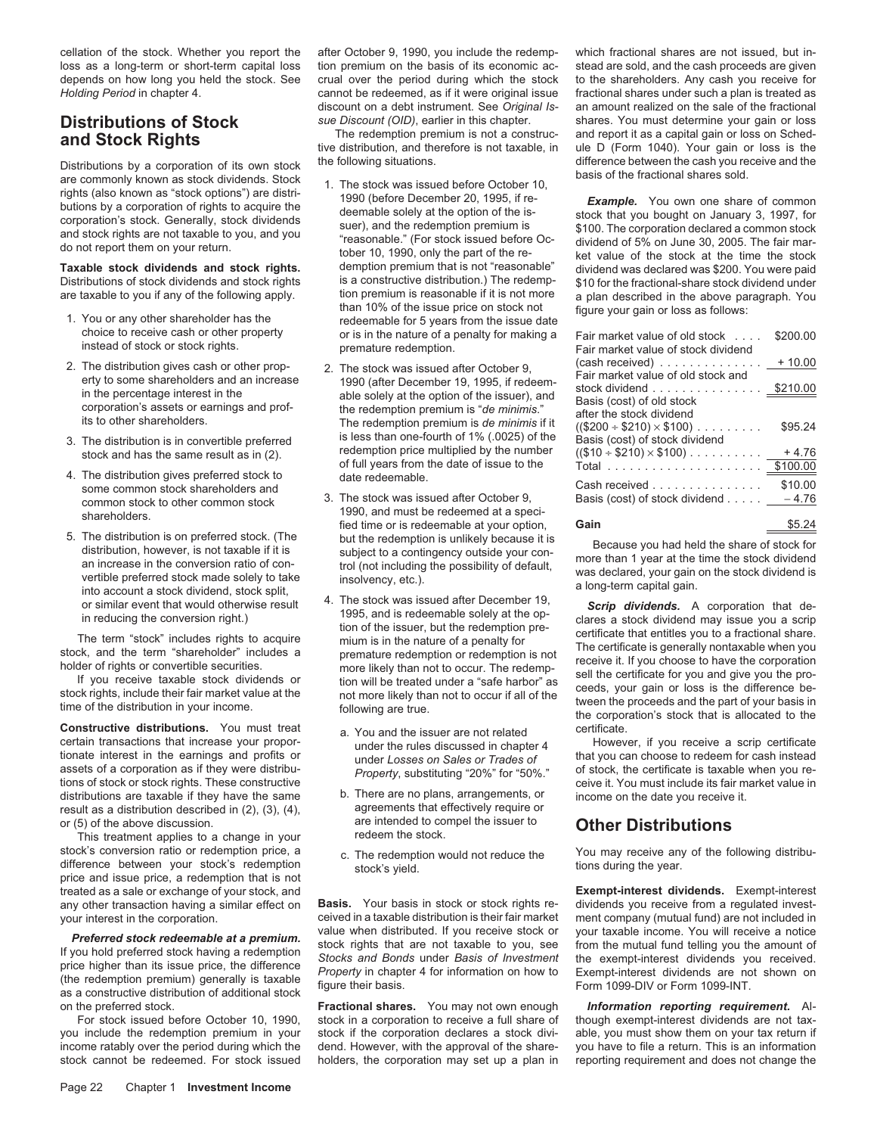loss as a long-term or short-term capital loss tion premium on the basis of its economic ac- stead are sold, and the cash proceeds are given depends on how long you held the stock. See crual over the period during which the stock to the shareholders. Any cash you receive for *Holding Period* in chapter 4. cannot be redeemed, as if it were original issue fractional shares under such a plan is treated as

Distributions by a corporation of its own stock the following situations.<br>
are commonly known as stock dividends. Stock that is the following situations are commonly known as stock dividends. Stock that is the fractional s

Distributions of stock dividends and stock rights is a constructive distribution.) The redemp- \$10 for the fractional-share stock dividend under are taxable to you if any of the following apply. <br>are taxable to you if any

- instead of stock or stock rights.
- 
- 
- 
- 

**Constructive distributions.** You must treat a you and the issuer are not related certificate.<br>
certain transactions that increase your propor-<br>
under the rules discussed in chanter 4 However, if you receive a scrip certif certain transactions that increase your propor-<br>tionate interest in the earnings and profits or<br>assets of a corporation as if they were distribu-<br>*Property*, substituting "20%" for "50%." Of stock, the certificate is taxab assets of a corporation as if they were distribu-<br>tions of stock or stock rights. These constructive<br>distributions are taxable if they have the same<br>distributions are taxable if they have the same<br>b. There are no plans, ar distributions are taxable if they have the same b. There are no plans, arrangements, or income on the date you receive it.<br>
result as a distribution described in (2) (3) (4) agreements that effectively require or result as a distribution described in  $(2)$ ,  $(3)$ ,  $(4)$ , agreements that effectively require or  $(5)$  of the above discussion.

This treatment applies to a change in your stock's conversion ratio or redemption price, a c. The redemption would not reduce the You may receive any of the following distribu-<br>difference between your stock's redemption stock's vield tions during the year. difference between your stock's redemption stock's yield. price and issue price, a redemption that is not treated as a sale or exchange of your stock, and **Exempt-interest dividends.** Exempt-interest any other transaction having a similar effect on **Basis.** Your basis in stock or stock rights re-<br>vour interest in the corporation.

**Preferred stock redeemable at a premium.** value when distributed. If you receive stock or your taxable income. You will receive a notice they would preferred stock having a redemption of stock rights that are not taxable

cellation of the stock. Whether you report the after October 9, 1990, you include the redemp- which fractional shares are not issued, but indiscount on a debt instrument. See *Original Is-* an amount realized on the sale of the fractional

**The redemption premium is not a construc-** and report it as a capital gain or loss on Sched-<br>tive distribution, and therefore is not taxable, in ule D (Form 1040). Your gain or loss is the

- than 10% of the issue price on stock not figure your gain or loss as follows:<br>1. You or any other shareholder has the redeemable for 5 years from the issue date<br>1. Consider the redeemable for 5 years from the issue date re or is in the nature of a penalty for making a premature redemption.
- 3. The distribution is in convertible preferred is less than one-fourth of  $1\%$  (.0025) of the stock and has the same result as in (2).<br>stock and has the same result as in (2). The redemption price multiplied by the numb
	- 3. The stock was issued after October 9, common stock to other common stock to  $\frac{3}{4}$ . The stock was issued after October 9, summer seconds shareholders.<br>
	1990, and must be redeemed at a specified time or is redeemable at your option, **Gain** \$5.24
		- -
- or (5) of the above discussion. are intended to compel the issuer to **Other Distributions**
	-

your interest in the corporation. ceived in a taxable distribution is their fair market ment company (mutual fund) are not included in<br>value when distributed. If you receive stock or your taxable income. You will receive a

on the preferred stock. **Fractional shares.** You may not own enough *Information reporting requirement.* Al-For stock issued before October 10, 1990, stock in a corporation to receive a full share of though exempt-interest dividends are not taxyou include the redemption premium in your stock if the corporation declares a stock divi- able, you must show them on your tax return if income ratably over the period during which the dend. However, with the approval of the share-<br>stock cannot be redeemed. For stock issued holders, the corporation may set up a plan in reporting requirement and does not cha holders, the corporation may set up a plan in reporting requirement and does not change the

**Distributions of Stock** *sue Discount (OID)*, earlier in this chapter. Shares. You must determine your gain or loss<br>**and Stock Pights Dights** The redemption premium is not a construc- and report it as a capital gain or

**Taxable stock dividends and stock rights.** demption premium that is not "reasonable" dividend was declared was \$200. You were paid <br>Distributions of stock dividends and stock rights is a constructive distribution.) The re tion premium is reasonable if it is not more a plan described in the above paragraph. You than 10% of the issue price on stock not figure your gain or loss as follows:

| choice to receive cash or other property<br>instead of stock or stock rights.                                                                                                                               | or is in the nature of a penalty for making a<br>premature redemption.                                                                                                                                                                   | Fair market value of old stock<br>Fair market value of stock dividend                                                                              | \$200.00            |
|-------------------------------------------------------------------------------------------------------------------------------------------------------------------------------------------------------------|------------------------------------------------------------------------------------------------------------------------------------------------------------------------------------------------------------------------------------------|----------------------------------------------------------------------------------------------------------------------------------------------------|---------------------|
| 2. The distribution gives cash or other prop-<br>erty to some shareholders and an increase<br>in the percentage interest in the<br>corporation's assets or earnings and prof-<br>its to other shareholders. | 2. The stock was issued after October 9.<br>1990 (after December 19, 1995, if redeem-<br>able solely at the option of the issuer), and<br>the redemption premium is " <i>de minimis.</i> "<br>The redemption premium is de minimis if it | $(cash received)$ + 10.00<br>Fair market value of old stock and<br>stock dividend 5210.00<br>Basis (cost) of old stock<br>after the stock dividend |                     |
| 3. The distribution is in convertible preferred<br>stock and has the same result as in (2).                                                                                                                 | is less than one-fourth of 1% (.0025) of the<br>redemption price multiplied by the number<br>of full years from the date of issue to the                                                                                                 | $((\$200 \div \$210) \times \$100) \dots \dots$<br>Basis (cost) of stock dividend<br>$((\$10 \div \$210) \times \$100) \dots \dots \dots$          | \$95.24<br>$+4.76$  |
| 4. The distribution gives preferred stock to<br>some common stock shareholders and                                                                                                                          | date redeemable.                                                                                                                                                                                                                         | Cash received                                                                                                                                      | \$100.00<br>\$10.00 |
| common stock to other common stock                                                                                                                                                                          | 3. The stock was issued after October 9,<br>1000 and must be redeemed at a speci-                                                                                                                                                        | Basis (cost) of stock dividend $\ldots$ = 4.76                                                                                                     |                     |

5. The distribution is on preferred stock. (The but the redemption is unlikely because it is<br>distribution, however, is not taxable if it is usubject to a contingency outside your con-<br>an increase in the conversion ratio of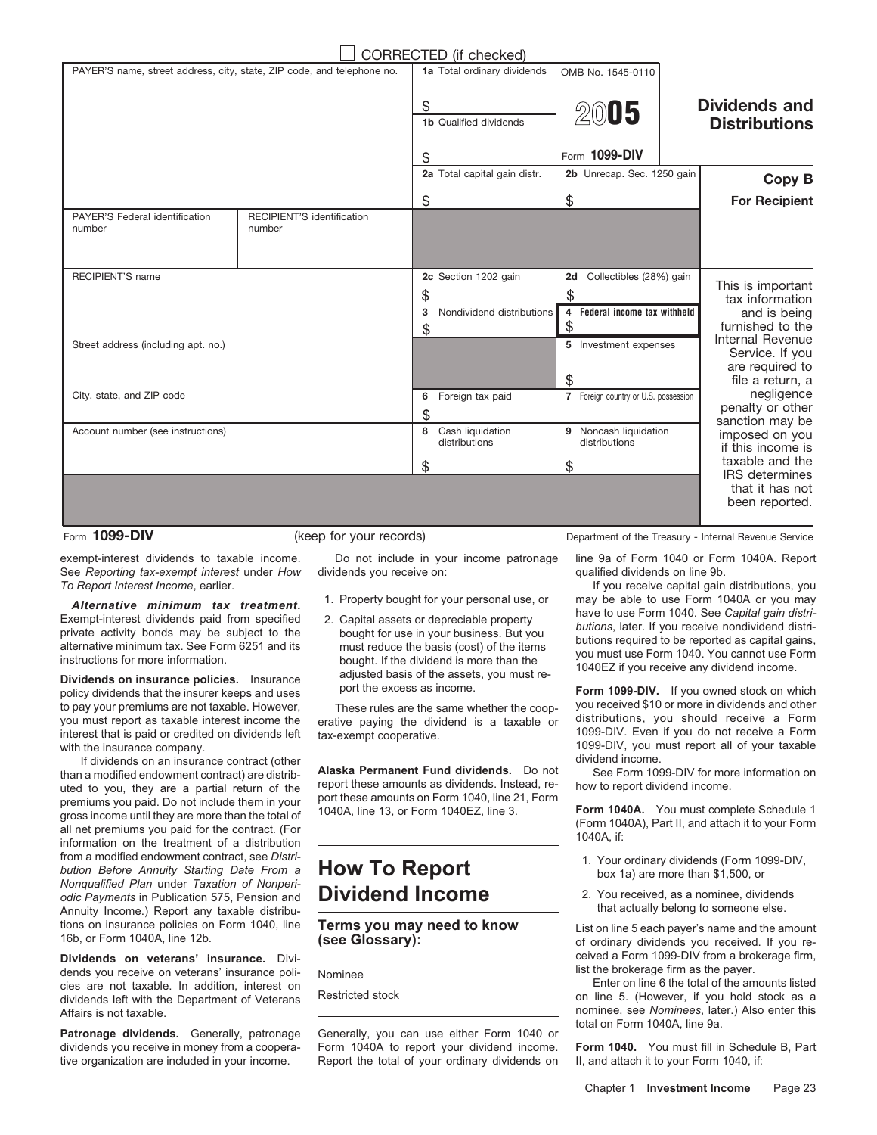|                                                                        |                                      | CORRECTED (if checked)               |                                      |                                              |
|------------------------------------------------------------------------|--------------------------------------|--------------------------------------|--------------------------------------|----------------------------------------------|
| PAYER'S name, street address, city, state, ZIP code, and telephone no. |                                      | 1a Total ordinary dividends          | OMB No. 1545-0110                    |                                              |
|                                                                        |                                      | \$<br><b>1b</b> Qualified dividends  | 2005                                 | <b>Dividends and</b><br><b>Distributions</b> |
|                                                                        |                                      | \$                                   | Form 1099-DIV                        |                                              |
|                                                                        |                                      | 2a Total capital gain distr.         | 2b Unrecap. Sec. 1250 gain           | Copy B                                       |
|                                                                        |                                      | \$                                   | \$                                   | <b>For Recipient</b>                         |
| PAYER'S Federal identification<br>number                               | RECIPIENT'S identification<br>number |                                      |                                      |                                              |
|                                                                        |                                      |                                      |                                      |                                              |
|                                                                        |                                      |                                      |                                      |                                              |
| RECIPIENT'S name                                                       |                                      | 2c Section 1202 gain                 | Collectibles (28%) gain<br>2d        | This is important                            |
|                                                                        |                                      | \$<br>Nondividend distributions<br>3 | \$<br>4 Federal income tax withheld  | tax information                              |
|                                                                        |                                      | \$                                   | \$                                   | and is being<br>furnished to the             |
| Street address (including apt. no.)                                    |                                      |                                      | 5 Investment expenses                | Internal Revenue<br>Service. If you          |
|                                                                        |                                      |                                      |                                      | are required to                              |
|                                                                        |                                      |                                      | \$                                   | file a return, a                             |
| City, state, and ZIP code                                              |                                      | Foreign tax paid<br>6                | 7 Foreign country or U.S. possession | negligence<br>penalty or other               |
| Account number (see instructions)                                      |                                      | \$<br>8 Cash liquidation             | 9 Noncash liquidation                | sanction may be                              |
|                                                                        |                                      | distributions                        | distributions                        | imposed on you<br>if this income is          |
|                                                                        |                                      | \$                                   | \$                                   | taxable and the                              |
|                                                                        |                                      |                                      |                                      | <b>IRS</b> determines<br>that it has not     |
|                                                                        |                                      |                                      |                                      | been reported.                               |
|                                                                        |                                      |                                      |                                      |                                              |

Dividends on insurance policies. Insurance and uses port the excess as income.<br>
policy dividends that the insurer keeps and uses port the excess as income. **Form 1099-DIV.** If you owned stock on which<br>
to nay your premiums to pay your premiums are not taxable. However, These rules are the same whether the coop-<br>you must report as taxable interest income the erative paying the dividend is a taxable or distributions, you should receive a Form interest that is paid or credited on dividends left tax-exempt cooperative. with the insurance company.

If dividends on an insurance contract (other diaska Permanent Fund dividends. Do not dividend income.<br>I a modified endowment contract) are distrib- Alaska Permanent Fund dividends. Do not See Form 1099-DIV for more informa uted to you, they are a partial return of the report these amounts as dividends. Instead, re-<br>premiums vou paid. Do not include them in your port these amounts on Form 1040, line 21, Form premiums you paid. Do not include them in your port these amounts on Form 1040, line 21, Form<br>gross income until they are more than the total of 1040A, line 13, or Form 1040EZ, line 3.<br>all net premiums you paid for the con from a modified endowment contract, see Distri-<br>
bution Before Annuity Starting Date From a **How To Report** the contract of the box 1a) are more than \$1,500, or<br>
Nonqualified Plan under Taxation of Nonperi-<br>
odic Payments Annuity Income.) Report any taxable distribu-<br>tions on insurance policies on Form 1040, line **Terms you may need to know** List on line 5 each naver's name and the ar

dends you receive on veterans' insurance poli- Nominee<br>Cies are not taxable. In addition, interest on dividends left with the Department of Veterans

exempt-interest dividends to taxable income. Do not include in your income patronage line 9a of Form 1040 or Form 1040A. Report See *Reporting tax-exempt interest* under *How* dividends you receive on: qualified dividends on line 9b.

- 
- 

than a modified endowment contract) are distrib-<br>Lited to you, they are a partial return of the strategy report these amounts as dividends. Instead, re-<br>they one information on the strategy of the strategy and the strategy

Patronage dividends. Generally, patronage Generally, you can use either Form 1040 or dividends you receive in money from a coopera- Form 1040A to report your dividend income. **Form 1040.** You must fill in Schedule B, Part tive organization are included in your income. Report the total of your ordinary dividends on II, and attach it to your Form 1040, if:

Form 1099-DIV **Example 2018** (keep for your records) Department of the Treasury - Internal Revenue Service

*To Report Interest Income*, earlier.<br>**1.** Property bought for your personal use, or and the sole to use Form 1040A or you may **Alternative** minimum to treatment 1. Property bought for your personal use, or may be able to **Exempt-interest dividends paid from specified**<br>
Exempt-interest dividends paid from specified<br>
private activity bonds may be subject to the<br>
alternative minimum tax. See Form 6251 and its<br>
instructions for more informatio

erative paying the dividend is a taxable or distributions, you should receive a Form<br>tax-exempt cooperative 1099-DIV, you must report all of your taxable dividend income.

- 
- 

tions on insurance policies on Form 1040, line **Terms you may need to know** List on line 5 each payer's name and the amount<br>16b, or Form 1040A, line 12b. (see Glossary): (and a state of ordinary dividends you received. If **Dividends on veterans' insurance.** Divi-<br> **Dividends** on veterans' insurance poli-<br> **Nominon**<br> **Signal contract a form 1099-DIV from a brokerage firm** as the payer.

cies are not taxable. In addition, interest on<br>dividends left with the Department of Veterans. Restricted stock on the state on line 5. (However, if you hold stock as a Affairs is not taxable. **nomine is a constant of the constant of the constant of the constant of the constant of the constant of the constant of the constant of the constant of the constant of the constant of the constant**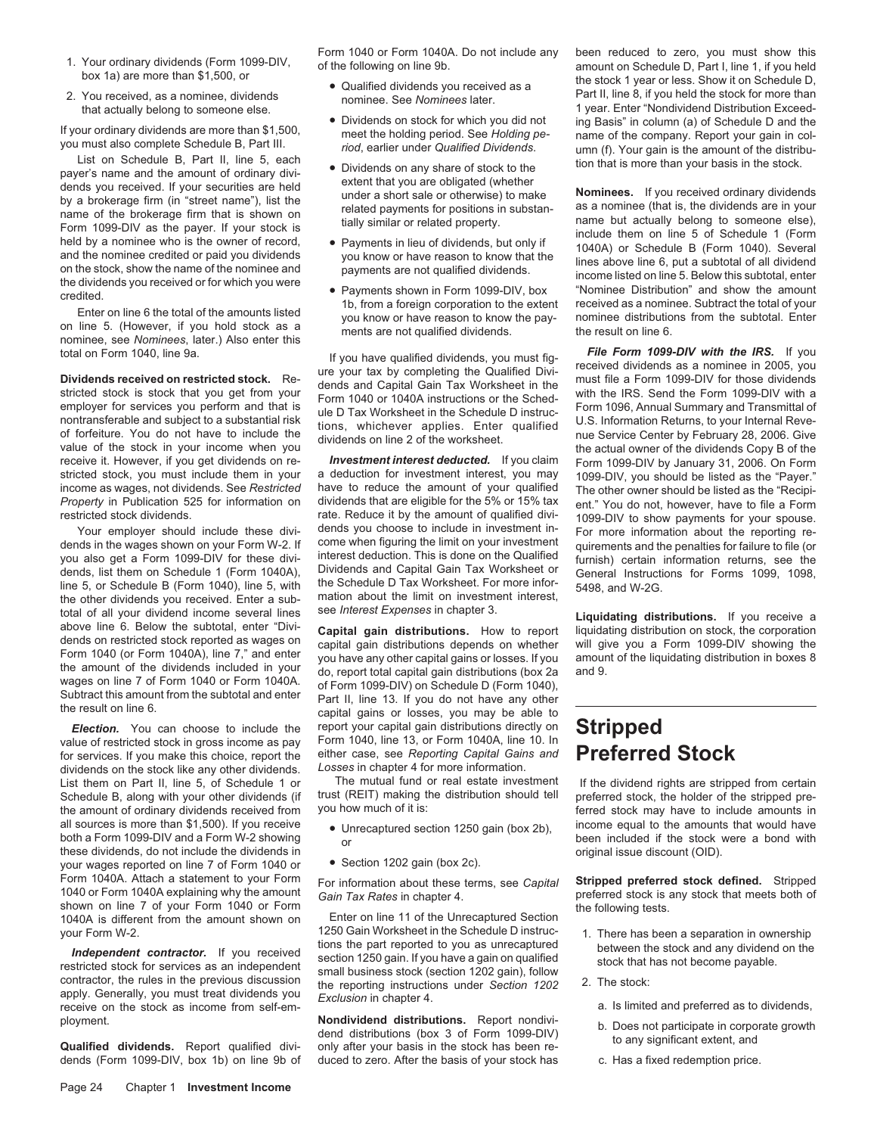- 
- 

1. Your ordinary dividends (Form 1099-DIV,<br>
2. You received a commine to the following on line 9b.<br>
2. You received as a commine on Schedule D, Part I, line 1, if you held<br>
2. You received as a commine on Schedule D, Part

Enter on line 5. (However, if you hold stock as a ments are not qualified dividends. The result on line 6. Nominee, see *Nominees*, later.) Also enter this total on Form 1040. line 9a. If you hold stock as a ments are not

receive it. However, if you get dividends on re-<br>stricted stock, you must include them in your a deduction for investment interest, you may 1099-DIV, you should be listed as the "Paver." stricted stock, you must include them in your a deduction for investment interest, you may 1099-DIV, you should be listed as the "Payer."<br>income as wages, not dividends. See Restricted have to reduce the amount of your qua income as wages, not dividends. See *Restricted* have to reduce the amount of your qualified The other owner should be listed as the "Recipi-*Property* in Publication 525 for information on dividends that are eligible for the 5% or 15% tax ent." You do not, however, have to file a Form restricted stock dividends.

dends in the wages shown on your Form W-2. If come when figuring the limit on your investment quirements and the penalties for failure to file (or<br>Vou also get a Form 1099-DIV for these divi- interest deduction. This is do you also get a Form 1099-DIV for these divi- interest deduction. This is done on the Qualified furnish) certain information returns, see the vertain information returns, see the vertain information returns, see the vertain dends, list them on Schedule 1 (Form 1040A), Dividends and Capital Gain Tax Worksheet or<br>line 5, or Schedule B (Form 1040), line 5, with the Schedule D Tax Worksheet. For more infor-<br>the other dividends you received. Enter

for services. If you make this choice, report the either case, see *Reporting Capital Gain*<br>dividends on the stock like any other dividends. Losses in chapter 4 for more information. dividends on the stock like any other dividends. *Losses* in chapter 4 for more information. List them on Part II, line 5, of Schedule 1 or The mutual fund or real estate investment If the dividend rights are stripped from certain Schedule B, along with your other dividends (if the trust (REIT) making the distribu Schedule B, along with your other dividends (if trust (REIT) making the distribution should tell preferred stock, the holder of the stripped pre-<br>the amount of ordinary dividends received from you how much of it is: the amount of ordinary dividends received from you how much of it is: ferred stock may have to include amounts in all sources is more than \$1,500). If you receive values of the Unrecaptured section 1250 gain (box 2b), income equal to the amounts that would have<br>both a Form 1099-DIV and a Form W-2 showing values or these dividends, do these dividends, do not include the dividends in<br>your wages reported on line 7 of Form 1040 or • Section 1202 gain (box 2c). Form 1040A. Attach a statement to your Form For information about these terms, see *Capital* **Stripped preferred stock defined.** Stripped 1040 or Form 1040A explaining why the amount *Gain Tax Rates* in chapter 4. preferred stock is any stock is a shown on line 7 of your Form 1040 or Form **chapter on line 11** of the Unrecaptured Section the following tests. 1040A is different from the amount shown on Enter on line 11 of the Unrecaptured Section<br>1250 Gain Worksheet in the Schedule D instruc-

contractor, the rules in the previous discussion<br>apply. Generally, you must treat dividends you *Exclusion* in chapter 4. a. Is limited and preferred as to dividends,<br>receive on the stock as income from self-em-

dends (Form 1099-DIV, box 1b) on line 9b of duced to zero. After the basis of your stock has

- 
- 
- 
- 
- 

rate. Reduce it by the amount of qualified divi-<br>dends you choose to include in investment in-<br>For more information about the reporting re-Your employer should include these divi-<br>Not in the wages shown on your Form W-2. If come when figuring the limit on your investment quirements and the penalties for failure to file (or

the amount of the dividends included in your<br>wages on line 7 of Form 1040 or Form 1040A.<br>Subtract this amount from the subtotal and enter<br>the result on line 6.<br>the result on line 6.<br>capital gains or losses, you may be able *Election.* You can choose to include the report your capital gain distributions directly on **Stripped**<br>value of restricted stock in gross income as pay Form 1040, line 13, or Form 1040A, line 10. In<br>for services. If you m

- 
- 

your Form W-2. 1250 Gain Worksheet in the Schedule D instruce the assention in ownership<br> **Independent contractor.** If you received<br> **Independent contractor.** If you received<br>
restricted stock for services as an independen

ployment.<br> **Nondividend distributions.** Report nondivi-<br> **Qualified dividends.** Report qualified divi-<br>
dend distributions (box 3 of Form 1099-DIV)<br>
dend distributions (box 3 of Form 1099-DIV)<br>
to any significant extent, a

total on Form 1040, line 9a. If you have qualified dividends, you must fig-<br> **Dividends received on restricted stock.** Re-<br>
stricted stock is stock that you get from your tex by completing the Qualified Divi-<br>
employer for

- 
- -
	-
	-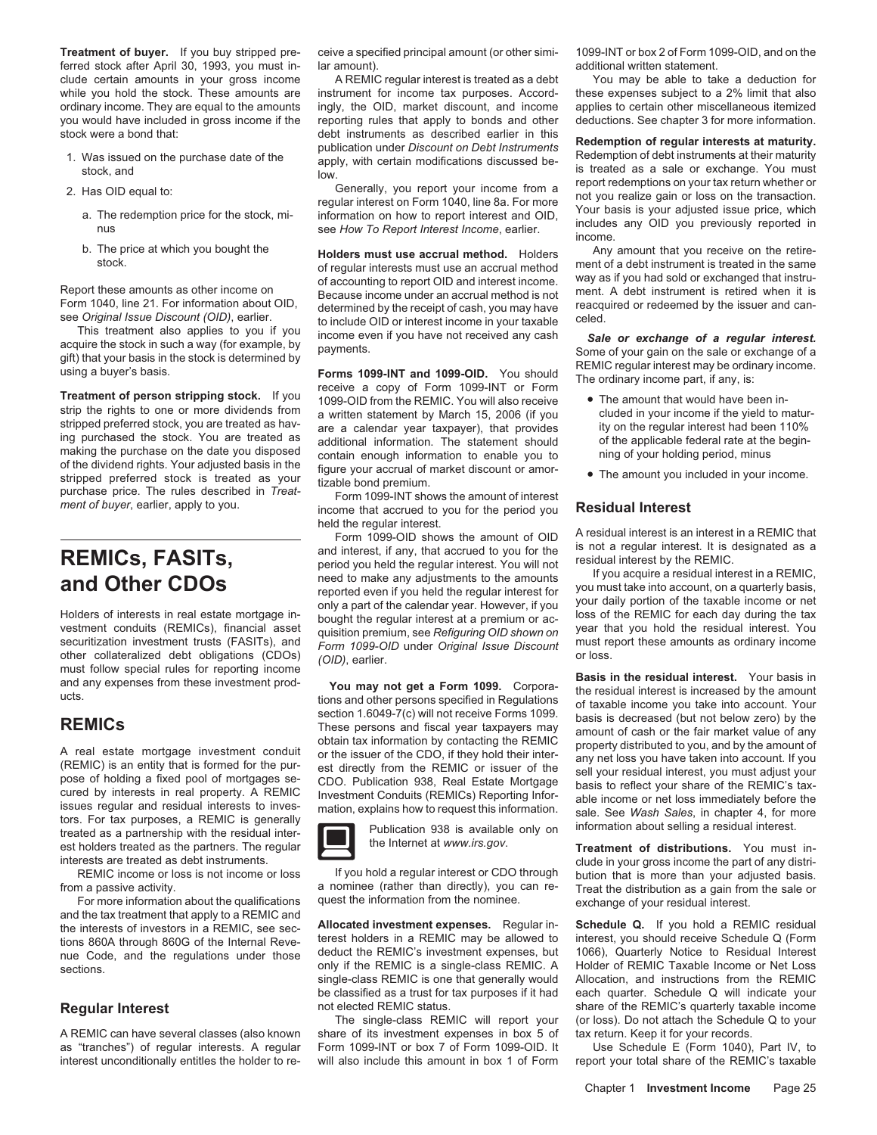ferred stock after April 30, 1993, you must in- lar amount). The match of the statement additional written statement. clude certain amounts in your gross income A REMIC regular interest is treated as a debt You may be able to take a deduction for while you hold the stock. These amounts are instrument for income tax purposes. Accord- these expenses subject to a 2% limit that also ordinary income. They are equal to the amounts ingly, the OID, market discount, and income applies to certain other miscellaneous itemized you would have included in gross income if the reporting rules that apply to bonds and other deductions. See chapter 3 for more information.

- 
- -
	-

strip the rights to one or more dividends from<br>stripped preferred stock, you are treated as hav-<br>ing purchased the stock. You are treated as hav-<br>ing purchased the stock. You are treated as<br>making the purchase on the date

For more information about the qualifications quest the information from the nominee. exchange of your residual interest.<br>and the tax treatment that apply to a REMIC and

A REMIC can have several classes (also known share of its investment expenses in box 5 of

stock were a bond that:<br>
publication under *Discount on Debt Instruments*<br>
1. Was issued on the purchase date of the annival with certain modifications discussed be-<br>
Redemption of debt instruments at their maturity<br>
Redem

stock. of regular interests must use an accrual method ment of a debt instrument is treated in the same<br>of accounting to report OID and interest income. Way as if you had sold or exchanged that instru-<br>Because income under Form 1040, line 21. For information about OID,<br>see *Original Issue Discount (OID)*, earlier.<br>This treatment also applies to you if you<br>income even if you have not received any cash<br>gift) that your basis in the stock is det

purchase price. The rules described in *Treat-*<br>
income that accrued to you for the period you **Residual Interest**<br>
income that accrued to you for the period you **Residual Interest** 



tions 860A through 860G of the Internal Reve-<br>nue Code, and the requisitions under those deduct the REMIC's investment expenses, but 1066), Quarterly Notice to Residual Interest nue Code, and the regulations under those deduct the REMIC's investment expenses, but 1060), Quarterly Notice to Residual Interest<br>only if the REMIC is a single-class REMIC. A Holder of REMIC Taxable Income or Net Loss<br>sin single-class REMIC is one that generally would be classified as a trust for tax purposes if it had each quarter. Schedule Q will indicate your

as "tranches") of regular interests. A regular Form 1099-INT or box 7 of Form 1099-OID. It Use Schedule E (Form 1040), Part IV, to<br>interest unconditionally entitles the holder to re- will also include this amount in box 1 interest unconditionally entitles the holder to re- will also include this amount in box 1 of Form report your total share of the REMIC's taxable

**Treatment of buyer.** If you buy stripped pre- ceive a specified principal amount (or other simi- 1099-INT or box 2 of Form 1099-OID, and on the

1. Was issued on the purchase date of the<br>stock, and<br>2. Has OID equal to:<br>3. The redemption price for the stock, mi-<br>3. The redemption price for the stock, mi-<br>3. The redemption price for the stock, mi-<br>3. The redemption p

b. The price at which you bought the **Holders must use accrual method.** Holders Any amount that you receive on the retire-<br>of requier interests must use an accrual method ment of a debt instrument is treated in the same

- 
- 

held the regular interest.<br>Form 1099-OID shows the amount of OID A residual interest is an interest in a REMIC that<br>and interest: if any that accrued to you for the is not a regular interest. It is designated as a

**REMICS, FASITS,**<br>
and interest, if any this carous to you for the is not a regular interest. It is not a regular interest of you may for the REMIC<br>
and **Other CDOS** red to make any adjustments to the announts<br>
Holders of

interests are treated as debt instruments.<br>
REMIC income or loss is not income or loss lif you hold a regular interest or CDO through bution that is more than your adjusted basis. REMIC income or loss is not income or loss If you hold a regular interest or CDO through bution that is more than your adjusted basis.<br>In nominee (rather than directly), you can re-<br>Treat the distribution as a gain from th a nominee (rather than directly), you can re- Treat the distribution as a gain from the sale or quest the information from the nominee.

and the interests of investors in a REMIC, see sec-<br> **Allocated investment expenses.** Regular in-<br> **Schedule Q.** If you hold a REMIC residual tions 8600 through 8600 of the internal Reve-<br>
terest holders in a REMIC may be Regular Interest **notelected REMIC** status.<br>The single-class REMIC will report your (or loss). Do not attach the Schedule Q to your (or loss). Do not attach the Schedule Q to your tax return. Keep it for your records.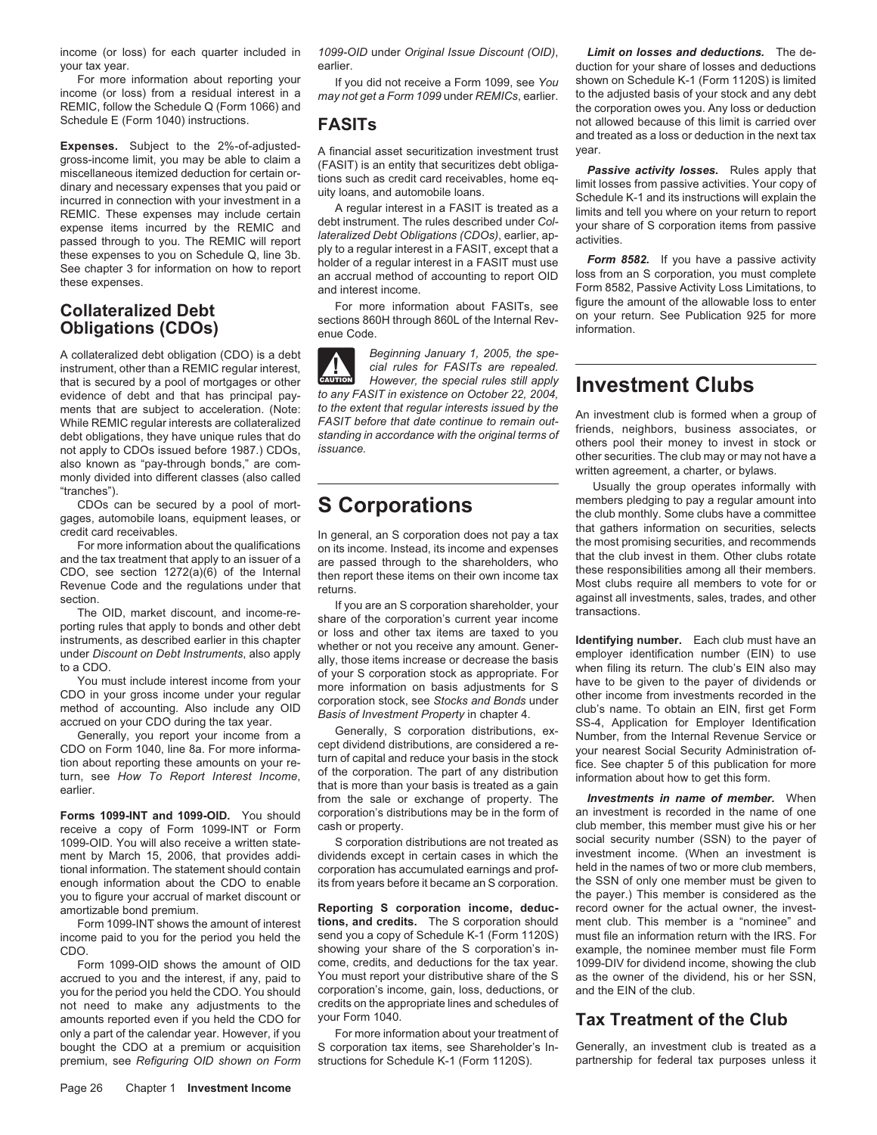income (or loss) from a residual interest in a *may not get a Form 1099* under *REMICs*, earlier.<br>REMIC, follow the Schedule Q (Form 1066) and

**Expenses.** Subject to the 2%-of-adjusted-<br>gross-income limit, you may be able to claim a<br>miscellaneous itemized deduction for certain or-<br>miscellaneous itemized deduction for certain or-<br>dinary and necessary expenses tha

instrument, other than a REMIC regular interest, that is secured by a pool of mortgages or other **CAUTION** *However, the special rules still apply* evidence of debt and that has principal pay-<br>to any FASIT in existence on October 22, 2004, **Investment Clubs** evidence of debt and that has principal pay-<br> **Investment Clubs**<br> **Investment** checked to acceleration. (Note: *to the extent that regular interests issued by the*<br> **Investment ship is formed what** 

receive a copy of Form 1099-INT or Form cash or property.<br>1099-OID, You will also receive a written state- S corporation distributions are not treated as social security number (SSN) to the payer of 1099-OID. You will also receive a written state-<br>ment by March 15, 2006, that provides addi- dividends except in certain cases in which the investment income. (When an investment is ment by March 15, 2006, that provides addi- dividends except in certain cases in which the investment income. (When an investment is<br>tional information. The statement should contain corporation has accumulated earnings and tional information. The statement should contain corporation has accumulated earnings and prof- held in the names of two or more club members, the contain corporation should the CDO to enable its from vears before it becam enough information about the CDO to enable its from years before it became an S corporation. The SSN of only one member must be given to enable its considered as the payer.) This member is considered as the you to figure your accrual of market discount or<br>Reporting S corporation income, deduc- record owner for the actual owner, the invest-<br>amortizable bond premium

accrued to you and the interest, if any, paid to You must report your distributive share of the S as the owner of the dividend, when the SN, we here the club. you for the period you held the CDO. You should corporation's income, gain, loss, deductions, or not need to make any adjustments to the credits on the appropriate lines and schedules of not need to make any adjustments to the credits on the appropriate and schedules and schedules and schedules and schedules and schedules and schedules and schedules and schedules of the approximation and schedules and sche amounts reported even if you held the CDO for your Form 1040.<br>
only a part of the calendar year. However, if you For more information about your treatment of only a part of the calendar year. However, if you bought the CDO at a premium or acquisition S corporation tax items, see Shareholder's In-<br>
premium, see Refiguring OID shown on Form structions for Schedule K-1 (Form 1120S). partnership for federal tax purposes unless it premium, see *Refiguring OID shown on Form* structions for Schedule K-1 (Form 1120S).

hy to a regular interest in a FASIT, except that a<br>See chapter 3 for information on how to report<br>these expenses.<br>these expenses.<br>these expenses.<br>and interest income.<br>and interest income.<br>and interest income.<br>Form 8582, Pa

A collateralized debt obligation (CDO) is a debt **Beginning January 1, 2005, the spe-**<br>instrument, other than a REMIC requiar interest. Calcular values for FASITs are repealed. **!**

from the sale or exchange of property. The *Investments in name of member.* When **Forms 1099-INT and 1099-OID.** You should corporation's distributions may be in the form of an investment is recorded in the name of one receive a copy of Form 1099-INT or Form cash or property.

amortizable bond premium. **Reporting S corporation income, deduc-** record owner for the actual owner, the invest-<br>Form 1099-INT shows the amount of interest **tions, and credits.** The S corporation should ment club. This me Form 1099-INT shows the amount of interest **tions, and credits.** The S corporation should ment club. This member is a "nominee" and income paid to you for the period you held the send you a copy of Schedule K-1 (Form 1120S) must file an information return with the IRS. For<br>Showing your share of the S corporation's in- example, the nominee member must f CDO.<br>Form 1099-OID shows the amount of OID come, credits, and deductions for the tax year. Form 1099-OID shows the amount of OID come, credits, and deductions for the tax year. 1099-DIV for dividend income, showing the club<br>Frued to you and the interest if any paid to You must report your distributive share of t

income (or loss) for each quarter included in *1099-OID* under *Original Issue Discount (OID)*, *Limit on losses and deductions.* The deyour tax year. **Example 20 your tax year.** A setting the state of losses and deductions of losses and deductions For more information about reporting your If you did not receive a Form 1099, see *You* shown on Schedule K-1 (Form 1120S) is limited income (or loss) from a residual interest in a may not get a Form 1099 under REMICs, ear REMIC, follow the Schedule Q (Form 1066) and<br>Schedule E (Form 1040) instructions.<br> **EA SITe** the corporation owes you. Any loss or deduction over the Schedule E (Form 1040) instructions. FASITs **FASITS** not allowed because of this limit is carried over and treated as a loss or deduction in the next tax

**Collateralized Debt** For more information about FASITs, see figure the amount of the allowable loss to enter<br> **Obligations (CDOs)** enue Code. Through 860L of the Internal Rev-<br>
information.

ments that are subject to acceleration. (Note: to the extent that regular interests issued by the An investment club is formed when a group of<br>
While REMIC regular interests are collateralized FASIT before that date contin

section.<br>
The OID, market discount, and income-re-<br>
If you are an S corporation shareholder, your<br>
The OID, market discount, and income-re-<br>
instruments, as described earlier in this chapter<br>
instruments, as described earl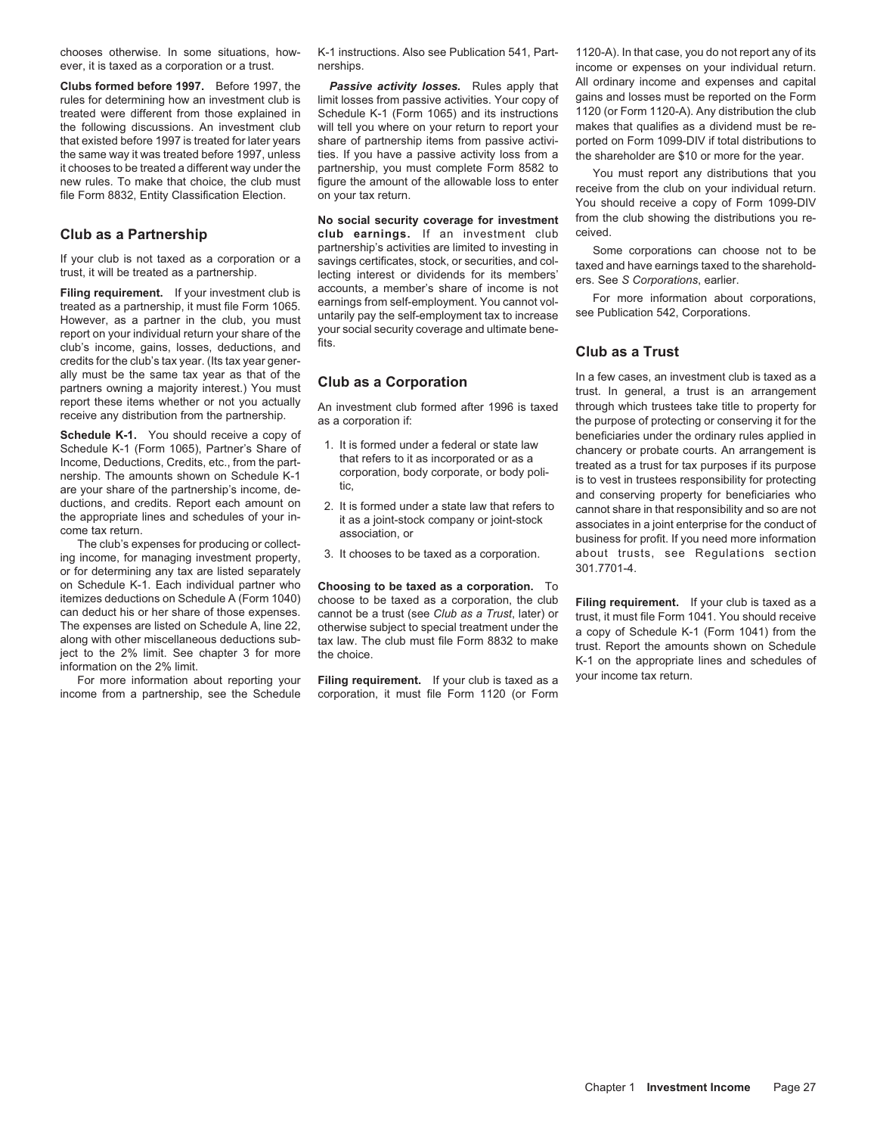rules for determining how an investment club is limit losses from passive activities. Your copy of gains and losses must be reported on the Form treated were different from those explained in Schedule K-1 (Form 1065) and i treated were different from those explained in Schedule K-1 (Form 1065) and its instructions 1120 (or Form 1120-A). Any distribution the club<br>the following discussions. An investment club will tell you where on your return the following discussions. An investment club will tell you where on your return to report your makes that qualifies as a dividend must be re-<br>that existed before 1997 is treated for later years share of partnership items that existed before 1997 is treated for later years share of partnership items from passive activithe same way it was treated before 1997, unless ties. If you have a passive activity loss from a the shareholder are \$10 or more for the year.<br>it chooses to be treated a different way under the partnership, you must comple

on Schedule K-1. Each individual partner who **Choosing to be taxed as a corporation.** To itemizes deductions on Schedule A (Form 1040) choose to be taxed as a corporation, the club Filing requirement. If your club is taxed as a can deduct his or her share of those expenses. cannot be a trust (see *Club as a Tr* 

income from a partnership, see the Schedule corporation, it must file Form 1120 (or Form

**Club as a Partnership club earnings.** If an investment club carriership's activities are limited to investing in If your club is not taxed as a corporation or a<br>trust, it will be treated as a partnership.<br>trust, it will be treated as a partnership.<br>**Filing requirement.** If your investment club is<br>**Filing requirement.** If your investm

- 
- 
- 

your income tax return.<br>For more information about reporting your **Filing requirement.** If your club is taxed as a your income tax return.

chooses otherwise. In some situations, how- K-1 instructions. Also see Publication 541, Part- 1120-A). In that case, you do not report any of its ever, it is taxed as a corporation or a trust. The nerships. The nerships income or expenses on your individual return. Clubs formed before 1997. Before 1997, the **Passive activity losses.** Rules apply that All ordinary income and expenses and capital rules for determining how an investment club is limit losses from passive activities. Your

it chooses to be treated a different way under the partnership, you must complete Form 8582 to You must report any distributions that you<br>new rules. To make that choice, the club must figure the amount of the allowable los **No social security coverage for investment** from the club showing the distributions you re-<br>club earnings if an investment club ceived

ally must be the same tax year as that of the<br>partners owning a majority interest.) You must<br>report these items whether or not you actually<br>receive any distribution from the partnership.<br>receive any distribution from the p **Schedule K-1.** You should receive a copy of **beneficiaries under the ordinary rules applied in**<br>Schedule K-1 (Form 1065) Partner's Share of 1. It is formed under a federal or state law **obnective countability** Schedule K-1 (Form 1065), Partner's Share of 1. It is formed under a federal or state law<br>
Income, Deductions, Credits, etc., from the part-<br>
nership's income of the partner's that refers to it as incorporated or as a<br>
are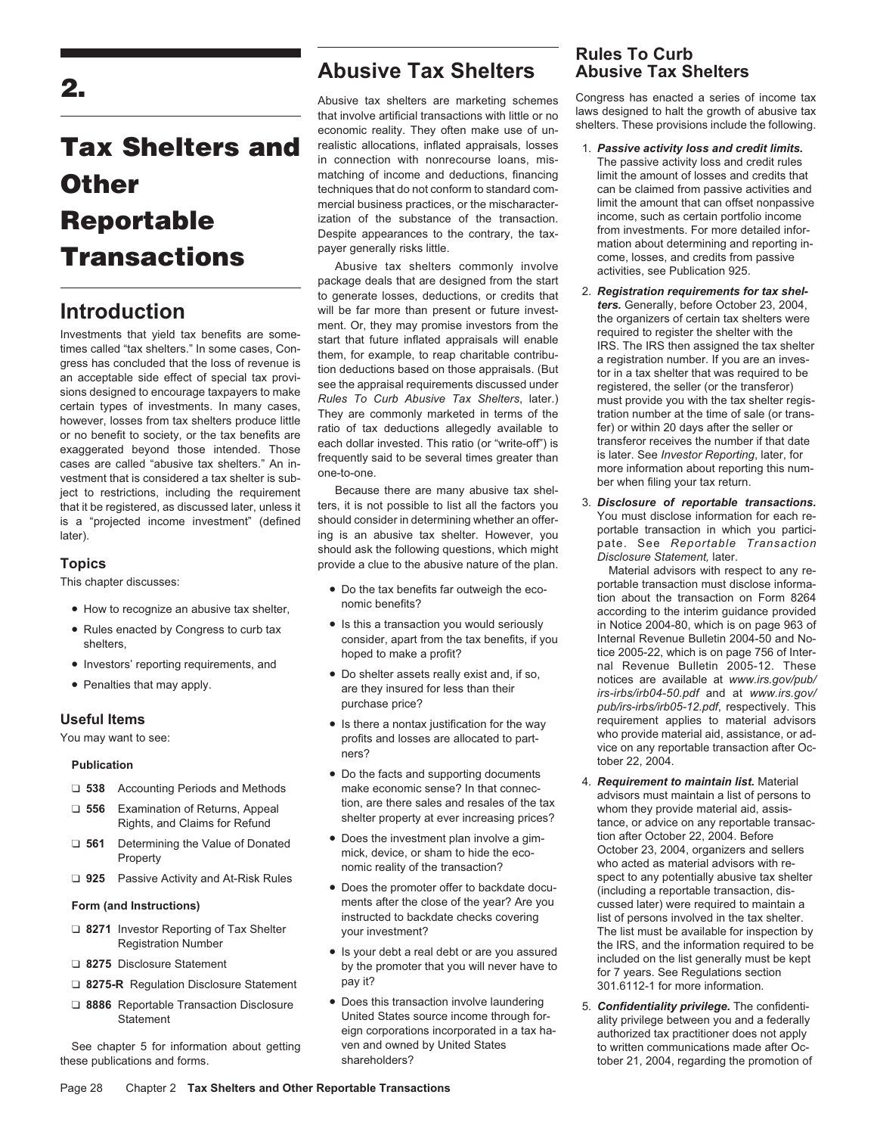- 
- 
- 
- 

- 
- 
- 
- 

- 
- 
- 
- 

these publications and forms. These publications and forms. Shareholders? These intervals are shareholders and top shareholders and top shareholders and top shareholders and top shareholders and top shareholders and top sh

## **Abusive Tax Shelters Abusive Tax Shelters**

that involve artificial transactions with little or no laws designed to halt the growth of abusive tax that incomponent that include the following. economic reality. They often make use of un-Tax Shelters and realistic allocations, inflated appraisals, losses 1. *Passive activity loss and credit limits.*<br>The passive activity loss and credit rules in connection with nonrecourse loans, mis-<br>matching of income and deductions, financing a solimit the amount of losses and credits that matching of income and deductions, financing limit the amount of losses and credits that techniques that do not conform to standard com-<br>
mercial business practices, or the mischaracter- limit the amount that can offset no mercial business practices, or the mischaracter-<br>
limit the amount that can offset nonpassive<br>
limit the amount that can offset income<br>
limit the amount that can offset income<br>
income, such as certain portfolio income **Reportable** ization of the substance of the transaction. Income, such as certain portfolio income<br>
Despite appearances to the contrary, the tax-<br> **Reportable** Despite appearances to the contrary, the tax-<br>naver generally risks little<br>mation about determining and reporting in-

**Transactions**<br> **Transaction Section 2011 (and the section and the section and the propriate and the section of the section of the propriate and the section of the section of the section of the section of the section of th** 

Final it be registered, as discussed later, unless it<br>is a "projected income investment" (defined should consider in determining whether an offer-<br>later).<br>**Topics** a the structure of the plan.<br>Topics and the structure of t

- 
- 
- 
- 
- Useful Items<br>
You may want to see:<br>
Publication<br>
The Samination of Returns, Appeal<br>
Examination of Returns, Appeal<br>
Examination of Returns, Appeal<br>
Examination of Returns, Appeal<br>
Examination of Returns, Appeal<br>
Examinati
	-
- **Form (and Instructions)** ments after the close of the year? Are you cussed later) were required to maintain a<br>instructed to backdate checks covering list of persons involved in the tax shelter.
- ❏ pay it? **8275-R** Regulation Disclosure Statement 301.6112-1 for more information.
- ❏ Does this transaction involve laundering **<sup>8886</sup>** Reportable Transaction Disclosure 5. *Confidentiality privilege.* The confidenti-

# **Rules To Curb**

Abusive tax shelters are marketing schemes Congress has enacted a series of income tax<br>that involve artificial transactions with little or no laws designed to halt the growth of abusive tax

- 
- 
- 

- Do the tax benefits far outweigh the eco- portable transaction must disclose informa-<br>18264 how to recognize an abusive tax shelter, nomic benefits?<br>19264 ecording to the interim guidance provided • Rules enacted by Congress to curb tax <br>• Is this a transaction you would seriously in Notice 2004-80, which is on page 963 of<br>
shelters, in the tax benefits, if you Internal Revenue Bulletin 2004-50 and No-<br>
hoped to mak • Investors' reporting requirements, and<br>
• Do shelter assets really exist and, if so,<br>
• Penalties that may apply.<br>
• Penalties that may apply.<br>
• Penalties that may apply.<br>
• Penalties that may apply.<br>
• Penalties that m

- □ 561 Determining the Value of Donated <br>Property end and the score intervals of the investment plan involve a gim-<br>Property mome of Donated and sellers momic reality of the transaction? who acted as material advisors with <p>1 Topcity</p>\n<p>1 Topcity</p>\n<p>1 Topcity</p>\n<p>1 Topcity</p>\n<p>2925</p>\n<p>2925</p>\n<p>2925</p>\n<p>2925</p>\n<p>2925</p>\n<p>2925</p>\n<p>2925</p>\n<p>2925</p>\n<p>2925</p>\n<p>2925</p>\n<p>2925</p>\n<p>2925</p>\n<p>2925</p>\n<p>2925</p>\n<p>2925</p>\n<p>2925</p>\n<p>2925</p>\n<p>2925</p>\n<p>29 list of persons involved in the tax shelter.<br>The list must be available for inspection by ❏ **8271** Investor Reporting of Tax Shelter your investment? The list must be available for inspection by Registration Number ● Is your debt a real debt or are you assured<br>by the IRS, and the information required to be<br>by the promoter that you will never have to<br>for 7 years. See Regulations section
- United States source income through for-<br>
eign corporations incorporated in a tax ha-<br>
authorized tax practitioner does not apply eign corporations incorporated in a tax ha-<br>ven and owned by United States<br>to written communications made after Oc-See chapter 5 for information about getting ven and owned by United States to written communications made after Oc-<br>ese publications and forms. Shareholders? shareholders have been a tober 21, 2004, regarding the promotion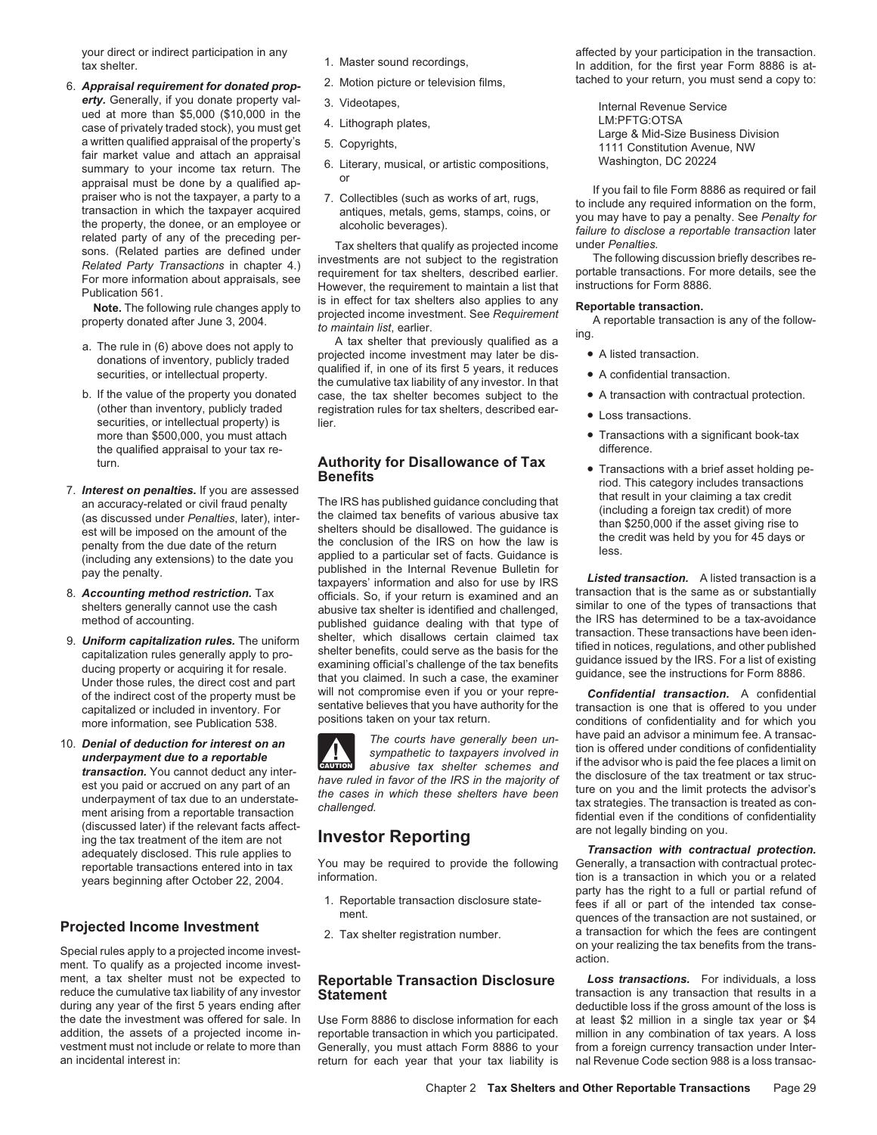ered at more hand S. Oud only in the property value of private property is a video than S.000 (\$10,000 in the any time of the property in the case of private that S. Out income law retent on any material of the property in

- 
- (other than inventory, publicly traded registration rules for tax shelters, described ear-<br>securities, or intellectual property) is lier.<br>more than \$500,000, you must attach **The SEOO,000**, you must attach the qualified appraisal to your tax re-<br>turn. **Authority for Disallowance of Tax**
- 
- 
- 
- 

ment, a tax shelter must not be expected to **Reportable Transaction Disclosure** *Loss transactions.* **For individuals, a loss reduce the cumulative tax liability of any investor <b>Statement** *Statement COSS transaction* reduce the cumulative tax liability of any investor **Statement** transaction is any transaction that results in a<br>during any year of the first 5 years ending after<br>results in a deductible loss if the gross amount of the los during any year of the first 5 years ending after the date the investment was offered for sale. In Use Form 8886 to disclose information for each at least \$2 million in a single tax year or \$4 addition, the assets of a projected income in-<br>addition, the assets of a projec vestment must not include or relate to more than Generally, you must attach Form 8886 to your from a foreign currency transaction under Inter-<br>return for each vear that your tax liability is and Revenue Code section 988 is

- 
- 
- 
- 
- 
- 
- 

b. If the value of the property you donated case, the tax shelter becomes subject to the • A transaction with contractual protection.<br>(other than inventory, publicly traded registration rules for tax shelters, described ea

turn. **Authority for Disallowance of Tax**<br>
The **Fransactions** with a brief asset holding period.<br>
This category includes transactions<br>
an accuracy-related or civil frault penalties are the anisometric and penalties the cla Under those rules, the direct cost and part<br>
of the indirect cost of the property must be will not compromise even if you or your repre-<br>
confidential transaction. A confidential<br>
capitalized or included in inventory. For<br> capitalized or included in inventory. For sentative believes that you have authority for the transaction is one that is offered to you under<br>more information. see Publication 538. Positions taken on your tax return.

**!**

- 
- 

reportable transaction in which you participated. return for each year that your tax liability is nal Revenue Code section 988 is a loss transac-

your direct or indirect participation in any affected by your participation in the transaction.<br>1. Master sound recordings, the addition, for the first year Form 8886 is at-6. **Appraisal requirement for donated prop-** 2. Motion picture or television films, tached to your return, you must send a copy to:

- 
- 
- 
- 
- Transactions with a significant book-tax
- 

conditions of confidentiality and for which you<br>have paid an advisor a minimum fee. A transac-10. Denial of deduction for interest on an The courts have generally been un-<br>
underpayment due to a reportable<br>
transaction You cannot deduct any inter-<br>
transaction You cannot deduct any inter-

**Example the set of the set of the set of the set of the set of the set of the set of the set of the set of the set of the set of the set of the set of the set of the set of the set of the set of the set of the set of the**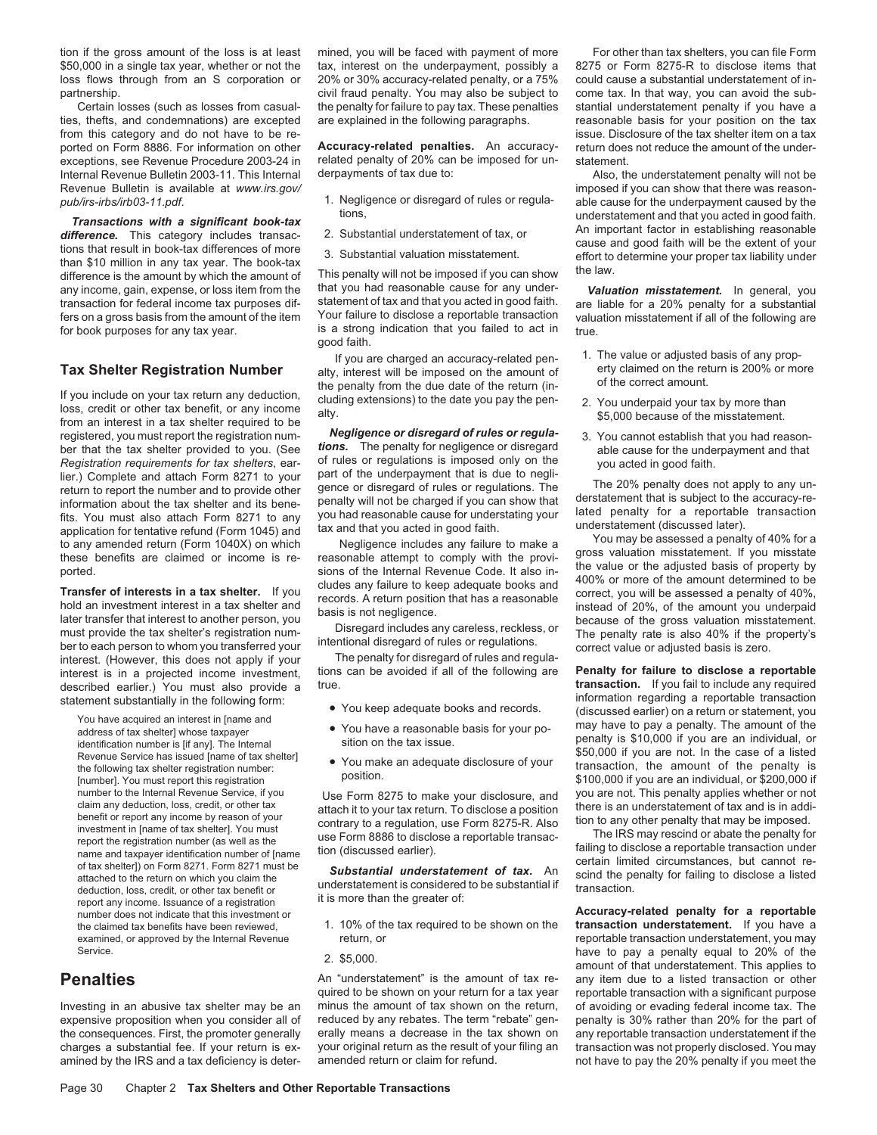tion if the gross amount of the loss is at least mined, you will be faced with payment of more For other than tax shelters, you can file Form \$50,000 in a single tax year, whether or not the tax, interest on the underpayment, possibly a 8275 or Form 8275-R to disclose items that loss flows through from an S corporation or 20% or 30% accuracy-related penalty, or a 75% could cause a substantial understatement of inpartnership. civil fraud penalty. You may also be subject to come tax. In that way, you can avoid the sub-

ties, thefts, and condemnations) are excepted are explained in the following paragraphs. reasonable basis for your position on the tax from this category and do not have to be re- issue. Disclosure of the tax shelter item on a tax ported on Form 8886. For information on other Accuracy-related penalties. An accuracy- return does not reduce the amount of the underexceptions, see Revenue Procedure 2003-24 in stated penalty of 20% can be imposed for un-<br>Internal Revenue Bulletin 2003-11. This Internal state perpayments of tax due to: statement. Internal Revenue Bulletin 2003-11. This Internal derpayments of tax due to: Also, the understatement penalty will not be Revenue Bulletin is available at *www.irs.gov/* 1. Negligence or disregard of rules or regula imposed if you can show that there was reason-<br>nub/irs-irbs/irb03-11 ndf of the undernayment caused by the

**Transactions with a significant book-tax** tions, understatement and that you acted in good faith.<br> **difference.** This category includes transace and good faith will be the extent of your<br>
tions that result in book-tax dif

registered, you must report the registration num-<br>her that the tax shelter provided to you. (See **tions**. The penalty for negligence or disregard able cause for the undernayment and that ber that the tax shelter provided to you. (See **tions.** The penalty for negligence or disregard able cause for the underpayment and that Registration requirements for tax shelters, ear-<br>Registration requirements for tax sh *Registration requirements for tax shelters*, ear- of rules or regulations is imposed only on the you acted in good faith.<br>
lier.) Complete and attach Form 8271 to your part of the underpayment that is due to negli-<br>
The 2 return to report the number and to provide other gence or disregard of rules or regulations. The The 20% penalty does not apply to any un-<br>information about the tax shelter and its bene- penalty will not be charged if you information about the tax shelter and its bene-<br>fits, You must also attach Form 8271 to any you had reasonable cause for understating your lated penalty for a reportable transaction

must provide the tax shelter's registration num-<br>ber to each person to whom you transferred your<br>internet. (However, this does not apply if your<br>interest. (However, this does not apply if your<br>interest. (However, this does interest. (However, this does not apply if your The penalty for disregard of rules and regula-<br>interest is in a projected income investment, tions can be avoided if all of the following are **Penalty for failure to disclose** 

number to the Internal Revenue Service, if you Use Form 8275 to make your disclosure, and you are not. This penalty applies whether or not<br>claim any deduction, loss, credit, or other tax distinguisment of the same of tax a deduction, loss, credit, or other tax benefit or<br>
report any income. Issuance of a registration it is more than the greater of:<br>
number does not indicate that this investment or<br> **Accuracy-related penalty for a reportable** 

Certain losses (such as losses from casual- the penalty for failure to pay tax. These penalties stantial understatement penalty if you have a

- 
- 
- 

any income, gain, expense, or loss item from the that you had reasonable cause for any under-<br>transaction for federal income tax purposes dif- statement of tax and that you acted in good faith. are liable for a 20% penalty statement of tax and that you acted in good faith. transaction for a 20% penalty for a substantial<br>Your failure to disclose a reportable transaction معدول بوابعة purposes differential in the following are fers on a gross basis from the amount of the item Your failure to disclose a reportable transaction valuation misstatement if all of the following are for book purposes for any tax year.  $\qquad \qquad$  is a strong indication that you failed to act in true. good faith.

**Tax Shelter Registration Number** alty, interest will be imposed on the amount of the return is 200% or more<br>If you include on your tax return any deduction, the penalty from the due date of the return (in-<br>loss, credit or

- 
- 
- 

- 
- 

An "understatement" is the amount of tax re- any item due to a listed transaction or other<br>quired to be shown on your return for a tax year reportable transaction with a significant purpose quired to be shown on your return for a tax year Investing in an abusive tax shelter may be an minus the amount of tax shown on the return, of avoiding or evading federal income tax. The expensive proposition when you consider all of creduced by any rebates. The term "rebate" gen- penalty is 30% rather than 20% for the part of the part of reduced by any reportable transaction understatement if the part of the consequences. First, the promoter generally erally means a decrease in the tax shown on any reportable transaction understatement if the charges a substantial fee. If your return is ex- your original return as the result of your filing an transaction was not properly disclosed. You may amined by the IRS and a tax deficiency is deter- amended return or claim

*pub/irs-irbs/irb03-11.pdf.* 1. Negligence or disregard of rules or regula-<br>tions. understatement and that you acted in good faith

- If you are charged an accuracy-related pen- 1. The value or adjusted basis of any prop-<br>Linterest will be imposed on the amount of erty claimed on the return is 200% or more
	-
	-

Fits. You must also attach Form 8271 to any you had reasonable cause for understating your<br>application for tentative refund (Form 1045) and that you acted in good faith.<br>to any amended return (Form 1040X) on which Negligen

described earlier.) You must also provide a true.<br>
statement substantially in the following form:<br>
You keep adequate books and records.<br>
You keep adequate books and records.<br>
You have acquired an interest in [name and addr identification number is [if any]. The Internal sition on the tax issue.<br>
Revenue Service has issued [name of tax shelter]<br>
the following tax shelter registration number:<br>
Final perialty is \$10,000 if you are not. In the c

the claimed tax benefits have been reviewed, **1. 10% of the tax required to be shown on the transaction understatement.** If you have a examined, or approved by the Internal Revenue return, or examined, or approved by the Internal Revenue return, or reportable transaction understatement, you may<br>Service reportable transaction understatement, you may be reported by the service of the service Service. **have to pay a penalty equal to 20% of the 2. \$5,000.** An "anderstatement" is the amount of that understatement. This applies to **Penalties Penalties An** "understatement" is the amount of tax re- any item due amined by the IRS and a tax deficiency is deter- amended return or claim for refund. The mothave to pay the 20% penalty if you meet the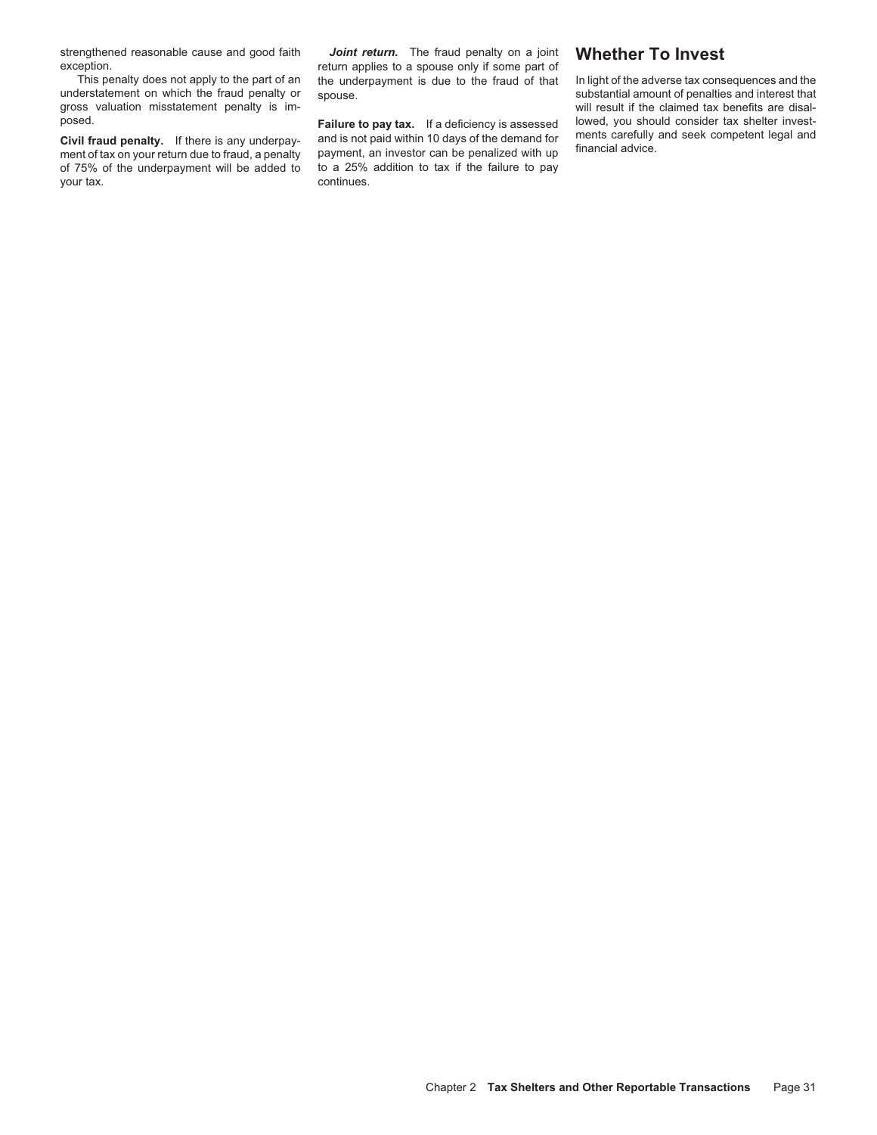understatement on which the fraud penalty or spouse.<br>
gross valuation misstatement penalty is im-<br>
youth the claimed tax benefits are disalgross valuation misstatement penalty is im-<br>Failure to pay tax. If a deficiency is assessed lowed, you should consider tax shelter invest-<br>Failure to pay tax. If a deficiency is assessed lowed, you should consider tax shel

of 75% of the underpayment will be added to your tax.

strengthened reasonable cause and good faith *Joint return.* The fraud penalty on a joint **Whether To Invest** eption.<br>This penalty does not apply to the part of an the underpayment is due to the fraud of that This penalty does not apply to the part of an the underpayment is due to the fraud of that In light of the adverse tax consequences and the understatement on which the fraud penalty or spouse.

**Civil fraud penalty.** If there is any underpay-<br>ment of tax on your return due to fraud, a penalty payment, an investor can be penalized with up financial advice.<br>of 75% of the underpayment will be added to to a 25% addit continues.

**Failure to pay tax.** If a deficiency is assessed lowed, you should consider tax shelter invest-<br>and is not paid within 10 days of the demand for let ments carefully and seek competent legal and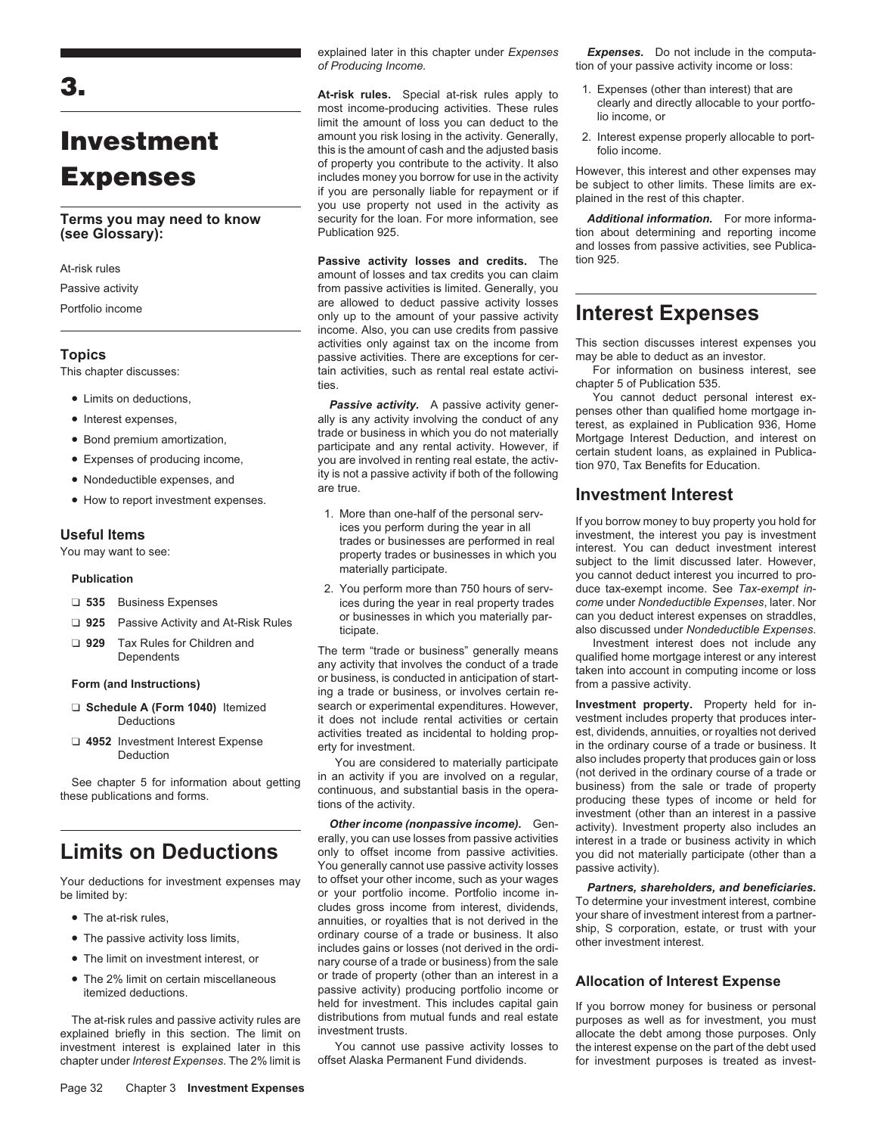- 
- 
- 
- 
- 
- 

- 
- 
- 

- 
- 

- 
- 
- 
- 

chapter under *Interest Expenses*. The 2% limit is offset Alaska Permanent Fund dividends. for investment purposes is treated as invest-

*of Producing Income.* tion of your passive activity income or loss:

**3.**<br> **At-risk rules**. Special at-risk rules apply to 1. Expenses (other than interest) that are most income-producing activities. These rules clearly and directly allocable to your portfolimit the amount of loss you can d **INVESTMENT** amount you risk losing in the activity. Generally, 2. Interest expense properly allocable to port-<br>
of property you contribute to the activity. It also of property you contribute to the activity. It also<br>includes money you borrow for use in the activity<br>if you are personally liable for repayment or if<br>you use property not used in the activity as<br>you use property not used

Passive activity losses and credits. The At-risk rules<br>amount of losses and tax credits you can claim Passive activity **From passive activities is limited. Generally, you** are allowed to deduct passive activity losses Portfolio income only up to the amount of your passive activity **Interest Expenses** income. Also, you can use credits from passive activities only against tax on the income from This section discusses interest expenses you passive activities. There are exceptions for cer- may be able to deduct as an investor. **Topics**<br>
This chapter discusses: **passive activities** There are exceptions for cer- may be able to deduct as an investor.<br>
This chapter discusses: **the exception of the contract and the contract of the contract of the con** This chapter discusses: tain activities, such as rental real estate activi-

• Limits on deductions,<br>
• Interest expenses,<br>
• Bond premium amortization,<br>
• Bond premium amortization,<br>
• Expenses of producing income,<br>
• Expenses of producing income,<br>
• Expenses of producing income,<br>
• Nondeductible

- 
- 

□ 929 Tax Rules for Children and<br>Dependents<br>Form (and Instructions)<br>Form (and Instructions)<br>Form (and Instructions)<br>Form (and Instructions)<br>ing a trade or business, or involves certain re-<br>state or business, or involves c □ **Schedule A (Form 1040)** Itemized search or experimental expenditures. However, **Investment property.** Property held for in-<br>Investment includes property that produces inter-<br>Interactivities or certain vestment includes Deductions it does not include rental activities or certain vestment includes property that produces inter-<br>activities treated as incidental to holding prop-<br>est, dividends, annuities, or royalties not derived

**Limits on Deductions** only to offset income from passive activities. you did not materially participate (other than a You generally cannot use passive activity losses passive activity). You generally cannot use passive activity losses<br>to offset your other income, such as your wages Vour deductions for investment expenses may to offset your other income, such as your wages<br>
be limited by:<br>
• The at-risk rules,<br>
• The passive activity loss limits,<br>
• The passive activity loss limits,<br>
• The passive ac • The 2% limit on certain miscellaneous or trade of property (other than an interest in a<br>
passive activity) producing portfolio income or<br>
held for investment. This includes capital gain is the vou borrow money for busine held for investment. This includes capital gain If you borrow money for business or personal<br>distributions from mutual funds and real estate I purposes as well as for investment, you must The at-risk rules and passive activity rules are distributions from mutual funds and real estate purposes as well as for investment, you must distributions from mutual funds and real estate purposes as well as for investme

investment interest is explained later in this You cannot use passive activity losses to the interest expense on the part of the debt used chapter under *Interest Expenses*. The 2% limit is offset Alaska Permanent Fund div

explained later in this chapter under *Expenses Expenses.* Do not include in the computa-

- 
- 

**Terms you may need to know** security for the loan. For more information, see *Additional information***.** For more informa-<br>(see Glossary): Publication 925. and reporting and reporting income tion about determining and reporting income and losses from passive activities, see Publica-

ties.<br>
chapter 5 of Publication 535.<br>
You cannot deduct personal interest ex-

**Useful Items**<br>
You may want to see:<br>
Publication<br>
Publication<br>
Publication<br>
Publication<br>
Publication<br>
Publication<br>
Publication<br>
Publication<br>
Publication<br>
Publication<br>
Publication<br>
Publication<br>
Publication<br>
Publication<br>
Pu 2. You perform more than 750 hours of serv- duce tax-exempt income. See *Tax-exempt in-* ❏ **535** Business Expenses ices during the year in real property trades *come* under *Nondeductible Expenses*, later. Nor <p>Q. 925</p>\n<p>Q. 925</p>\n<p>Q. 925</p>\n<p>Q. 929</p>\n<p>Q. 929</p>\n<p>Q. 929</p>\n<p>Q. 929</p>\n<p>Q. 929</p>\n<p>Q. 929</p>\n<p>Q. 929</p>\n<p>Q. 929</p>\n<p>Q. 929</p>\n<p>Q. 929</p>\n<p>Q. 929</p>\n<p>Q. 929</p>\n<p>Q. 929</p>\n<p>Q. 929</p>\n<p>Q. 929</p>\n<p>Q.

activities treated as incidental to holding prop- est, dividends, annuities, or royalties not derived<br>In the ordinary course of a trade or business. It<br>You are considered to materially participate also includes property t See chapter 5 for information about getting<br>these publications and forms.<br>these publications and forms.<br>these publications and forms.<br>tions of the activity.<br>tions of the activity.<br>investment (other than an interest in a pa **Other income (nonpassive income).** Gen-<br>erally, you can use losses from passive activities interest in a trade or business activity in which

explained briefly in this section. The limit on allocate the debt among those purposes. Only investment trusts.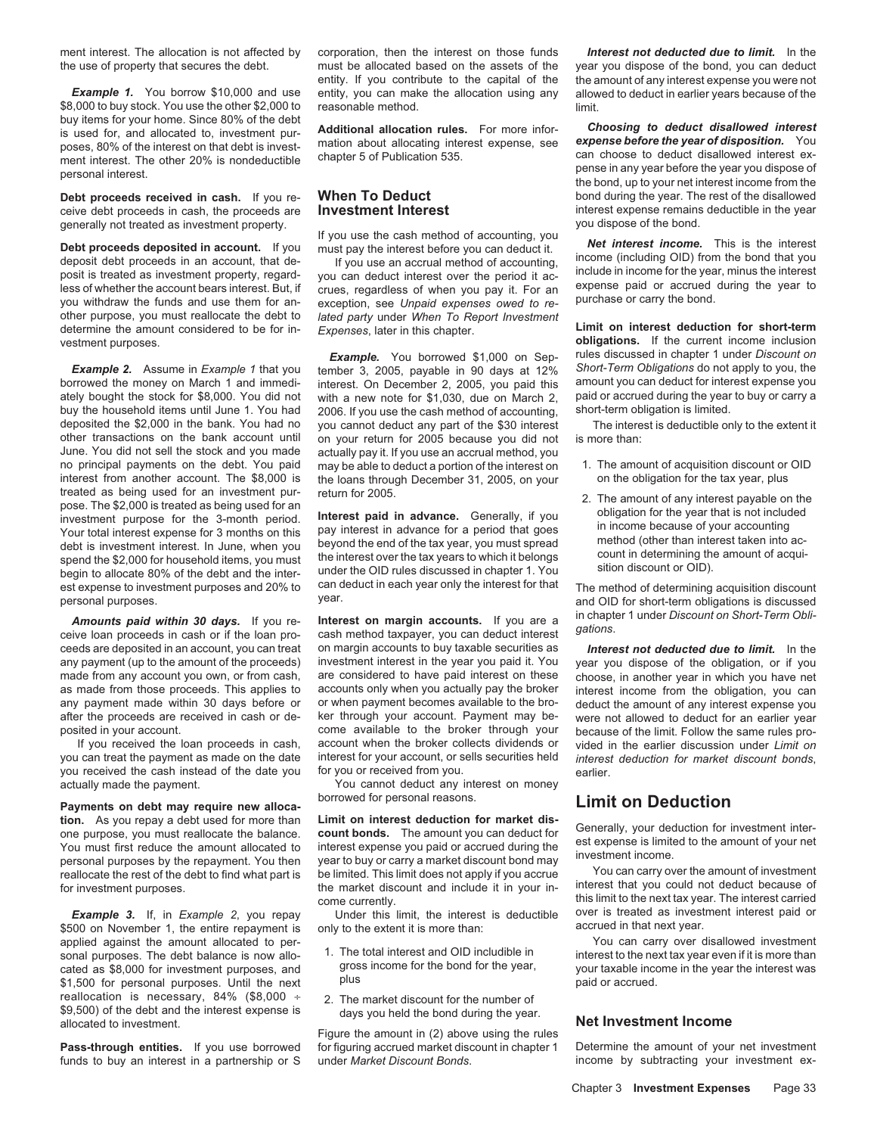the use of property that secures the debt. must be allocated based on the assets of the year you dispose of the bond, you can deduct

\$8,000 to buy stock. You use the other \$2,000 to reasonable method. limit.<br>buy items for your home. Since 80% of the debt

ceive debt proceeds in cash, the proceeds are **Investment Interest** interest expense remains denerally not treated as investment property. generally not treated as investment property.

**Debt proceeds deposited in account.** If you must pay the interest before you can deduct it.<br>
deposit debt proceeds in an account, that de-<br>
posit is treated as investment property, regard-<br>
less of whether the account bea other purpose, you must reallocate the debt to *lated party* under *When To Report Investment* vestment purposes. **obligations.** If the current income inclusion

*Example 2.* Assume in *Example 1* that you tember 3, 2005, payable in 90 days at 12% *Short-Term Obligations* do not apply to you, the ately bought the stock for \$8,000. You did not with a new note for \$1,030, due on March 2, paid or accrued during the year<br>buy the household items until June 1. You had 2006. If you use the cash method of accounting, short buy the household items until June 1. You had 2006. If you use the cash method of accounting, short-term obligation is limited.<br>deposited the \$2,000 in the bank. You had no you cannot deduct any part of the \$30 interest Th other transactions on the bank account until on your return for 2005 because you did not is more than: June. You did not sell the stock and you made actually pay it. If you use an accrual method, you no principal payments on the debt. You paid may be able to deduct a portion of the interest on no principal payments on the debt. You paid may be able to deduct a portion of the interest on 1. The amount of acquisition discount or OID interest from another account. The \$8,000 is the loans through December 31, 2005, interest from another account. The \$8,000 is the loans through December 31, 2005, on your treated as being used for an investment pur-<br>return for  $2005$ treated as being used for an investment pur-<br>pose. The \$2,000 is treated as being used for an<br>investment purpose for the 3-month period. **Interest paid in advance**. Generally, if you<br>in advance of the year that is not incl est expense to investment purposes and 20% to can deduct in each year only the interest for that The method of determining acquisition discount<br>personal nurposes is discussed personal purposes. year. and OID for short-term obligations is discussed

you received the cash instead of the date you for you or received from you. earlier.<br>
You cannot deduct any interest on money<br>
You cannot deduct any interest on money

borrowed for personal reasons. **Payments on debt may require new alloca- Limit on Deduction tion.** As you repay a debt used for more than **Limit on interest deduction for market dis-**<br>
one purpose, you must reallocate the balance **count bonds.** The amount you can deduct for

\$500 on November 1, the entire repayment is only to the extent it is more than: accrued in that next year.<br>applied against the amount allocated to per-<br>You can carry over disallowed investment applied against the amount allocated to per-<br>sonal purposes. The debt balance is now allo-<br>cated as \$8,000 for investment purposes, and gross income for the bond for the year,<br>\$1,500 for personal purposes. Until the next p reallocation is necessary, 84%  $(\$8,000 \div 2)$ . The market discount for the number of \$9,500) of the debt and the interest expense is days you held the bond during the year.<br>allocated to investment.

funds to buy an interest in a partnership or S under Market Discount Bonds.

ment interest. The allocation is not affected by corporation, then the interest on those funds *Interest not deducted due to limit.* In the entity. If you contribute to the capital of the the amount of any interest expense you were not **Example 1.** You borrow \$10,000 and use entity, you can make the allocation using any allowed to deduct in earlier years because of the 3.000 to buy stock. You use the other \$2,000 to reasonable method.

If you use the cash method of accounting, you

determine the amount considered to be for in- *Expenses*, later in this chapter. **Limit on interest deduction for short-term**

interest. On December 2, 2005, you paid this amount you can deduct for interest expense you<br>with a new note for \$1.030, due on March 2, paid or accrued during the year to buy or carry a you cannot deduct any part of the \$30 interest

**Amounts paid within 30 days.** If you re-<br>ceive loan proceeds in cash or if the loan pro-<br>ceive loan proceeds in cash or if the loan pro-<br>ceeds are deposited in an account, you can treat on margin accounts to buy taxable s ceeds are deposited in an account, you can treat on margin accounts to buy taxable securities as **Interest not deducted due to limit**. In the any payment (up to the amount of the proceeds) investment interest in the year y any payment (up to the amount of the proceeds) investment interest in the year you paid it. You year you dispose of the obligation, or if you made from any account you own, or from cash, are considered to have paid interes made from any account you own, or from cash, are considered to have paid interest on these choose, in another year in which you have net as made from the obligation you can accounts only when you actually pay the broker interest income from the obligation, you can<br>or when payment becomes available to the bro-<br>deduct the amount of any interest expense you any payment made within 30 days before or or when payment becomes available to the bro-<br>after the proceeds are received in cash or de- ker through your account. Payment may be- were not allowed to deduct for an earlier vea after the proceeds are received in cash or de- ker through your account. Payment may be- were not allowed to deduct for an earlier year<br>come available to the broker through your because of the limit. Follow the same rules sited in your account. come available to the broker through your because of the limit. Follow the same rules pro-<br>If you received the loan proceeds in cash, account when the broker collects dividends or vided in the earlie account when the broker collects dividends or vided in the earlier discussion under *Limit on*<br>interest for your account, or sells securities held interest deduction for market discount bonds you can treat the payment as made on the date interest for your account, or sells securities held *interest deduction for market discount bonds*, you received the cash instead of the date you for you or received from you.

You cannot deduct any interest on money borrowed for personal reasons.

The amount of the streament of the streament of the streament of the streament of the streament inter-<br>
You must first reduce the amount allocated to interest expense is limited to the amount of your net<br>
personal purposes reallocate the rest of the debt to find what part is be limited. This limit does not apply if you accrue for investment purposes.<br>
for investment purposes.<br>
come currently. Come currently the market discount and include it

*Example 3.* If, in *Example 2*, you repay Under this limit, the interest is deductible over is treated as investing to the extent it is more than:<br>S00 on November 1, the entire repayment is conty to the extent it is more

- 
- 

Figure the amount in (2) above using the rules **Pass-through entities.** If you use borrowed for figuring accrued market discount in chapter 1 Determine the amount of your net investment extinuits to buy an interest in a partnership or S under *Market Discount Bonds*. I

buy items for your home. Since 80% of the debt<br>is used for, and allocated to, investment pur-<br>poses, 80% of the interest on that debt is invest-<br>ment interest. The other 20% is nondeductible<br>ment interest. The other 20% is **Debt proceeds received in cash.** If you re- **When To Deduct** bond during the year. The rest of the disallowed ceive debt proceeds in cash. the proceeds are **Investment Interest by the sect of the search of the year** cei

*Example.* You borrowed \$1,000 on Sep- rules discussed in chapter 1 under *Discount on*

- 
- 

this limit to the next tax year. The interest carried<br>over is treated as investment interest paid or

### **Net Investment Income**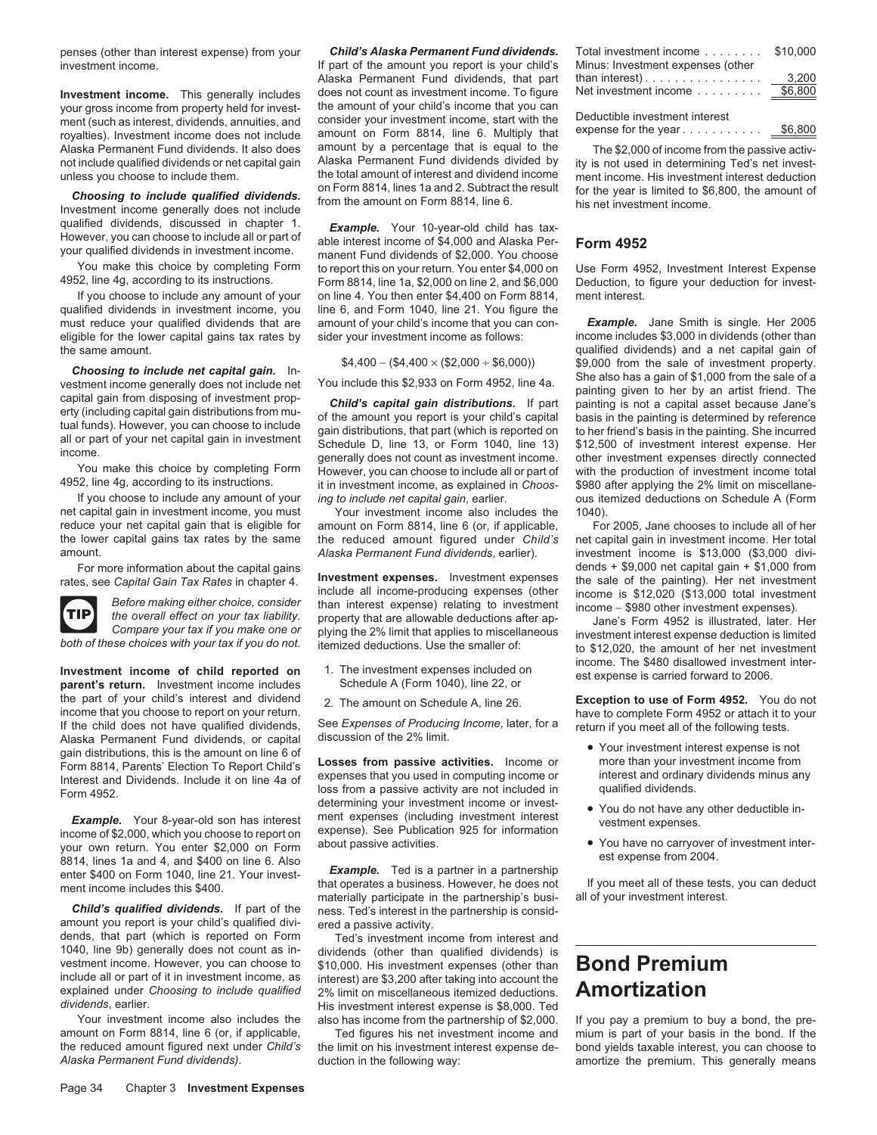your gross income from property held for invest- the amount of your child's income that you can<br>ment (such as interest, dividends, annuities, and consider your investment income, start with the Deductible investment int Alaska Permanent Fund dividends. It also does amount by a percentage that is equal to the The \$2,000 of income from the passive activ-<br>not include qualified dividends or net capital gain Alaska Permanent Fund dividends div

**Choosing to include qualified dividends.** on Form 8814, lines 1a and 2. Subtract the result for the year is limited to \$6,800, the amount of Investment income generally does not include from the amount on Form 8814, line

eligible for the lower capital gains tax rates by sider your investment income as follows:

net capital gain in investment income, you must Your investment income also includes the 1040).<br>The 1040, and capital gain that is eligible for amount on Form 8814, line 6 (or, if applicable, For 2005, Jane chooses to incl



Investment income of child reported on 1. The investment expenses included on income. The \$480 disallowed investment inter-<br> **parent's return.** Investment income includes Schedule A (Form 1040), line 22, or<br>
the part of yo the part of your child's interest and dividend<br>income that you choose to report on your return.<br>If the child does not have qualified dividends, See Expenses of Producing Income, later, for a return if you meet all of the f If the child does not have qualified dividends, See *Expenses of Producin*<br>Alaska Permanent Fund dividends, or capital discussion of the 2% limit. Alaska Permanent Fund dividends, or capital discussion of the 2% limit.<br>
gain distributions, this is the amount on line 6 of<br>
Form 8814, Parents' Election To Report Child's **Losses from passive activities.** Income or **the** 

Example. Your 8-year-old son has interest<br>income of \$2,000, which you choose to report on<br>pour own return. You enter \$2,000 on Form about passive activities.<br>Band 4, and 5400 on line 6. Also<br>enter \$400 on Form 1040, line 2

amount you report is your child's qualified divi-<br>dends, that part (which is reported on Form Ted's investment in dends, that part (which is reported on Form Ted's investment income from interest and<br>1040, line 9b) generally does not count as in-<br>dividends (other than qualified dividends) is vestment income. However, you can choose to include all or part of it in investment income, as explained under *Choosing to include qualified* 2% limit on miscellaneous itemized deductions. **Amortization**

amount on Form 8814, line 6 (or, if applicable, the reduced amount figured next under *Child's* the limit on his investment interest expense de-<br>Alaska Permanent Fund dividends). duction in the following way: amortize the premium. This generally means

penses (other than interest expense) from your **Child's Alaska Permanent Fund dividends.** T investment income. If part of the amount you report is your child's Minus: Investment income. Alaska Permanent Fund dividends, that part **Investment income.** This generally includes does not count as investment income. To figure vour cross income from property held for invest-<br>We amount of your child's income that you can

qualitied dividends, discussed in chapter 1.<br>
However, you can choose to include all or part of<br>
your qualified dividends in investment income.<br>
You make this choice by completing Form to report this on your return. You en You make this choice by completing Form to report this on your return. You enter \$4,000 on Use Form 4952, Investment Interest Expense<br>4952, line 4g, according to its instructions. Form 8814, line 1a, \$2,000 on line 2, and Form 8814, line 1a, \$2,000 on line 2, and \$6,000 If you choose to include any amount of your on line 4. You then enter \$4,400 on Form 8814, ment interest. qualified dividends in investment income, you line 6, and Form 1040, line 21. You figure the must reduce your qualified dividends that are amount of your child's income that you can conamount of your child's income that you can con-<br>sider your investment income as follows: income includes \$3,000 in dividends (other than

amount on Form 8814, line 6 (or, if applicable,

For more information about the capital gains<br>
rates, see Capital Gain Tax Rates in chapter 4.<br>
Fraction Tax Rates in chapter 4.<br>
Include all income-producing expenses (other<br>
fraction your tax liability.<br>
The overall effe

- 
- 

Interest and Dividends. Include it on line 4a of expenses that you used in computing income or interest and ordinar<br>Form 4952. Interest and ordinary loss from a passive activity are not included in qualified dividends.<br>Not

*Child's qualified dividends.* If part of the ness. Ted's interest in the partnership is consid-

dividends (other than qualified dividends) is \$10,000. His investment expenses (other than **Bond Premium** interest) are \$3,200 after taking into account the 2% limit on miscellaneous itemized deductions. His investment interest expense is \$8,000. Ted

*Alaska Permanent Fund dividends)*. duction in the following way: amortize the premium. This generally means

| otal investment income            | \$10,000 |
|-----------------------------------|----------|
| Ainus: Investment expenses (other |          |
| han interest)                     | 3.200    |
| let investment income 56,800      |          |
|                                   |          |

Alaska Permanent Fund dividends divided by ity is not used in determining Ted's net invest-<br>the total amount of interest and dividend income ment income. His investment interest deduction unless you choose to include them. the total amount of interest and dividend income ment income. His investment interest deduction<br>on Form 8814, lines 1a and 2. Subtract the result for the year is limited to \$6,800, the am

the same amount.<br>  $$4,400 - ($4,400 \times ($2,000 \div $6,000))$   $$9,000 from the sale of investment property.$ **Choosing to include net capital gain.**  $$4,400 - ($4,400 \times ($2,000 + $6,000))$ <br>
westment income generally does not include net<br>
capital gain from disposing of investment property.<br>
westment income generally does not include net<br> If you choose to include any amount of your *ing to include net capital gain*, earlier.<br>
capital gain in investment income, you must<br>
Your investment income also includes the 1040)

the lower capital gains tax rates by the same the reduced amount figured under *Child's* net capital gain in investment income. Her total investment income is \$13,000 (\$3,000 divi-<br>dends + \$9,000 net capital gain + \$1,000 from

Compare your tax if you make one or plying the 2% limit that applies to miscellaneous investment interest expense deduction is limited<br>both of these choices with your tax if you do not. itemized deductions. Use the smaller

- 
- 
- 

Your investment income also includes the also has income from the partnership of \$2,000. If you pay a premium to buy a bond, the pre-<br>ount on Form 8814, line 6 (or, if applicable, Ted figures his net investment income and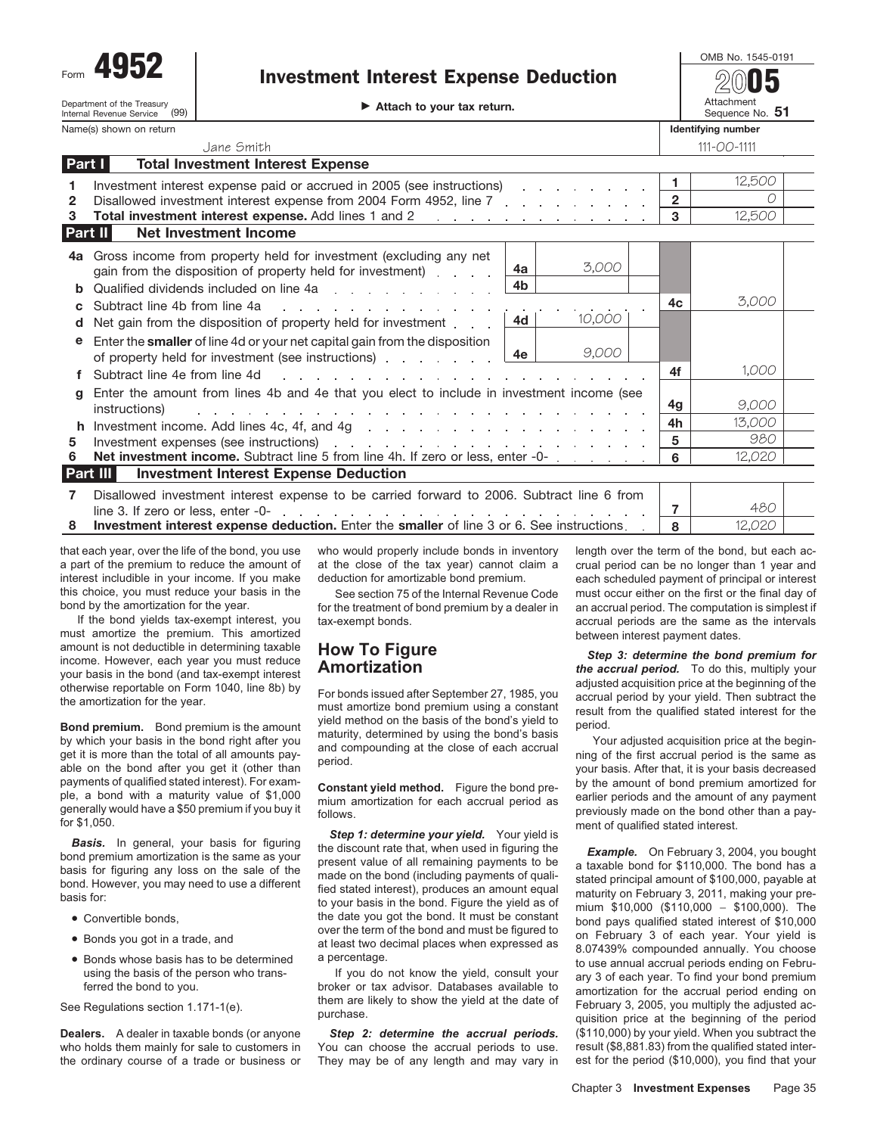Department of the Treasury<br>Internal Revenue Service

(99)

## **Investment Interest Expense Deduction**

**2005**

OMB No. 1545-0191

Department of the Treasury  $\overline{\phantom{a}}$  (aq)

Attachment Sequence No. **51** Name(s) shown on return **Identifying number Identifying number Identifying number** 

|         | Jane Smith                                                                                                                                                                                                                                                          |    |        |                | $111 - OO - 1111$ |
|---------|---------------------------------------------------------------------------------------------------------------------------------------------------------------------------------------------------------------------------------------------------------------------|----|--------|----------------|-------------------|
| Part I  | <b>Total Investment Interest Expense</b>                                                                                                                                                                                                                            |    |        |                |                   |
|         | Investment interest expense paid or accrued in 2005 (see instructions) and all containing the state of the state of the state of the state of the state of the state of the state of the state of the state of the state of th                                      |    |        |                | 12,500            |
| 2       | Disallowed investment interest expense from 2004 Form 4952, line 7 contact and contact and contact and Disable                                                                                                                                                      |    |        | $\overline{2}$ |                   |
| з       | Total investment interest expense. Add lines 1 and 2 rundom and the control of the state of the state of the state of the state of the state of the state of the state of the state of the state of the state of the state of                                       |    |        | 3              | 12,500            |
| Part II | Net Investment Income                                                                                                                                                                                                                                               |    |        |                |                   |
| 4a      | Gross income from property held for investment (excluding any net                                                                                                                                                                                                   |    |        |                |                   |
|         | gain from the disposition of property held for investment).                                                                                                                                                                                                         | 4a | 3,000  |                |                   |
|         | Qualified dividends included on line 4a                                                                                                                                                                                                                             | 4b |        |                |                   |
|         | Subtract line 4b from line 4a<br>a na mana na mana na mana na mana na                                                                                                                                                                                               |    |        | 4c             | 3,000             |
| d       | Net gain from the disposition of property held for investment                                                                                                                                                                                                       | 4d | 10,000 |                |                   |
| е       | Enter the <b>smaller</b> of line 4d or your net capital gain from the disposition                                                                                                                                                                                   |    |        |                |                   |
|         | of property held for investment (see instructions)                                                                                                                                                                                                                  | 4e | 9,000  |                |                   |
|         | Subtract line 4e from line 4d                                                                                                                                                                                                                                       |    |        | 4f             | 1,000             |
| a       | Enter the amount from lines 4b and 4e that you elect to include in investment income (see                                                                                                                                                                           |    |        |                |                   |
|         | instructions)<br>a constitution of the constitution of the constitution of the constitution of the constitution of the constitution of the constitution of the constitution of the constitution of the constitution of the constitution of the                      |    |        | 4g             | 9,000             |
|         |                                                                                                                                                                                                                                                                     |    |        | 4h             | 13,000            |
| 5       | Investment expenses (see instructions) and a contract of the contract of the contract of the contract of the contract of the contract of the contract of the contract of the contract of the contract of the contract of the c                                      |    |        | 5              | 980               |
| 6       | Net investment income. Subtract line 5 from line 4h. If zero or less, enter -0-                                                                                                                                                                                     |    |        | 6              | 12,020            |
|         | <b>Part III</b><br><b>Investment Interest Expense Deduction</b>                                                                                                                                                                                                     |    |        |                |                   |
| 7       | Disallowed investment interest expense to be carried forward to 2006. Subtract line 6 from                                                                                                                                                                          |    |        |                |                   |
|         | line 3. If zero or less, enter -0-<br>and a strategic control of the state of the state of the state of the state of the state of the state of the state of the state of the state of the state of the state of the state of the state of the state of the state of |    |        |                | 480               |
| 8       | Investment interest expense deduction. Enter the smaller of line 3 or 6. See instructions.                                                                                                                                                                          |    |        | 8              | 12.020            |

this choice, you must reduce your basis in the See section 75 of the Internal Revenue Code must occur either on the first or the final day of bond by the amortization for the year.

must amortize the premium. This amortized<br>amount is not deductible in determining taxable **How To Figure between** the second of the second of the second of the second of the second of the second of the second of the seco

payments of qualified stated interest). For exam-<br>ple, a bond with a maturity value of \$1,000 mium amortization for each accrual period as earlier periods and the amount of any payment<br>generally would have a \$50 premium if

- 
- 
- 

**Dealers.** A dealer in taxable bonds (or anyone **Step 2: determine the accrual periods.** (\$110,000) by your yield. When you subtract the who holds them mainly for sale to customers in You can choose the accrual periods to who holds them mainly for sale to customers in You can choose the accrual periods to use. result (\$8,881.83) from the qualified stated inter-<br>the ordinary course of a trade or business or They may be of any length and may the ordinary course of a trade or business or They may be of any length and may vary in

that each year, over the life of the bond, you use who would properly include bonds in inventory length over the term of the bond, but each ac-<br>a part of the premium to reduce the amount of at the close of the tax year) ca a part of the premium to reduce the amount of at the close of the tax year) cannot claim a crual period can be no longer than 1 year and interest includible in your income. If you make deduction for amortizable bond premiu

each scheduled payment of principal or interest of the treatment of bond premium by a dealer in an accrual period. The computation is simplest if the bond yields tax-exempt interest, you tax-exempt bonds. accrual periods are the same as the intervals

amount is not deductible in determining taxable<br>income. How wer, each year you must reduce<br>otherwise reportable on Form 1040, line 8b) by<br>otherwise reportable on Form 1040, line 8b) by<br>otherwise reportable on Form 1040, li

generally would have a \$50 premium if you buy it<br> **Example the selling and a** periodis and the bond other than a pay-<br> **Example the selling states** to the bond other than a pay-<br> **Example the selling states** of figuring an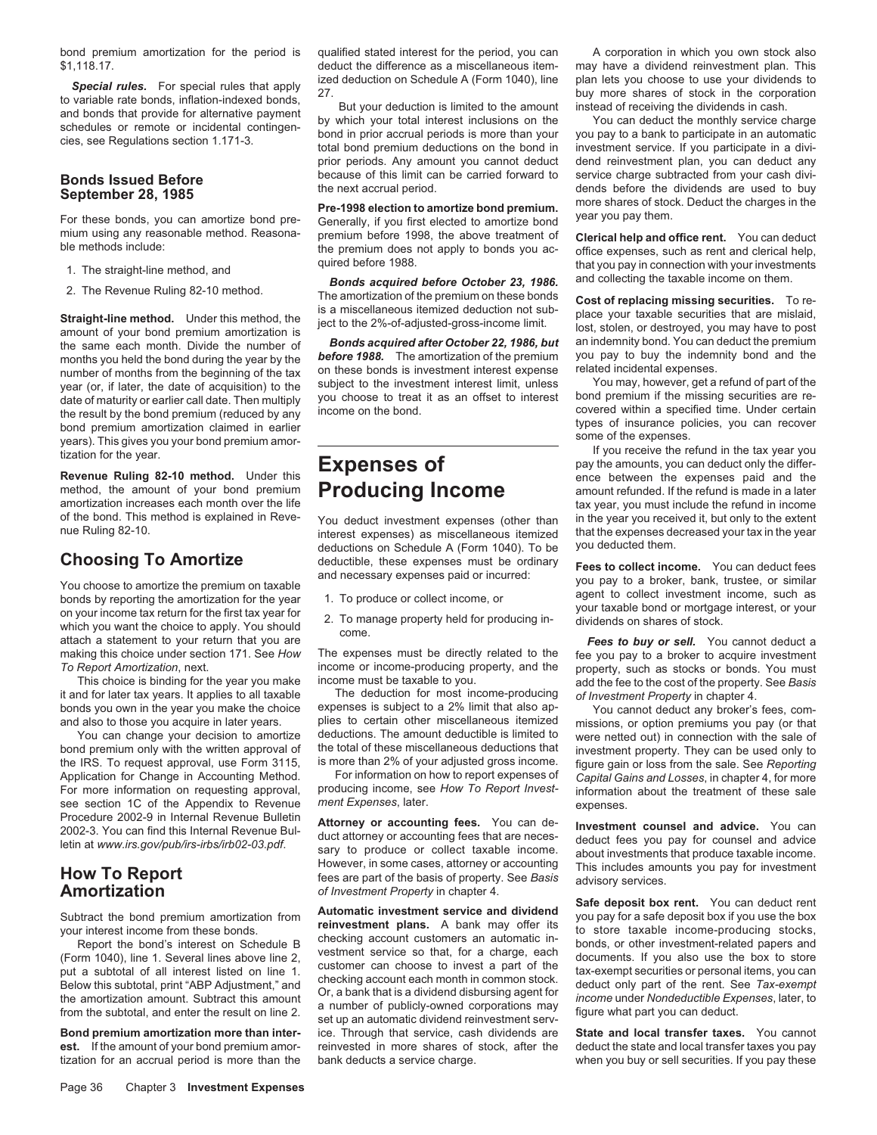\$1,118.17. deduct the difference as a miscellaneous item- may have a dividend reinvestment plan. This

**Special rules.** For special rules that apply<br>to variable rate bonds, inflation-indexed bonds,<br>and bonds that provide for alternative payment<br>and bonds that provide for alternative payment<br>schedules or remote or incidental

- 
- 

the result by the bond premium (reduced by any income on the bond.<br>
bond premium amortization claimed in earlier<br>
years). This gives you your bond premium amor-<br>
tization for the year.<br> **EXPENSES OF** PRISPS PRISPS PRISPS P

Choosing To Amortize<br>
You choose to amortize the premium on taxable<br>
bonds by reporting the amortization for the year<br>
only our pay to a broker, bank, trustee, or similar<br>
bonds by reporting the amortization for the year<br>

You can change your decision to amortize deductions. The amount deductible is limited to were netted out) in connection with the sale of<br>bond premium only with the written approval of the total of these miscellaneous deduc the IRS. To request approval, use Form 3115, is more than 2% of your adjusted gross income. figure gain or loss from the sale. See *Reporting*<br>Application for Change in Accounting Method. For information on how to report e For more information on requesting approval, producing income, see *How To Report Invest*- information about the treatment of these sale<br>see section 1C of the Appendix to Revenue ment Expenses, later. see section 1C of the Appendix to Revenue *ment Expenses*, later.<br>Procedure 2002-9 in Internal Revenue Bulletin **Attornation as association face** Novi can de

tization for an accrual period is more than the bank deducts a service charge.

bond premium amortization for the period is qualified stated interest for the period, you can A corporation in which you own stock also

prior periods. Any amount you cannot deduct dend reinvestment plan, you can deduct any

For these bonds, you can amortize bond pre-<br>For these bonds, you can amortize bond pre-<br>mium using any reasonable method. Reasona-<br>mium before 1998, the above treatment of Clarical belia and a<br>mium using any reasonable met mium using any reasonable method. Reasona-<br>ble methods include:<br>the premium does not apply to bonds you ac-office expenses, such as ent and elerical help the premium does not apply to bonds you ac-<br>
office expenses, such as rent and clerical help,<br>
that you pay in connection with your investments

1. The straight-line method, and<br>2. The Revenue Ruling 82-10 method.<br>2. The Revenue Ruling 82-10 method. The amortization of the premium on these bonds<br>2. The Revenue Ruling 82-10 method. The amortization of the premium on

the same each month. Divide the number of **Bonds acquired after October 22, 1986, but** an indemnity bond. You can deduct the premium<br>months you held the bond during the year by the **before 1988.** The amortization of the pr number of months from the beginning of the tax on these bonds is investment interest expense related incidental expenses.<br>Vear (or if later, the date of acquisition) to the subject to the investment interest limit, unless year (or, if later, the date of acquisition) to the subject to the investment interest limit, unless You may, nowever, get a refund of part of the year (or, if later, the date of acquisition) to the subject to the investme date of maturity or earlier call date. Then multiply you choose to treat it as an offset to interest bond premium if the missing securities are re-<br>the result by the bond premium (reduced by any income on the bond. The bon

interest expenses) as miscellaneous itemized that the expenses decreased your tax in the year deductions on Schedule A (Form 1040). To be you deducted them. deductions on Schedule A (Form 1040). To be

- 
- 

making this choice under section 171. See *How* The expenses must be directly related to the fee you pay to a broker to acquire investment<br>To Report Amortization, next. ext. income or income-producing property, and the pro

it and for later tax years. It applies to all taxable The deduction for most income-producing of *Investment Property* in chapter 4.<br>Sonds you own in the year you make the choice expenses is subject to a 2% limit that also bonds you own in the year you make the choice expenses is subject to a 2% limit that also ap-<br>And also to those you acquire in later years. plies to certain other miscellaneous itemized missions, or option premiums you pay plies to certain other miscellaneous itemized missions, or option premiums you pay (or that deductions. The amount deductible is limited to were netted out) in connection with the sale of the total of these miscellaneous deductions that investment property. They can be used only to is more than 2% of your adjusted gross income.

Procedure 2002-9 in Internal Revenue Bulletin<br>
2002-3. You can find this Internal Revenue Bulletin<br>
letin at www.irs.gov/pub/irs-irbs/irb02-03.pdf.<br> **How To Report**<br> **How To Report**<br> **How To Report**<br> **How To Report**<br> **How** 

Subtract the bond premium amortization from<br>your interest income from these bonds.<br>Report the bond's interest on Schedule B<br>(Form 1040), line 1. Several lines above line 2,<br>put a subtotal of all interest listed on line 1. **Bond premium amortization more than inter-** ice. Through that service, cash dividends are **State and local transfer taxes.** You cannot

Bonds Issued Before because of this limit can be carried forward to service charge subtracted from your cash divi-<br>September 28, 1985 the next accrual period.<br>Pre-1998 election to amortize bond premium. The magnetic stock.

Straight-line method. Under this method, the is a miscellaneous itemized deduction not sub-<br>amount of your bond premium amortization is<br>the same each month. Divide the number of **Bonds acquired after October 22, 1986, but** 

In the vealure of the search of the mounts, you can deduct only the differ-<br>Revenue Ruling 82-10 method. Under this **Expenses Of** ence between the expenses paid and the method, the amount of your bond premium **Producing Income** amount refunded. If the refund is made in a later<br>amortization increases each month over the life amortization increases each month over the life<br>of the bond. This method is explained in Reve-<br>you deduct investment expenses (other than in the year you received it, but only to the extent of the bond. This method is explained in Reve-<br>
interest expenses (as miscellaneous itemized that the expenses decreased your tax in the year<br>
interest expenses of miscellaneous itemized that the expenses decreased your ta

*To Report Amortization*, next. income or income-producing property, and the property, such as stocks or bonds. You must ome must be taxable to you.<br>The deduction for most income-producing of Investment Property in chapter 4

Capital Gains and Losses, in chapter 4, for more

**est.** If the amount of your bond premium amor- reinvested in more shares of stock, after the deduct the state and local transfer taxes you pay these in a tization for an accrual period is more than the bank deducts a serv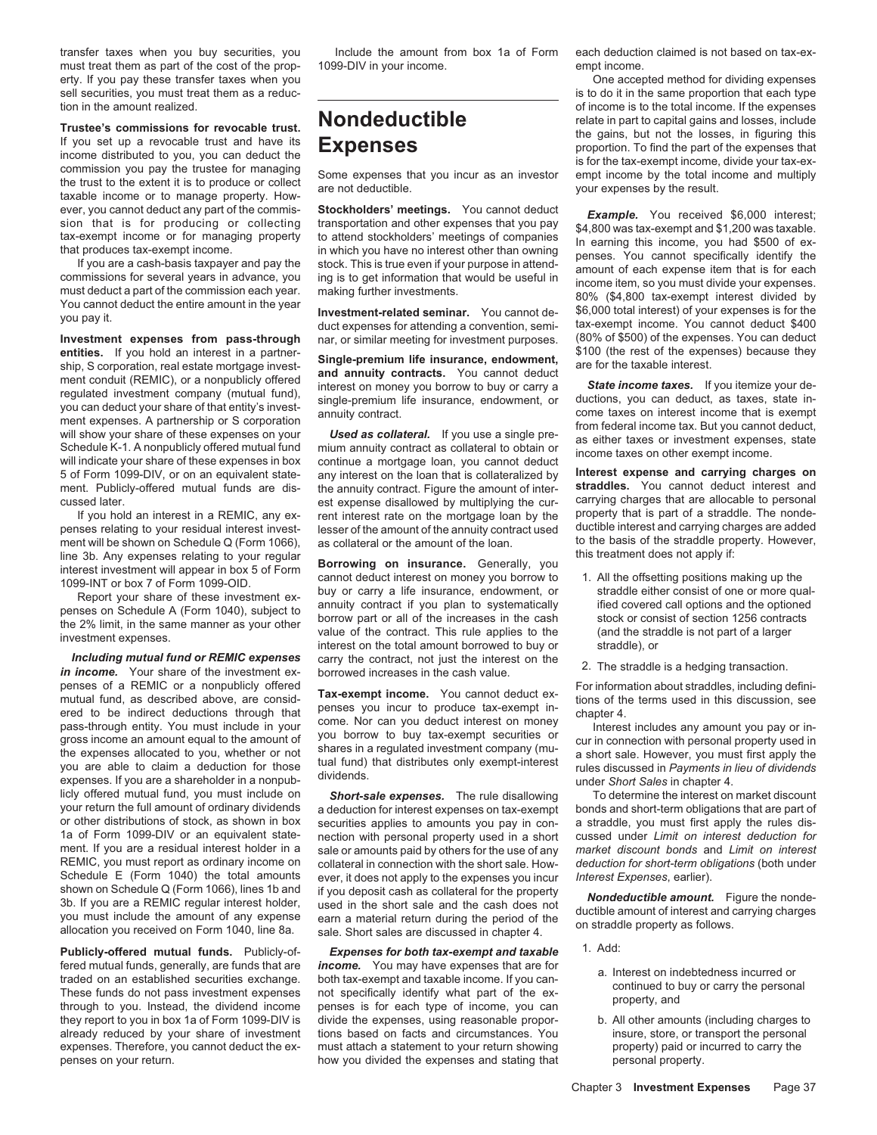must treat them as part of the cost of the prop- 1099-DIV in your income. empt income.

entities. If you hold an interest in a partner-<br>ship, S corporation, real estate mortgage invest-<br>ment conduit (REMIC), or a nonpublicly offered<br>interest on monoy you berrow to buy or carry and annough state income taxes. the ment conduit (REMIC), or a nonpublicly offered<br>regulated investment company (mutual fund),<br>you can deduct your share of that entity's invest-<br>will show your share of these expenses on your<br>will show your share of these 5 of Form 1099-DIV, or on an equivalent state- any interest on the loan that is collateralized by **Interest expense and carrying charges on**

penses relating to your residual interest invest-<br>ment will be shown on Schedule Q (Form 1066) as collateral or the amount of the loan by the basis of the straddle property. However, ment will be shown on Schedule Q (Form 1066), as collateral or the amount of the loan. The basis of the straddle prop<br>line 3b. Any expenses relating to your requiar

**Including mutual fund or REMIC expenses** carry the contract, not just the interest on the<br> **in income.** Your share of the investment ex-<br>
penses of a REMIC or a nonpublicly offered<br>
Let us a penses of a REMIC or a nonpubl penses of a REMIC or a nonpublicly offered<br>mutual fund, as described above, are considered to be indirect deductions through that<br>ered to be indirect deductions through that<br>penses you incur to produce tax-exempt in-<br>pense licly offered mutual fund, you must include on *Short-sale expenses.* The rule disallowing To determine the interest on market discount your return the full amount of ordinary dividends a deduction for interest expenses on tax-exempt bonds and short-term obligations that are part of or other distributions of stock, as shown in box securities applies to amo or other distributions of stock, as shown in box securities applies to amounts you pay in con- a straddle, you must first apply the rules dis-<br>1a of Form 1099-DIV or an equivalent state- nection with personal property used 1a of Form 1099-DIV or an equivalent state-<br>ment. If you are a residual interest holder in a sale or amounts paid by others for the use of any ment. If you are a residual interest holder in a sale or amounts paid by others for the use of any *market discount bonds* and *Limit on interest*<br>REMIC, you must report as ordinary income on collateral in connection with Schedule E (Form 1040) the total amounts ever, it does not apply to the expenses you incur *Interest Expenses*, earlier).<br>Shown on Schedule Q (Form 1066), lines 1b and if you deposit cash as collateral for the property

they report to you in box 1a of Form 1099-DIV is divide the expenses, using reasonable propor- b. All other amounts (including charges to already reduced by your share of investment tions based on facts and circumstances. You insure, store, or transport the personal expenses. Therefore, you cannot deduct the ex- must attach a statement to your return showing property) paid or incurred to carry the

the annuity contract. Figure the amount of inter-<br>
est expense disallowed by multiplying the cur- carrying charges that are allocable to personal cussed later.<br>If you hold an interest in a REMIC, any ex-<br>If you hold an interest in a REMIC, any ex-<br>rent interest rate on the mortgage loan by the property that is part of a straddle. The nonde-If you hold an interest in a REMIC, any ex- cent interest rate on the mortgage loan by the property that is part of a straddle. The nonde-<br>Ises relating to your residual interest invest- lesser of the amount of the annuity

line 3b. Any expenses relating to your regular<br>interest investment will appear in box 5 of Form<br>1099-INT or box 7 of Form 1099-OID.<br>1099-INT or box 7 of Form 1099-OID.<br>Report your share of these investment ex-<br>penses on Sc

REMIC, you must report as ordinary income on collateral in connection with the short sale. How- *deduction for short-term obligations* (both under shown on Schedule Q (Form 1066), lines 1b and<br>3b. If you are a REMIC regular interest holder, used in the short sale and the cash does not<br>you must include the amount of any expense earn a material return during the period

**Publicly-offered mutual funds.** Publicly-of- *Expenses for both tax-exempt and taxable* 1. Add: fered mutual funds, generally, are funds that are **income.** You may have expenses that are for<br>traded on an established securities exchange. both tax-exempt and taxable income. If you can-<br>These funds do not pass investmen penses on your return. how you divided the expenses and stating that personal property.

transfer taxes when you buy securities, you Include the amount from box 1a of Form each deduction claimed is not based on tax-ex-

erty. If you pay these transfer taxes when you **One accepted method for dividing expenses** sell securities, you must treat them as a reduc- is to do it in the same proportion that each type tion in the amount realized.<br> **Suppose that the second terms in the expenses**<br> **Suppose that the expenses**<br> **Suppose that the expenses**<br> **Suppose that the expenses**<br> **Suppose that the expenses**<br> **Suppose that the expenses** Trustee's commissions for revocable trust.<br>
If you set up a revocable trust and have its<br>
income distributed to you, you can deduct the<br>
the gains, but not the losses, in figuring this<br>
the gains, but not the losses, in fi

ever, you cannot deduct any part of the commis-<br>sion that is for producing or collecting<br>tansportation and other expenses that you pay<br>tax-exempt income or for managing property<br>that produces tax-exempt income.<br>In earning **Investment expenses from pass-through** nar, or similar meeting for investment purposes. (80% of \$500) of the expenses. You can deduct entities. If you hold an interest in a partner-

- 
- 

- 
-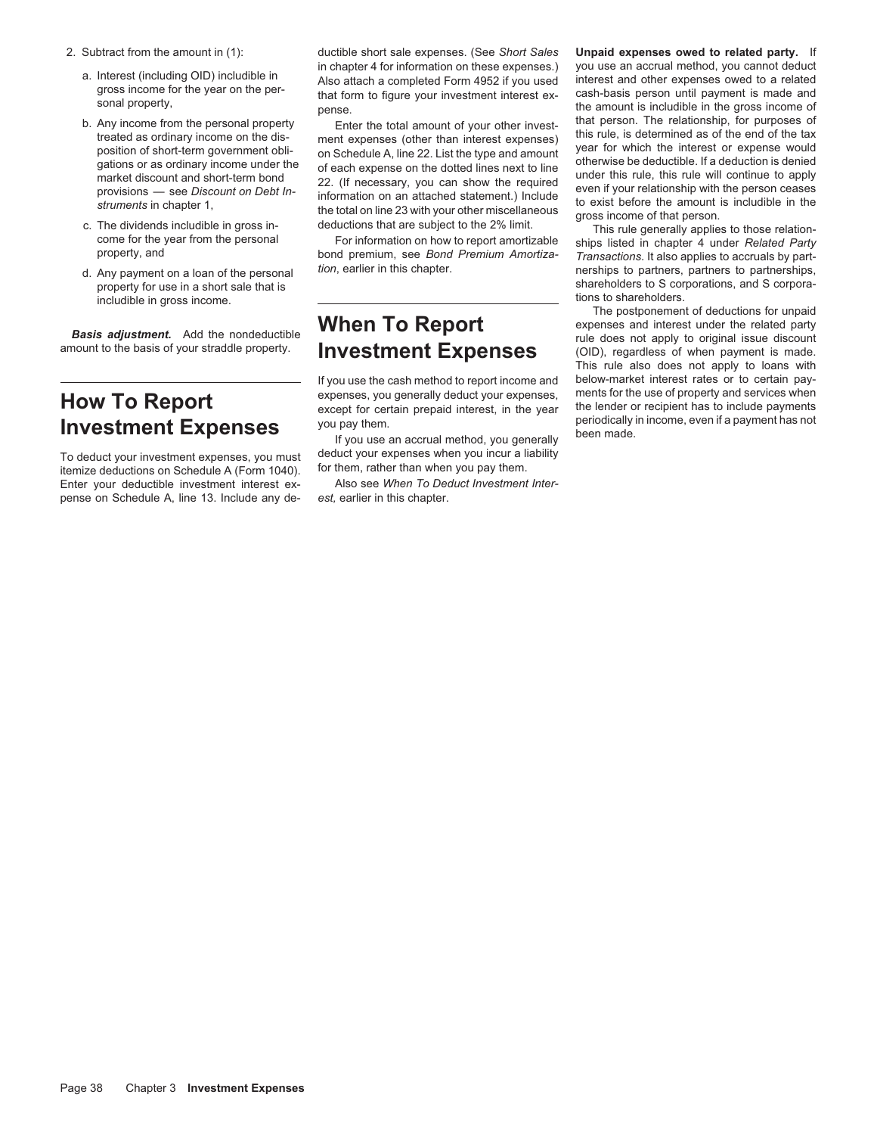- -
	-
	-
	-

# **Investment Expenses** you pay them.<br>If you use an accrual method, you generally been made.

itemize deductions on Schedule A (Form 1040). Item, rather than when you pay them.<br>Enter your deductible investment interest ex-<br>Also see When To Deduct Investment Inter-Enter your deductible investment interest expense on Schedule A, line 13. Include any de- *est,* earlier in this chapter.

gations or as ordinary income under the of each expense on the dotted lines next to line<br>market discount and short-term bond<br>provisions — see *Discount on Debt In*-<br>provisions — see *Discount on Debt In*-<br>struments in chap

expenses, you generally deduct your expenses, ments for the use of property and services when except for certain prepaid interest, in the year the lender or recipient has to include payments<br>**Invention and Express on the p** 

To deduct your investment expenses, you must deduct your expenses when you incur a liability<br>itemize deductions on Schedule A (Form 1040) for them, rather than when you pay them.

2. Subtract from the amount in (1): ductible short sale expenses. (See *Short Sales* **Unpaid expenses owed to related party.** If a. Interest (including OID) includible in in chapter 4 for information on these expenses.) you use an accrual method, you cannot deduct<br>gross income for the year on the per-<br>sonal property, that form to figure your investm b. Any income from the personal property<br>treated as ordinary income on the dis-<br>position of short-term government obli-<br>on Schedule A. line 22. I ist the type and amount<br>on Schedule A. line 22. I ist the type and amount<br>th position of short-term government obli-<br>gations or as ordinary income under the of each expense on the dotted lines next to line otherwise be deductible. If a deduction is denied

d. Any payment on a loan of the personal *tion*, earlier in this chapter. nerships to partners, partners to partnerships, property for use in a short sale that is<br>
includible in gross income<br>
includible in gross income

includible in gross income.<br>
includible in gross income.<br> **When To Report** The postponement of deductions for unpaid<br>
in a structure of the related party Basis adjustment. Add the nondeductible **When To Report** expenses and interest under the related party<br>amount to the basis of your straddle property. **Investment Expenses** (OID), regardless of when payment is made. This rule also does not apply to loans with If you use the cash method to report income and below-market interest rates or to certain pay-<br>expenses, you generally deduct your expenses. ments for the use of property and services when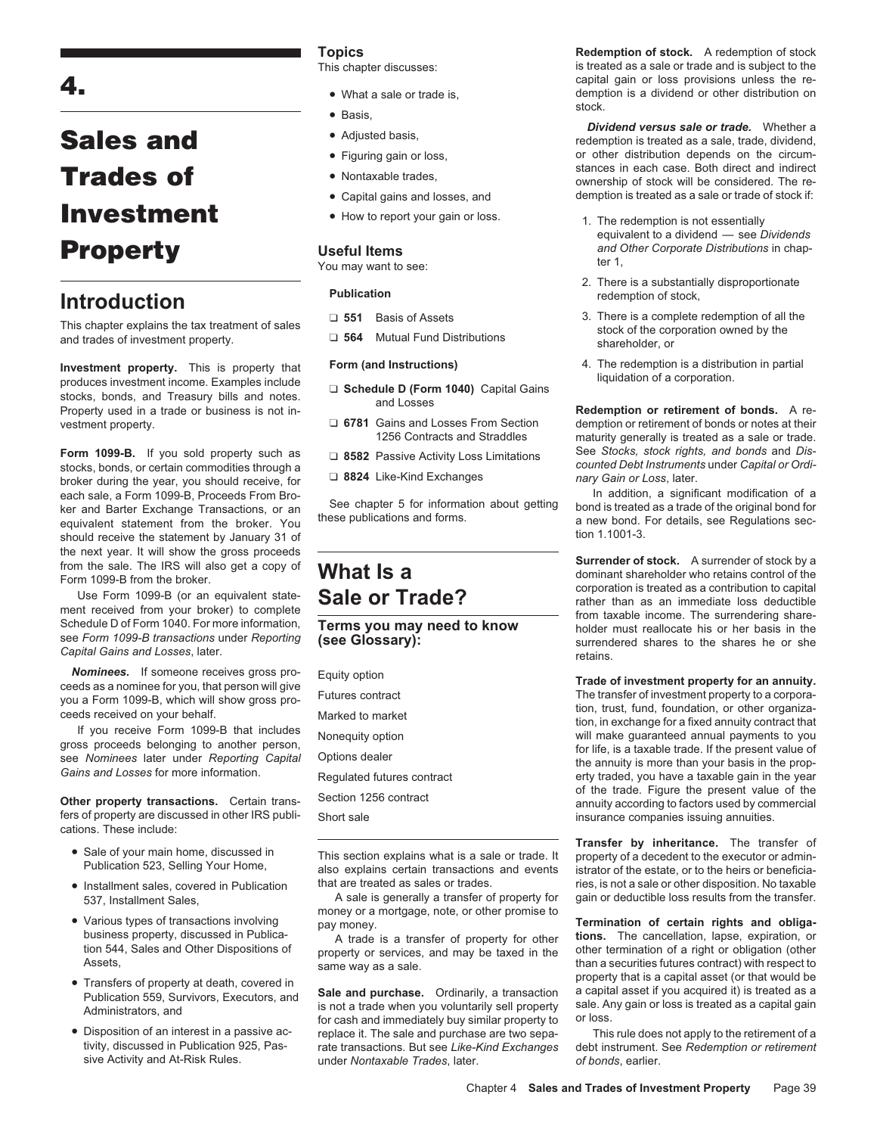# **Investment** • How to report your gain or loss. The redemption is not essentially

This chapter explains the tax treatment of sales<br>and trades of investment property.<br>and trades of investment property.<br> $\Box$  564 Mutual Fund Distributions<br>stock of the corporation owned by the<br>shareholder, or

**Investment property.** This is property that **Form (and Instructions)** 4. The redemption is a distribution in partial<br>produces investment income. Examples include  $\Box$  **Schedule D (Form 1040)** Capital Gains diquidation of

Form 1099-B. If you sold property such as  $\Box$  8582 Passive Activity Loss Limitations See Stocks, stock rights, and bonds and Dissecks, bonds, or certain commodities through a counted Debt Instruments under Capital or Ord each sale, a Form 1099-B, Proceeds From Bro-<br>ker and Barter Exchange Transactions, or an See chapter 5 for information about getting bond is treated as a trade of the original bond for<br>equivalent statement from the broker. should receive the statement by January 31 of the statement by January 31 of the statement by January 31 of the statement by January 31 of the statement by January 31 of the statement by January 31 of the statement by Janu

**Capital Gains and Losses, later. Capital Gains and Losses, later. Capital Gains and Losses**, later.

fers of property are discussed in other IRS publi-<br>
Short sale in the insurance companies issuing annuities. cations. These include:

- 
- 
- 
- 
- 

- 
- Basis, the control of the stock.
- 
- 
- 
- 
- 

You may want to see:

- 
- 

- 
- 
- 
- 

A sale is generally a transfer of property for gain or deductible loss results from the transfer.<br>money or a mortgage, note, or other promise to

• Disposition of an interest in a passive ac-<br>• Disposition of an interest in a passive ac-<br>tivity, discussed in Publication 925, Pas-<br>rate transactions. But see *Like-Kind Exchanges* debt instrument. See *Redemption or re* tivity, discussed in Publication 925, Pas- rate transactions. But see *Like-Kind Exchanges* debt instrument. See *Redemption or retirement* sive Activity and At-Risk and At-Risk and At-Risk Rules. **paraging and** *nontaxable Trades*, later.

**Topics Redemption of stock.** A redemption of stock This chapter discusses: is treated as a sale or trade and is subject to the capital gain or loss provisions unless the re-• What a sale or trade is, demption is a dividend or other distribution on stock.

**Sales and** • Adjusted basis, **Sales and Sales and Sales and redemption** is treated as a sale, trade, dividend, **Sales and Propertion is trade**, trade, dividend, **Figuring gain or loss**, or other distribution depends on or other distribution depends on the circum-**Trades of**<br>• Nontaxable trades,<br>• Capital gains and losses, and ownership of stock will be considered. The re-<br>• Capital gains and losses, and demption is treated as a sale or trade of stock if: demption is treated as a sale or trade of stock if:

- equivalent to a dividend see *Dividends* **Property** Useful Items *and Other Corporate Distributions* in chap-<br> *Neuronal Merry Secretions Merry and Other Corporate Distributions* in chap-
- 2. There is a substantially disproportionate **Publication**<br>**Publication**<br> **Publication**<br> **Publication**<br> **Publication**<br> **Publication**<br> **Publication**<br> **Basis of Assets**<br> **Basis of Assets**<br> **Basis of Assets**<br> **Basis of Assets**<br> **Basis of Assets**<br> **Basis of Assets**<br> **Bas** 
	-
	-

Property used in a trade or business is not in-<br>vestment property. △ 6781 Gains and Losses From Section demption or retirement of bonds. A re-<br>1256 Contracts and Straddles maturity generally is treated as a sale or trade. maturity generally is treated as a sale or trade.

the next year. It will show the gross proceeds<br>
Form 1099-B from the broker.<br>
The IRS will also get a copy of<br>
Trade?<br>
Use Form 1099-B (or an equivalent state-<br>
Use Form 1099-B (or an equivalent state-<br>
Schedule D of Form

**Nominees.** If someone receives gross pro-<br>
you a Form 1099-B, which will show gross pro-<br>
you a Form 1099-B, which will show gross pro-<br>
ceeds received on your behalf.<br>
If you receive Form 1099-B that includes<br>
gross proc of the trade. Figure the present value of the **Other property transactions.** Certain trans-<br>
Section 1256 contract annuity according to factors used by commercial

• Sale of your main home, discussed in<br>Publication 523, Selling Your Home,<br>Publication 523, Selling Your Home,<br>also explains certain transactions and events istrator of the estate, or to the heirs or beneficia-• Installment sales, covered in Publication that are treated as sales or trades. ries, is not a sale or other disposition. No taxable<br>. A sale is generally a transfer of property for gain or deductible loss results from th

• Various types of transactions involving pay money or a mongage, note, or other promise to **Fermination of certain rights and obliga-**<br>business property, discussed in Publica- **A** trade is a transfer of property for other business property, discussed in Publica-<br>
ion 544, Sales and Other Dispositions of property or services, and may be taxed in the other termination of a right or obligation (other<br>
ion 544, Sales and Other Dispositions of p tion 544, Sales and Other Dispositions of property or services, and may be taxed in the other termination of a right or obligation (other<br>
Assets,<br>
• Transfers of property at death, covered in<br>
Publication 559, Survivors,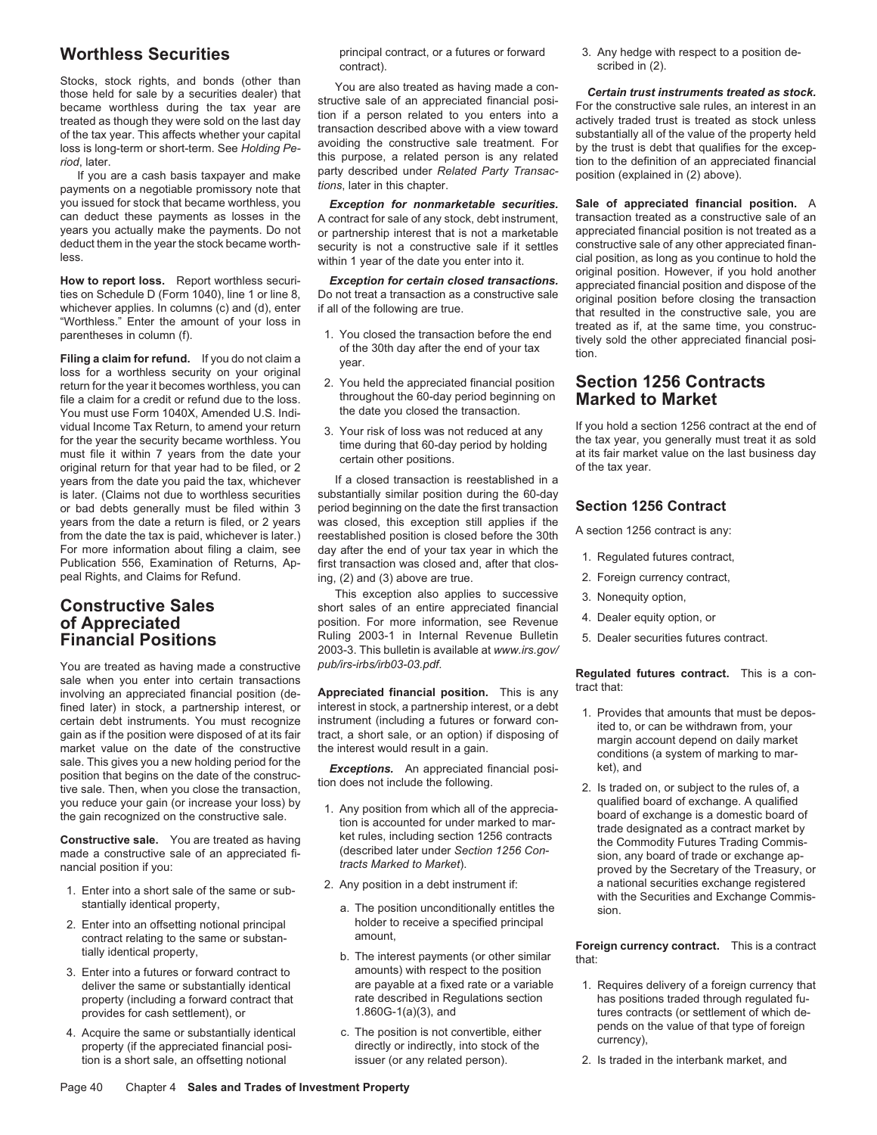you issued for stock that became worthless, you *Exception for nonmarketable securities.* **Sale of appreciated financial position.** A can deduct these payments as losses in the A contract for sale of any stock, debt instrument, transaction treated as a constructive sale of an years you actually make the payments. Do not or partnership interest that is no years you actually make the payments. Do not or partnership interest that is not a marketable appreciated financial position is not treated as a deduct them in the year the stock became worth-<br>deduct them in the year the s deduct them in the year the stock became worth-<br>less constructive sale if it settles

loss for a worthless security on your original<br>return for the year it becomes worthless, you can 2. You held the appreciated financial position **Section 1256 Contracts**<br>file a claim for a credit or refund due to the loss. file a claim for a credit or refund due to the loss. throughout the 60-day period beginning file at the Market<br>You must use Form 1040X, Amended U.S. Indi-You must use Form 1040X, Amended U.S. Individual Income Tax Return, to amend your return 3. Your risk of loss was not reduced at any of the year the security became worthless. You time during that 60-day period by holding the tax year, you generally must treat it years from the date you paid the tax, whichever If a closed transaction is reestablished in a<br>is later. (Claims not due to worthless securities substantially similar position during the 60-day is later. (Claims not due to worthless securities substantially similar position during the 60-day<br>or bad debts generally must be filed within 3 period beginning on the date the first transaction or bad debts generally must be filed within 3 period beginning on the date the first transaction **Section 1256 Contract** years from the date a return is filed, or 2 years was closed, this exception still applies if the<br>from the date the tax is paid, whichever is later.) reestablished position is closed before the 30th A section 1256 contract For more information about filing a claim, see day after the end of your tax year in which the 1. Regulated futures contract, Publication 556, Examination of Returns, Ap- first transaction was closed and, after that clos-<br>

You are treated as having made a constructive  $pub/irs\text{-}irbs/irb03-03.pdf$ .<br>
sale when you enter into certain transactions<br>
involving an appreciated financial position (de-<br>
fined later) in stock, a partnership interest, or inter Fined later) in stock, a partnership interest, or interest in stock, a partnership interest, or a debt<br>
certain debt instruments. You must recognize instrument (including a futures or forward con-<br>
gain as if the position

**Constructive sale.** You are treated as having ket rules, including section 1256 contracts the Commodity Futures Trading Commis-<br>made a constructive sale of an appreciated fi-<br>nade a constructive sale of an appreciated fimade a constructive sale of an appreciated fi-<br>
fracts Marked to Market). The section of the Treasury of the Treasury<br>
noved by the Secretary of the Treasury

- 
- 
- 3. Enter into a futures or forward contract to amounts) with respect to the position deliver the same or substantially identical are payable at a fixed rate or a variable property (including a forward contract that
- 4. Acquire the same or substantially identical and the convertible, either and the same or substantially identical and the property (if the appreciated financial posi-<br>tion is a short sale, an offsetting notional issuer (o tion is a short sale, an offsetting notional

Stocks, stock rights, and bonds (other than<br>those held for sale by a securities dealer) that<br>became worthless during the tax year are<br>transaction of a person related to you enters into a<br>transaction described above with a

- 
- 
- 

peal Rights, and Claims for Refund. ing, (2) and (3) above are true. 2. Foreign currency contract,

**Constructive Sales**<br>
This exception also applies to successive 3. Nonequity option,<br> **of Appreciated** position. For more information, see Revenue 4. Dealer equity option, or<br> **Financial Positions** Ruling 2003-1 in Interna Ruling 2003-1 in Internal Revenue Bulletin 2003-3. This bulletin is available at *www.irs.gov/*

- 
- 
- 2. Enter into an offsetting notional principal<br>contract relating to the same or substan-<br>amount.
	-
	-

**Worthless Securities** principal contract, or a futures or forward 3. Any hedge with respect to a position de-<br>
contract). scribed in (2).

within 1 year of the date you enter into it. cial position, as long as you continue to hold the<br>cial position. However, if you hold another **How to report loss.** Report worthless securi-<br>ties on Schedule D (Form 1040), line 1 or line 8,<br>whichever applies. In columns (c) and (d), enter<br>whichever applies. In columns (c) and (d), enter if all of the following are

- 
- 
- 
- 
- 

- 
- you reduce your gain (or increase your loss) by<br>the gain recognized on the constructive sale.<br>
The sale of the appreciation is accounted for under marked to mar-<br>
Constructive sale You are treated as having the strules, in proved by the Secretary of the Treasury, or 1. Enter into a short sale of the same or sub-<br>stantially identical property, and commis-<br>a. The position unconditionally entitles the securities and Exchange Commis-<br>sion.

# contract relating to the same or substan-<br>
tially identical property, b. The interest payments (or other similar **Foreign currency contract.** This is a contract<br>
Enter into a futures or forward contract to amounts) with re

- deliver the same or substantially identical are payable at a fixed rate or a variable difference of a foreign currency that<br>
property (including a forward contract that and a rate described in Regulations section and a spo provides for cash settlement), or 1.860G-1(a)(3), and tures contracts (or settlement of which de-<br>A surise the easier security intertial intertion of the providence of the providence of that type of foreign
	-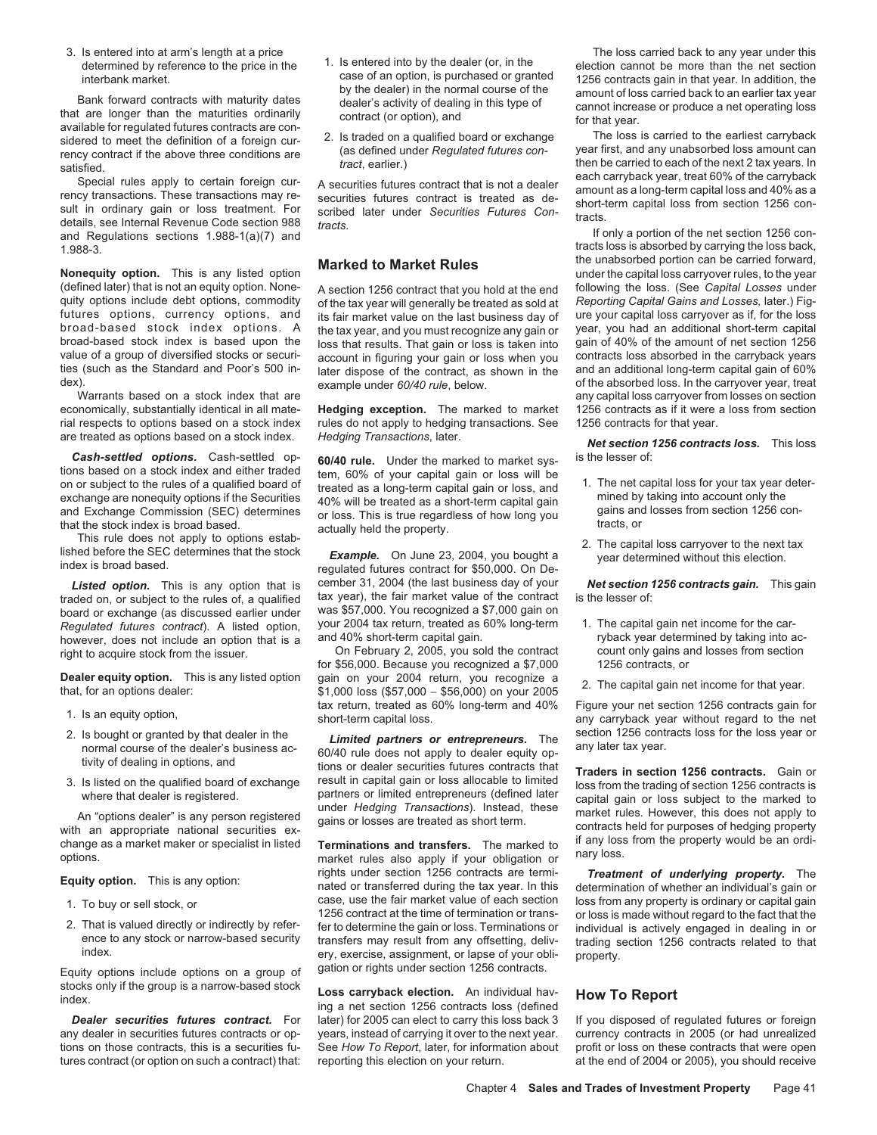interbank market.<br>
Bank forward contracts with maturity dates<br>
that are longer than the maturities ordinarily<br>
state of the dealer's activity of dealing in this type of<br>
that are longer than the maturities ordinarily<br>
avai

Special rules apply to certain foreign cur-<br>
each carryback year, treat 60% of the carryback<br>
rency transactions. These transactions may re-<br>
securities futures contract is treated as de-<br>
sult in ordinary gain or loss tre

**Nonequity option.** This is any listed option (defined later) that is not an equity option. None- A section 1256 contract that you hold at the end following the loss. (See *Capital Losses* under quity options include debt options, commodity of the tax year will generally be treated as sold at *Reporting Capital Gains and Losses*, later.) Fig-<br>futures options, currency options, and its fair market value on the last futures options, currency options, and its fair market value on the last business day of ure your capital loss carryover as if, for the loss<br>broad-based stock index options. A the tax year and you must recognize any gain o broad-based stock index options. A the tax year, and you must recognize any gain or year, you had an additional short-term capital<br>broad-based stock index is based upon the loss that results. That gain or loss is taken int value of a group of diversified stocks or securi-<br>dies (such as the Standard and Poor's 500 in-<br>later dispose of the contract as shown in the and an additional long-term capital gain of 60% ties (such as the Standard and Poor's 500 in-<br>dex).<br>axample under  $60/40$  rule-helow

Warrants based on a stock index that are<br>economically, substantially identical in all mate-<br>Hedging exception. The marked to market 1256 contracts as if it were a loss from section economically, substantially identical in all mate-<br>
rial respects to options based on a stock index<br>
rules do not apply to hedging transactions. See<br>
1256 contracts for that year.

traded on, or subject to the rules of, a qualified tax year), the fair market value of the contract the contract is the less discussed earlier under was \$57,000. You recognized a \$7,000 gain on board or exchange (as discussed earlier under was \$57,000. You recognized a \$7,000 gain on<br>Requilated futures contract). A listed option your 2004 tax return, treated as 60% long-term

- 
- 
- 

change as a market maker or specialist in listed **Terminations and transfers.** The marked to if any loss from the property would be an ordi-<br>options. market rules also apply if your obligation or nary loss.

- 
- 

tures contract (or option on such a contract) that: reporting this election on your return.

- 
- 

rules do not apply to hedging transactions. See 1256 contracts for that year.

**Cash-settled options.** Cash-settled options and either traded tem, 60% of your capital gain or loss will be<br>on or subject to the rules of a qualified board of<br>exchange are nonequity options if the Securities<br>exchange Comm

Listed option. This is any option that is cember 31, 2004 (the last business day of your **Net section 1256 contracts gain.** This gain and aded on, or subject to the rules of, a qualified tax year), the fair market value of

**Dealer equity option.** This is any listed option gain on your 2004 return, you recognize a<br>that, for an options dealer: \$1,000 loss (\$57,000 − \$56,000) on your 2005

normal course or the dealer s business ac-<br>tions or dealer securities futures contracts that<br>3. Is listed on the qualified board of exchange result in capital gain or loss allocable to limited loss from the trading of sect

Equity option. This is any option:<br>
rights under section 1256 contracts are termi-<br>
nated or transferred during the tax year. In this determination of whether an individual's gain or<br>
case, use the fair market value of eac 1. To buy or sell stock, or capital gain<br>1256 contract at the time of termination or trans-<br>1256 contract at the time of termination or trans-<br>1256 contract at the time of termination or trans-<br>1256 contract at the time of <sup>1256</sup> contract at the time of termination or trans-<br>2. That is valued directly or indirectly by refer-<br>ence to any stock or narrow-based security<br>index.<br>index.<br>index.<br>and the time of section any offsetting, deliv-<br>erg, ex Equity options include options on a group of gation or rights under section 1256 contracts.

stocks only if the group is a narrow-based stock **Loss carryback election.** An individual hav- **How To Report** index. ing a net section 1256 contracts loss (defined **Dealer securities futures contract.** For later) for 2005 can elect to carry this loss back 3 If you disposed of regulated futures or foreign any dealer in securities futures contracts or op- years, instead of carrying it over to the next year. currency contracts in 2005 (or had unrealized

3. Is entered into at arm's length at a price The loss carried back to any year under this determined by reference to the price in the  $\frac{1}{1}$ . Is entered into by the dealer (or, in the election cannot be more than the

**Marked to Market Rules** the unabsorbed portion can be carried forward,<br>under the capital loss carryover rules, to the year x). example under 60/40 rule, below. of the absorbed loss. In the carryover year, treat that are treat streat treat<br>Warrants based on a stock index that are that are the absorbed loss carryover from losses on section

are treated as options based on a stock index. *Hedging Transactions*, later.<br>**Cash-settled options.** Cash-settled op-<br>**Cash-settled options.** Cash-settled op-<br>**Gash-settled options.** Cash-settled op-

- 
- 

- Regulated futures contract). A listed option, your 2004 tax return, treated as 60% long-term 1. The capital gain net income for the car-<br>however, does not include an option that is a and 40% short-term capital gain. The ca
	-

tax return, treated as 60% long-term and 40% Figure your net section 1256 contracts gain for<br>short-term capital loss. any carryback year without regard to the net 2. Is bought or granted by that dealer in the *Limited partners or entrepreneurs.* The section 1256 contracts loss for the loss year or normal course of the dealer's business ac-<br>
60/40 rule does not apply to dealer equi

3. Is listed on the qualified board of exchange result in capital gain or loss allocable to limited<br>where that dealer is registered.<br>An "options dealer" is any person registered gains or losses are treated as short term.<br>A

tions on those contracts, this is a securities fu-<br>tures contract (or option on such a contract) that: reporting this election on your return. about profit or loss on these contracts that were open<br>at the end of 2004 or 20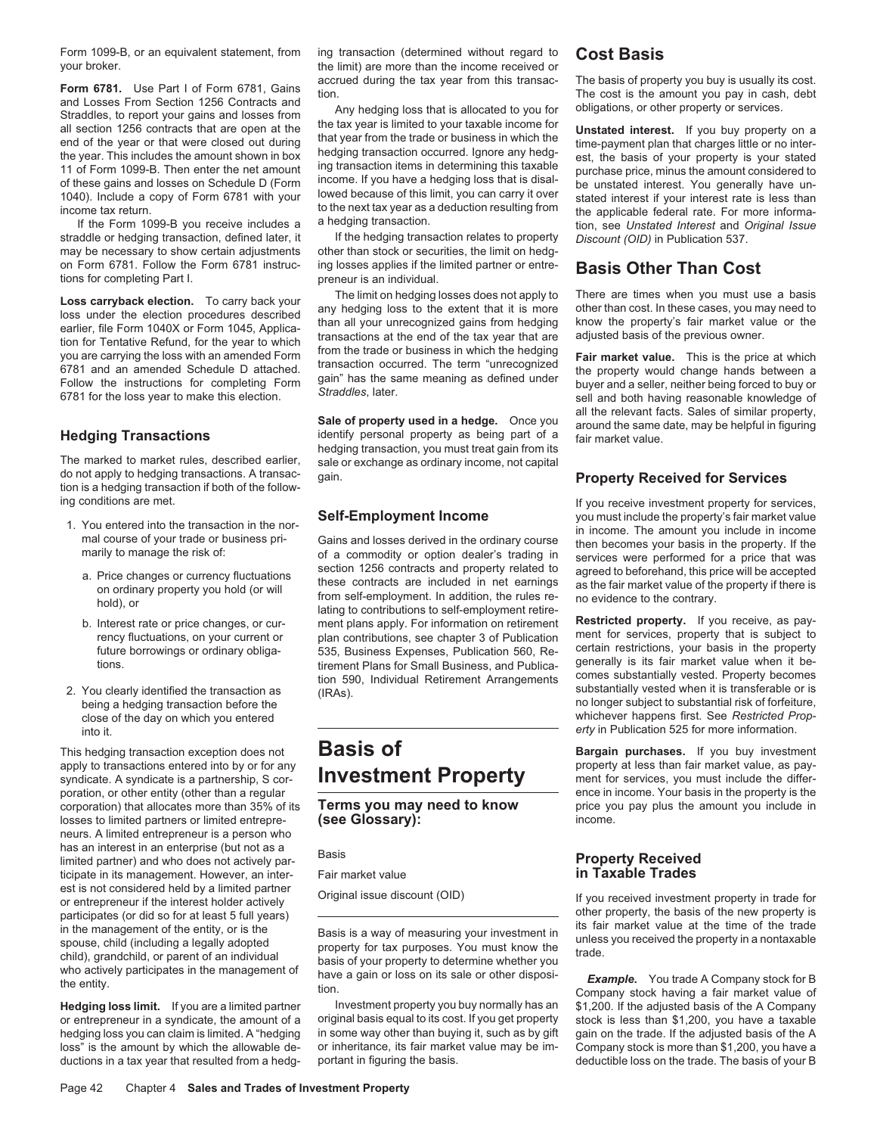Form 1099-B, or an equivalent statement, from ing transaction (determined without regard to **Cost Basis**

Form 6781. Use Part I of Form 6781, Gains<br>and Losses From Section 1256 Contracts and<br>Straddles, to report your gains and losses from a the tax year is limited to you for<br>Straddles, to report your gains and losses from<br>all

straddle or hedging transaction, defined later, it If the hedging transaction relates to property *Discount (OID)* in Publication 537.<br>may be necessary to show certain adiustments other than stock or securities, the limit may be necessary to show certain adjustments on Form 6781. Follow the Form 6781 instruc- ing losses applies if the limited partner or entre- **Basis Other Than Cost** tions for completing Part I.

The marked to market rules, described earlier, sale or exchange as ordinary income, not capital do not apply to hedging transactions. A transac- gain. do not apply to hedging transactions. A transac- gain. **Property Received for Services** tion is a hedging transaction if both of the follow-

- -
	-
- 2. You clearly identified the transaction as (IRAs).<br>being a hedging transaction before the close of the day on which you entered **erty** in Publication 525 for more information.

poration, or other entity (other than a regular ence in the proporation) that allocates more than 35% of its **Terms you may need to know** losses to limited partners or limited entrepre- **(see Glossary):** income. neurs. A limited entrepreneur is a person who has an interest in an enterprise (but not as a Basis limited partner) and who does not actively par-<br> **Property Received**<br>
in Taxable Trades<br>
in Taxable Trades ticipate in its management. However, an inter-<br>
Fair market value est is not considered held by a limited partner<br>or entrepreneur if the interest holder actively<br>participates (or did so for at least 5 full years)<br>in the management of the entity, or is the<br>spouse, child (including a legal

hedging loss you can claim is limited. A "hedging in some way other than buying it, such as by gift ductions in a tax year that resulted from a hedg- portant in figuring the basis. Moreover, and an deductible loss on the trade. The basis of your B

the limit) are more than the income received or

**Loss carryback election.** To carry back your<br>
loss under the election procedures described<br>
earlier, file Form 1040X or Form 1045, Applica-<br>
tion for Tentative Refund, for the year to which<br>
you are carrying the loss with

hedging transaction, you must treat gain from its

a. Price changes or currency fluctuations section 1256 contracts and property related to agreed to beforehand, this price will be accepted<br>on ordinary property you hold (or will<br>hold), or lating to contributions to self-em b. Interest rate or price changes, or cur-<br>
ment plans apply. For information on retirement **Restricted property.** If you receive, as pay-<br>
rency fluctuations on your current or plan contributions see chanter 3 of Publicat rency fluctuations, on your current or explan contributions, see chapter 3 of Publication eneral for services, property that is subject to refund to property that is subject to property that is subject to property that is future borrowings or ordinary obliga-<br>tions.<br>tirement Plans for Small Business, and Publica-<br>tion 590, Individual Retirement Arrangements<br>understanding vested. Property becomes<br>substantially vested. Property becomes<br>substa

# This hedging transaction exception does not **Basis of Bargain Bargain purchases.** If you buy investment apply to transactions entered into by or for any

**Hedging loss limit.** If you are a limited partner Investment property you buy normally has an \$1,200. If the adjusted basis of the A Company or entrepreneur in a syndicate, the amount of a original basis equal to its cost. If you get property stock is less than \$1,200, you have a taxable hedging loss you can claim is limited. A "hedging in some way other than b loss" is the amount by which the allowable de- or inheritance, its fair market value may be im- Company stock is more than \$1,200, you have a

1040). Include a copy of Form 6781 with your lowed because of this limit, you can carry it over<br>income tax return.<br>If the Form 1099-B you receive includes a a hedging transaction.<br>If the Form 1099-B you receive includes a

all the relevant facts. Sales of similar property,<br>**Sale of property used in a hedge.** Once you around the same date, may be helpful in figuring<br>identify personal property as being part of a fair market value

ing conditions are met.<br>**Self-Employment Income** The Comment of You receive investment property's fair market value 1. You entered into the transaction in the nor-<br>
mal course of your trade or business pri-<br>
mal course of your trade or business pri-<br>
marily to manage the risk of:<br>
marily to manage the risk of:<br>
of a commodity or option

no longer subject to substantial risk of forfeiture,<br>whichever happens first. See Restricted Prop-

property at less than fair market value, as pay-<br>ment for services, you must include the differsyndicate. A syndicate is a partnership, S cor-<br>poration, or other entity (other than a regular<br>the syndicate of services, you must include the differ-<br>ence in income. Your basis in the property is the corporation) that allocates more than 35% of its **Terms you may need to know** price you pay plus the amount you include in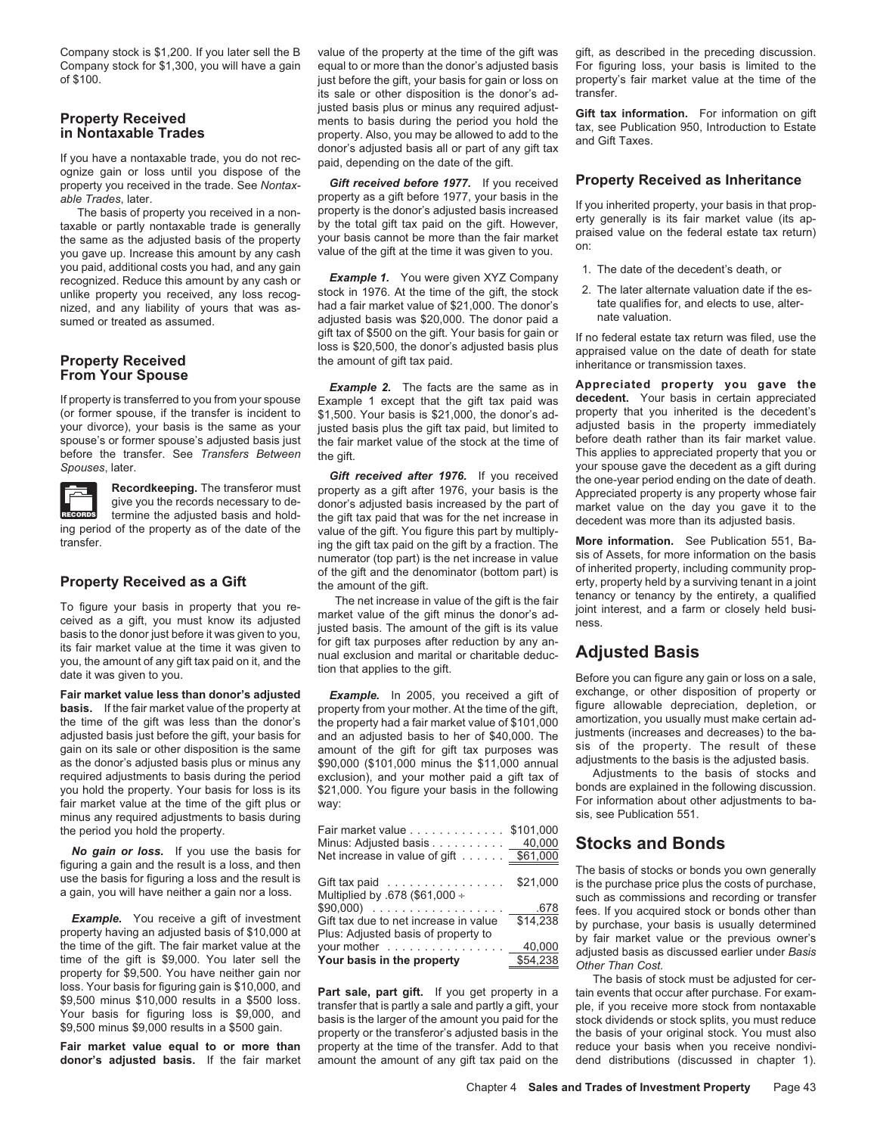Company stock for \$1,300, you will have a gain equal to or more than the donor's adjusted basis For figuring loss, your basis is limited to the of \$100. **just before the gift, your basis for gain or loss on** property's fair market value at the time of the

*Gift received before 1977.* If you received **Property Received as Inheritance** property you received in the trade. See *Nontax- Gift received before 1977.* If you received **Property Received as Inheritance** property a

you paid, additional costs you had, and any gain<br>recognized. Reduce this amount by any cash or **Example 1.** You were given XYZ Company 1. The date of the decedent's death, or recognized. Reduce this amount by any cash or *Example 1.* You were given XYZ Company stock in the time stock in 1976. At the time of the gift, the stock 2. The later alternate valuation date if the es-<br>nized, and any liability of yours that was as- had a fair market value of \$21,000. The donor's tate quali had a fair market value of \$21,000. The donor's tate qualifies for use, and any liability of yours that was as-<br>adjusted basis was \$20,000. The donor paid a solid and valuation.

## **From Your Spouse**

(or former spouse, if the transfer is incident to \$1,500. Your basis is \$21,000, the donor's ad- property that you inherited is the decedent's your divorce), your basis is the same as your justed basis in the property imme spouse's or former spouse's adjusted basis just the fair market value of the stock at the time of before death rather than its fair market value.<br>before the transfer. See *Transfers Between* the oift the time of the stock before the transfer. See *Transfers Between* the gift.<br>Spouses, later. your spouse gave the decedent as a gift during



**basis.** If the fair market value of the property at property from your mother. At the time of the gift, figure allowable depreciation, depletion, or the time of the gift was less than the donor's the property had a fair m adjusted basis just before the gift, your basis for and an adjusted basis to her of \$40,000. The Justments (increases and decreases) to the ba-<br>gain on its sale or other disposition is the same amount of the gift for gift gain on its sale or other disposition is the same amount of the gift for gift tax purposes was sis of the property. The result of these<br>as the donor's adjusted basis plus or minus any \$90,000 (\$101,000 minus the \$11,000 ap as the donor's adjusted basis plus or minus any \$90,000 (\$101,000 minus the \$11,000 annual adjustments to the basis is the adjusted basis.<br>required adjustments to basis during the period exclusion), and your mother paid a required adjustments to basis during the period exclusion), and your mother paid a gift tax of Adjustments to the basis of stocks and<br>Vou hold the property Your basis for loss is its \$21,000. You figure your basis in the f you hold the property. Your basis for loss is its \$21,000. You figure your basis in the following bonds are explained in the following discussion.<br>For information about other adjustments to ba-<br>For information about other fair market value at the time of the gift plus or way: the state of the gift plus or way:<br>Thinks any required adjustments to basis during minus any required adjustments to basis during the period you hold the property.

**donor's adjusted basis.** If the fair market amount the amount of any gift tax paid on the dend distributions (discussed in chapter 1).

Company stock is \$1,200. If you later sell the B value of the property at the time of the gift was gift, as described in the preceding discussion. its sale or other disposition is the donor's ad- transfer. **Property Received** in **Nontaxable Trades** is plus or minus any required adjust-<br> **in Nontaxable Trades** property. Also, you may be allowed to add to the property and Gift Taxes.<br>
If you have a nontaxable trade, you do not

able Trades, later. property you received in a non-<br>The basis of property you received in a non-<br>taxable or partly nontaxable trade is generally by the total gift tax paid on the gift. However,<br>the same as the adjusted bas

adjusted basis was \$20,000. The donor paid a nature of treated as assumed.<br>gift tax of \$500 on the gift. Your basis for gain or

If property is transferred to you from your spouse Example 1 except that the gift tax paid was **decedent.** Your basis in certain appreciated justed basis plus the gift tax paid, but limited to adjusted basis in the property immediately the fair market value.

Spouses, later.<br> **Example 1976.** If you received after 1976. If you received the one-year period ending on the date of death.<br>
The transferor must<br>
give you the records necessary to de-<br>
termine the adjusted basis and hold

| the period you hold the property.                                                                                                                                                                                                                           | Fair market value<br>\$101,000                                                                                                                                                                                       |                                                                                                                                                                                                                                                           |
|-------------------------------------------------------------------------------------------------------------------------------------------------------------------------------------------------------------------------------------------------------------|----------------------------------------------------------------------------------------------------------------------------------------------------------------------------------------------------------------------|-----------------------------------------------------------------------------------------------------------------------------------------------------------------------------------------------------------------------------------------------------------|
| No gain or loss. If you use the basis for                                                                                                                                                                                                                   | Minus: Adjusted basis 40,000<br>Net increase in value of gift \$61,000                                                                                                                                               | <b>Stocks and Bonds</b>                                                                                                                                                                                                                                   |
| figuring a gain and the result is a loss, and then<br>use the basis for figuring a loss and the result is<br>a gain, you will have neither a gain nor a loss.                                                                                               | \$21,000<br>Gift tax paid<br>Multiplied by .678 (\$61,000 $\div$<br>$$90,000$<br>.678                                                                                                                                | The basis of stocks or bonds you own generally<br>is the purchase price plus the costs of purchase.<br>such as commissions and recording or transfer                                                                                                      |
| <b>Example.</b> You receive a gift of investment<br>property having an adjusted basis of \$10,000 at<br>the time of the gift. The fair market value at the<br>time of the gift is \$9,000. You later sell the                                               | Gift tax due to net increase in value<br>\$14,238<br>Plus: Adjusted basis of property to<br>40,000<br>vour mother<br>\$54,238<br>Your basis in the property                                                          | fees. If you acquired stock or bonds other than<br>by purchase, your basis is usually determined<br>by fair market value or the previous owner's<br>adjusted basis as discussed earlier under Basis<br>Other Than Cost.                                   |
| property for \$9,500. You have neither gain nor<br>loss. Your basis for figuring gain is \$10,000, and<br>\$9,500 minus \$10,000 results in a \$500 loss.<br>Your basis for figuring loss is \$9,000, and<br>\$9,500 minus \$9,000 results in a \$500 gain. | Part sale, part gift. If you get property in a<br>transfer that is partly a sale and partly a gift, your<br>basis is the larger of the amount you paid for the<br>property or the transferor's adjusted basis in the | The basis of stock must be adjusted for cer-<br>tain events that occur after purchase. For exam-<br>ple, if you receive more stock from nontaxable<br>stock dividends or stock splits, you must reduce<br>the basis of your original stock. You must also |

Fair market value equal to or more than property at the time of the transfer. Add to that reduce your basis when you receive nondivi-

- 
- 

gift tax of \$500 on the gift. Your basis for gain or the property Received state the state to the state to the date of the amount of gift tax paid.<br>Intertional state of death for state the amount of gift tax paid. The stat

**Example 2.** The facts are the same as in **Appreciated property you gave the** cample 1 expected the out-

**Exerced as a Gift** transfer. The station of the gift tax paid on the gift by a fraction. The **More information.** See Publication 551, Bandment (top part) is the net increase in value sis of Assets, for more information on

**Fair market value less than donor's adjusted** *Example.* In 2005, you received a gift of exchange, or other disposition of property or **basis.** If the fair market value of the property are property from your mother. At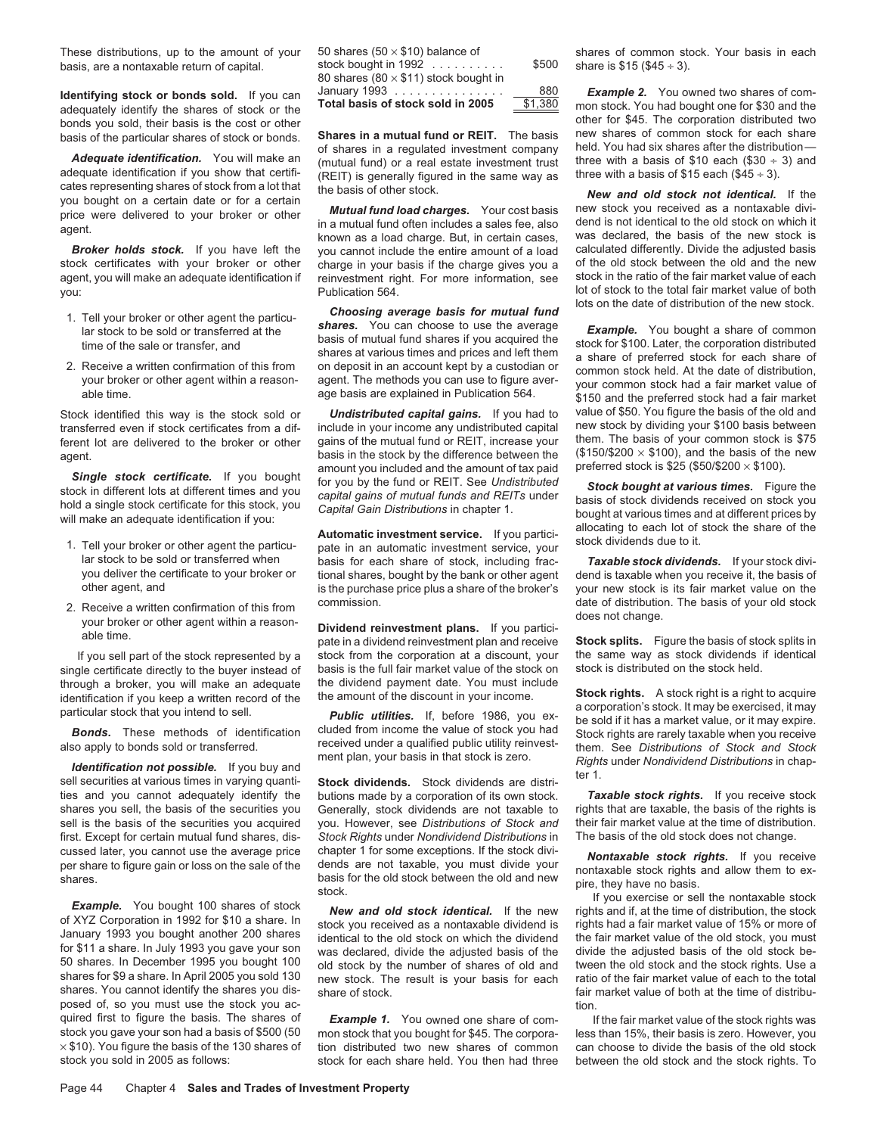basis, are a nontaxable return of capital. stock bought in 1992  $\ldots$ ........ \$500 share is \$15 (\$45 ÷ 3).

January 1993 . . . . . . . . . . . . . . . 880 *Example 2.* You owned two shares of com- **Identifying stock or bonds sold.** If you can **Total basis of stock sold in 2005** \$1,380 mon stock. You had bought one for \$30 and the adequately identify the shares of stock or the other for \$45. The corporation distributed two bonds you sold, their basis is the cost or other

adequate identification if you show that certifi-<br>cates representing shares of stock from a lot that<br>you bought on a certain date or for a certain<br>price were delivered to your broker or other<br>in a mutual fund load charges.

- 
- 

- 
- 2. Receive a written confirmation of this from commission. and the date of distribution. The basis of your old stock<br>your broker or other agent within a reason-<br>pate in a dividend reinvestment plan and receive **Stock split**

through a broker, you will make an adequate the dividend payment date. You must inclusion if you keep a written record of the the amount of the discount in your income.

**dentification not possible.** If you buy and<br>sell securities at various times in varying quanti-<br>sell securities at various times in varying quanti-<br>sell securities and you cannot adequately identify the butions made by a ties and you cannot adequately identify the first. Except for certain mutual fund shares, dis-<br>
cussed later, you cannot use the average price 
chapter 1 for some exceptions. If the stock divi-

shares. You cannot identify the shares you dis-<br>
posed of, so you must use the stock you ac-<br>
fair market value of both at the time of distribu-<br>
fair market value of both at the time of distribu-<br>
fion. posed of, so you must use the stock you acquired first to figure the basis. The shares of quired first to figure the basis. The shares of **Example 1.** You owned one share of com-<br>stock you gave your son had a basis of \$500 (50 mon stock that you bought for \$45. The corpora- less than 15%, their basis is zero. H stock you gave your son had a basis of \$500 (50 mon stock that you bought for \$45. The corpora-  $\times$  \$10). You figure the basis of the 130 shares of tion distributed two new shares of common

| 50 shares (50 $\times$ \$10) balance of      |        |
|----------------------------------------------|--------|
| stock bought in $1992$                       | \$50   |
| 80 shares (80 $\times$ \$11) stock bought in |        |
| January 1993                                 | 88     |
| Total basis of stock sold in 2005            | \$1,38 |
|                                              |        |

of shares in a regulated investment company held. You had six shares after the distribution—<br>(mutual fund) or a real estate investment trust three with a basis of \$10 each (\$30 ÷ 3) and *Adequate identification.* You will make an *mutual fund)* or a real estate investment trust three with a basis of \$10 each (\$30 ÷ 3).<br>adequate identification if you show that certifi- (RFIT) is generally figured in the sa

**Broker holds stock.** If you have left the you cannot include the entire amount of a load calculated differently. Divide the adjusted basis stock certificates with your broker or other charge in your basis if the charge gi charge in your basis if the charge gives you a cof the old stock between the old and the new<br>reinvestment right. For more information, see stock in the ratio of the fair market value of each agent, you will make an adequate identification if reinvestment right. For more information, see

1. Tell your broker or other agent the particu-<br>
lat stock to be sold or transferred at the<br>
time of the sale or transferred at the<br>
time of the sale or transferred at the<br>
time of the sale or transferred at the<br>
time of

transferred even if stock certificates from a dif-<br>ferent lot are delivered to the broker or other critical new transfersion of the mutual fund or RFIT, increase your them. The basis of your common stock is \$75 ferent lot are delivered to the broker or other gains of the mutual fund or REIT, increase your them. The basis of your common stock is \$75<br>basis in the stock by the difference between the (\$150/\$200 x \$100), and the basis basis in the stock by the difference between the (\$150/\$200 × \$100), and the basis of the<br>amount you included and the amount of tax paid preferred stock is \$25 (\$50/\$200 × \$100). amount you included and the amount of tax paid

lar stock to be sold or transferred when basis for each share of stock, including frac-<br>you deliver the certificate to your broker or tional shares, bought by the bank or other agent dend is taxable when you receive it, th you deliver the certificate to your broker or tional shares, bought by the bank or other agent dend is taxable when you receive it, the basis of your new stock is its fair market value on the purchase price plus a share of is the purchase price plus a share of the broker's your new stock is its fair market value on the commission.<br>date of distribution. The basis of your old stock

If you sell part of the stock represented by a stock from the corporation at a discount, your the same way as stock dividends if identical If identical If identical If identical If identical part of the stock represented b single certificate directly to the buyer instead of basis is the full fair market value of the stock on through a broker, you will make an adequate the dividend payment date. You must include

shares you sell, the basis of the securities you Generally, stock dividends are not taxable to rights that are taxable, the basis of the rights is sell is the basis of the securities you acquired you. However, see *Distributions of Stock and* their fair market value at the time of distribution.<br>first. Except for certain mutual fund shares, dis-<br>Stock Rights under Non

 $\times$  \$10). You figure the basis of the 130 shares of tion distributed two new shares of common can choose to divide the basis of the old stock stock ou sold in 2005 as follows:<br>stock for each share held. You then had thre stock for each share held. You then had three between the old stock and the stock rights. To

These distributions, up to the amount of your 50 shares (50  $\times$  \$10) balance of shares of common stock. Your basis in each shares are a nontaxable return of capital stock bought in 1992 ......... \$500 share is \$15 (\$45 ÷

bonds you sold, their basis is the cost or other<br>basis of the particular shares of stock or bonds.<br>
of shares in a regulated investment company held. You had six shares after the distribution—

you:<br>
Publication 564. Publication 564. In the total fair market value of both points on the total fair market value of both<br>
lots on the date of distribution of the new stock.

Stock identified this way is the stock sold or **Undistributed capital gains.** If you had to value of \$50. You figure the basis of the old and transferred even if stock certificates from a dif- include in your income any un

**Single stock certificate.** If you bought for you by the fund or REIT. See Undistributed<br>stock bought at various times. Figure the<br>hold a single stock certificate for this stock, you capital gains of mutual funds and REITs

a corporation if you keep a written record of the the amount of the discount in your income.<br>
a corporation's stock rights. A stock right is a right to acquire<br>
particular stock that you intend to sell.<br> **Public utilities. Bonds.** These methods of identification cluded from income the value of stock you had<br>received under a qualified public utility reinvest-<br>ment plan, your basis in that stock is zero. Pictots under Nondividend Distribution

cussed later, you cannot use the average price<br>per share to figure gain or loss on the sale of the dends are not taxable, you must divide your<br>basis for the old stock between the old and new<br>shares.<br>Example. You bought 100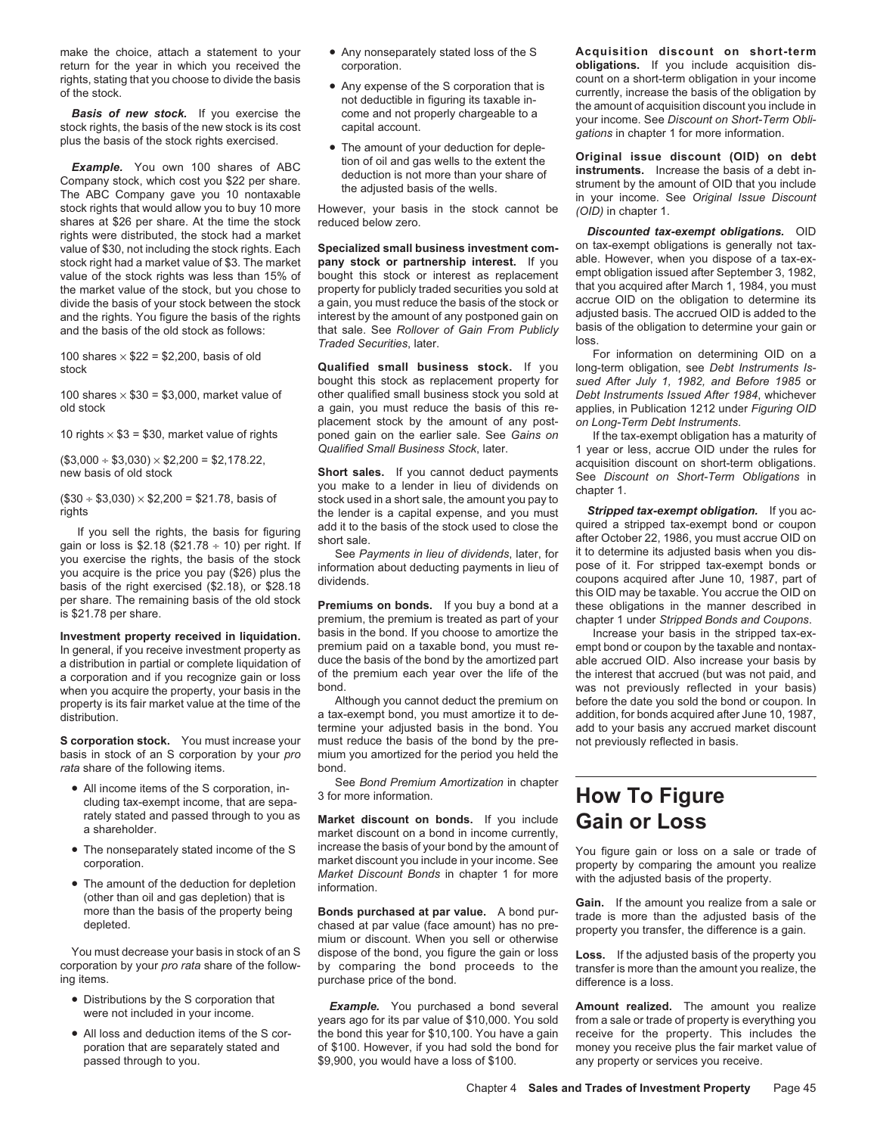rights, stating that you choose to divide the basis<br>of the stock.<br> **Basis of new stock**. If you exercise the<br>
stock rights, the basis of the Score and not properly chargeable in-<br>
stock rights, the basis of the stock is it shares at \$26 per share. At the time the stock reduced below zero.<br>
rights were distributed, the stock had a market **Specialized small business investment com-** On tax-exempt obligations is generally not tax-<br>
value of \$30

100 shares  $\times$  \$22 = \$2,200, basis of old **Qualified small business stock**. If you

a corporation and if you recognize gain or loss of the premium each year over the life of the the interest that accrued (but was not paid, and when you acquire the property your basis) when you acquire the property, your basis in the bond.<br>property is its fair market value at the time of the Although you cannot deduct the premium on before the date you sold the bond or coupon. In

*rata* share of the following items. **bond**.

- rately stated and passed through to you as a shareholder.
- 
- 

- 
- 
- 
- 
- 

value of \$30, not including the stock rights. Each **Specialized small business investment com-** on tax-exempt obligations is generally not tax-<br>stock right had a market value of \$3. The market **pany stock or partnership in** stock right had a market value of \$3. The market **pany stock or partnership interest.** If you able. However, when you dispose of a tax-ex-<br>value of the stock rights was less than 15% of pought this stock or interest as rep value of the stock rights was less than 15% of bought this stock or interest as replacement empt obligation issued after September 3, 1982, value of the stock but you chose to property for publicly traded securities you so the market value of the stock, but you chose to property for publicly traded securities you sold at that you acquired after March 1, 1984, you must reduce the basis of the stock or accrue OID on the obligation to determine divide the basis of your stock between the stock a gain, you must reduce the basis of the stock or accrue OID on the obligation to determine its divide the pass of the stock a gain, you must reduce the basis of the stock b and the rights. You figure the basis of the rights interest by the amount of any postponed gain on adjusted basis. I he accrued OID is added to the and the basis of the old stock as follows: that sale. See Rollover of Gain

stock **Qualified small business stock**. If you long-term obligation, see *Debt Instruments Is-*<br>bought this stock as replacement property for *sued After July 1, 1982, and Before 1985* or 100 shares × \$30 = \$3,000, market value of other qualified small business stock you sold at *Debt Instruments Issued After 1984*, whichever a gain, you must reduce the basis of this replacement stock by the amount of any post- on Long-Term Debt Instruments.<br>poned gain on the earlier sale. See Gains on fif the tax-exempt obligation has a maturity of 10 rights  $\times$  \$3 = \$30, market value of rights poned gain on the earlier sale. See *Gains on* 

new basis of old stock<br>you make to a lender in lieu of dividends on chapter 1.<br>(\$30 ÷ \$3,030) × \$2,200 = \$21.78, basis of stock used in a short sale, the amount you pay to<br>the lender is a capital expense, and you must **St** the lender is a capital expense, and you must<br>add it to the basis of the stock used to close the quired a stripped tax-exempt bond or coupon

Investment property received in liquidation. basis in the bond. If you choose to amortize the Increase your basis in the stripped tax-ex-<br>In general, if you receive investment property as premium paid on a taxable bond, yo a distribution in partial or complete liquidation of duce the basis of the bond by the amortized part able accrued OID. Also increase your basis by<br>a corporation and if you recognize gain or loss of the premium each year o

property is its fair market value at the time of the Although you cannot deduct the premium on before the date you sold the bond or coupon. In<br>A tax-exempt bond, you must amortize it to de- addition, for bonds acquired aft distribution. **a** tax-exempt bond, you must amortize it to de-<br>distribution. **a** termine your adjusted basis in the bond. You add to your basis any accrued market discount termine your adjusted basis in the bond. You **S corporation stock.** You must increase your must reduce the basis of the bond by the pre- not previously reflected in basis. basis in stock of an S corporation by your *pro* mium you amortized for the period you held the mium you amortized for the period you held the

• All income items of the S corporation, in-<br>
<sup>See *Bond Premium Amortization* in chapter<br>
cluding tax-exempt income, that are sepa-<br>
<sup>3</sup> for more information.</sup>

**Market discount on bonds.** If you include **Gain or Loss** market discount on a bond in income currently, • The nonseparately stated income of the S increase the basis of your bond by the amount of You figure gain or loss on a sale or trade of market discount you include in your income. See property by comparing the amount you corporation. Market discount you include in your income. See property by comparing the amount you realize<br>• The amount of the deduction for depletion *Market Discount Bonds* in chapter 1 for more with the adjusted basis of

(other than oil and gas depletion) that is<br>more than the basis of the property being **Bonds purchased at par value.** A bond pur-<br>depleted. chased at par value (face amount) has no pre-<br>mium or discount. When you sell or ot You must decrease your basis in stock of an S dispose of the bond, you figure the gain or loss **Loss.** If the adjusted basis of the property you corporation by your *pro rata* share of the follow- by comparing the bond pro corporation by your *pro rata* share of the follow-<br>ing items.<br>
purchase price of the bond.<br>
difference is a loss purchase price of the bond.  $\frac{1}{2}$  difference is a loss.

• Distributions by the S corporation that **Example.** You purchased a bond several **Amount realized.** The amount you realize<br>were not included in your income. years ago for its par value of \$10,000. You sold from a sale or • All loss and deduction items of the S cor-<br>poration that are separately stated and of \$100. However, if you had sold the bond for money you receive plus the fair market value of of \$100. However, if you had sold the bond for passed through to you. **\$9,900, you would have a loss of \$100.** any property or services you receive.

make the choice, attach a statement to your • Any nonseparately stated loss of the S **Acquisition discount on short-term**<br>
return for the year in which you received the corporation. return for the year in which you received the corporation. **obligations.** If you include acquisition dis-<br>rights, stating that you choose to divide the basis

*Traded Securities*, later. Traded Securities, later.<br>For information on determining OID on a sued After July 1, 1982, and Before 1985 or<br>Debt Instruments Issued After 1984, whichever

 $\text{($3,000 ÷ $3,030} \times $2,200 = $2,178.22,$ <br>
Gualified Small Business Stock, later. The presence of less, accrue OID under the rules for<br> **Short sales.** If you cannot deduct payments See Discount on Short-term Obligations in

If you sell the rights, the basis for figuring<br>gain or loss is \$2.18 (\$21.78 + 10) per right. If<br>you exercise the rights, the basis of the stock<br>you exercise the rights, the basis of the stock<br>you acquire is the price you

# **How To Figure**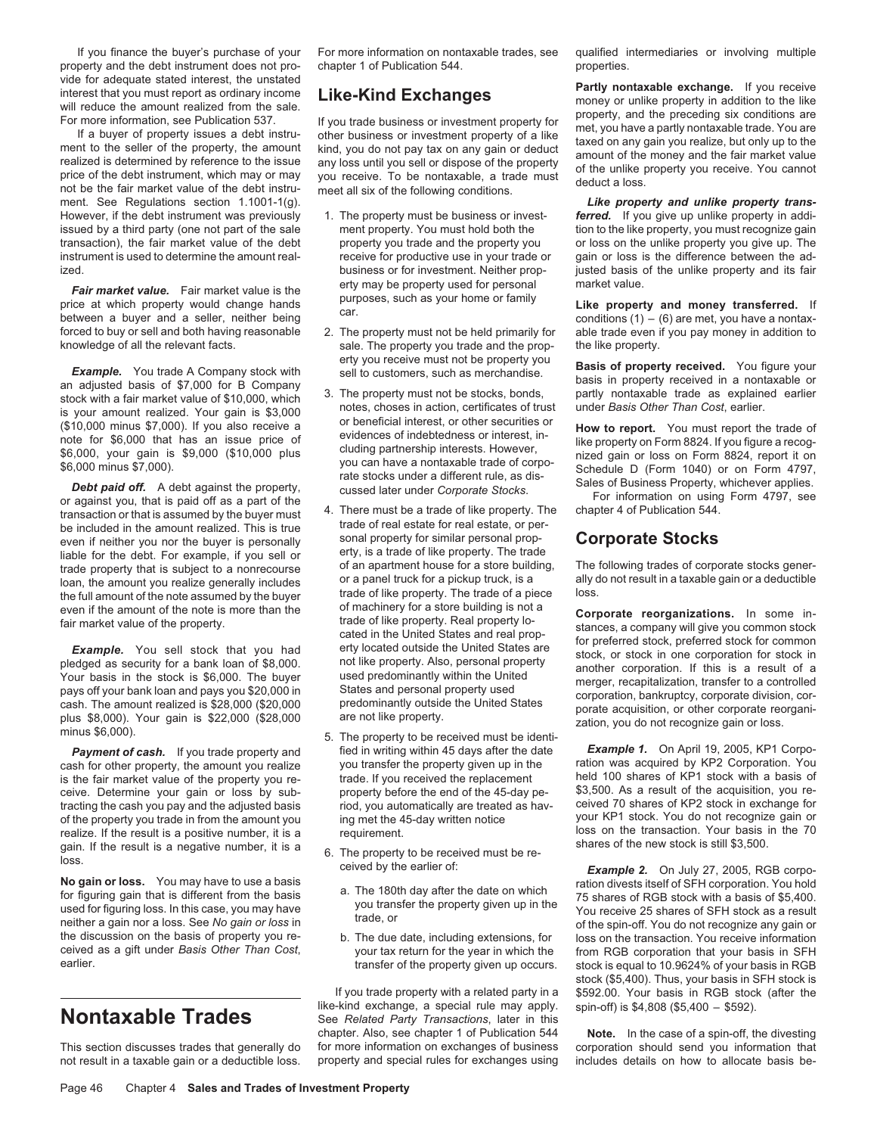property and the debt instrument does not pro- chapter 1 of Publication 544. properties.

ment. See Regulations section 1.1001-1(g). **Like property and unlike property trans-**However, if the debt instrument was previously 1. The property must be business or invest-<br> **Figure 1.** If you give up unlike property in addiissued by a third party (one not part of the sale ment property. You must hold both the tion to the like property, you must recognize gain<br>transaction), the fair market value of the debt property you trade and the property transaction), the fair market value of the debt property you trade and the property you or loss on the unlike property you give up. The instrument is used to determine the amount real-<br>
receive for productive use in your trade or gain or loss is the difference between the adized. business or for investment. Neither prop- justed basis of the unlike property and its fair

**Fair market value.** Fair market value is the erty may be property used for personal market value.<br>price at which property would change hands purposes, such as your home or family **Like property and money transferred.** If<br> forced to buy or sell and both having reasonable 2. The property must not be held primarily for able trade even if you pay money in addition to knowledge of all the relevant facts. <br>
sale. The property you trade and the pr

Example. You trade A Company stock with<br>an adjusted basis of \$7,000 for B Company<br>and all the customers, such as merchandise.<br>stock with a fair market value of \$10,000 (which a market value of \$10,000, which<br>is your amount

even if neither you nor the buyer is personally<br>liable for the debt. For example, if you sell or<br>trade property that is subject to a nonrecourse of an apartment house for a store building,<br>loan, the amount you realize gene

cash for other property, the amount you realize you transfer the property given up in the ration was acquired by KP2 Corporation. You<br>is the fair market value of the property you re-<br>frade. If you received the replacement is the fair market value of the property you re-<br>
ceive Determine your gain or loss by sub-<br>
property before the end of the 45-day pe-<br>
\$3,500. As a result of the acquisition, you receive. Determine your gain or loss by sub-<br>tracting the cash you pay and the adjusted basis riod, you automatically are treated as hav-<br>of the property you trade in from the amount you in met the 45-day written notice your of the property you trade in from the amount you ing met the 45-day written notice your KP1 stock. You do not recognize gain or<br>
require in the property is a positive number it is a requirement. realize. If the result is a positive number, it is a requirement.<br>
realize is a record of the new stock is still \$3,500. gain. If the result is a negative number, it is a  $\phantom{00}6.$  The property to be received must be re- shares of the new stock is still \$3,500.<br>ceived by the earlier of: **Example 2.** On July 27, 2005, RGB corpo-

**No gain or loss.** You may have to use a basis<br>for figuring gain that is different from the basis a. The 180th day after the date on which<br>used for figuring loss. In this case, you may have you transfer the property given the discussion on the basis of property you re-<br>
b. The due date, including extensions, for loss on the transaction. You receive information<br>
ceived as a gift under Basis Other Than Cost,<br>
your tax return for the year in w

not result in a taxable gain or a deductible loss. property and special rules for exchanges using includes details on how to allocate basis be-

If you finance the buyer's purchase of your For more information on nontaxable trades, see qualified intermediaries or involving multiple

- 
- sale. The property you trade and the prop- the like property.<br>  $\frac{1}{2}$  erty you receive must not be property you
- 
- 
- 
- -
	-

**Nontaxable Trades** See *Related Party Transactions*, later in this spin-on) is \$4,808 (\$5,400 – \$592).<br>Chapter. Also, see chapter 1 of Publication 544 Note. In the case of a spin-off, the divesting chapter. Also, see chapter 1 of Publication 544 This section discusses trades that generally do for more information on exchanges of business corporation should send you information that

will reduce the amount report as ordinary income<br>For more information, see Publication 537.<br>For more information, see Publication 537.<br>The business or investment property of a like property, and the preceding six condition

even if the amount of the note is more than the<br>
fair market value of the property.<br>
fair market value of the property.<br> **Example.** You sell stock that you had<br>
pledged as security for a bank loan of \$8,000.<br> **Example.** Yo

**Payment of cash.** If you trade property and fied in writing within 45 days after the date **Example 1.** On April 19, 2005, KP1 Corpo-<br>Ish for other property, the amount you realize you transfer the property given up in the

ceived as a gift under *Basis Other Than Cost*, your tax return for the year in which the from RGB corporation that your basis in SFH stock is equal to 10.9624% of your basis in RGB stock (\$5,400). Thus, your basis in SFH stock is If you trade property with a related party in a  $$592.00$ . Your basis in RGB stock (after the like-kind exchange, a special rule may apply. spin-off) is \$4,808 (\$5,400 - \$592).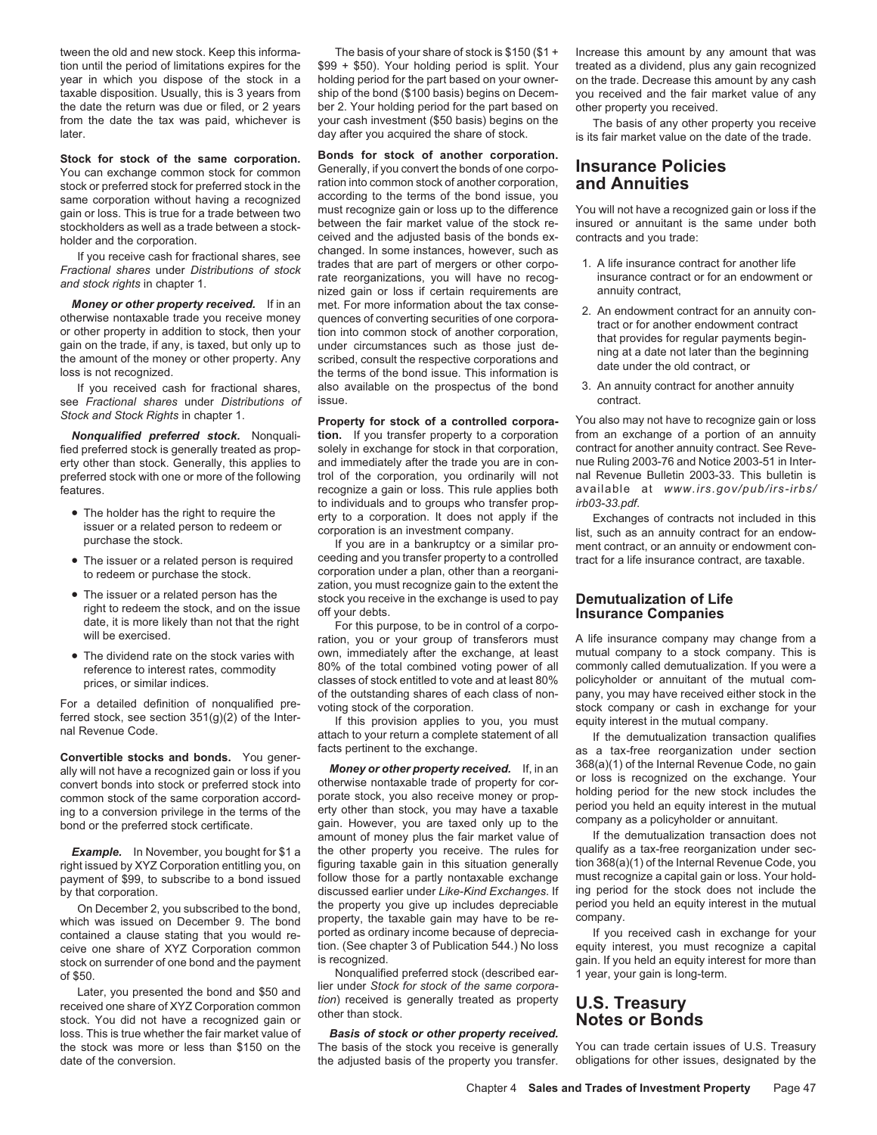tween the old and new stock. Keep this informa- The basis of your share of stock is \$150 (\$1 + Increase this amount by any amount that was tion until the period of limitations expires for the \$99 + \$50). Your holding period is split. Your treated as a dividend, plus any gain recognized year in which you dispose of the stock in a holding period for the part based on your owner- on the trade. Decrease this amount by any cash taxable disposition. Usually, this is 3 years from ship of the bond (\$100 basis) begins on Decem- you received and the fair market value of any the date the return was due or filed, or 2 years ber 2. Your holding period for the part based on other property you received.<br>
from the date the tax was paid, whichever is your cash investment (\$50 basis) begins on the Th from the date the tax was paid, whichever is your cash investment (\$50 basis) begins on the The basis of any other property you receive<br>later. is its fair market value on the date of the trade.

see *Fractional shares* under *Distributions of* 

- 
- 
- The issuer or a related person has the stock you receive in the exchange is used to pay **Demutualization of Life**<br>
right to redeem the stock, and on the issue off your debts.<br>
date, it is more likely than not that the ri
- 

For a detailed definition of nonqualified pre-<br>
for a detailed definition of nonqualified pre-<br>
ferred stock, see section 351(g)(2) of the Inter-<br>
If this provision applies to you, you must<br>
ral Revenue Code.<br>
If the demut

ally will not have a recognized gain or loss if you<br>convert bonds into stock or preferred stock into<br>common stock of the same corporation accord-<br>ing to a conversion privilege in the terms of the extra of the extra portate

contained a clause stating that you would re- ported as ordinary income because of deprecia- If you received cash in exchange for your<br>ceive one share of XYZ Corporation common tion. (See chapter 3 of Publication 544.) No ceive one share of XYZ Corporation common tion. (See chapter 3 of Publication 544.) No loss equity interest, you must recognize a capital<br>stock on surrender of one bond and the payment is recognized. stock on surrender of one bond and the payment is recognized.<br>Nonqualified preferred stock (described ear- 1 year, your gain is long-term.

received one share of XYZ Corporation common *tion*) received is generally treated as property **U.S. Treasury** stock. You did not have a recognized gain or **Notes or Bonds** loss. This is true whether the fair market value loss. This is true whether the fair market value of date of the conversion. The adjusted basis of the property you transfer.

**Stock for stock of the same corporation.** Bonds for stock of another corporation.<br>You can exchange common stock for common Generally, if you convert the bonds of one corpo- **Insurance Policies**<br>stock or preferred stock fo ration into common stock of another corporation, according to the terms of the bond issue, you same corporation without having a recognized according to the terms of the bond issue, you<br>gain or loss. This is true for a trade between two must recognize gain or loss up to the difference You will not have a recognized moder and the corporation.<br>
If you receive cash for fractional shares, see<br>
Fractional shares under Distributions of stock<br>
and stock rights in chapter 1.<br>
Fractional shares under Distributions of stock<br>
and stock rights i **Money or other property received.** If in an met. For more information about the tax conse-<br>otherwise nontaxable trade you receive money quences of converting securities of one corpora-<br>or other property in addition to sto If you received cash for fractional shares, also available on the prospectus of the bond  $\overline{3}$ . An annuity contract for another annuity  $\overline{5}$  Fractional shares under Distributions of issue.

**Nonqualified preferred stock.** Nonquali-<br>In the tion than the property to a corporman from an exchange to the supporation from an exchange of a portion of an annuity<br>A preferred stock is generally treated as prop-<br>solely fied preferred stock is generally treated as prop-<br>erty other than stock. Generally, this applies to and immediately after the trade you are in con- nue Ruling 2003-76 and Notice 2003-51 in Intererty other than stock. Generally, this applies to and immediately after the trade you are in con- nue Ruling 2003-76 and Notice 2003-51 in Inter-<br>preferred stock with one or more of the following trol of the corporation, y trol of the corporation, you ordinarily will not nal Revenue Bulletin 2003-33. This bulletin is recognize a gain or loss. This rule applies both available at www.irs.gov/pub/irs-irbs/ features. recognize a gain or loss. This rule applies both available at *a*ta *wailable* at *a*t *www.irs-irbs.gov/pub/irs-irbs/irbs/3-3.pdf.* 

• The issuer or a related person is required ceeding and you transfer property to a controlled tract for a life insurance contract, are taxable.<br>to redeem or purchase the stock. corporation under a plan, other than a reorg corporation under a plan, other than a reorganization, you must recognize gain to the extent the

• The dividend rate on the stock varies with own, immediately after the exchange, at least mutual company to a stock company. This is • This is • This is • This is • This is • This is • This is • This is • This is • This i Frequence to interest rates, commodity and a combined voting power of all commonly called demutualization. If you were a reference to interest rates, commodity allows of the total combined voting power of all commonly call classes of stock entitled to vote and at least 80% policyholder or annuitant of the mutual com-<br>of the outstanding shares of each class of non- pany, you may have received either stock in the

amount of money plus the fair market value of If the demutualization transaction does not<br>the other property you receive. The rules for qualify as a tax-free reorganization under sec-**Example.** In November, you bought for \$1 a the other property you receive. The rules for qualify as a tax-free reorganization under sec-<br>Intissued by XXZ Corporation entiting you on figuring taxable gain in this situation right issued by XYZ Corporation entitling you, on figuring taxable gain in this situation generally tion 368(a)(1) of the Internal Revenue Code, you<br>payment of \$99, to subscribe to a bond issued follow those for a partly n payment of \$99, to subscribe to a bond issued follow those for a partly nontaxable exchange must recognize a capital gain or loss. Your hold-<br>hy that corporation. by that corporation. discussed earlier under *Like-Kind Exchanges*. If ing period for the stock does not include the On December 2, you subscribed to the bond, the property you give up includes depreciable period you held an equity interest in the mutual<br>which was issued on December 9. The bond property, the taxable gain may have to be r

Nonqualified preferred stock (described ear-<br>lier under Stock for stock of the same corpora-Later, you presented the bond and \$50 and<br>clied and share of YVZ Carporation common tion) received is generally treated as property

the stock was more or less than \$150 on the The basis of the stock you receive is generally You can trade certain issues of U.S. Treasury date of the conversion.

is its fair market value on the date of the trade.

- 
- 
- 

*Stock and Stock Rights* in chapter 1. **Property for stock of a controlled corpora-** You also may not have to recognize gain or loss

• The holder has the right to require the to individuals and to groups who transfer prop-<br>issuer or a related person to redeem or<br>purchase the stock. The stock of redeem or the stock of the stock of the stock of the stock.

facts pertinent to the exchange.<br>ally will not have a recognized gain or loss if you **Money or other property received.** If, in an  $368(a)(1)$  of the Internal Revenue Code, no gain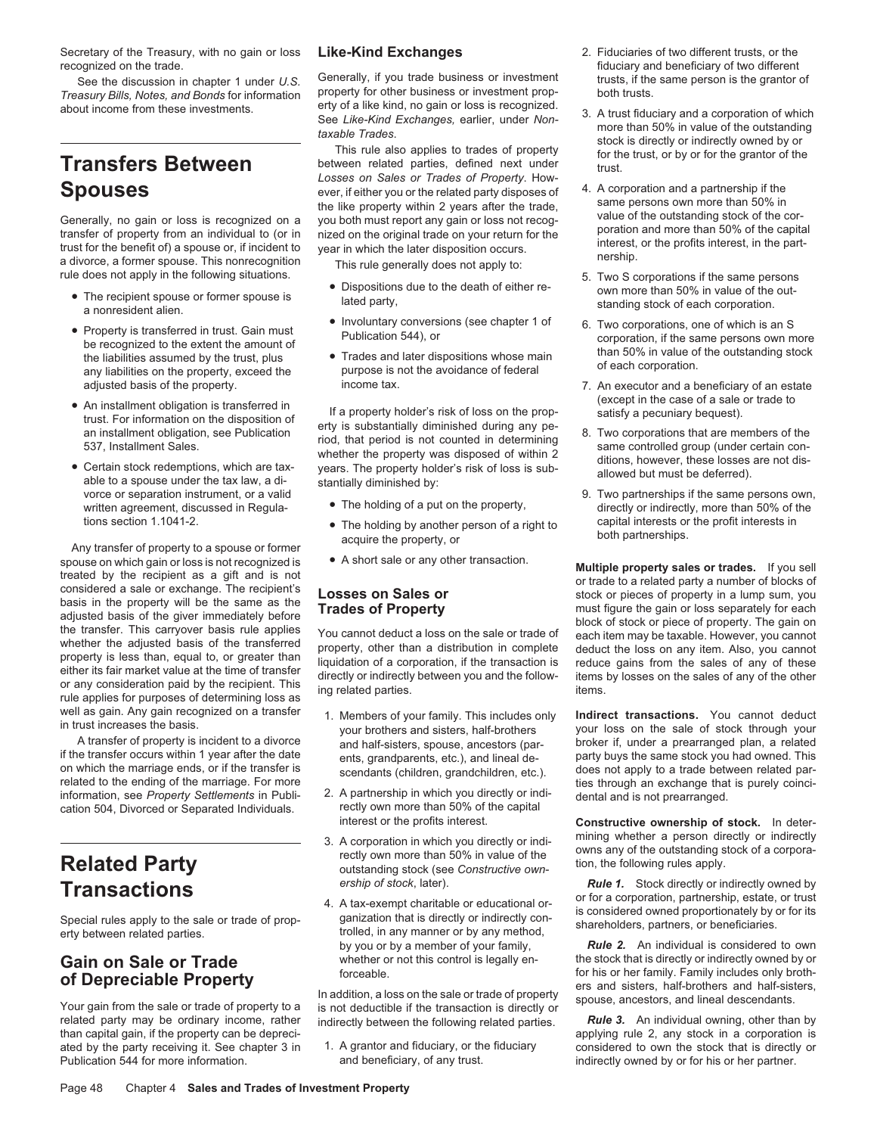Secretary of the Treasury, with no gain or loss Like-Kind Exchanges 2. Fiduciaries of two different trusts, or the recognized on the trade. fiduciary and beneficiary of two different

Generally, no gain or loss is recognized on a<br>
transfer of property from an individual to (or in ized on the original trade on your return for the<br>
a divorce, a former spouse or, if incident to pear in which the later disp

- 
- 
- 
- 

spouse on which gain or loss is not recognized is<br>treated by the recipient as a gift and is not<br>considered a sale or exchange. The recipient's<br>an in the property sales or trade to a related party a number of blocks of<br>adju well as gain. Any gain recognized on a transfer 1. Members of your family. This includes only **Indirect transactions.** You cannot deduct in trust increases the basis.

A transfer of property is incident to a divorce and half-sisters, spouse, ancestors (par-<br>if the transfer occurs within 1 year after the date ents grandparents etc.) and lineal de- party buys the same stock you had owned. if the transfer occurs within 1 year after the date ents, grandparents, etc.), and lineal de-<br>on which the marriage ends, or if the transfer is example children grandchildren, ats a does not apply to a trade between relate on which the marriage ends, or if the transfer is scendants (children, grandchildren, etc.). does not apply to a trade between related par-<br>related to the ending of the marriage. For more information, see Property Settlements in Publi-<br>cation 504. Divorced or Separated Individuals<br>rectly own more than 50% of the capital<br>cation 504. Divorced or Separated Individuals

related party may be ordinary income, rather indirectly between the following related parties. **Rule 3.** An individual owning, other than by than capital gain, if the property can be deprecithan capital gain, if the property can be depreci-<br>ated by the party receiving it. See chapter  $3$  in  $1.$  A grantor and fiduciary, or the fiduciary ated by the party receiving it. See chapter 3 in 1. A grantor and fiduciary, or the fiduciary considered to own the stock that is directly or  $\frac{1}{2}$  publication 544 for more information.  $\frac{1}{2}$  and beneficiary, of an Publication 544 for more information. in the same of the partner. The partner of the partner. The partner.

See the discussion in chapter 1 under *U.S.* Generally, if you trade business or investment trusts, if the same person is the grantor of<br>a*sury Bills. Notes, and Bonds* for information property for other business or invest *Treasury Bills, Notes, and Bonds* for information broperty for other business or investment prop-<br>About income from these investments erty of a like kind, no gain or loss is recognized.

*Losses on Sales or Trades of Property*. How-Spouses ever, if either you or the related party disposes of the same persons own more than 50% in<br>Generally, no gain or loss is recognized on a you both must report any gain or loss not recog-<br>value of the outstanding sto

- 
- 
- 

• An installment obligation is transferred in<br>trust. For information on the disposition of<br>an installment obligation, see Publication<br>537, Installment Sales.<br>**Example 19.4** and the property is substantially diminished duri

- 
- tions section 1.1041-2. The holding by another person of a right to capital interests or the profit interests in<br>Any transfer of property to a spouse or former acquire the property, or both partnerships.
	-

- 
- cation 504, Divorced or Separated Individuals. rectly own more than 50% of<br>interest or the profits interest.
	-
	-

- 
- about income from these investments.<br>
See Like-Kind Exchanges, earlier, under Non-<br>
taxable Trades.<br>
This rule also applies to trades of property<br>
between related parties, defined next under<br>
the trust, or by or for the gr
	-
	-
	-
	- adjusted basis of the property. income tax. 7. An executor and a beneficiary of an estate
		-
	- vorce or separation instrument, or a valid<br>written agreement, discussed in Regula-<br>written agreement, discussed in Regula-<br>of the bolding of a put on the property,<br>directly or indirectly, more than 50% of the directly or indirectly, more than 50% of the

rust increases the basis. your brothers and sisters, half-brothers your loss on the sale of stock through your<br>A transfer of property is incident to a divorce and half-sisters, spouse ancestors (par- broker if, under a pre

**Constructive ownership of stock.** In deter-3. A corporation in which you directly or indi-<br>rectly own more than 50% in value of the outstanding stock of a corpora-<br>outstanding stock (see *Constructive own*-<br>tion, the following rules apply.

**Transactions**<br>Special rules apply to the sale or trade of prop-<br>erty between related parties. The sale of prop-<br>erty between related parties. The sale of prop-<br>erty between related parties.

by you or by a member of your family, **Rule 2.** An individual is considered to own whether or not this control is legally en-<br>whether or not this control is legally en-<br>the stock that is directly or indirectly owned by or **Gain on Sale or Trade** whether or not this control is legally en-<br>
for his or her family. Family includes only broth-<br> **FR** of Depreciable Property<br>of Depreciable Property<br>Your gain from the sale or trade of property in addition, a loss on the sale or trade of property<br>Your gain from the sale or trade of property to a is not deductible if the t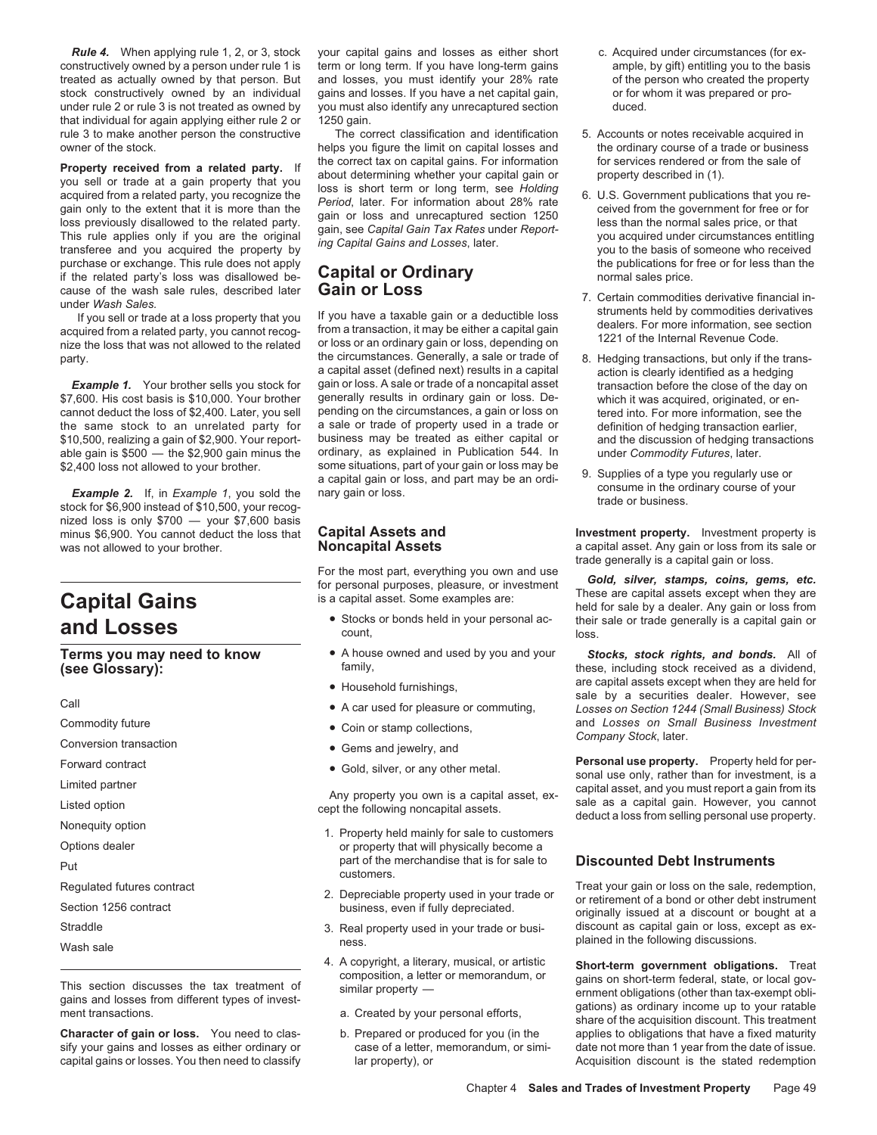that individual for again applying either rule 2 or 1250 gain. rule 3 to make another person the constructive The correct classification and identification 5. Accounts or notes receivable acquired in owner of the stock.

**Property received from a related party.** If<br>you sell or trade at a gain property that you<br>acquired from a related party, you recognize the<br>gain only to the extent that it is more than the<br>loss is short term or long term, purchase or exchange. This rule does not apply<br>
if the related party's loss was disallowed be-<br> **Capital or Ordinary**<br> **Capital or Canglicary**<br> **Capital or Ordinary**<br> **Capital or Ordinary** if the related party's loss was disallowed be- **Capital or Ordinary** normal sales price.<br>
cause of the wash sale rules, described later **Gain or Loss** 

nized loss is only \$700 — your \$7,600 basis minus \$6,900. You cannot deduct the loss that **Capital Assets and Investment property.** Investment property is

**Rule 4.** When applying rule 1, 2, or 3, stock your capital gains and losses as either short c. Acquired under circumstances (for exconstructively owned by a person under rule 1 is term or long term. If you have long-term gains ample, by gift) entitling you to the basis treated as actually owned by that person. But and losses, you must identify your 28% rate of the person who created the property stock constructively owned by an individual gains and losses. If you have a net capital gain, or for whom it was prepared or prounder rule 2 or rule 3 is not treated as owned by you must also identify any unrecaptured section duced.

helps you figure the limit on capital losses and

party. the circumstances. Generally, a sale or trade of 8. Hedging transactions, but only if the transa capital asset (defined next) results in a capital action is clearly identified as a hedging<br>gain or loss. A sale or trade of a noncapital asset transaction before the close of the day *Example 1.* Your brother sells you stock for gain or loss. A sale or trade of a noncapital asset transaction before the close of the day on \$7,600. His cost basis is \$10,000. Your brother generally results in ordinary gai generally results in ordinary gain or loss. De- which it was acquired, originated, or encannot deduct the loss of \$2,400. Later, you sell pending on the circumstances, a gain or loss on tered into. For more information, see the the same stock to an unrelated party for a sale or trade of property used in a tra the same stock to an unrelated party for a sale or trade of property used in a trade or definition of hedging transaction earlier,<br>\$10,500, realizing a gain of \$2,900. Your report-business may be treated as either capital \$10,500, realizing a gain of \$2,900. Your report- business may be treated as either capital or and the discussion of hedging transactions able gain is \$500 — the \$2,900 gain minus the ordinary, as explained in Publication 544. In under *Commodity Futures*, later. \$2,400 loss not allowed to your brother. some situations, part of your gain or loss may be<br>a capital gain or loss, and part may be an ordi-<br>**Example 2.** If, in Example 1, you sold the nary gain or loss.<br>stock for \$6,900 in

- 
- 
- 
- 
- 
- 
- 

- Options dealer **or property that will physically become a** control or property that will physically become a part of the merchandise that is for sale to **Discounted Debt Instruments**<br>Customers. Customers.<br>Treat vour gain or loss on the sale, redemption.
	-
- Wash sale **plained** in the following discussions.
	- 4. A copyright, a literary, musical, or artistic **Short-term government obligations.** Treat
		-
		-
- 
- 
- 
- cause of the wash sale rules, described later<br>
under Wash Sales.<br>
If you sell or trade at a loss property that you If you have a taxable gain or a deductible loss<br>
acquired from a related party, you cannot recog-<br>
inize th
	-
	-

was not allowed to your brother. **Noncapital Assets** a capital asset. Any gain or loss from its sale or trade generally is a capital gain or loss.

For the most part, everything you own and use<br>for personal purposes, pleasure, or investment<br>is a capital asset. Some examples are:<br>led for sale by a dealer. Any gain or loss from **For the condition of the condition of the condition of the service of the count,** and **ac-** their sale or trade generally is a capital gain or **and LOSSES** count, count,

**Terms you may need to know** • A house owned and used by you and your *Stocks, stock rights, and bonds.* All of **(see Glossary): these**, including stock received as a dividend, these, including stock received as a dividend, are capital assets except when they are held for are capital assets except when they are held for • Household furnishings,<br>Sale by a securities dealer. However, see<br>Losses on Section 1244 (Small Business) Stock Commodity future and *Losses on Small Business Investment* • Coin or stamp collections, *Company Stock*, later. Conversion transaction • Gems and jewelry, and

Forward contract Forms on the cold, silver, or any other metal.<br>
Limited partner<br>
Limited partner<br>
Listed option<br>
Listed option<br>
Nonequity option<br>
Nonequity option<br>
Nonequity option<br>
2. Property held mainly for sale to cus

Regulated futures contract Treat your gain or loss on the sale, redemption,<br>2. Depreciable property used in your trade or and or or etirement of a bond or other debt instrument<br>6. originally issued at a discount or bought Straddle 3. Real property used in your trade or busi- discount as capital gain or loss, except as ex-

This section discusses the tax treatment of composition, a letter or memorandum, or gains on short-term federal, state, or local government of gains and losses from different types of invest-<br>ment transactions. a. Created **Character of gain or loss.** You need to clas-<br> **b.** Prepared or produced for you (in the applies to obligations that have a fixed maturity sify your gains and losses as either ordinary or case of a letter, memorandum, or simi-<br>
sify your gains and losses as either ordinary or case of a letter, memorandum, or simi-<br> capital gains or losses. You then need to classify lar property), or **Acquisition discount is the stated redemption**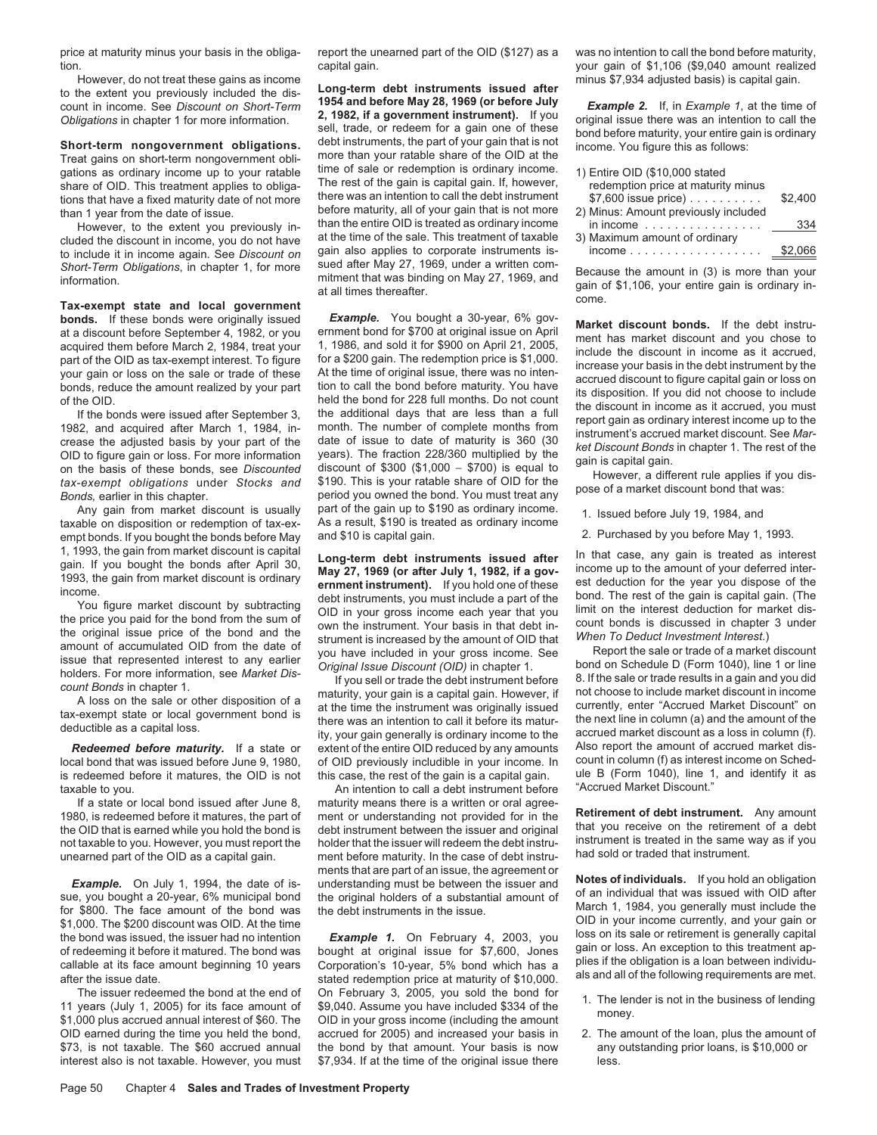gations as ordinary income up to your ratable<br>share of OID. This treatment applies to obliga-<br>fine rest of the gain is capital gain. If, however,<br>tions that have a fixed maturity date of not more there was an intention to tions that have a fixed maturity date of not more

cluded the discount in income, you do not have at the time of the sale. This treatment of taxable<br>3) Include it in income again. See Discount on gain also applies to corporate instruments isto include it in income again. See *Discount on* gain also applies to corporate instruments is-<br>Short-Term Obligations, in chapter 1, for more sued after May 27, 1969, under a written com-

empt bonds. If you bought the bonds before May

the price you paid for the bond from the sum of<br>the original issue price of the bond and the<br>amount of accumulated OID from the date of<br>issue that represented interest to any earlier<br>bolders. For more information, see Mark

is redeemed before it matures, the OID is not this case, the rest of the gain is a capital gain. ule B (Form 1040), line 1, and it as under the st of the gain is a capital gain. ule B (Form 1040), line 1, and it as under t

\$1,000. The \$200 discount was OID. At the time<br>the bond was issued, the issuer had no intention<br>of redeeming it before it matured. The bond was<br>callable at its face amount beginning 10 years Corporation's 10-year, 5% bond

However, do not treat these gains as income<br>to the extent you previously included the dis-<br>count in income. See *Discount on Short-Term* 1954 and before May 28, 1969 (or before July<br>*Chligations* in chapter 1 for more info Sell, trade, or redeem for a gain one or these<br>Short-term nongovernment obligations. debt instruments, the part of your gain that is not<br>Treat gains on short-term nongovernment oblige more than your ratable share of the OI Treat gains on short-term nongovernment obli-<br>nations as ordinary income un to your ratable time of sale or redemption is ordinary income. than 1 year from the date of issue.<br>
However, to the extent you previously in than the entire OID is treated as ordinary income However, to the extent you previously in- than the entire OID is treated as ordinary income<br>ded the discount in income . you do not have at the time of the sale. This treatment of taxable Short-Term Obligations, in chapter 1, for more sued after May 27, 1969, under a written com-<br>information. mitment that was binding on May 27, 1969, and gain of \$1,106, your entire gain is ordinary in-<br>**Tax-exempt state and** 

**bonds.** If these bonds were originally issued<br>account before September 4, 1982, or you bought a 30-year, 6% gover<br>acquired them before September 4, 1982, or you ernement bond for \$700 at original issue on April<br>acquired Any gain from market discount is usually part of the gain up to \$190 as ordinary income.<br>
1. Issued before July 19, 1984, and tax-ex- As a result, \$190 is treated as ordinary income<br>
2. Purchased by you before May 1, 1993.

A loss on the sale or other disposition of a<br>the time the instrument was originally issued<br>deductible as a capital loss.<br>deductible as a capital loss.<br>deductible as a capital loss.<br>deductible as a capital loss.<br>deductible **Redeemed before maturity.** If a state or extent of the entire OID reduced by any amounts Also report the amount of accrued market dis-<br>cal bond that was issued before June 9, 1980. of OID previously includible in your inc local bond that was issued before June 9, 1980, of OID previously includible in your income. In count in column (f) as interest income on Sched-<br>is redeemed before it matures, the OID is not this case, the rest of the gain

taxable to you.<br>
If a state or local bond issued after June 8, maturity means there is a written or oral agree-If a state or local bond issued after June 8, maturity means there is a written or oral agree-<br>1980, is redeemed before it matures, the part of ment or understanding not provided for in the CID that is earned while you hol ments that are part of an issue, the agreement or<br>sue, you bought a 20-year, 6% municipal bond<br>for \$800. The face amount of the bond was the debt instruments in the issue. Sue, you bought a 20-year, 6% municipal bond the o

The issuer redeemed the bond at the end of On February 3, 2005, you sold the bond for 1. The lender is not in the business of lending<br>11 years (July 1, 2005) for its face amount of \$9,040. Assume you have included \$334 of OID earned during the time you held the bond, accrued for 2005) and increased your basis in 2. The amount of the loan, plus the amount of \$73, is not taxable. The \$60 accrued annual the bond by that amount. Your basis is now any outstanding prior loans, is \$10,000 or interest also is not taxable. However, you must \$7,934. If at the time of the original issue there less.

price at maturity minus your basis in the obliga- report the unearned part of the OID (\$127) as a was no intention to call the bond before maturity, tion. The capital gain. Capital gain. Capital gain. The capital gain of \$1,106 (\$9,040 amount realized

| 1) Entire OID (\$10,000 stated                                                     |         |
|------------------------------------------------------------------------------------|---------|
| redemption price at maturity minus<br>\$7,600 issue price)                         | \$2.400 |
| 2) Minus: Amount previously included<br>in income $\dots\dots\dots\dots\dots\dots$ | 334     |
| 3) Maximum amount of ordinary<br>$income \ldots \ldots \ldots \ldots \ldots$       | \$2,066 |
|                                                                                    |         |

1, 1993, the gain from market discount is capital<br>gain. If you bought the bonds after April 30,<br>1993, the gain from market discount is ordinary<br>income.<br>income.<br>The rest of the gain is capital gain. (The<br>come expected inter

- 
-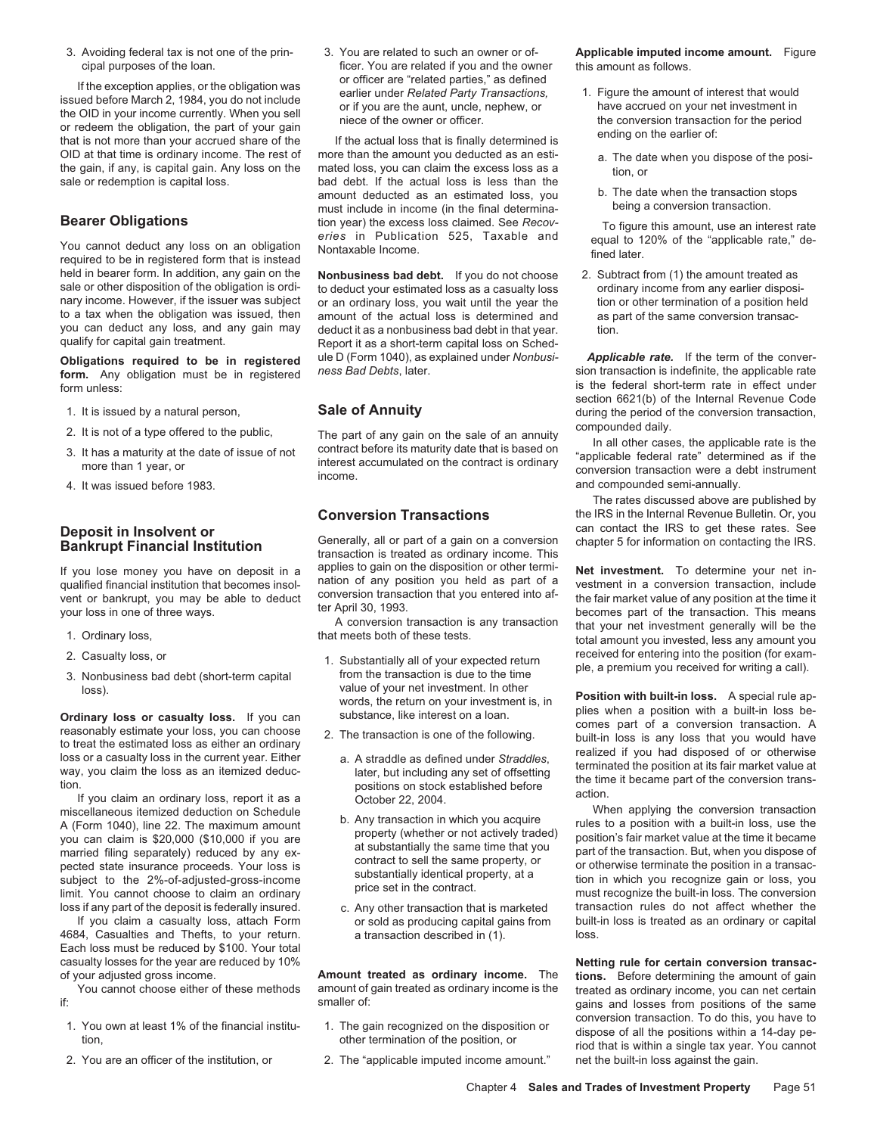3. Avoiding federal tax is not one of the prin- 3. You are related to such an owner or of- **Applicable imputed income amount.** Figure

If the exception applies, or the obligation was<br>
issued before March 2, 1984, you do not include<br>
the OID in your income currently. When you sell<br>
or if you are the aunt, uncle, nephew, or<br>
that is not more than your accru

held in bearer form. In addition, any gain on the **Nonbusiness bad debt.** If you do not choose 2. Subtract from (1) the amount treated as sale or other disposition of the obligation is ordi-<br>sale or other disposition of th sale or other disposition of the obligation is ordi-<br>nary income. However, if the issuer was subject or an ordinary loss, you wait until the year the tion or other termination of a position held nary income. However, if the issuer was subject or an ordinary loss, you wait until the year the to a tax when the obligation was issued, then amount of the actual loss is determined and to a tax when the obligation was issued, then amount of the actual loss is determined and as part of the same conversion transac-<br>you can deduct any loss, and any gain may deduct it as a nonbusiness bad debt in that year. you can deduct any loss, and any gain may deduct it as a nonbusiness bad debt in that year. tion.<br>qualify for capital gain treatment. Report it as a short-term capital loss on Sched-

**form.** Any obligation must be in registered *ness Bad Debts*, later. Since the sion transaction is indefinite, the applicable rate in effect under form unless:

- 
- 
- 
- 

- 
- 
- 

If you claim a casualty loss, attach Form or sold as producing capital gains from 4684, Casualties and Thefts, to your return. <br>a transaction described in (1). loss. Each loss must be reduced by \$100. Your total casualty losses for the year are reduced by 10% **Netting rule for certain conversion transac-**

if: smaller of: smaller of: smaller of: smaller of: smaller of: smaller of: same positions of the same positions of the same

- 
- 

cipal purposes of the loan. ficer. You are related if you and the owner this amount as follows.<br>
file assessing earlies as the ablination was on officer are "related parties," as defined

OID at that time is ordinary income. The rest of more than the amount you deducted as an esti-<br>the gain, if any, is capital gain. Any loss on the mated loss, you can claim the excess loss as a sale or redemption is capital bad debt. If the actual loss is less than the amount deducted as an estimated loss, you b. The date when the transaction stops must include in income (in the final determinamust include in income (in the final determina-**Bearer Obligations** tion year) the excess loss claimed. See Recov-<br>
You cannot deduct any loss on an obligation Nontaxable Income.<br>
To figure this amount, use an interest rate<br>
required to be in registered form that is in

Report it as a short-term capital loss on Sched-**Obligations required to be in registered** ule D (Form 1040), as explained under *Nonbusi- Applicable rate.* If the term of the conver-<br>**form** Any obligation must be in registered *ness Bad Debts*, later. Sign transact

2. It is not of a type offered to the public,<br>3. It has a maturity at the date of issue of not<br>3. It has a maturity at the date of issue of not<br>interest accumulated on the contract is ordinary<br>income.<br>3. It has a maturity

**GENERALLY, ALL OF FINANCIAL INSTITUTION** CHAPTER FOR THE INTERNATION **B**<br>transaction is treated as ordinary income. This If you lose money you have on deposit in a applies to gain on the disposition or other termi-<br>qualified financial institution that becomes insol-<br>vent or bankrupt, you may be able to deduct conversion transaction that you

- 2. Casualty loss, or<br>
3. Nonbusiness bad debt (short-term capital<br>
loss) and the position (for examment of the time<br>
2. Nonbusiness bad debt (short-term capital<br>
value of your net investment. In other<br>
2. All the position
	- -
		-
		-

- 
- 2. You are an officer of the institution, or 2. The "applicable imputed income amount." net the built-in loss against the gain.

- -
	-

section 6621(b) of the Internal Revenue Code 1. It is issued by a natural person, **Sale of Annuity** during the period of the conversion transaction,

income.<br>4. It was issued before 1983. The compounded semi-annually.

The rates discussed above are published by **Conversion Transactions** the IRS in the Internal Revenue Bulletin. Or, you **Deposit in Insolvent or**<br>**Generally, all or part of a gain on a conversion** chapter 5 for information on contacting the IRS.

vient or bankrupt, you may be able to deduct<br>your loss in one of three ways.<br>1. Ordinary loss, the order of the transaction is any transaction is any transaction<br>1. Ordinary loss, that meets both of these tests.<br>1. Ordinar

Under of your net investment. In other<br>
ordinary loss or casualty loss. If you can<br>
the substance, like interest on a loan.<br>
to treat the estimate your loss, you can choose<br>
to treat the estimated loss as either an ordinar

miscellaneous itemized deduction on Schedule<br>
A (Form 1040), line 22. The maximum amount<br>
you can claim is \$20,000 (\$10,000 if you are<br>
married filing separately) reduced by any ex-<br>
pected state insurance proceeds. Your l loss if any part of the deposit is federally insured. c. Any other transaction that is marketed transaction rules do not affect whether the

of your adjusted gross income. **Amount treated as ordinary income.** The **tions.** Before determining the amount of gain You cannot choose either of these methods amount of gain treated as ordinary income is the treated as ordinary income is the treated as ordinary income is the serve income, you can net certain smaller of: 1. You own at least 1% of the financial institu-<br>other termination of the position, or the position, the position of the position, or the position of the position, or the position, or the position, or the position, or the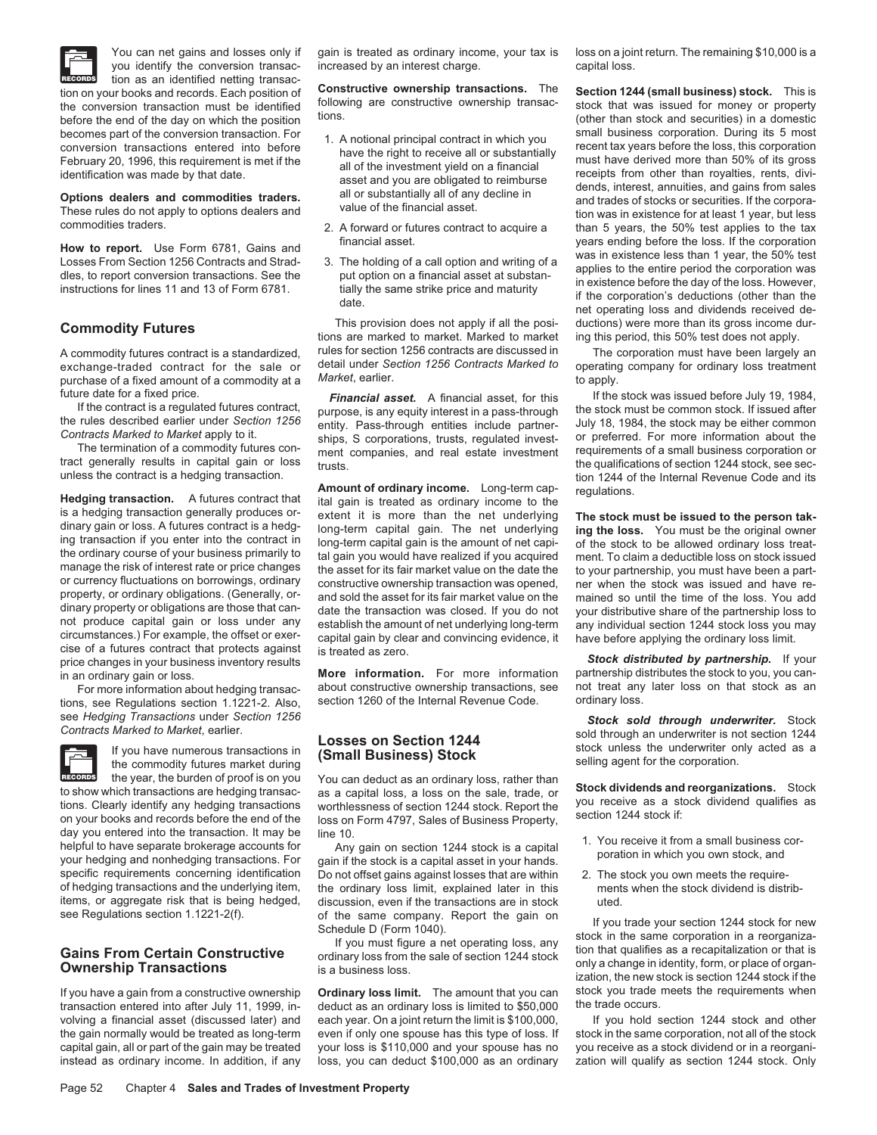

tion as an identified netting transac-

purchase of a fixed amount of a commodity at a to *Market*, earlier.<br>filture date for a fixed price.<br>**Financial asset** to financial asset for this the

price changes in your business inventory results **Stock in the stock distributed by partnership.** If your price changes in your business inventory results **More information**. For more information partnership distributes th

tions, see Regulations section 1.1221-2. Also, see *Hedging Transactions* under *Section 1256 Stock sold through underwriter.* Stock



the year, the burden of proof is on you You can deduct as an ordinary loss, rather than **to show which transactions are hedging transac-** as a capital loss, a loss on the sale, trade, or to show which transactions are hedging transactions as a capital loss, a loss on the sale, trade, or<br>tions. Clearly identify any hedging transactions worthlessness of section 1244 stock. Report the you receive as a stock d day you entered into the transaction. It may be<br>helpful to have separate brokerage accounts for any gain on section 1244 stock is a capital<br>your hedging and nonhedging transactions. For gain if the stock is a capital asset specific requirements concerning identification Do not offset gains against losses that are within 2. The stock you own meets the require-<br>of hedging transactions and the underlying item, the ordinary loss limit, explained of hedging transactions and the underlying item, the ordinary loss limit, explained later in this items, or aggregate risk that is being hedged, discussion, even if the transactions are in stock

you identify the conversion transac- increased by an interest charge. The capital loss.

tion on your books and records. Each position of **Constructive ownership transactions.** The **Section 1244 (small business) stock.** This is

- 
- 
- 

A commodity futures contract is a standardized, rules for section 1256 contracts are discussed in The corporation must have been largely an exchange reatment of the sale or detail under Section 1256 Contracts Marked to ope

If the contract is a regulated futures contract, purpose, is any equity interest in a pass-through the stock must be common stock. If issued after the rules described earlier under Section 1256 entity. Pass-through entitie the rules described earlier under *Section 1256* entity. Pass-through entities include partner-<br>Contracts Marked to Market apply to it. *ntracts Marked to Market* apply to it. ships, S corporations, trusts, regulated invest- or preferred. For more information about the ships of the ships, S corporations, trusts, regulated invest- or preferred. For more inf The termination of a commodity futures con-<br>tract generally results in capital gain or loss<br>tructs the qualifications of section 1244 stock see sec-

**Amount of ordinary income.** Long-term cap-<br>**Hedging transaction.** A futures contract that ital gain is treated as ordinary income to the<br>is a hedging transaction generally produces or-<br>extent it is more than the net under is a hedging transaction generally produces or<br>dinary gain or loss. A futures contract is a hedg-<br>ing transaction if you enter into the contract in<br>the ordinary course of your business primarily to<br>the ordinary course of y manage the risk of interest rate or price changes<br>or currency fluctuations on borrowings, ordinary<br>or currency fluctuations on borrowings, ordinary<br>constructive ownership transaction was opened, the mer when the stock was property, or ordinary obligations. (Generally, or-cand sold the asset for its fair market value on the<br>dinary property or obligations are those that can-catae the transaction was closed. If you do not dinary property or obligations are those that can-<br>not produce capital gain or loss under any establish the amount of net underlying long-term any individual section 1244 stock loss you may<br>circumstances.) For example, the

For more information about hedging transac- about constructive ownership transactions, see not treat any<br>In see Requilations section 1,1221-2, Also section 1260 of the Internal Revenue Code. ordinary loss.

items, or aggregate risk that is being hedged, discussion, even if the transactions are in stock uted.<br>see Regulations section 1.1221-2(f). of the same company. Report the gain on

transaction entered into after July 11, 1999, in- deduct as an ordinary loss is limited to \$50,000 the trade occurs. volving a financial asset (discussed later) and each year. On a joint return the limit is \$100,000, If you hold section 1244 stock and other the gain normally would be treated as long-term even if only one spouse has this even if only one spouse has this type of loss. If stock in the same corporation, not all of the stock capital gain, all or part of the gain may be treated your loss is \$110,000 and your spouse has no you receive as a stock dividend or in a reorganiinstead as ordinary income. In addition, if any loss, you can deduct \$100,000 as an ordinary zation will qualify as section 1244 stock. Only

You can net gains and losses only if gain is treated as ordinary income, your tax is loss on a joint return. The remaining \$10,000 is a

the conversion transaction must be identified<br>before the end of the day on which the position<br>becomes part of the conversion transaction. For<br>becomes part of the conversion transaction. For becomes part of the conversion transaction. For the conversion transactions entered into before the right to receive all or substantially<br>
February 20, 1996, this requirement is met if the<br>
identification was made by that **How to report.** Use Form 6781, Gains and<br>
Losses From Section 1256 Contracts and Strad-<br>
dles, to report conversion transactions. See the put option on a financial asset a substan-<br>
instructions for lines 11 and 13 of For This provision does not apply if all the posi-<br>
ductions) were more than its gross income dur-<br>
tions are marked to market. Marked to market ing this period, this 50% test does not apply.

exchange-traded contract for the sale or detail under *Section 1256 Contracts Marked to* operating company for ordinary loss treatment

If date for a fixed price.<br>If the contract is a regulated futures contract, purpose is any equity interact in a pass-through the stock must be common stock. If issued after tract generally results in capital gain or loss trusts.<br>the qualifications of section 1244 stock, see sec-<br>tion 1244 of the Internal Revenue Code and its  $P$  tion 1244 of the Internal Revenue Code and its  $P$  hedging transactions

in an ordinary gain or loss.<br>For more information partnership distributes the stock to you, you can-<br>For more information about hedging transac- about constructive ownership transactions, see not treat any later loss on th

*Contracts Marked to Market*, earlier.<br> **Contracts On Section 1244** Sold through an underwriter is not section 1244<br>
If you have numerous transactions in **Contract Contract Contract Contract Stock** and the underwriter only If you have numerous transactions in **COSSES ON DECTION 1244** stock unless the underwriter only acted as a the commodity futures market during **(Small Business) Stock** selling agent for the corporation.

- 
- 

See Regulations section 1.1221-2(f). of the same company. Report the gain on the same of the same schedule D (Form 1040).<br>
Schedule D (Form 1040).<br>
Schedule D (Form 1040).<br>
If you must figure a net operating loss, any stoc If you have a gain from a constructive ownership **Ordinary loss limit.** The amount that you can stock you trade meets the requirements when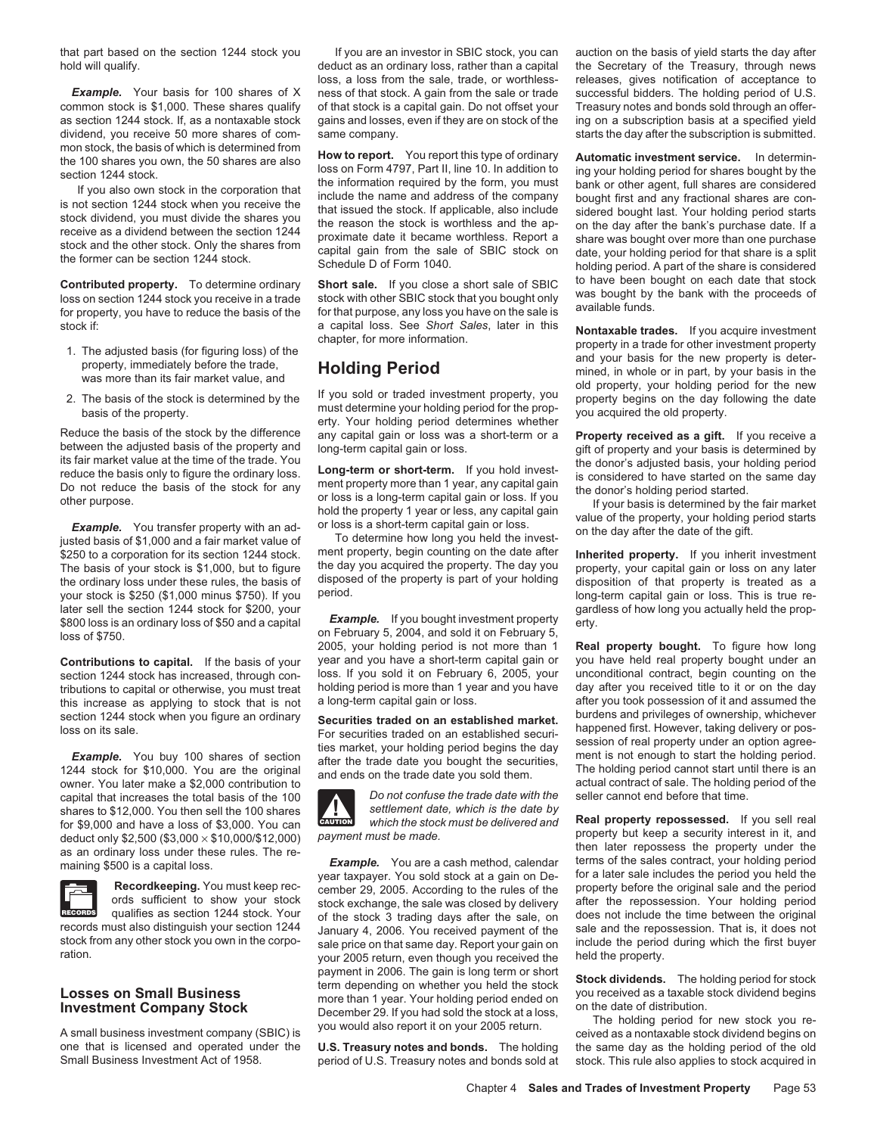hold will qualify. The secretary of the Treasury, through news deduct as an ordinary loss, rather than a capital the Secretary of the Treasury, through news

common stock is \$1,000. These shares qualify of that stock is a capital gain. Do not offset your Treasury notes and bonds sold through an offeras section 1244 stock. If, as a nontaxable stock gains and losses, even if they are on stock of the ing on a subscription basis at a specified yield<br>dividend, you receive 50 more shares of com- same company.

- 
- 

its fair market value at the time of the trade. You<br>
Do not reduce the basis only to figure the ordinary loss.<br>
Do not reduce the basis of the stock for any<br>
or loss is a long-term or short-term. If you hold invest-<br>
of th later sell the section 1244 stock for \$200, your gardless of how long you actually held the prop-<br>\$800 loss is an ordinary loss of \$50 and a capital **Example**. If you bought investment property erty.<br>Ioss of \$750.

section 1244 stock has increased, through con- loss. If you sold it on February 6, 2005, your unconditional contract, begin counting on the<br>tributions to capital or otherwise, you must treat bolding period is more than 1 y tributions to capital or otherwise, you must treat holding period is more than 1 year and you have day after you received title to it or on the day<br>this increase as applying to stock that is not a long-term capital gain or this increase as applying to stock that is not a long-term capital gain or loss.<br>Section 1244 stock when you figure an ordinary securities traded an an established market. burdens and privileges of ownership, whichever

capital that increases the total basis of the 100 *Do not confuse the trade date with the* seller cannot end before that time.<br>
shares to \$12,000. You then sell the 100 shares settlement date, which is the date by shares to \$12,000. You then sell the 100 shares **settlement date, which is the date by**<br>for \$9,000 and have a loss of \$3,000. You can which the stock must be delivered and<br>the stock must be delivered and<br>deduct only \$2,500 and have a loss of \$3,000 x \$10,000/\$12,000) payment must be made.



one that is licensed and operated under the **U.S. Treasury notes and bonds.** The holding the same day as the holding period of the old<br>Small Business Investment Act of 1958.<br>In period of U.S. Treasury notes and bonds sold

loss, a loss from the sale, trade, or worthless- releases, gives notification of acceptance to *Example.* Your basis for 100 shares of X ness of that stock. A gain from the sale or trade successful bidders. The holding period of U.S. same company.  $\blacksquare$  starts the day after the subscription is submitted.

mon stock, the basis of which is determined from<br>the 100 shares you own, the 50 shares are also<br>section 1244 stock.<br>If you also not stock in the corporation that<br>if you also not stock in the corporation that<br>is not section

**Contributed property.** To determine ordinary **Short sale.** If you close a short sale of SBIC to have been bought on each date that stock loss on section 1244 stock you receive in a trade stock with other SBIC stock that y

Reduce the basis of the stock by the difference any capital gain or loss was a short-term or a **Property received as a gift.** If you receive a between the adjusted basis of the property and long-term capital gain or loss o

2005, your holding period is not more than 1 **Real property bought.** To figure how long **Contributions to capital.** If the basis of your year and you have a short-term capital gain or you have held real property bought under an section 1244 stock has increased through con-<br>Section 1244 stock has increased thr



year taxpayer. You sold stock at a gain on De-<br>**Recordkeeping.** You must keep rec-<br>ords sufficient to show your stock stock exchange the sale was closed by delivery after the repossession. Your holding period<br>ords sufficie ords sufficient to show your stock stock exchange, the sale was closed by delivery after the repossession. Your holding period qualifies as section 1244 stock. Your of the stock 3 trading days after the sale on does not in distinct the stock. Your of the stock 3 trading days after the sale, on does not include the time between the original<br>records must also distinguish your section 1244 January 4, 2006. You received payment of the sale and t stock from any other stock you own in the corpo-<br>sale price on that same day. Report your gain on include the period<br>vour 2005 return, even though you received the held the property. your 2005 return, even though you received the payment in 2006. The gain is long term or short<br>
Losses on Small Business<br>
Investment Company Stock<br>
A small business investment company (SBIC) is<br>
A small business investment company (SBIC) is<br>
A small business investment

period of U.S. Treasury notes and bonds sold at stock. This rule also applies to stock acquired in

that part based on the section 1244 stock you If you are an investor in SBIC stock, you can auction on the basis of yield starts the day after

Stock if:<br>
1. The adjusted basis (for figuring loss) of the<br>
property, immediately before the trade,<br>
2. The basis of the stock is determined by the<br>
2. The basis of the stock is determined by the<br>
basis of the property.<br>

between the adjusted basis of the property and long-term capital gain or loss.<br>its fair market value at the time of the trade. You

Securities traded on an established market.<br>Ioss on its sale.<br>Ioss on its sale.<br>Ioss on its sale.<br>Ioss on its sale.<br>In the securities traded on an established securi-<br>In the securities traded on an established securi-<br>In t

deduct only \$2,500 (\$3,000 × \$10,000/\$12,000) payment must be made.<br>
as an ordinary loss under these rules. The re-<br>
maining \$500 is a capital loss.<br>
The re-<br>
maining \$500 is a capital loss.<br>
The re-<br>
maining \$500 is a cap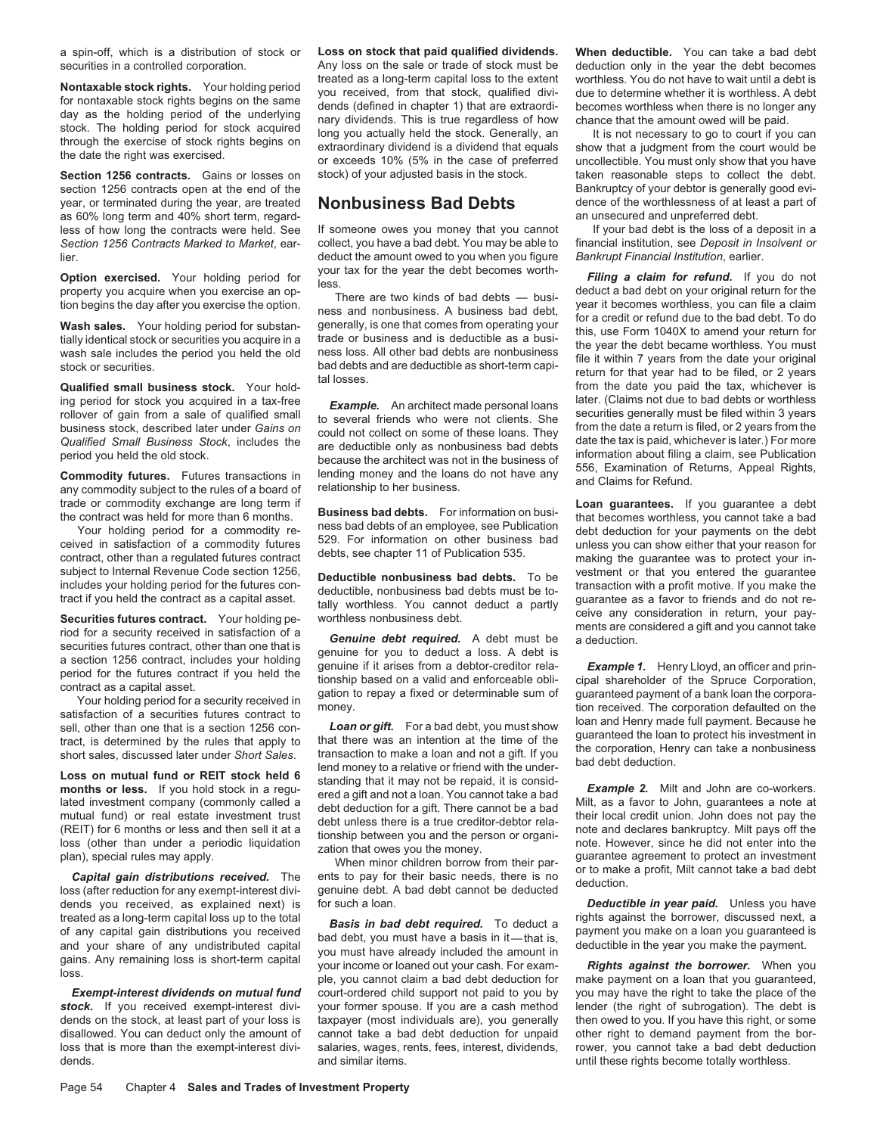section 1256 contracts open at the end of the Bankruptcy of your debtor is generally good eviyear, or terminated during the year, are treated **Nonbusiness Bad Debts** dence of the worthlessness of at least a part of democration of as 60% long term and 40% short term, regardas 60% long term and 40% short term, regardless of how long the contracts were held. See If someone owes you money that you cannot If your bad debt is the loss of a deposit in a<br>Section 1256 Contracts Marked to Market, ear-collect, you have a bad debt. You may be a Section 1256 Contracts Marked to Market, ear-<br>
collect, you have a bad debt. You may be able to

ing period for stock you acquired in a tax-free<br>
rollover of gain from a sale of qualified small<br>
to several friends who were not clients. She<br>
business stock, described later under Gains on<br>
pould not celled an ecome of t

any commodity subject to the rules of a board of relationship to her business.

dends you received, as explained next) is for such a loan. *Deductible in year paid.* Unless you have

dends. **And similar items.** And similar items. The state of the state of the state of the state of the state of the state of the state of the state of the state of the state of the state of the state of the state of the st

a spin-off, which is a distribution of stock or **Loss on stock that paid qualified dividends. When deductible.** You can take a bad debt securities in a controlled corporation. Any loss on the sale or trade of stock must be deduction only in the year the debt becomes<br>Meeteodde of stock and the conductions of traded as a long-term capital loss to the extent **Nontaxable stock rights.** Your holding period<br>for nontaxable stock rights begins on the same<br>day as the holding period of the underlying<br>stock. The holding period for stock acquired<br>stock rights begins on the same<br>stock.

lier. deduct the amount owed to you when you figure *Bankrupt Financial Institution*, earlier.

business stock, described later under Gains on<br>Qualified Small Business Stock, includes the<br>period you held the old stock.<br>Commodity futures. Futures transactions in<br>Commodity futures. Futures transactions in<br>and claims fo

subject to Internal Revenue Code section 1256. **Deductible nonbusiness bad dobts.** To be vestment or that you heldred the guarantee developed includes your holding period for the futures con-<br>tincludes your holding period

treated as a long-term capital loss up to the total<br>of any capital gain distributions you received<br>and your share of any undistributed capital<br>gains. Any remaining loss is short-term capital<br>gains. Any remaining loss is sh *Exempt-interest dividends on mutual fund* court-ordered child support not paid to you by you may have the right to take the place of the *stock.* If you received exempt-interest divi- your former spouse. If you are a cash method lender (the right of subrogation). The debt is dends on the stock, at least part of your loss is taxpayer (most individuals are), you generally then owed to you. If you have this right, or some disallowed. You can deduct only the amount of cannot take a bad debt deduction for unpaid other right to demand payment from the borloss that is more than the exempt-interest divi- salaries, wages, rents, fees, interest, dividends, rower, you cannot take a bad debt deduction

Section 1256 contracts. Gains or losses on stock) of your adjusted basis in the stock. taken reasonable steps to collect the debt.

**Option exercised.** Your holding period for the year the debt becomes worth-<br>property you acquire when you exercise an op-<br>tion begins the day after you exercise the option.<br>**Wash sales.** Your holding period for substan-<br>

trade or commodity exchange are long term if<br>the contract was held for more than 6 months.<br>Your holding period for a commodity re-<br>ceived in satisfaction of a commodity futures<br>cerved in satisfaction of a commodity futures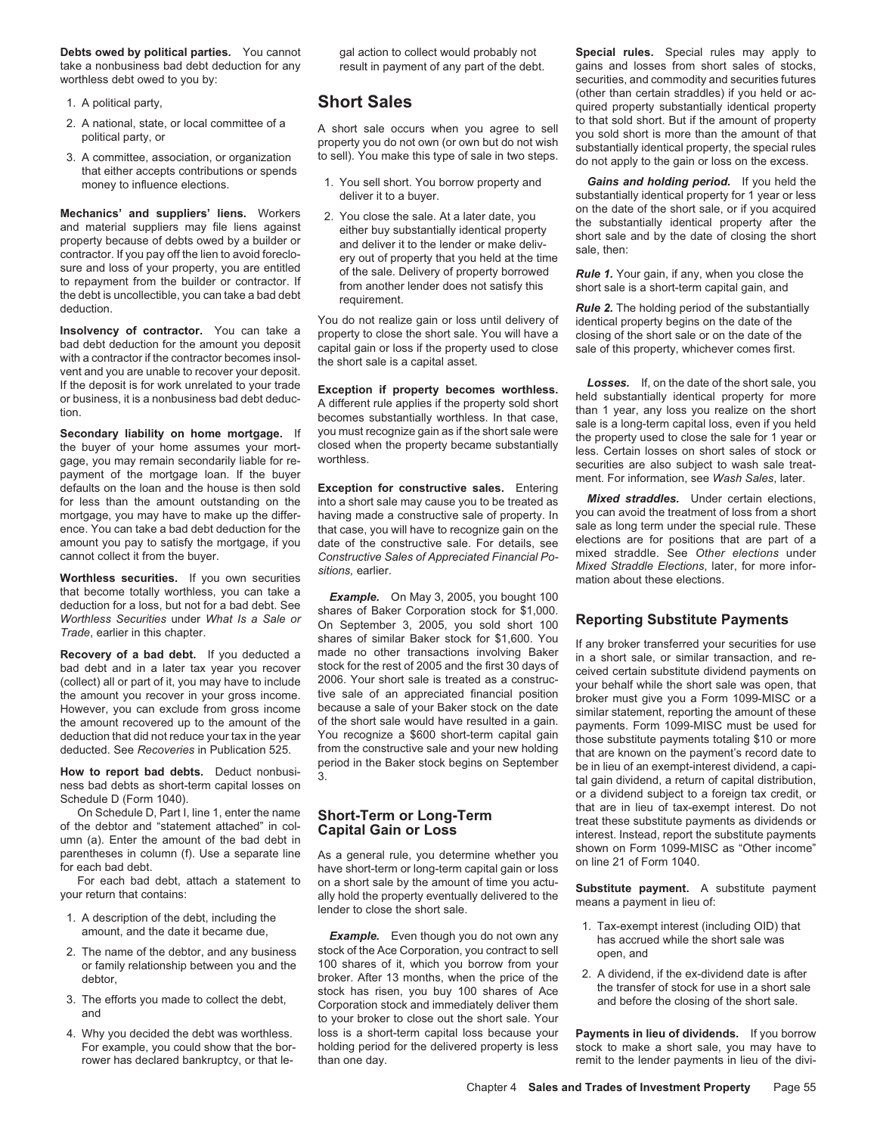take a nonbusiness bad debt deduction for any result in payment of any part of the debt. gains and losses from short sales of stocks, worthless debt owed to you by:  $\blacksquare$  securities, and commodity and securities futures

- 
- 
- 

**Mechanics' and suppliers' liens.** Workers and More the sale. At a later date, you with the date of the short sale, or if you acquired<br>and material suppliers may file liens against either buy substantially identical proper

You do not realize gain or loss until delivery of identical property begins on the date of the<br>bad debt deduction for the amount you deposit capital gain or loss if the property used to close sale of this property, whichev

the buyer of your home assumes your mort-<br>gage, you may remain secondarily liable for re-<br>payment of the mortgage loan. If the buyer<br>defaults on the loan and the house is then sold<br>defaults on the loan and the house is the defaults on the loan and the house is then sold for less than the amount outstanding on the into a short sale may cause you to be treated as **Mixed straddles.** Under certain elections, mortgage you may have to make up the differ- having made a constructive sale of prope mortgage, you may have to make up the differ- having made a constructive sale of property. In you can avoid the treatment of loss from a short process wou will have to recognize gain on the sale as long term under the spec

- 
- 
- 
- 

- 
- 

that become totally worthless, you can take a<br>deduction for a loss, but not for a bad debt. See<br>Worthless Securities under What Is a Sale or<br>Trade, earlier in this chapter.<br>Trade, earlier in this chapter.<br>Recovery of a bad

For each bad debt, attach a statement to on a short sale by the amount of time you actu-<br>your return that contains:<br>1. A description of the debt, including the<br>amount, and the date it became due,<br>**Example.** Even though you

2. The name of the debtor, and any business stock of the Ace Corporation, you contract to sell open, and or family relationship between you and the 100 shares of it, which you borrow from your or family relationship between you and the 100 shares of it, which you borrow from your<br>debtor, booker. After 13 months, when the price of the sex-dividend, if the ex-dividend date is after<br>3. The efforts you made to colle 4. Why you decided the debt was worthless. loss is a short-term capital loss because your **Payments in lieu of dividends.** If you borrow

**Debts owed by political parties.** You cannot gal action to collect would probably not **Special rules.** Special rules may apply to (other than certain straddles) if you held or ac- 1. A political party, **Short Sales** quired property substantially identical property 2. A national, state, or local committee of a<br>political party, or and committee of a<br>a short sale occurs when you agree to sell<br>3. A committee, association, or organization<br>3. A committee, association, or organization<br>that

money to influence elections. 1. You sell short. You borrow property and **Gains and holding period.** If you held the<br>deliver it to a buyer. by the substantially identical property for 1 year or less substantially identical property for 1 year or less<br>on the date of the short sale, or if you acquired

If the deposit is for work unrelated to your trade<br>or business, it is a nonbusiness bad debt deduc-<br>ion.<br>**Secondary liability on home mortgage**. If you must recognize gain as if the short sale were<br>the buyer of your home a

ence. You can take a bad debt deduction for the that case, you will have to recognize gain on the sale as long term under the special rule. These<br>amount you pay to satisfy the mortgage, if you date of the constructive sale

bad debt and in a later tax year you recover stock for the rest of 2005 and the first 30 days of<br>
ceived certain substitute dividend payments on<br>
the amount you recover in your gross income. tive sale of an appreciated fin

- 
- 

For example, you could show that the bor-<br>
rower has declared bankruptcy, or that le-<br>
than one day.<br>
In the delivered property is less<br>
remit to the lender payments in lieu of the divi-<br>
remit to the lender payments in li rower has declared bankruptcy, or that le- than one day. The state of the lender payments in lieu of the divi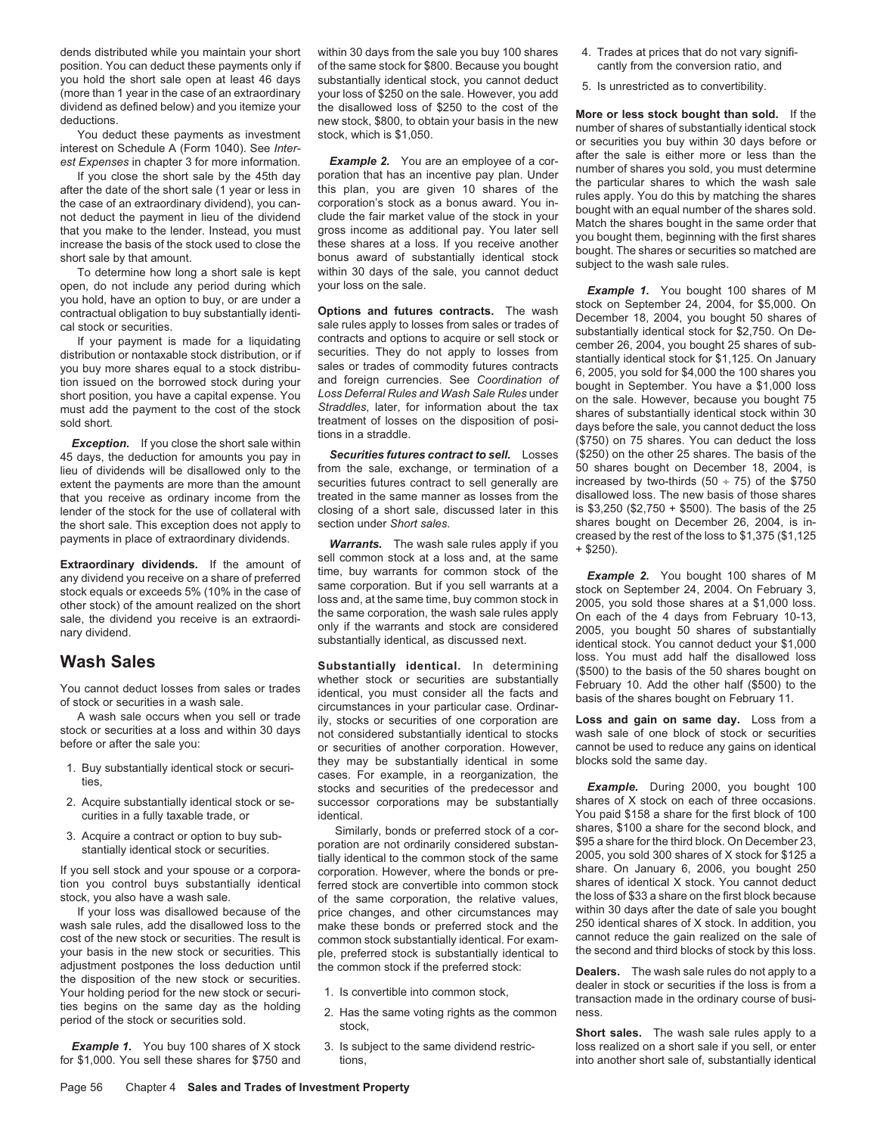position. You can deduct these payments only if of the same stock for \$800. Because you bought cantly from the conversion ratio, and you hold the short sale open at least 46 days substantially identical stock, you cannot deduct<br>(more than 1 year in the case of an extraordinary your loss of \$250 on the sale. However, you add<br>dividend as defined below) an

shares bought on December 26, 2004, is in-<br>nayments in place of extraordinary dividends<br>the social of the state of extraordinary dividends<br>the social of the state of the loss to \$1,375 (\$1,125

- 
- 
- 

your basis in the new stock or securities. This ple, preferred stock is substantially identical to adjustment postpones the loss deduction until the common stock if the preferred stock: adjustment postpones the loss deduction until the common stock if the preferred stock:<br>
The wash sale rules do not apply to a<br>
Your holding period of the new stock or securi-<br>
The wash sale rules do not apply to a<br>
Your ho

*Example 1.* You buy 100 shares of X stock 3. Is subject to the same dividend restric-<br>for \$1.000. You sell these shares for \$750 and tions. The same dividend restric-<br>into another short sale of substantially identical

dends distributed while you maintain your short within 30 days from the sale you buy 100 shares 4. Trades at prices that do not vary signifi-

45 days, the deduction for amounts you pay in Securities futures contract to sell. Losses (\$250) on the other 25 shares. The basis of the 45 check the 45 days, the 45 and 45 days of the 45 days in the 41 days in the 41 day lieu of dividends will be disallowed only to the from the sale, exchange, or termination of a  $50$  shares bought on December 18, 2004, is extent the payments are more than the amount securities futures contract to sell ge extent the payments are more than the amount securities futures contract to sell generally are increased by two-thirds (50 ÷ 75) of the \$750 extent the payments are more than the amount securities futures contract to sell that you receive as ordinary income from the treated in the same manner as losses from the disallowed loss. The new basis of those shares<br>Lender of the stock for the use of collateral with closing of a short sale, discusse lender of the stock for the use of collateral with closing of a short sale, discussed later in this is \$3,250 (\$2,750 + \$500). The basis of the 25 the short sale. This exception does not apply to section under Short sales.

payments in place of extraordinary dividends.<br> **Extraordinary dividends.** If the amount of sell common stock at a loss and, at the same<br>
any dividend you receive on a share of preferred time, buy warrants for common stock

VVELSIT SUBSEX Substantially identical. In determining (\$500) to the basis of the 50 shares bought on<br>
You cannot deduct losses from sales or trades<br>
of stock or securities in a wash sale.<br>
of stock or securities in a wash A wash sale occurs when you sell or trade ily, stocks or securities of one corporation are **Loss and gain on same day**. Loss from a stock or securities at a loss and within 30 days not considered substantially identical to or securities of another corporation. However, cannot be used to reduce any gains on identical 1. Buy substantially identical stock or securi-<br>they may be substantially identical in some blocks sold the same day.<br>ties,<br>2. Acquire substantially identical stock or se-<br>3. Acquire substantially identical stock or se-<br>3. successor corporations may be substantially

If you sell stock and your spouse or a corpora- corporation. However, where the bonds or pre-<br>The vou control buys, substantially identical forred stock are convertible into common stock. Shares of identical X stock. You c tion you control buys substantially identical ferred stock are convertible into common stock shares of identical X stock. You cannot deduct stock, you also have a wash sale.  $\frac{1}{2}$  of the same corporation, the relative of the same corporation, the relative values, the loss of \$33 a share on the first block because<br>If your loss was disallowed because of the price changes, and other circumstances may within 30 days after the date of sale y wash sale rules, add the disallowed loss to the make these bonds or preferred stock and the 250 identical shares of X stock. In addition, you<br>cost of the new stock or securities. The result is common stock substantially id cost of the new stock or securities. The result is common stock substantially identical. For exam-<br>your basis in the new stock or securities. This ple, preferred stock is substantially identical to the second and third blo

- 
- 
- 
- 
- 

dividend as defined below) and you itemize your<br>
devaluations.<br>
You deduct these payments as investment stock, \$800, to obtain your basis in the new<br>
You deduct these payments as investment stock, \$800, to obtain your basi

open, do not include any period during which<br>
your loss on the sale.<br>
contractal and prions and futures contracts. The wash<br>
contractual obligation to buy substantially identi-<br>
cal stock or securities.<br>
cal stock or secu *Exception.* If you close the short sale within<br> **Exception.** (\$750) on 75 shares. You can deduct the loss<br>
S days the deduction for amounts you pay in **Securities futures contract to sell.** Losses (\$250) on the other 25 s

sale, the dividend you receive is an extraordi-<br>sale, the dividend you receive is an extraordi-<br>substantially identical, as discussed next.<br>substantially identical, as discussed next.<br>identical stock. You cannot deduct you **Wash Sales loss** loss. You must add half the disallowed loss<br>**Wash Sales loss** (\$500) to the basis of the 50 shares bought on

curities in a fully taxable trade, or identical.<br>Similarly, bonds or preferred stock of a cor-<br>Similarly bonds or preferred stock of a cor-<br>Shares, \$100 a share for the second block, and 3. Acquire a contract or option to buy sub-<br>523, poration are not ordinarily considered substan-<br>1205, stantially identical stock or securities.<br>125 tially identical to the common stock of the same 2005, you sold 300 share

for tions, these shares into another short sale of, substantially identical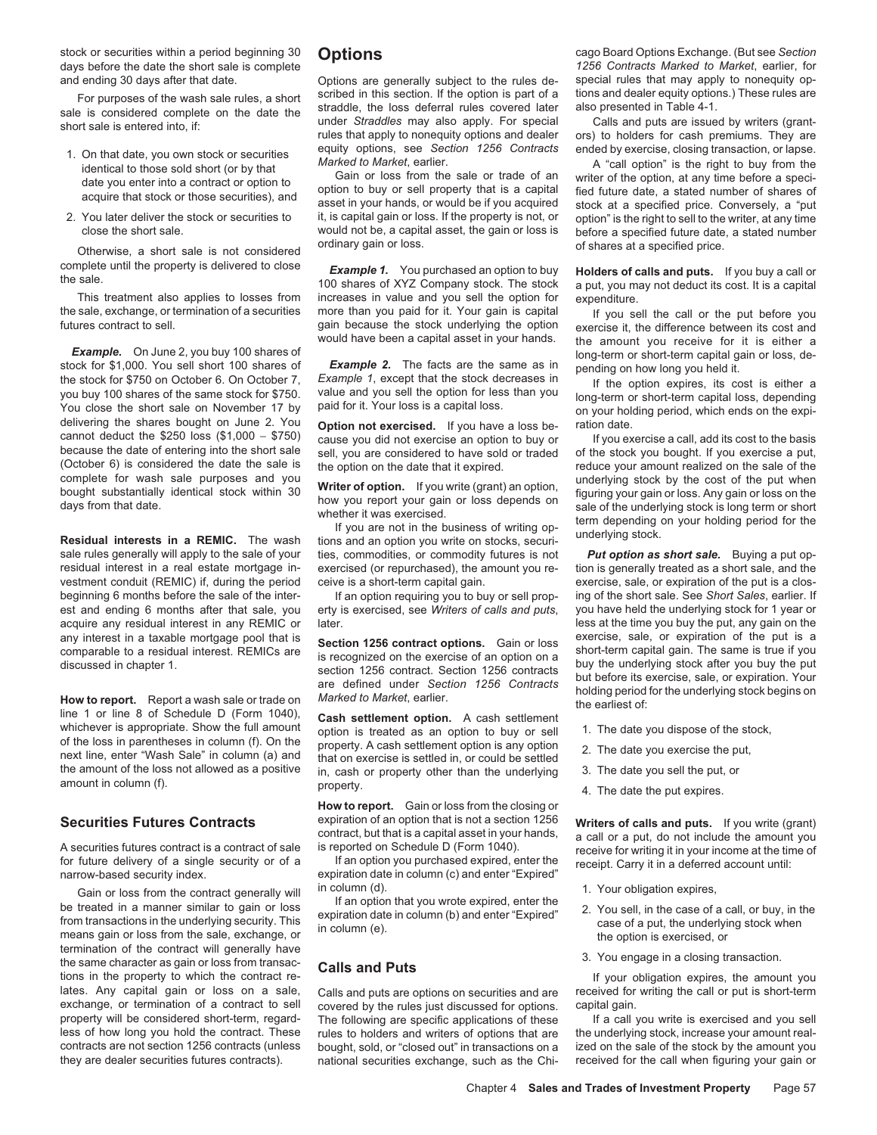stock or securities within a period beginning 30 **Options Change Community** cago Board Options Exchange. (But see *Section* days before the date the short sale is complete development of the matter of the date the short

- 1. On that date, you own stock or securities equity options, see Section 1256 Contracts ended by exercise, closing transaction, or lapse.<br>
identical to those sold short (or by that date you enter into a contract or option
- 

This treatment also applies to losses from increases in value and you sell the option for expenditure.<br>the sale, exchange, or termination of a securities more than you paid for it. Your gain is capital the sale, exchange, or termination of a securities more than you paid for it. Your gain is capital if you sell the call or the put before you<br>
gain because the stock underlying the option exercise it, the difference betwee

**Example.** On June 2, you buy 100 shares of<br>stock for \$1,000. You sell short 100 shares of **Example 2.** The facts are the same as in long-term or short-term capital gain or loss, de-<br>the stock for \$750 on October 6. On Oct the stock for \$750 on October 6. On October 7, Example 7, except that the stock decreases in<br>you buy 100 shares of the same stock for \$750, value and you sell the option for less than you<br>You close the short sale on Novemb You close the short sale on November 17 by paid for it. Your loss is a capital loss.<br>delivering the shares bought on June 2. You **Ontion not exercised** If you have a loss be- ration date. delivering the shares bought on June 2. You<br>cannot deduct the \$250 loss (\$1,000 – \$750) cause you did not exercise an option to buy or fyou exercise a call, add its cost to the basis<br>because the date of entering into the s (October 6) is considered the date the sale is the option on the date that it expired. The reduce your amount realized on the sale of the complete for wash sale purposes and you

sale rules generally will apply to the sale of your ties, commodities, or commodity futures is not **Put option as short sale.** Buying a put op-<br>residual interest in a real estate mortgage in-<br>exercised (or repurchased), th vestment conduit (REMIC) if, during the period ceive is a short-term capital gain. beginning 6 months before the sale of the inter- If an option requiring you to buy or sell prop- ing of the short sale. See *Short Sales*, earlier. If est and ending 6 months after that sale, you erty is exercised, see *Writers of calls and puts*, you have held the underlying stock for 1 year or acquire any residual interest in any REMIC or later.<br>any interest in a taxable mortgage pool that is continued and the put or time. Cain as less at the time you buy the put, any gain on the

line 1 or line 8 of Schedule D (Form 1040), **Cash settlement option.** A cash settlement whichever is appropriate. Show the full amount option is treated as an option to buy or sell 1. The date you dispose of the stock, of the loss in parentheses in column (f). On the property A cash settlement option is any or the loss in parentneses in column (t). On the property. A cash settlement option is any option<br>next line, enter "Wash Sale" in column (a) and that on exercise is settled in, or could be settled<br>the amount of the loss no the amount of the loss not allowed as a positive in, cash or property other than the underlying amount in column (f).

Gain or loss from the contract generally will  $\frac{1}{2}$  in column (d). 1. Your obligation expires,  $\frac{1}{2}$  1. Your obligation expires, be treated in a manner similar to gain or loss and the expiration date in column (b) and enter "Expired" and the case of a call, or buy, in the case of a call, or buy, in the expiration date in column (b) and enter "Expire termination of the contract will generally have<br>the same character as gain or loss from transac-<br>tions in the property to which the contract re-**Calls and Puts** fyour obligation expires, the amount you lates. Any capital gain or loss on a sale, Calls and puts are options on securities and are received for writing the call or put is short-term exchange, or termination of a contract to sell covered by the rules just discus

and ending 30 days after that date.<br>Options are generally subject to the rules de-<br>For purposes of the wash sale rules a short scribed in this section. If the option is part of a tions and dealer equity options.) These rul For purposes of the wash sale rules, a short scribed in this section. If the option is part of a tions and dealer equity options.) These rules are straddle, the loss deferral rules covered later also presented in Table 4-1

2. You later deliver the stock or securities to it, is capital gain or loss. If the property is not, or option" is the right to sell to the writer, at any time close the short sale.  $\blacksquare$  would not be, a capital asset, th ordinary gain or loss. of shares at a specified price. Otherwise, a short sale is not considered

complete until the property is delivered to close<br>the sale. This treatment also applies to losses from increases in value and you sell the option for expenditure.<br>This treatment also applies to losses from increases in val gain because the stock underlying the option exercise it, the difference between its cost and<br>would have been a capital asset in your hands. The amount you receive for it is either a

sell, you are considered to have sold or traded of the stock you bought. If you exercise a put,

property. The date the put expires.

**How to report.** Gain or loss from the closing or

narrow-based security index.<br>
Coin or loss from the contract generally will in column (d).

exchange, or termination of a contract to sell covered by the rules just discussed for options. capital gain.<br>
property will be considered short-term, regard- The following are specific applications of these If a call rules to holders and writers of options that are the underlying stock, increase your amount realnational securities exchange, such as the Chi-

1256 Contracts Marked to Market, earlier, for<br>special rules that may apply to nonequity op-

would not be, a capital asset, the gain or loss is before a specified future date, a stated number<br>ordinary gain or loss. experience of shares at a specified price.

the amount you receive for it is either a

complete for wash sale purposes and you<br>bought substantially identical stock within 30<br>days from that date.<br>days from that date.<br>**Residual interests in a REMIC.** The wash tions and an option you report your gain or loss de

exercised (or repurchased), the amount you re-<br>ceive is a short-term capital gain.<br>exercise, sale, or expiration of the put is a closany interest in a taxable mortgage pool that is<br>comparable to a residual interest. REMICs are<br>discussed in chapter 1.<br>discussed in chapter 1.<br>**How to report.** Report a wash sale or trade on *Marked to Market*, earlier.<br>How

- 
- 
- 
- 

**Securities Futures Contracts**<br>A securities futures contract is a contract of sale<br>ontract of sale is reported on Schedule D (Form 1040).<br>for future delivery of a single security or of a<br>farm option you purchased expired,

- 
- 
- 

property will be considered short-term, regard-<br>Iess of how long you hold the contract. These rules to holders and writers of options that are the underlying stock, increase your amount realcontracts are not section 1256 contracts (unless bought, sold, or "closed out" in transactions on a ized on the sale of the stock by the amount you<br>they are dealer securities futures contracts). Thational securities exchan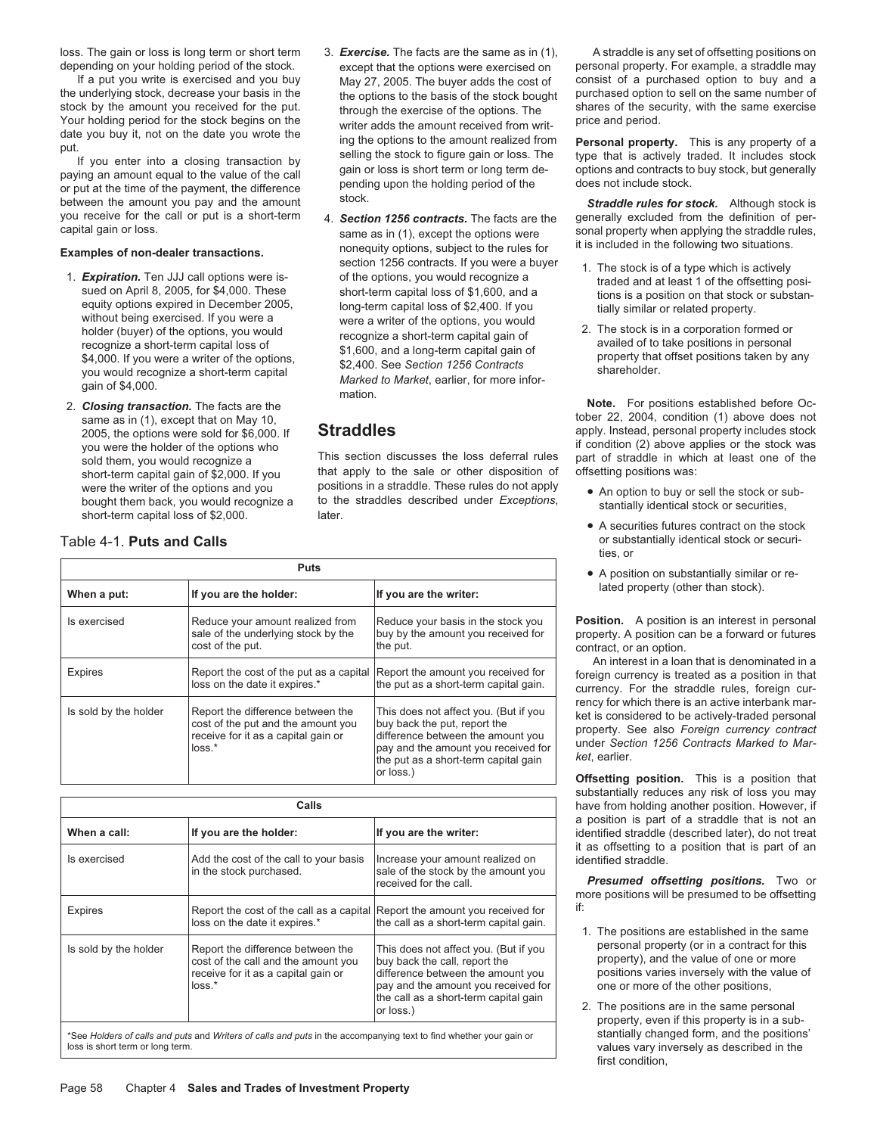loss. The gain or loss is long term or short term 3. Exercise. The facts are the same as in (1), A straddle is any set of offsetting positions on

If a put you write is exercised and you buy May 27, 2005. The buyer adds the cost of consist of a purchased option to buy and a the underlying stock, decrease your basis in the the options to the basis of the stock bought the underlying stock, decrease your basis in the the options to the basis of the stock bought<br>stock by the amount you received for the put.<br>Your holding period for the stock begins on the the put through the exercise of th

you receive for the call or put is a short-term 4. **Section 1256 contracts.** The facts are the generally excluded from the definition of per-<br>capital gain or loss.

- 
- 

- date you buy it, not on the date you wrote the<br>put.<br>If you enter into a closing transaction by<br>paying an amount equal to the value of the call<br>or put at the time of the payment, the difference<br>between the amount you pay an
- **Examples of non-dealer transactions.**<br> **Expiration.** Ten JJJ call options were is-<br>
sued on April 8, 2005, for \$4,000. These<br>
equity options were incomparison in the following two situations.<br>
sued on April 8, 2005, for you would recognize a short-term capital<br>gain of \$4,000.<br>mation. mation.

sold them, you would recognize a This section discusses the loss deferral rules part of straddle in which short-term capital gain of \$2,000. If you that apply to the sale or other disposition of offsetting positions was: short-term capital gain of \$2,000. If you that apply to the sale or other disposition of were the writer of the options and you positions in a straddle. These rules do not apply were the writer of the options and you positions in a straddle. These rules do not apply bought them back, you would recognize a to the straddles described under *Exceptions*, short-term capital loss of \$2,000. later.

|                                                                 | <b>Puts</b>                                                                                                              | • A position on substantially similar or re-                                                                                                                                              |                                                                                                                                                                                                                       |
|-----------------------------------------------------------------|--------------------------------------------------------------------------------------------------------------------------|-------------------------------------------------------------------------------------------------------------------------------------------------------------------------------------------|-----------------------------------------------------------------------------------------------------------------------------------------------------------------------------------------------------------------------|
| If you are the holder:<br>If you are the writer:<br>When a put: |                                                                                                                          | lated property (other than stock).                                                                                                                                                        |                                                                                                                                                                                                                       |
| Is exercised                                                    | Reduce your amount realized from<br>sale of the underlying stock by the<br>cost of the put.                              | Reduce your basis in the stock you<br>buy by the amount you received for<br>the put.                                                                                                      | <b>Position.</b> A position is an interest in personal<br>property. A position can be a forward or futures<br>contract, or an option.                                                                                 |
| <b>Expires</b>                                                  | Report the cost of the put as a capital Report the amount you received for<br>loss on the date it expires.*              | the put as a short-term capital gain.                                                                                                                                                     | An interest in a loan that is denominated in a<br>foreign currency is treated as a position in that<br>currency. For the straddle rules, foreign cur-                                                                 |
| Is sold by the holder                                           | Report the difference between the<br>cost of the put and the amount you<br>receive for it as a capital gain or<br>loss.* | This does not affect you. (But if you<br>buy back the put, report the<br>difference between the amount you<br>pay and the amount you received for<br>the put as a short-term capital gain | rency for which there is an active interbank mar-<br>ket is considered to be actively-traded personal<br>property. See also Foreign currency contract<br>under Section 1256 Contracts Marked to Mar-<br>ket. earlier. |
|                                                                 |                                                                                                                          | or loss.)                                                                                                                                                                                 | Offeatting nosition This is a nosition that                                                                                                                                                                           |

|                       | Calls                                                                                                                       |                                                                                                                                                                                                          |
|-----------------------|-----------------------------------------------------------------------------------------------------------------------------|----------------------------------------------------------------------------------------------------------------------------------------------------------------------------------------------------------|
| When a call:          | If you are the holder:                                                                                                      | If you are the writer:                                                                                                                                                                                   |
| Is exercised          | Add the cost of the call to your basis<br>in the stock purchased.                                                           | Increase your amount realized on<br>sale of the stock by the amount you<br>received for the call.                                                                                                        |
| Expires               | Report the cost of the call as a capital Report the amount you received for<br>loss on the date it expires.*                | the call as a short-term capital gain.                                                                                                                                                                   |
| Is sold by the holder | Report the difference between the<br>cost of the call and the amount you<br>receive for it as a capital gain or<br>$loss.*$ | This does not affect you. (But if you<br>buy back the call, report the<br>difference between the amount you<br>pay and the amount you received for<br>the call as a short-term capital gain<br>or loss.) |

depending on your holding period of the stock. except that the options were exercised on personal property. For example, a straddle may except that the options were exercised on personal property. For example, a straddle m

same as in  $(1)$ , except the options were sonal property when applying the straddle rules,<br>nonequity options subject to the rules for it is included in the following two situations.

- 
- 

2. **Closing transaction.** The facts are the **Note. Note.** For positions established before Oc-<br>same as in (1), except that on May 10, same as in tober 22, 2004, condition (1) above does not<br>apply. Instead, personal property includes stock 2005, the options were sold for \$6,000. If **Straddles** apply. Instead, personal property includes stock if condition (2) above applies or the stock was part of straddle in which at least one of the

- 
- Table 4-1. **Puts and Calls** and Table 3. The substantially identical stock or securities, or
	- **•** A position on substantially similar or related property (other than stock).

Offsetting position. This is a position that substantially reduces any risk of loss you may have from holding another position. However, if a position is part of a straddle that is not an identified straddle (described later), do not treat it as offsetting to a position that is part of an identified straddle.

Presumed offsetting positions. Two or more positions will be presumed to be offsetting

- 1. The positions are established in the same. personal property (or in a contract for this property), and the value of one or more positions varies inversely with the value of one or more of the other positions,
- 2. The positions are in the same personal property, even if this property is in a substantially changed form, and the positions' loss is short term or long term. values vary inversely as described in the first condition,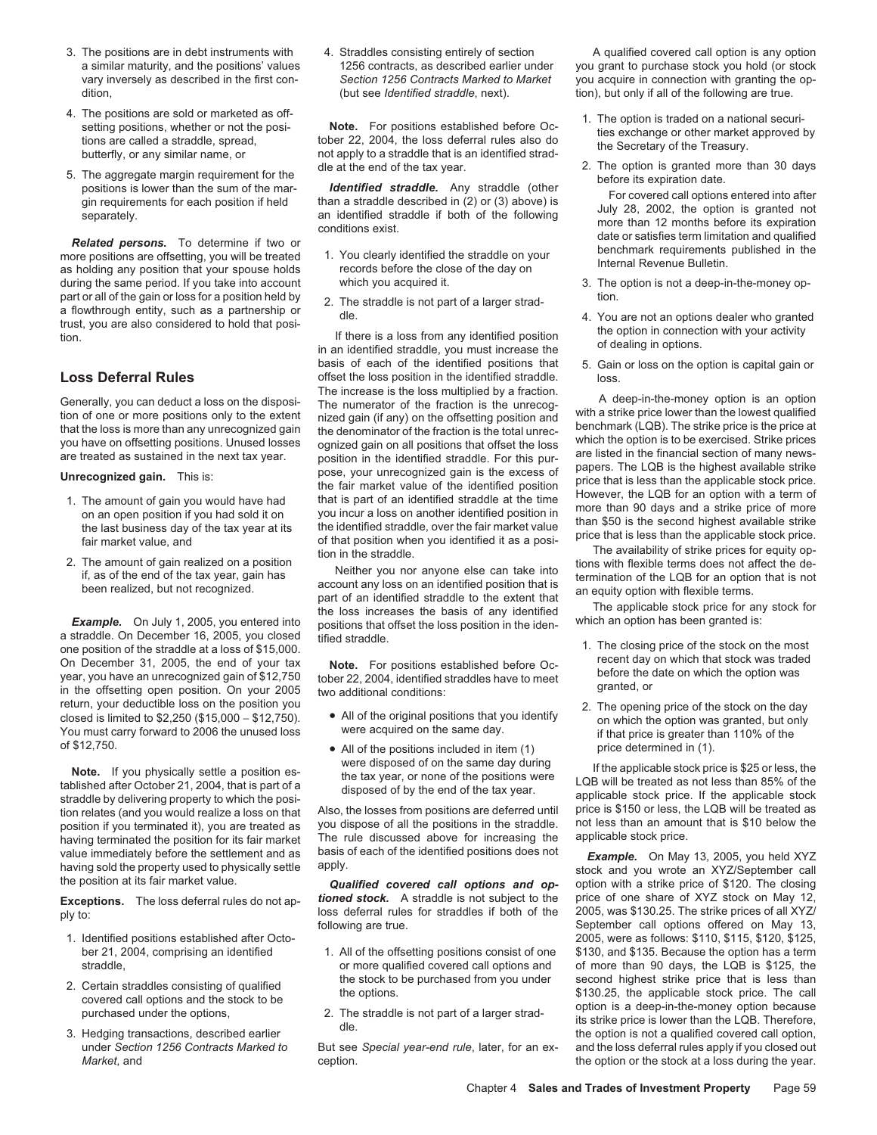- 
- 4. The positions are sold or marketed as off-<br>setting positions, whether or not the posi-<br>tions are called a straddle, spread, to the reasonal positions are called a straddle, spread, to be 22, 2004, the loss deferral rule
- 

during the same period. If you take into account which you acquired it.  $\qquad \qquad$  3. The option is not a deep-in-the-money opa flowthrough entity, such as a partnership or deler that is not part of a larger strad-<br>a flowthrough entity, such as a partnership or dele.<br>trust, you are also considered to hold that posi-<br>tion. The straddle is not part

tion of one or more positions only to the extent<br>that the loss is more than any unrecognized gain the denominator of the fraction is the offsetting position and<br>you have on offsetting positions. Unused losses ognized gain

- 
- 

a straddle. On December 16, 2005, you closed tified straddle.<br>1. The closing price of the stock on the most one position of the stock on the most one position of the stock<br>1. The closing price of the stock was traded<br>2. Th On December 31, 2005, the end of your tax<br>year, you have an unrecognized gain of \$12,750<br>in the offsetting open position. On your 2005<br>in the offsetting open position. On your 2005<br>return, your deductible loss on the posit return, your deductible loss on the position you<br>closed is limited to \$2,250 (\$15,000 – \$12,750). <br>You must carry forward to 2006 the unused loss were acquired on the same day. The option was granted, but only

tion relates (and you would realize a loss on that Also, the losses from positions are deferred until price is \$150 or less, the LQB will be treated as tion related as the stradele. The stradele as the stradele as than an position if you terminated it), you are treated as you dispose of all the positions in the straddle. not less than an amount having terminated the position for its fair market. The rule discussed above for increasing the a The rule discussed above for increasing the applicable increasing the value immediately before the settlement and as basis of each of the identified positions does not

- 
- 
- 

3. The positions are in debt instruments with 4. Straddles consisting entirely of section A qualified covered call option is any option dition, (but see *Identified straddle*, next). tion), but only if all of the following are true.

- 
- 

basis of each of the identified positions that 5. Gain or loss on the option is capital gain or **Loss Deferral Rules busines** offset the loss position in the identified straddle. loss. The increase is the loss multiplied by a fraction. Generally, you can deduct a loss on the disposi-<br>tion of one or more positions only to the extent in red dain (if any) on the offsetting position and with a strike price lower than the lowest qualified Continuing the identified strading in the identified strading in the identified strading in the identified strading capin is the financial section of many news-<br>
Unrecognized gain. This is:<br>
the fair market value of the id

the loss increases the basis of any identified<br>**Example.** On July 1, 2005, you entered into positions that offset the loss position in the iden-<br>a straddle. On December 16, 2005, you closed tified straddle

- 
- 

**Exceptions.** The loss deferral rules do not ap-<br>loss deferral rules for straddles if both of the 2005, was \$130.25. The strike prices of all XYZ/ loss deferral rules for straddles if both of the 2005, was the 2005 of all 2005, was strike prices of all XYZ/ ply to:

- 
- 

*Market*, and the option of the option of the option or the stock at a loss during the year.

a similar maturity, and the positions' values 1256 contracts, as described earlier under you grant to purchase stock you hold (or stock vary inversely as described in the first con- *Section 1256 Contracts Marked to Market* you acquire in connection with granting the op-

- 
- 

5. The aggregate margin requirement for the<br>
positions is lower than the sum of the mar-<br>
gin requirements for each position if held<br>
gin requirements for each position if held<br>
than a straddle described in (2) or (3) abov

- 
- 
- 

- 
- You must carry forward to 2006 the unused loss were acquired on the same day. if that price is greater than 110% of the of \$12,750.<br>
 All of the positions included in item (1) price determined in (1).

**Note.** If you physically settle a position es-<br>tablished after October 21, 2004, that is part of a<br>straddle by delivering property to which the posi-<br>straddle by delivering property to which the posi-<br>straddle by deliveri

value immediately before the settlement and as basis of each of the identified positions does not **Example.** On May 13, 2005, you held XYZ<br>having sold the property used to physically settle apply. The stock and you wrote a September call options offered on May 13, 1. Identified positions established after Octo- 21. All of the offsetting positions consist of one 2005, were as follows: \$110, \$115, \$120, \$125, ber 21, 2004, comprising an identified 1. All of the offsetting positions co ber 21, 2004, comprising an identified 1. All of the offsetting positions consist of one \$130, and \$135. Because the option has a term straddle, straddle, straddle, or more qualified covered call options and of more than 90 days, the LQB is \$125, the 2. Certain straddles consisting of qualified<br>
covered call options and the stock to be purchased from you under<br>
covered call options and the stock to be<br>
purchased under the options,<br>
2. The straddle is not part of a larg under *Section 1256 Contracts Marked to* But see *Special year-end rule*, later, for an ex- and the loss deferral rules apply if you closed out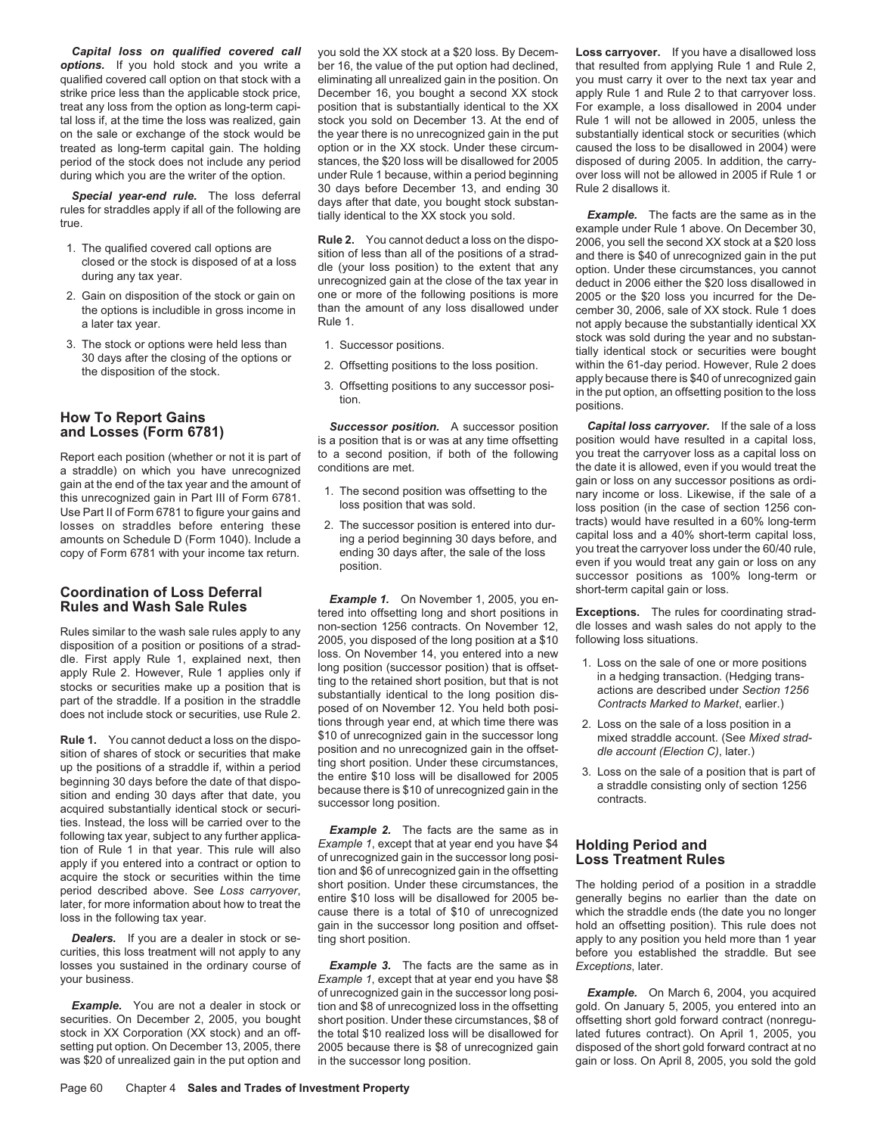*options.* If you hold stock and you write a ber 16, the value of the put option had declined, that resulted from applying Rule 1 and Rule 2, qualified covered call option on that stock with a eliminating all unrealized gain in the position. On you must carry it over to the next tax year and strike price less than the applicable stock price, December 16, you bought a second XX stock apply Rule 1 and Rule 2 to that carryover loss. treat any loss from the option as long-term capi- position that is substantially identical to the XX For example, a loss disallowed in 2004 under tal loss if, at the time the loss was realized, gain stock you sold on December 13. At the end of Rule 1 will not be allowed in 2005, unless the on the sale or exchange of the stock would be the year there is no unrecognized gain in the put substantially identical stock or securities (which treated as long-term capital gain. The holding option or in the XX stock. U treated as long-term capital gain. The holding period of the stock does not include any period stances, the \$20 loss will be disallowed for 2005 disposed of during 2005. In addition, the carry-

**Special year-end rule.** The loss deferral of days before becember 10, and enancy 50 Rule 2 disatiows it.<br>The facts are the same as in the rules for straddles apply if all of the following are the same tially identical to

- 
- 
- 

a straddle) on which you have unrecognized conditions are met.<br>
gain at the end of the tax year and the amount of this unrecognized gain in Part III of Form 6781.<br>
Use Part II of Form 6781 to figure your gains and loss pos Use Part II of Form 6781 to figure your gains and<br>losses on straddles before entering these 2. The successor position is entered into dur-<br>amounts on Schedule D (Form 1040), Include a sing a period beginning 30 days before

sition of shares of stock or securities that make position and no unrecognized gain in the offset-<br>*in the positions of a straddle if within a period* ting short position. Under these circumstances, up the positions of a straddle if, within a period<br>beginning 30 days before the date of that disponential ting short position. Under these circumstances,<br>beginning 30 days before the date of that disponential the entire \$1 ties. Instead, the loss will be carried over to the<br>following tax year, subject to any further applica-<br>figure 1, except that at year end you have \$4 tion of Rule 1 in that year. This rule will also *Example 1*, except that at year end you have \$4 **Holding Period and** apply if you entered into a contract or option to<br>tion and \$6 of unrecognized gain in the offsetting

curities, this loss treatment will not apply to any **Example 3.** The facts are the same as in **Exceptions** later.<br>Iosses you sustained in the ordinary course of **Example 3.** The facts are the same as in Exceptions later.

*Capital loss on qualified covered call* you sold the XX stock at a \$20 loss. By Decem- **Loss carryover.** If you have a disallowed loss during which you are the writer of the option. under Rule 1 because, within a period beginning over loss will not be allowed in 2005 if Rule 1 or<br>Cnesial was not with The lose defensed 30 days before December 13, and endin

1. The qualified covered call options are<br>
closed or the stock is disposed of at a loss<br>
divide 1 (your loss position) to the extent that any<br>
during any tax year.<br>
during any tax year.<br>
during any tax year.<br>
during any ta 2. Gain on disposition of the stock or gain on one or more of the following positions is more 2005 or the \$20 loss you incurred for the De-<br>the options is includible in gross income in than the amount of any loss disallowe than the amount of any loss disallowed under cember 30, 2006, sale of XX stock. Rule 1 does<br>Rule 1. not apply because the substantially identical XX

- 
- 
- 

- 
- 

**Coordination of Loss Deferral**<br>**Example 1.** On November 1, 2005, you en-<br>Rules and Wash Sale Rules<br>
ered into offsetting long and short positions in Exceptions. The rules for coordinating strad-<br>
Pulse cimilar to the work Rules similar to the wash sale rules apply to any<br>disposition of a position or positions of a strad-<br>dle. First apply Rule 1, explained next, then<br>apply Rule 1, explained next, then<br>apply Rule 1, explained next, then<br>apply tions through year end, at which time there was equipped and the sale of a loss position in a<br>**Rule 1.** You cannot deduct a loss on the dispo-<br>sition of shares of stock or securities that make position and no unrecognized

acquire the stock or securities within the time<br>period described above. See Loss carryover,<br>later, for more information about how to treat the<br>loss in the following tax year.<br>later, for more information about how to treat

losses you sustained in the ordinary course of *Example 3.* The facts are the same as in *Exceptions*, later. your business. *Example 1*, except that at year end you have \$8 of unrecognized gain in the successor long posi- *Example.* On March 6, 2004, you acquired *Example.* You are not a dealer in stock or tion and \$8 of unrecognized loss in the offsetting gold. On January 5, 2005, you entered into an securities. On December 2, 2005, you bought short position. Under these circumstances, \$8 of offsetting short gold forward contract (nonregustock in XX Corporation (XX stock) and an off- the total \$10 realized loss will be disallowed for lated futures contract). On April 1, 2005, you setting put option. On December 13, 2005, there 2005 because there is \$8 of unrecognized gain disposed of the short gold forward contract at no<br>was \$20 of unrealized gain in the put option and in the successor long positio

example under Rule 1 above. On December 30,<br>Rule 2. You cannot deduct a loss on the dispo-<br>2006 vou sell the second XX stock at a \$20 loss a later tax year. **Rule 1.** Nulle 1. **Rule 1.** Nulle 1. **not apply because the substantially identical XX** 3. The stock or options were held less than the disposition of the stock.<br>30 days after the closing of the options or<br>3. Offsetting positions to the loss position.<br>3. Offsetting positions to any successor posi-<br>3. Offsetti

**How To Report Gains**<br>**Successor position.** A successor position **Capital loss carryover.** If the sale of a loss<br>is a position that is or was at any time offsetting position would have resulted in a capital loss, Report each position (whether or not it is part of to a second position, if both of the following you treat the carryover loss as a capital loss on a straddle) on which you have unrecognized conditions are met. amounts on Schedule D (Form 1040). Include a ing a period beginning 30 days before, and capital loss and a 40% short-term capital loss,<br>copy of Form 6781 with your income tax return. ending 30 days after, the sale of the l

- 
- 
- 

**Dealers.** If you are a dealer in stock or se- ting short position. The apply to any position you held more than 1 year

in the successor long position. gain or loss. On April 8, 2005, you sold the gold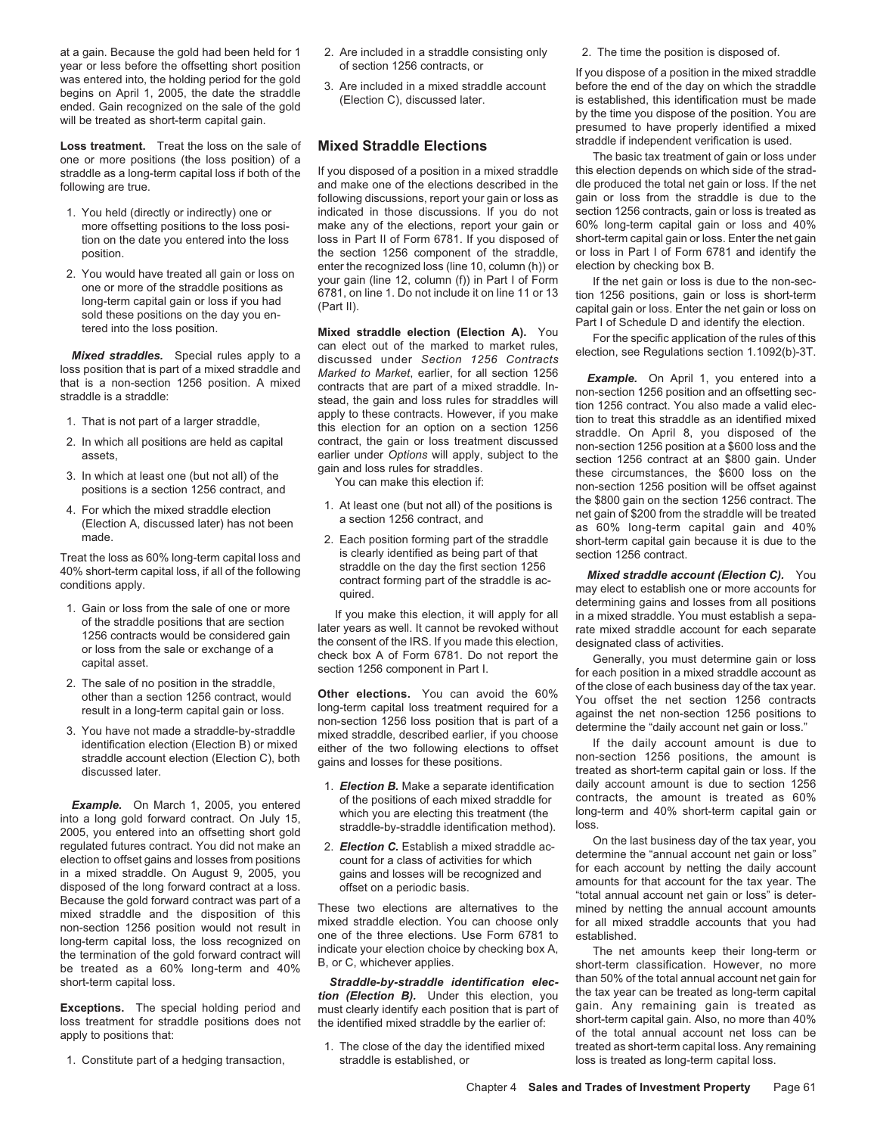at a gain. Because the gold had been held for 1 2. Are included in a straddle consisting only 2. The time the position is disposed of.

**Example 15 Example 15 Example 15 Example 15 Example 15 Elections** traddle if independent verification is used.<br>The basic tax treatment of gain or loss under one or more positions of a one or more positions (the loss position) of a<br>straddle strader or more treatment of gain or loss under one of the lif you disposed of a position in a mixed straddle this election depends on which side of the strad-

- 
- 2. You would have treated all gain or loss on<br>
one or more of the straddle positions as<br>
long-term capital gain or loss if you had<br>
sold these positions on the day you en-<br>
sold these positions on the day you en-<br>
sold the

- 
- 
- 
- 

- 
- 
- 

**Example.** On March 1, 2005, you entered<br>
into a long gold forward contract. On July 15,<br>
2005, you entered<br>
into a long contracts on the positions of each mixed straddle for<br>
contracts, the amount is treated as 60%<br>
2. **E** the termination of the gold forward contract will the undicate your election choice by checking box A, The net amounts keep their long-term or<br>be treated as a 60% long-term and 40% B, or C, whichever applies.<br>**Straddle-by-**

loss treatment for straddle positions does not the identified mixed straddle by the earlier of:<br>apply to positions that:

- 
- 

Straddle as a long-term capital loss if both of the liftyou disposed of a position in a mixed straddle this election depends on which side of the strad-<br>following are true following are true.<br>
following discussions, report your gain or loss as gain or loss from the straddle is due to the following discussions, report your gain or loss as gain or loss from the straddle is due to the indicated in those discussions. If you do not section 1256 contracts, gain or loss is treated as 1. You held (directly or indirectly) one or indicated in those discussions. If you do not section 1256 contracts, gain or loss is treated as more offsetting positions to the loss posi- make any of the elections, report you make any of the elections, report your gain or 60% long-term capital gain or loss and 40% loss in Part II of Form 6781. If you disposed of short-term capital gain or loss. Enter the net gain tion on the date you entered into the loss in Part II of Form 6781. If you disposed of short-term capital gain or loss. Enter the net gain<br>position. the section 1256 component of the straddle, or loss in Part I of Form 678 position. the section 1256 component of the straddle, or loss in Part I of Form 67<br>Messen the the straddle strandard or loss (line 10, column (h)) or election by checking box B.

loss position that is part of a mixed straddle and<br>that is a non-section 1256 position. A mixed contracts that are part of a mixed straddle. In-<br>straddle is a straddle:<br>straddle is a straddle:<br>straddle is a straddle:<br>a str able is the stead, the gain and loss rules for straddies will tion 1256 contract. You also made a valid elec-<br>1. That is not part of a larger straddle, this election for an option on a section 1256 straddle. On April 8, yo

- 
- Treat the loss as 60% long-term capital loss and is clearly identified as being part of that section 1256 contract.<br>40% short-term capital loss if all of the following straddle on the day the first section 1256

result in a long-term capital gain or loss.<br>
3. You have not made a straddle-by-straddle<br>
identification election (Election B) or mixed<br>
straddle, described earlier, if you choose<br>
identification election (Election B) or m

- 
- 

**Exceptions.** The special holding period and must clearly identify each position that is part of gain. Any remaining gain is treated as loss treatment for straddle positions does not the identified mixed straddle by the ea

1. Constitute part of a hedging transaction, straddle is established, or loss is treated as long-term capital loss.

vear or less before the offsetting short position of section 1256 contracts, or was entered into, the holding period for the gold<br>
was entered into, the holding period for the gold<br>
begins on April 1, 2005, the date the st

2. In which all positions are held as capital<br>3. In which all positions are held as capital<br>3. In which at least one (but not all) of the<br>3. In which at least one (but not all) of the<br>5. In which at least one (but not all) For which the mixed straddle election<br>4. For which the mixed straddle election<br>4. (Election A, discussed later) has not been<br>2. Each position forming part of the straddle<br>2. Each position forming part of the straddle<br>2. Ea

40% short-term capital loss, if all of the following<br>
conditions apply.<br>
2. The sale of one or more<br>
conditions apply.<br>
Cain or loss from the sale of one or more<br>
or the straddle positions that are section<br>
or the straddle

1. *Election B.* Make a separate identification daily account amount is due to section 1256 of the positions of each mixed straddle for contracts, the amount is treated as 60%

short-term capital loss.<br>*Straddle-by-straddle identification elec-* than 50% of the total annual account net gain for<br>**Exceptions.** The special holding period and must clearly identify each position that is part of gain. apply to the total annual account net loss can be<br>1. The close of the day the identified mixed treated as short-term capital loss. Any remaining The close of the day the identified mixed treated as short-term capital loss. Any remaining<br>straddle is established. or show the stated as long-term capital loss.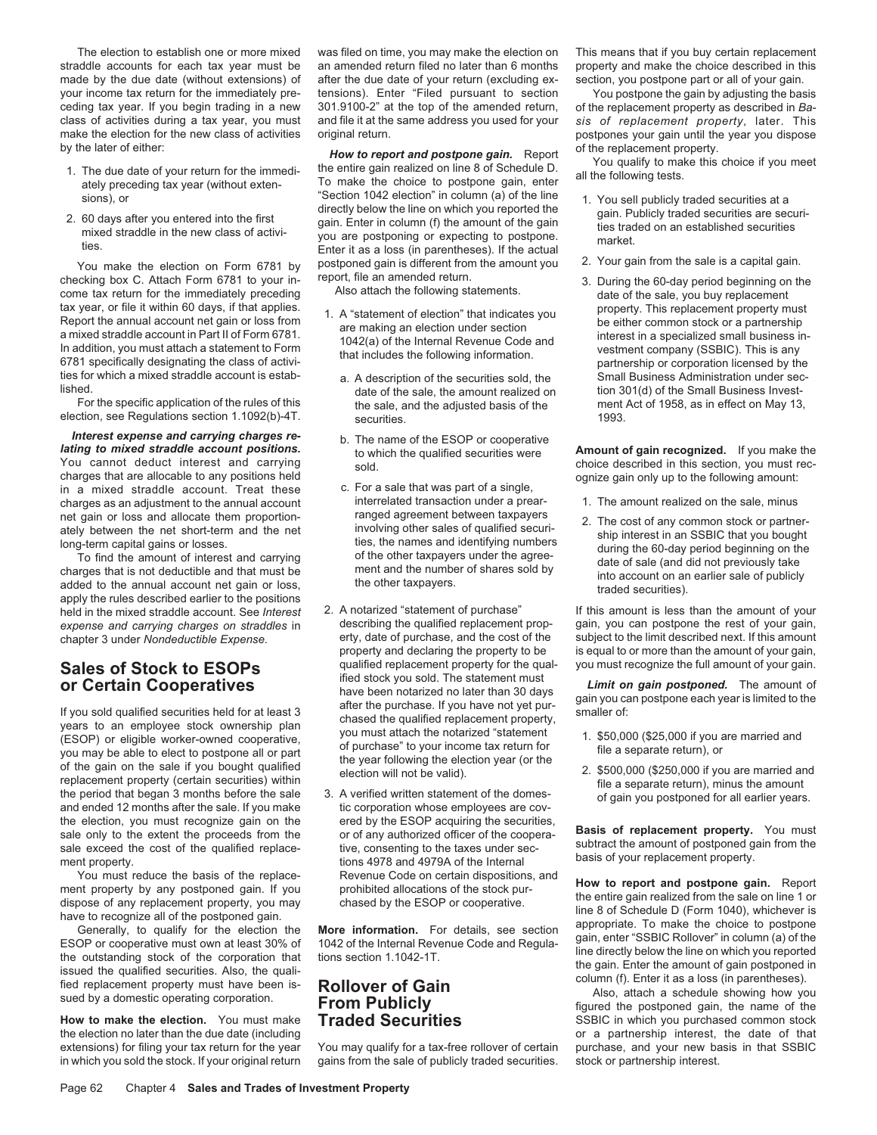straddle accounts for each tax year must be an amended return filed no later than 6 months property and make the choice described in this made by the due date (without extensions) of after the due date of your return (excluding ex- section, you postpone part or all of your gain. your income tax return for the immediately pre- tensions). Enter "Filed pursuant to section You postpone the gain by adjusting the basis ceding tax year. If you begin trading in a new 301.9100-2" at the top of the amended return, of the replacement property as described in *Ba*class of activities during a tax year, you must and file it at the same address you used for your *sis of replacement property*, later. This make the election for the new class of activities original return. postpones your gain until the year you dispose<br>by the later of either: postpones your gain until the year you dispose<br> $\frac{1}{2}$ 

- 
- 

You make the election on Form 6781 by postponed gain is different from the amount you 2. Your gain from the sale is a capital gain.<br>
checking box C. Attach Form 6781 to your in-<br>
come tax return for the immediately precedi tax year, or file it within 60 days, if that applies.<br>
Report the annual account net gain or loss from<br>
a mixed straddle account in Part II of Form 6781.<br>
In addition, you must attach a statement to Form<br>
6781 specifically ties for which a mixed straddle account is estab-<br>
ished. A description of the securities sold, the Small Business Administration under sec-<br>
date of the sale, the amount realized on tion 301(d) of the Small Business Inves

For the specific application of the rules of the rules of the rules of the election, see Regulations section 1.1092(b)-4T. Securities. 1993.

Interest expense and carrying charges re-<br>
Interest expense and carrying charges re-<br>
You cannot deduct interest and carrying sold.<br>
You cannot deduct interest and carrying sold.<br>
You cannot deduct interest and carrying so charges that are allocable to any positions held only a contrated to any positions held on a mixed straddle account. Treat these c. For a sale that was part of a single, charges as an adjustment to the annual account inter charges as an adjustment to the annual account interrelated transaction under a prear-<br>
net gain or loss and allocate them proportion-<br>
ranged agreement between taxpayers

**OCOMPTATIVES**<br> **OCOMPTATIVES** From **COMPTATIVES** and the smaller of:<br>
If you sold qualified scurities held for at least 3<br>
(ESOP) or eligible worker-owned cooperative,<br>
years to an employee stock ownership plan<br>
(ESOP) or the election, you must recognize gain on the ered by the ESOP acquiring the securities,<br>sale only to the extent the proceeds from the or of any authorized officer of the coopera-<br>sale exceed the cost of the qualified repla

**How to make the election.** You must make **Traded Securities** SSBIC in which you purchased common stock the election no later than the due date (including stock the election no later than the due date (including stock)

The election to establish one or more mixed was filed on time, you may make the election on This means that if you buy certain replacement

by the later of either:<br>
1. The due date of your return for the immedi-<br>
the entire gain realized on line 8 of Schedule D.<br>
To make the choice to postpone gain, enter<br>
sions), or<br>
2. 60 days after you entered into the firs

- -
	-
	-
- **Sales of Stock to ESOPs** qualified replacement property for the qual-<br> **or Certain Cooperatives For a state of the statement must**<br> **or Certain Cooperatives bestue that the statement that an 30 days** *Limit on gain p* 
	-

extensions) for filing your tax return for the year You may qualify for a tax-free rollover of certain purchase, and your new basis in that SSBIC in which you sold the stock. If your original return gains from the sale of publicly traded securities. stock or partnership interest.

- 
- 
- led. date of the sale, the amount realized on tion 301(d) of the Small Business Invest-<br>For the specific application of the rules of this the sale, and the adjusted basis of the ment Act of 1958, as in effect on May 13,

- 
- net gain or loss and allocate them proportion-<br>
ately between the net short-term and the net<br>
long-term capital gains or losses.<br>
To find the amount of interest and carrying<br>
charges that is not deductible and that must be

held in the mixed straddle account. See *Interest* 2. A notarized "statement of purchase" If this amount is less than the amount of your<br>expense and carrying charges on straddles in describing the qualified replacement pro expense and carrying charges on straddles in describing the qualified replacement prop- gain, you can postpone the rest of your gain, chapter 3 under Nondeductible Expense.<br>
erty, date of purchase, and the cost of the subj chapter 3 under Nondeductible Expense. enty, date of purchase, and the cost of the subject to the limit described next. If this amount<br>property and declaring the property to be is equal to or more than the amount of your g

- 
- 

You must reduce the basis of the replace-<br>
ment property by any postponed gain. If you<br>
dispose of any replacement property, you may<br>
dispose of any replacement property, you may<br>
have to recognize all of the postponed gai

or a partnership interest, the date of that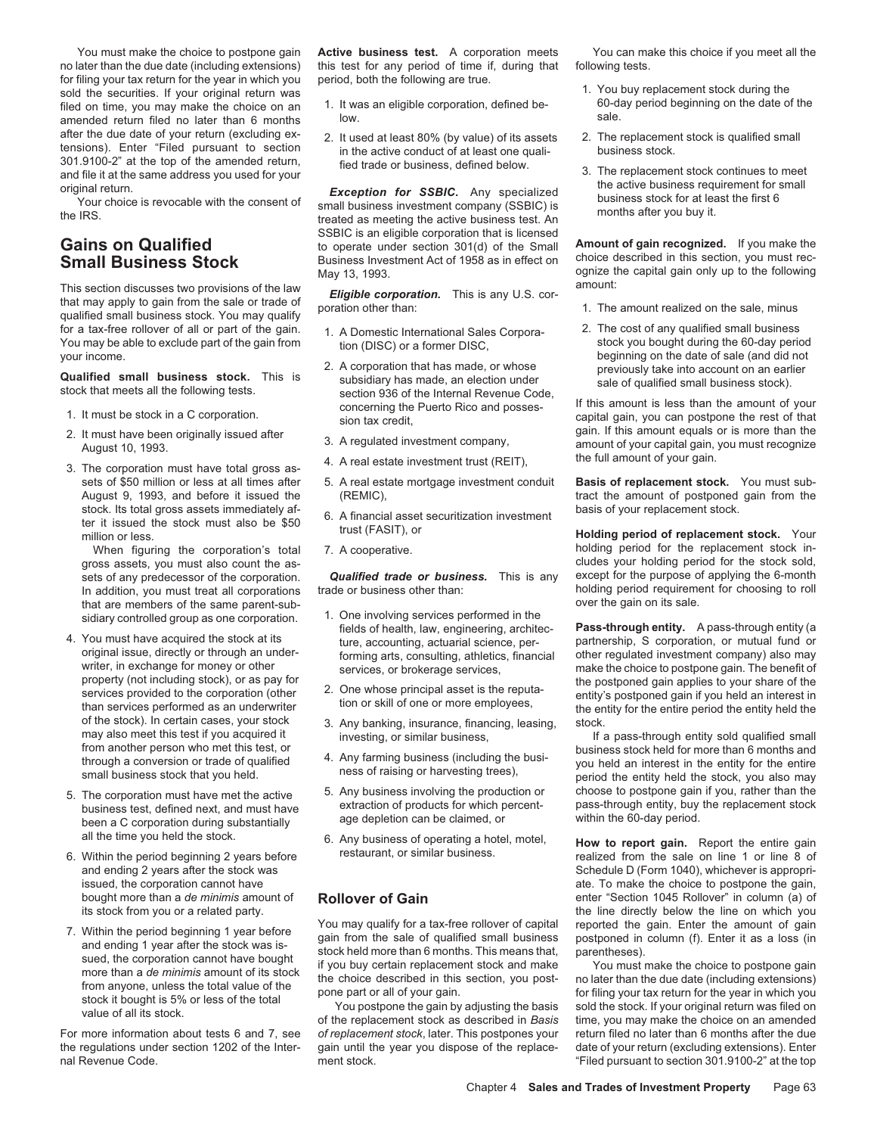no later than the due date (including extensions) this test for any period of time if, during that following tests. for filing your tax return for the year in which you period, both the following are true.<br>
sold the securities. If your original return was<br>
filed on time, you may make the choice on an 1. It was an eligible corporation, d filed on time, you may make the choice on an allow be digible corporation, defined be-<br>amonded return filed no leter than 6 menths and low amended return filed no later than 6 months after the due date of your return (excluding ex-<br>tensions). Enter "Filed pursuant to section in the active conduct of at least one quali-<br>301.9100-2" at the top of the amended return, fied trade or business defined below

This section discusses two provisions of the law **Eligible corporation.** This is any U.S. cor-<br>that may apply to gain from the sale or trade of poration other than: fits is any U.S. cor-<br>qualified small business stock. You for a tax-free rollover of all or part of the gain. <br>You may be able to exclude part of the gain from the former (DISC) or a former DISC, the cost of any qualified small business<br>your income. the stock you bought during th

- 
- 
- stock. Its total gross assets immediately af-<br>ter it issued the stock must also be \$50 the stock must also be \$50 the termillion or less.<br>When figuring the corporation's total T. A cooperative. The corporation investment b

In addition, you must treat all corporations trade or business other than: holding period requirement that are members of the same parent-sub-

- of the stock). In certain cases, your stock 3. Any banking, insurance, financing, leasing, stock.<br>
may also meet this test if you acquired it investing or similar business if it
- been a C corporation during substantially
- 
- 7. Within the period beginning 1 year before<br>and ending 1 year after the stock was is-<br>sued, the corporation cannot have bought<br>more than a *de minimis* amount of its stock is took held more than 6 months. This means that,

You must make the choice to postpone gain **Active business test.** A corporation meets You can make this choice if you meet all the

- 
- 

SSBIC is an eligible corporation that is licensed **Gains on Qualified Amount of gain consumers on the Small Amount of gain recognized.** If you make the **Small Business Stock** Business Investment Act of 1958 as in effect on choice described in this section, you must re Business Investment Act of 1958 as in effect on<br>Mav 13. 1993.

- 
- 
- 
- 
- 
- 
- 

- sidiary controlled group as one corporation. 1. One involving services performed in the<br>fields of health, law, engineering, architec-<br>4. You must have acquired the stock at its<br>ture accounting actuarial science per- partne
	-
	-
	-
	-
	-

For more information about tests 6 and 7, see *of replacement stock*, later. This postpones your return filed no later than 6 months after the due the regulations under section 1202 of the Inter- gain until the year you dispose of the replace- date of your return (excluding extensions). Enter

- 
- 
- 301.9100-2" at the top of the amended return,<br>and file it at the same address you used for your<br>original return.<br>The replacement stock continues to meet<br>original return.<br>The replacement stock continues to meet<br>the active b

ognize the capital gain only up to the following amount:

- 
- 

**Qualified small business stock.** This is<br>
stock that meets all the following tests.<br>
Stock that meets all the following tests.<br>
Stock that meets all the following tests.<br>
Stock in a C corporation.<br>
Stock in a C corporatio

sets of \$50 million or less at all times after 5. A real estate mortgage investment conduit **Basis of replacement stock.** You must sub-<br>August 9, 1993, and before it issued the (REMIC), and the tract the amount of postpone tract the amount of postponed gain from the

When figuring the corporation's total 7. A cooperative. The mass of the replacement stock ingross assets, you must also count the as-<br>sets of any predecessor of the corporation **Qualified trade or business**. This is any except for the purpose of applying the 6-month sets of any predecessor of the corporation. *Qualified trade or business.* This is any except for the purpose of applying the 6-month

You must have acquired the stock at its ture, accounting, actuarial science, per- partnership, S corporation, or mutual fund or original issue, directly or through an under-<br>original issue, directly or through an under-<br>fo original issue, directly or through an under-<br>writer, in exchange for money or other services, or brokerage services and make the choice to postnone gain. The benefit of writer, in exchange for money or other services, or brokerage services, make the choice to postpone gain. The benefit of<br>property (not including stock), or as pay for exercise of the postponed gain applies to your share of property (not including stock), or as pay for<br>services provided to the corporation (other and the post is the reputa-<br>than services performed as an underwriter tion or skill of one or more employees, the entity's postponed

may also meet this test if you acquired it investing, or similar business, in the set of a pass-through entity sold qualified small<br>If a pass-through entity sold qualified small from another person who met this test, or through a conversion or trade of qualified the context of the entire of qualified the state of qualified the state of ratio or trade of qualified the state of ratio or trade of qualified the state of ratio or the state of 5. The corporation must have met the active business involving the production or<br>business test, defined next, and must have extraction of products for which percent-<br>heen a C corporation during substantially age depletion

all the time you held the stock.<br>6. Any business of operating a hotel, motel,<br>8. Within the period beginning 2 years before restaurant, or similar business.<br>19. realized from the sale on line 1 or line 8 of and ending 2 years after the stock was Schedule D (Form 1040), whichever is appropriissued, the corporation cannot have ate. To make the choice to postpone the gain, bought more than a *de minimis* amount of **Rollover of Gain** enter "Section 1045 Rollover" in column (a) of the stock from you or a related party. the line directly below the line on which you<br>You may qualify for a tax-free rollover of capital reported the gain. Enter the amount of gain

nal Revenue Code. The stock ment stock. The ment stock ment stock ment stock ment stock. The top ment stock me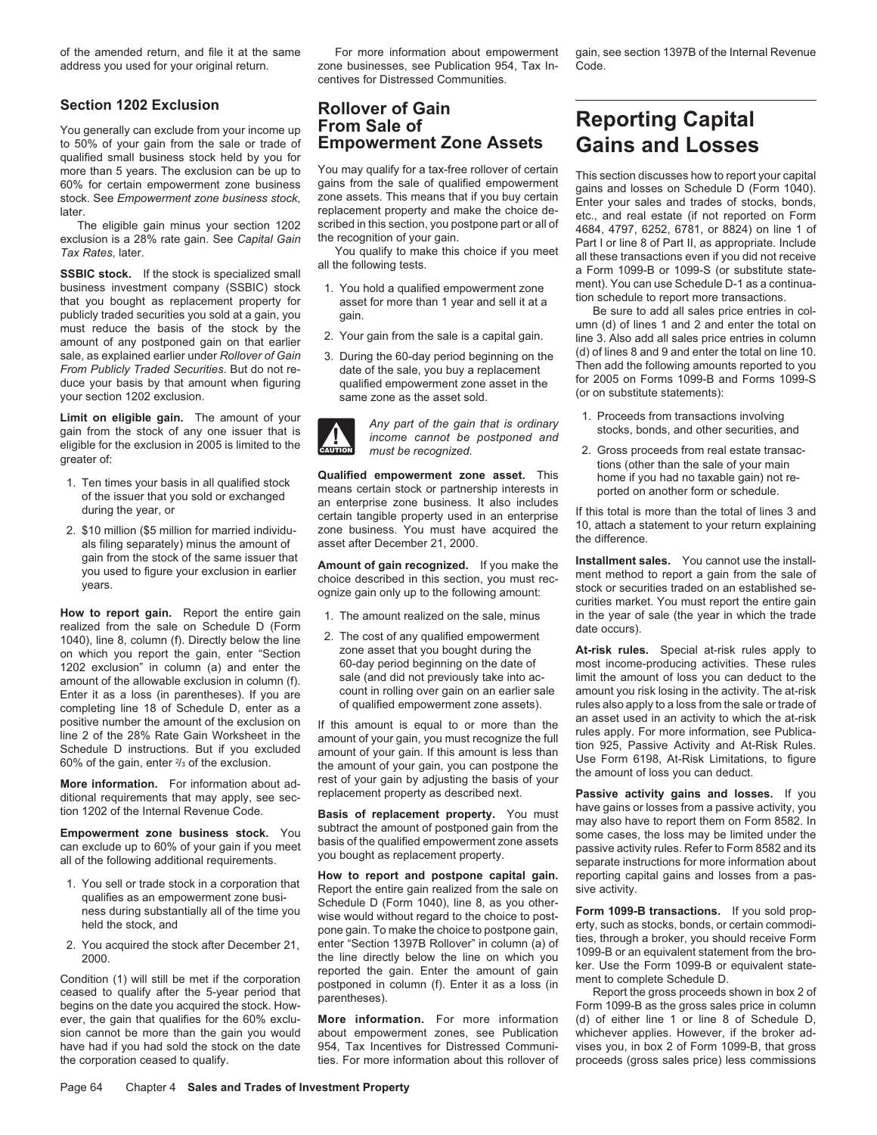address you used for your original return. zone businesses, see Publication 954, Tax In- Code.

to 50% of your gain from the sale or trade of **Empowerment Zone Assets Gains and Losses** qualified small business stock held by you for

publicly traded securities you sold at a gain, you gain.<br>must reduce the basis of the stock by the umn (d) of lines 1 and 2 and enter the total on<br>amount of any postponed gain on that earlier 2. Your gain from the sale is amount of any postponed gain on that earlier and the sale is a capital gain. Inne 3. Also add all sales price entries in column sale, as explained earlier under Rollover of Gain 3. During the 60-day period beginning on the From Publicly Traded Securities. But do not re-<br>duce your basis by that amount when figuring qualified empowerment zone asset in the form 2005 on Forms 1099-B and Forms 1099-S<br>your section 1202 exclusion. same zone as the

Limit on eligible gain. The amount of your<br>gain from the stock of any one issuer that is<br>eligible for the exclusion in 2005 is limited to the<br>must be recognized. The exclusion in 2005 is limited to the<br>must be recognized.

- 
- 

**How to report gain.** Report the entire gain 1. The amount realized on the sale, minus in the year of sale (the year in which the trade realized from the sale on Schedule D (Form a The amount realized on the sale, minus da realized from the sale on Schedule D (Form<br>
1040), line 8, column (f). Directly below the line 2. The cost of any qualified empowerment<br>
1040), line 8, column (f). Directly below the line 2. The cost of any qualified empow Enter it as a loss (in parentheses). If you are count in rolling over gain on an earlier sale amount you risk losing in the activity. The at-risk completing line 18 of Schedule D, enter as a of qualified empowerment zone a

- 
- 

centives for Distressed Communities.

### **Section 1202 Exclusion**<br> **Exclude from your income up From Sale of** Sale of You generally can exclude from your income up<br>to 50% of your gain from the sale or trade of **Empowerment Zone Assets Gains and Losses**

- 
- 
- 

**!**

1. Ten times your basis in all qualified stock<br>
of the issuer that you sold or exchanged<br>
during the year, or<br>
2. \$10 million (\$5 million for married individu-<br>
an enterprise zone business. It also includes<br>
2. \$10 million

- 
- 

Frank of your gain. It was amount of your gain, you can postpone the the amount of loss you can deduct.<br> **More information.** For information about ad-<br>
ditional requirements that may apply see sec. If your gain by adjustin

1. You sell or trade stock in a corporation that<br>
qualifies as an empowerment zone busi-<br>
Schedule D (Form 1040), line 8, as you other-<br>
metring substantially all of the time you<br>
Schedule D (Form 1040), line 8, as you oth

ever, the gain that qualifies for the 60% exclu- **More information.** For more information (d) of either line 1 or line 8 of Schedule D, sion cannot be more than the gain you would about empowerment zones, see Publication whichever applies. However, if the broker adhave had if you had sold the stock on the date 954, Tax Incentives for Distressed Communi-<br>the corporation ceased to qualify.<br>ties. For more information about this rollover of proceeds (gross sales price) less commissions the corporation ceased to qualify. ties. For more information about this rollover of proceeds (gross sales price) less commissions

of the amended return, and file it at the same For more information about empowerment gain, see section 1397B of the Internal Revenue

more than 5 years. The exclusion can be up to<br>
60% for certain empowerment zone business gains from the sale of qualified empowerment zone business stock,<br>
later.<br>
Inter your sales and trades of stocks, bonds,<br>
stock. See

- 
- eligible for the exclusion in 2005 is limited to the tax and must be recognized.<br>greater of:<br>**Qualified empowerment zone asset**. This home if you had no taxable gain) not re-

gain from the stock of the same issuer that<br>you used to figure your exclusion in earlier and the choice described in this section, you must rec-<br>years.<br>years. The sale of the following amount:<br>years.<br>years.<br>years.<br>years.

completing line 18 of Schedule D, enter as a<br>positive number the amount of the exclusion on<br>line 2 of the 28% Rate Gain Worksheet in the<br>Schedule D instructions. But if you excluded<br>Schedule D instructions. But if you excl

ditional requirements that may apply, see sec-<br>ion 1202 of the Internal Revenue Code.<br> **Empowerment zone business stock.** You subtract the amount of postponed gain from the<br>
can exclude up to 60% of your gain if you meet b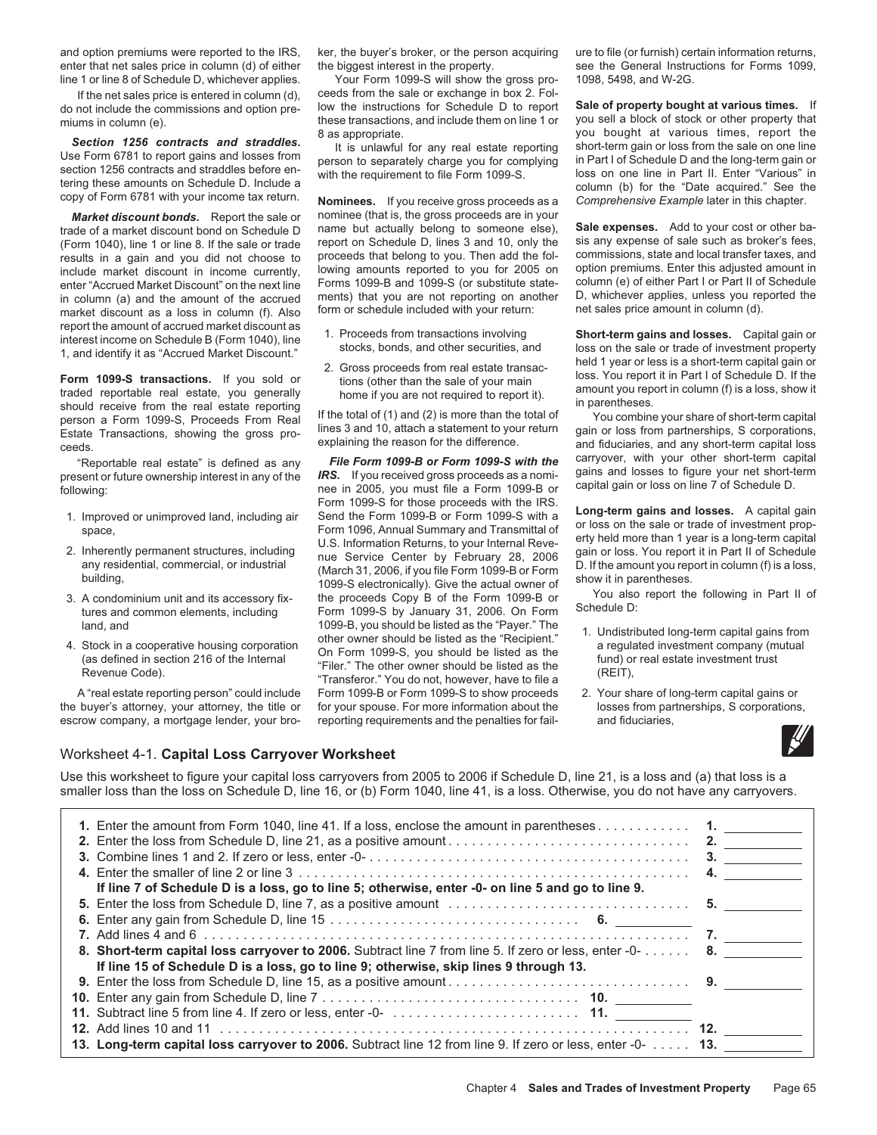enter that net sales price in column (d) of either the biggest interest in the property. See the General Instructions for Forms 1099, line 1 or line 8 of Schedule D, whichever applies. Your Form 1099-S will show the gross pro- 1098, 5498, and W-2G.

market discount as a loss in column (f). Also

should receive from the real estate reporting<br>person a Form 1099-S, Proceeds From Real If the total of (1) and (2) is more than the total of You combine your share of short-term capital<br>Estate Transactions, showing the gro Estate Transactions, showing the gross pro-<br>
explaining the reason for the difference.

- 
- 
- 
- 

the buyer's attorney, your attorney, the title or for your spouse. For more information about the losses from partnerships, S corporations, as corporations, and fiduciaries. escrow company, a mortgage lender, your bro- reporting requirements and the penalties for fail-

If the net sales price is entered in column (d), ceeds from the sale or exchange in box 2. Fol-<br>not include the commissions and ontion pre-<br>low the instructions for Schedule D to report do not include the commissions and option pre-<br>miums in column (e) do not include them on line 1 or you sell a block of stock or other property that

**Market discount bonds.** Report the sale or nominee (that is, the gross proceeds are in your name but actually belong to someone else), **Sale expenses.** Add to your cost or other ba-<br>
(Form 1040) line 1 or line 8 If the sale or trade report on Schedule D, lines 3 and 10, only the sis any expense of sale such as br (Form 1040), line 1 or line 8. If the sale or trade report on Schedule D, lines 3 and 10, only the sis any expense or sale such as broker's fees, (Form 1040), line 1 or line 8. If the sale or trade report on Schedule D, li results in a gain and you did not choose to proceeds that belong to you. Then add the fol- commissions, state and local transfer taxes, and results in a gain and you did not choose to proceeds that belong to you. Then add include market discount in income currently, lowing amounts reported to you for 2005 on option premiums. Enter this adjusted amount in enter "Accrued Market Discount" on the next line Forms 1099-B and 1099-S (or substitute enter "Accrued Market Discount" on the next line Forms 1099-B and 1099-S (or substitute state- column (e) of either Part I or Part II of Schedule in column (a) and the amount of the accrued ments) that you are not reportin in column (a) and the amount of the accrued ments) that you are not reporting on another D, whichever applies, unless you reporting on another D, whichever applies, unless you reported the accrued ments) that you are not a

- 
- 

"Reportable real estate" is defined as any **File Form 1099-B or Form 1099-S with the** carryover, with your other short-term capital "Reportable real estate" is defined as any **File Form 1099-B or Form 1099-S with the** carr present or future ownership interest in any of the last unity of the last of the use in 2005, you must file a Form 1099-B or<br>The in 2005, you must file a Form 1099-B or capital gain or loss on line 7 of Schedule D.<br>Form 10 Form 1099-S for those proceeds with the IRS.<br>
Improved or unimproved land, including air<br>
space,<br>
Example 1096, Annual Summary and Transmittal of<br>
Example 1096, Annual Summary and Transmittal of<br>
2. Information Returns, to and, and a cooperative housing corporation a the "Payer." The the "Payer." The the "Payer." The the move reshould be listed as the "Payer." The the move reshould be listed as the "Payer." The the move reshould be listed as A "real estate reporting person" could include Form 1099-B or Form 1099-S to show proceeds 2. Your share of long-term capital gains or

and option premiums were reported to the IRS, ker, the buyer's broker, or the person acquiring ure to file (or furnish) certain information returns,

miums in column (e). these transactions, and include them on line 1 or you sell a block of stock or other property that<br>8 as appropriate. We are property that you bought at various times, report the Section 1256 contracts and straddles.<br>Use Form 6781 to report gains and losses from<br>Let is unlawful for any real estate reporting short-term gain or loss from the sale on one line<br>section 1256 contracts and straddles befor section 1256 contracts and straddles before en-<br>tering these amounts on Schedule D. Include a<br>copy of Form 6781 with your income tax return.<br>Nominess. If you receive gross proceeds as a Comprehensive Example later in this

metrest income on Schedule B (Form 1040), line<br>
1, and identify it as "Accrued Market Discount."<br>
1, and identify it as "Accrued Market Discount."<br>
2. Gross proceeds from real estate transac-<br>
Form 1099-S transactions. If

explaining the reason for the difference. and fiduciaries, and any short-term capital loss<br>"Penertable real estate" is defined as eny **File Form 1099-B or Form 1099-S with the** carryover, with your other short-term capital

- 
- 



### Worksheet 4-1. **Capital Loss Carryover Worksheet**

Use this worksheet to figure your capital loss carryovers from 2005 to 2006 if Schedule D, line 21, is a loss and (a) that loss is a smaller loss than the loss on Schedule D, line 16, or (b) Form 1040, line 41, is a loss. Otherwise, you do not have any carryovers.

| 1. Enter the amount from Form 1040, line 41. If a loss, enclose the amount in parentheses 1.                              |  |
|---------------------------------------------------------------------------------------------------------------------------|--|
| If line 7 of Schedule D is a loss, go to line 5; otherwise, enter -0- on line 5 and go to line 9.                         |  |
| 5. Enter the loss from Schedule D, line 7, as a positive amount $\ldots \ldots \ldots \ldots \ldots \ldots \ldots \ldots$ |  |
|                                                                                                                           |  |
|                                                                                                                           |  |
| 8. Short-term capital loss carryover to 2006. Subtract line 7 from line 5. If zero or less, enter -0- 8.                  |  |
| If line 15 of Schedule D is a loss, go to line 9; otherwise, skip lines 9 through 13.                                     |  |
|                                                                                                                           |  |
|                                                                                                                           |  |
|                                                                                                                           |  |
|                                                                                                                           |  |
| 13. Long-term capital loss carryover to 2006. Subtract line 12 from line 9. If zero or less, enter -0- 13.                |  |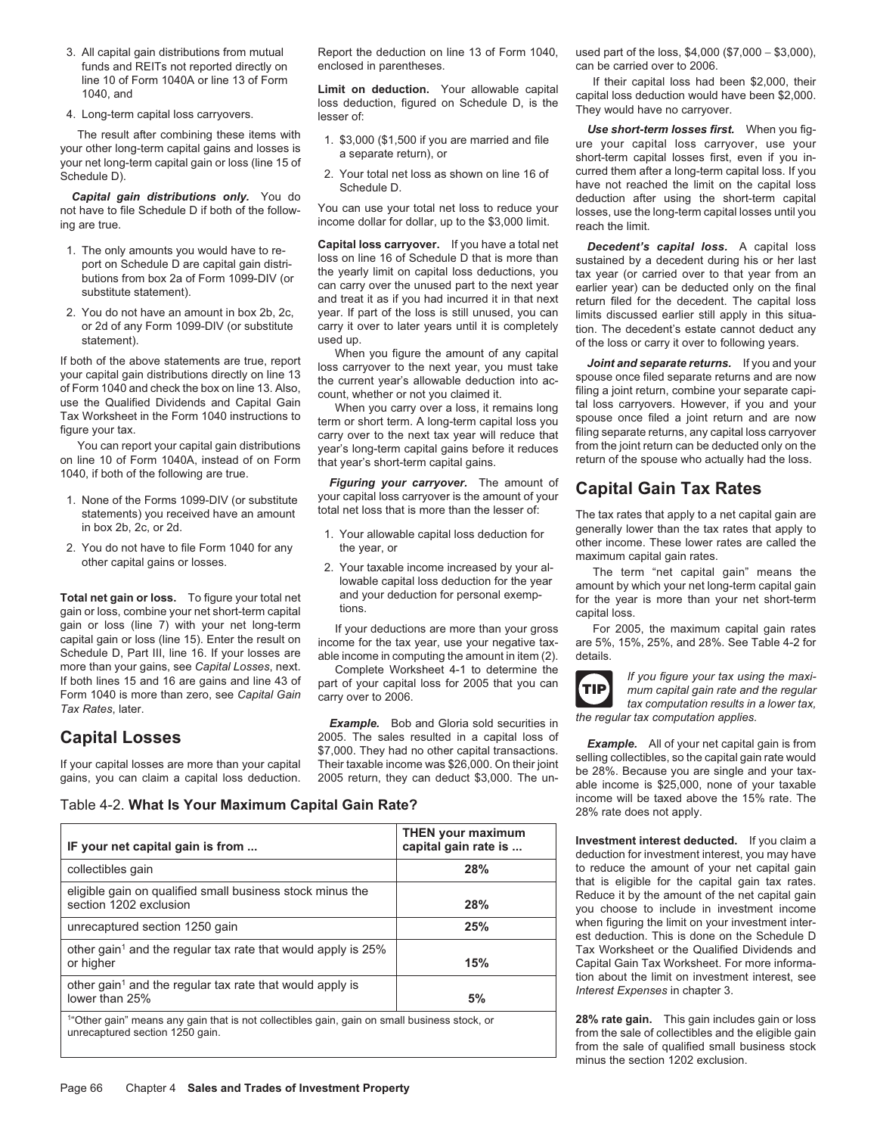- 
- 

not have to file Schedule D if both of the follow-<br>income dollar for dollar, up to the \$3,000 limit. reach the limit. reach the limit.

- 
- 

If both of the above statements are true, report<br>your capital gain distributions directly on line 13<br>of Form 1040 and check the box on line 13. Also,<br>of Form 1040 and check the box on line 13. Also,<br>when you carry over a l

on line 10 of Form 1040A, instead of on Form that year's short-term capital gains.<br>1040, if both of the following are true.

- 
- 

gain or loss, combine your net short-term capital tions. The state of the capital loss. gain or loss (line 7) with your net long-term If your deductions are more than your gross For 2005, the maximum capital gain rates<br>capital gain or loss (line 15). Enter the result on income for the tax year, use your more than your gains, see Capital Losses, next.<br>If both lines 15 and 16 are gains and line 43 of part of your capital loss for 2005 that you can<br>Form 1040 is more than zero, see Capital Gain carry over to 2006.<br>Tax Rates l *Tax Rates*, later. **the regular tax computation results in a lower tax,** *Tax Rates*, later.<br>*Example.* Bob and Gloria sold securities in *the regular tax computation applies.* 

| IF your net capital gain is from                                                                                                            | <b>THEN your maximum</b><br>capital gain rate is |
|---------------------------------------------------------------------------------------------------------------------------------------------|--------------------------------------------------|
| collectibles gain                                                                                                                           | 28%                                              |
| eligible gain on qualified small business stock minus the<br>section 1202 exclusion                                                         | 28%                                              |
| unrecaptured section 1250 gain                                                                                                              | 25%                                              |
| other gain <sup>1</sup> and the regular tax rate that would apply is 25%<br>or higher                                                       | 15%                                              |
| other gain <sup>1</sup> and the regular tax rate that would apply is<br>lower than 25%                                                      | 5%                                               |
| <sup>1</sup> "Other gain" means any gain that is not collectibles gain, gain on small business stock, or<br>unrecaptured section 1250 gain. |                                                  |

3. All capital gain distributions from mutual Report the deduction on line 13 of Form 1040, used part of the loss, \$4,000 (\$7,000 − \$3,000), funds and REITs not reported directly on enclosed in parentheses. The cannost can be carried over to 2006.

- 
- 2. Your total net loss as shown on line 16 of Curred them after a long-term and after a long-term capital loss. If you see Schedule D

1. The only amounts you would have to re-<br>
port on Schedule D are capital gain distri-<br>
boss on line 16 of Schedule D that is more than<br>
butions from box 2a of Form 1099-DIV (or<br>
substitute statement).<br>
substitute statemen 2. You do not have an amount in box 2b, 2c, year. If part of the loss is still unused, you can limits discussed earlier still apply in this situa-<br>or 2d of any Form 1099-DIV (or substitute carry it over to later years unti or 2d of any Form 1099-DIV (or substitute carry it over to later years until it is completely tion. The decedent's estate cannot deduct any<br>statement), statement is over to following years

statup.<br>When you figure the amount of any capital when you figure the amount of any capital

re your tax. filling separate returns, any capital loss carryover<br>You can report your capital gain distributions wear's long-term capital gains before it reduces from the joint return can be deducted only on the year's long-term capital gains before it reduces trom the joint return can be deducted only on the year's short-term capital gains before it reduces term of the spouse who actually had the loss.

1040, if both of the following are true.<br>**Figuring your carryover.** The amount of **Capital Gain Tax Rates**<br>1. None of the Forms 1099-DIV (or substitute your capital loss carryover is the amount of your<br>tatements) you recei

- 
- 

**Capital Losses** 2005. The sales resulted in a capital loss of<br>If your capital osses are more than your capital Their taxable income was \$26,000. On their joint<br>gains, you can claim a capital loss deduction. 2005 return, t

line 10 of Form 1040A or line 13 of Form<br>1040, and **Limit on deduction.** Your allowable capital scapital loss had been \$2,000, their<br>1040, and loss carryovers. lesser of:<br>1. Long-term capital loss carryovers. lesser of:<br>1.

The result after combining these items with<br>your other long-term capital gains and losses is<br>your net long-term capital gain or loss (line 15 of<br>Physics are parate return), or the 16 of separate return applied in the separ have not reached the limit on the capital loss **Capital gain distributions only.** You do<br>It have to file Schedule D if both of the follow- You can use your total net loss to reduce your losses use the long term capital losses until you

Tax Worksheet in the Form 1040 instructions to<br>Tax Worksheet in the Form 1040 instructions to<br>figure your tax were the next tax year will reduce that filling separate returns, any capital loss carryover<br>carry over to the n

in box 2b, 2c, or 2d.<br>
2. You do not have to file Form 1040 for any<br>
2. You do not have to file Form 1040 for any<br>
2. Your taxable income increased by your al-<br>
2. Your taxable income increased by your al-<br>
lowable capital

Iowable capital loss deduction for the year<br>Total net gain or loss. To figure your total net and your deduction for personal exemp-<br>for the year is more than your net short-term<br>cain or loss combine your net short-term cap



Table 4-2. **What Is Your Maximum Capital Gain Rate?** The Table 4-2. What Is Your Maximum Capital Gain Rate?

28% rate gain. This gain includes gain or loss from the sale of collectibles and the eligible gain from the sale of qualified small business stock minus the section 1202 exclusion.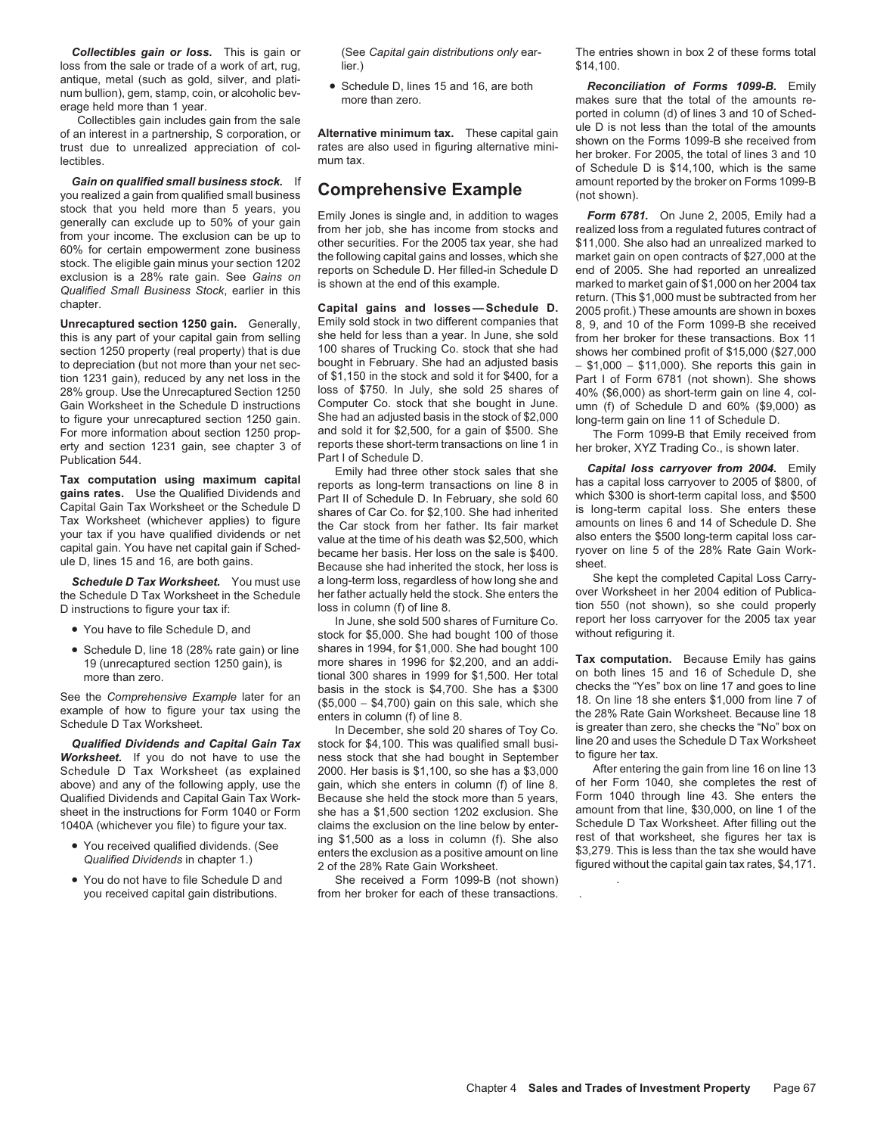loss from the sale or trade of a work of art, rug, lier.) \$14,100.

you realized a gain from qualified small business **COMPLEMENTSIVE EXAMPLE** (not shown).

erty and section 1231 gain, see chapter 3 of reports these short-term transactions on line 1 in her broker, XYZ Trading Co., is shown later.<br>Publication 544.

Capital Gain Tax Worksheet of the Schedule D shares of Car Co. for \$2,100. She had inherited IS long-term capital loss. She enters these<br>Tax Worksheet (whichever applies) to figure the Car stock from her father Its fair ma Tax Worksheet (whichever applies) to figure the Car stock from her father. Its fair market your tax if you have qualified dividends or net your tax if you have qualified dividends or net<br>capital gain. You have net capital gain if Sched-<br>lecame her basis. Her loss on the sale is \$400. The ryover on line 5 of the 28% Rate Gain Work-<br>Recause she had inherited th

the Schedule D Tax Worksheet in the Schedule her father actually held the stock. She enters the over Worksheet in her 2004 edition of Publica-<br>D instructions to figure your tax if: loss in column (f) of line 8. loss to cou

- 
- 

- 
- 

**Unrecaptured section 1250 gain.** Generally, Emily sold stock in two different companies that 8, 9, and 10 of the Form 1099-B she received this is any part of your capital gain from selling she held for less than a year. I this is any part of your capital gain from selling she held for less than a year. In June, she sold from her broker for these transactions. Box 11<br>Section 1250 property (real property) that is due 100 shares of Trucking Co section 1250 property (real property) that is due 100 shares of Trucking Co. stock that she had shows her combined profit of \$15,000 (\$27,000 to depreciation (but not more than your net sec-bought in February. She had an a to depreciation (but not more than your net sec- bought in February. She had an adjusted basis – \$1,000 – \$11,000). She reports this gain in tion 1231 gain), reduced by any net loss in the of \$1,150 in the stock and sold of \$1,150 in the stock and sold it for \$400, for a part I of Form 6781 (not shown). She shows loss of \$750. In July, she sold 25 shares of  $40\%$  (\$6.000) as short-term gain on line 4 col-28% group. Use the Unrecaptured Section 1250 loss of \$750. In July, she sold 25 shares of 40% (\$6,000) as short-term gain on line 4, col-<br>Gain Worksheet in the Schedule D instructions Computer Co. stock that she bought in Gain Worksheet in the Schedule D instructions Computer Co. stock that she bought in June. umn (f) of Schedule D and 60% (\$9,000) as <br>to figure your unrecantured section 1250 gain She had an adjusted basis in the stock of \$ to figure your unrecaptured section 1250 gain. She had an adjusted basis in the stock of \$2,000 long-term gain on line 11 of Schedule D.<br>For more information about section 1250 prop- and sold it for \$2,500, for a gain of \$ For more information about section 1250 prop- and sold it for \$2,500, for a gain of \$500. She The Form 1099-B that Emily received from<br>
erty and section 1231 gain, see chapter 3 of reports these short-term transactions on Part I of Schedule D.

Tax computation using maximum capital<br>gains rates. Use the Qualified Dividends and<br>Capital Gain Tax Worksheet or the Schedule D<br>Capital Gain Tax Worksheet or the Schedule D<br>Shares of Car Co for \$2 100 She had inherited is Because she had inherited the stock, her loss is sheet.<br>a long-term loss, regardless of how long she and She kept the completed Capital Loss Carry-**Schedule D Tax Worksheet.** You must use a long-term loss, regardless of how long she and<br>e Schedule D Tax Worksheet in the Schedule her father actually held the stock. She enters the

• You have to file Schedule D, and stock for \$5,000. She had bought 100 of those without refiguring it. • Schedule D, line 18 (28% rate gain) or line shares in 1994, for \$1,000. She had bought 100 19 (unrecaptured section 1250 gain), is<br>
more shares in 1996 for \$2,200, and an addi-<br>
more than zero. tional 300 shares in 1999 for \$1,500. Her total<br>
the Connection of the Transformation of the 15 and 16 of Schedule D, s

Worksheet. If you do not have to use the ness stock that she had bought in September to figure her tax.<br>Schedule D Tax Worksheet (as explained 2000. Her basis is \$1,100, so she has a \$3,000 After entering the gain from lin above) and any of the following apply, use the gain, which she enters in column (f) of line 8. of her Form 1040, she completes the rest of<br>Qualified Dividends and Capital Gain Tax Work- Because she held the stock more than Qualified Dividends and Capital Gain Tax Work-<br>Sheet in the instructions for Form 1040 or Form she has a \$1,500 section 1202 exclusion. She amount from that line, \$30,000, on line 1 of the sheet in the instructions for Form 1040 or Form she has a \$1,500 section 1202 exclusion. She amount from that line, \$30,000, on line 1 of the sheet and the sheet and the sheet and the sheet of the sheet and the sheet and t 1040A (whichever you file) to figure your tax. claims the exclusion on the line below by enter-<br>ing \$1.500 as a loss in column (f). She also clear to fithat worksheet, she figures her tax is You received qualified dividends. (See ing \$1,500 as a loss in column (f). She also rest of that worksheet, she figures her tax is<br>Qualified Dividends in chapter 1.) 2 of the 28% Rate Gain Worksheet. This is less than the

• You do not have to file Schedule D and She received a Form 1099-B (not shown) vou received capital gain distributions. from her broker for each of these transactions. from her broker for each of these transactions.

*Collectibles gain or loss.* This is gain or (See *Capital gain distributions only* ear- The entries shown in box 2 of these forms total

antique, metal (such as gold, silver, and platinum bullion), gem, stamp, coin, or alcoholic beverage held more than 1 year.<br>
Figure 15 and 16, are both<br>
exconciliation of Forms 1099-B. Emily<br>
more than zero.<br>
Collectibles Gain on qualified small business stock. If Comprehensive Example amount reported by the broker on Forms 1099-B<br>Nu realized a gain from qualified small business **Comprehensive Example** (not shown)

stock that you held more than 5 years, you<br>generally can exclude up to 50% of your gain<br>from her job, she has income from stocks and<br>from stocks and realized loss from a regulated futures contract of<br>from your income. The

Emily had three other stock sales that she *Capital loss carryover from 2004.* Emily

D instructions to figure your tax if: loss in column (f) of line 8. tion 550 (not shown), so she could properly<br>In June, she sold 500 shares of Furniture Co. report her loss carryover for the 2005 tax year

See the Comprehensive Example later for an basis in the stock is \$4,700. She has a \$300 checks the "Yes" box on line 17 and goes to line example of how to figure your tax using the (\$5,000 - \$4,700) gain on this sale, whic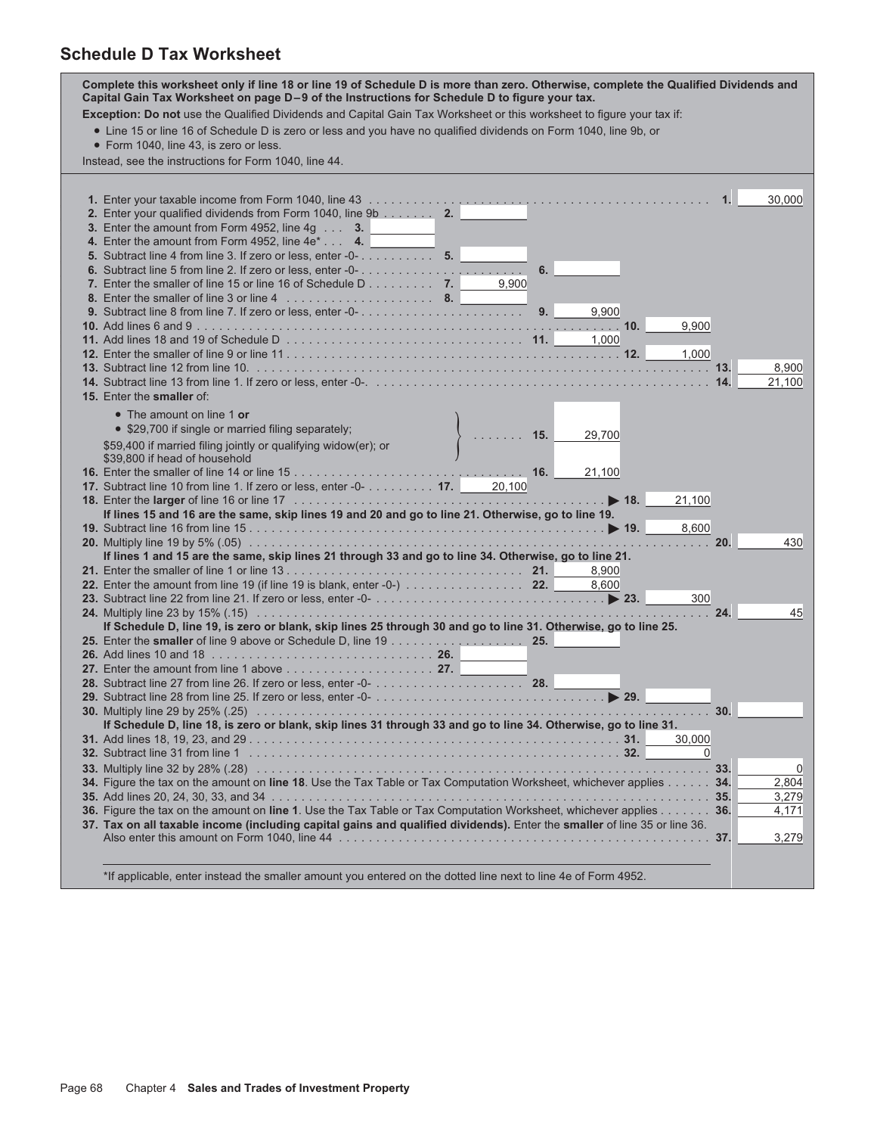### **Schedule D Tax Worksheet**

| Complete this worksheet only if line 18 or line 19 of Schedule D is more than zero. Otherwise, complete the Qualified Dividends and<br>Capital Gain Tax Worksheet on page D-9 of the Instructions for Schedule D to figure your tax. |                          |        |          |        |
|--------------------------------------------------------------------------------------------------------------------------------------------------------------------------------------------------------------------------------------|--------------------------|--------|----------|--------|
| Exception: Do not use the Qualified Dividends and Capital Gain Tax Worksheet or this worksheet to figure your tax if:                                                                                                                |                          |        |          |        |
| • Line 15 or line 16 of Schedule D is zero or less and you have no qualified dividends on Form 1040, line 9b, or                                                                                                                     |                          |        |          |        |
| • Form 1040, line 43, is zero or less.                                                                                                                                                                                               |                          |        |          |        |
| Instead, see the instructions for Form 1040, line 44.                                                                                                                                                                                |                          |        |          |        |
|                                                                                                                                                                                                                                      |                          |        |          |        |
|                                                                                                                                                                                                                                      |                          |        |          |        |
| 2. Enter your qualified dividends from Form 1040, line 9b 2.                                                                                                                                                                         |                          |        |          | 30,000 |
| 3. Enter the amount from Form 4952, line $4q \ldots$ 3.                                                                                                                                                                              |                          |        |          |        |
| 4. Enter the amount from Form 4952, line 4e* 4.                                                                                                                                                                                      |                          |        |          |        |
| 5. Subtract line 4 from line 3. If zero or less, enter -0- 5.                                                                                                                                                                        |                          |        |          |        |
| 6. Subtract line 5 from line 2. If zero or less, enter -0-                                                                                                                                                                           | 6.                       |        |          |        |
| 7. Enter the smaller of line 15 or line 16 of Schedule D 7.                                                                                                                                                                          | 9.900                    |        |          |        |
| 8. Enter the smaller of line 3 or line 4 $\ldots$ 8.                                                                                                                                                                                 |                          |        |          |        |
| 9. Subtract line 8 from line 7. If zero or less, enter -0-                                                                                                                                                                           | 9.                       | 9,900  |          |        |
|                                                                                                                                                                                                                                      |                          |        | 9,900    |        |
|                                                                                                                                                                                                                                      |                          | 1.000  | 1.000    |        |
|                                                                                                                                                                                                                                      |                          |        |          | 8,900  |
|                                                                                                                                                                                                                                      |                          |        |          | 21,100 |
| 15. Enter the smaller of:                                                                                                                                                                                                            |                          |        |          |        |
| • The amount on line 1 or                                                                                                                                                                                                            |                          |        |          |        |
| • \$29,700 if single or married filing separately;                                                                                                                                                                                   |                          |        |          |        |
| \$59,400 if married filing jointly or qualifying widow(er); or                                                                                                                                                                       | 15.<br><b>Carlo Land</b> | 29,700 |          |        |
| \$39,800 if head of household                                                                                                                                                                                                        |                          |        |          |        |
|                                                                                                                                                                                                                                      |                          | 21,100 |          |        |
| 17. Subtract line 10 from line 1. If zero or less, enter -0- 17. 20,100                                                                                                                                                              |                          |        |          |        |
| 18. Enter the larger of line 16 or line 17 $\ldots \ldots \ldots \ldots \ldots \ldots \ldots \ldots \ldots \ldots \ldots \qquad$ 18.                                                                                                 |                          |        | 21,100   |        |
| If lines 15 and 16 are the same, skip lines 19 and 20 and go to line 21. Otherwise, go to line 19.                                                                                                                                   |                          |        |          |        |
|                                                                                                                                                                                                                                      |                          |        | 8,600    |        |
| If lines 1 and 15 are the same, skip lines 21 through 33 and go to line 34. Otherwise, go to line 21.                                                                                                                                |                          |        |          | 430    |
|                                                                                                                                                                                                                                      |                          | 8.900  |          |        |
| 22. Enter the amount from line 19 (if line 19 is blank, enter -0-) 22.                                                                                                                                                               |                          | 8,600  |          |        |
|                                                                                                                                                                                                                                      |                          |        | 300      |        |
|                                                                                                                                                                                                                                      |                          |        | . 24.    | 45     |
| If Schedule D, line 19, is zero or blank, skip lines 25 through 30 and go to line 31. Otherwise, go to line 25.                                                                                                                      |                          |        |          |        |
| 25. Enter the smaller of line 9 above or Schedule D, line 19 25.                                                                                                                                                                     |                          |        |          |        |
|                                                                                                                                                                                                                                      |                          |        |          |        |
|                                                                                                                                                                                                                                      |                          |        |          |        |
|                                                                                                                                                                                                                                      |                          |        |          |        |
| 30. Multiply line 29 by 25% (.25) with the state of the state of the state of the state of the state of the state of the state of the state of the state of the state of the state of the state of the state of the state of t       |                          |        |          |        |
| If Schedule D, line 18, is zero or blank, skip lines 31 through 33 and go to line 34. Otherwise, go to line 31.                                                                                                                      |                          |        |          |        |
|                                                                                                                                                                                                                                      |                          |        | 30,000   |        |
|                                                                                                                                                                                                                                      |                          |        | $\Omega$ |        |
|                                                                                                                                                                                                                                      |                          |        |          | 0      |
| 34. Figure the tax on the amount on line 18. Use the Tax Table or Tax Computation Worksheet, whichever applies 34.                                                                                                                   |                          |        |          | 2,804  |
|                                                                                                                                                                                                                                      |                          |        |          | 3,279  |
| 36. Figure the tax on the amount on line 1. Use the Tax Table or Tax Computation Worksheet, whichever applies 36.                                                                                                                    |                          |        |          | 4,171  |
| 37. Tax on all taxable income (including capital gains and qualified dividends). Enter the smaller of line 35 or line 36.                                                                                                            |                          |        |          | 3,279  |
|                                                                                                                                                                                                                                      |                          |        |          |        |
|                                                                                                                                                                                                                                      |                          |        |          |        |
| *If applicable, enter instead the smaller amount you entered on the dotted line next to line 4e of Form 4952.                                                                                                                        |                          |        |          |        |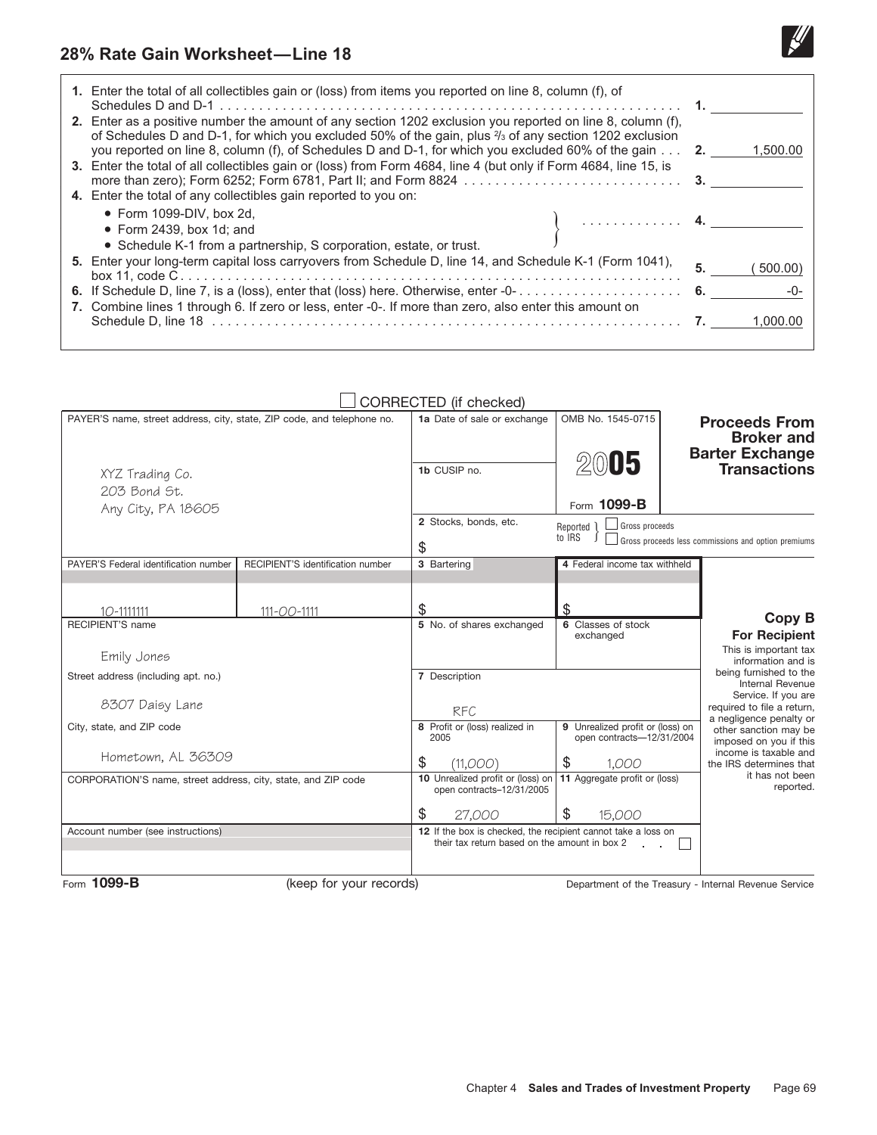

### **28% Rate Gain Worksheet—Line 18**

| 1. Enter the total of all collectibles gain or (loss) from items you reported on line 8, column (f), of<br>2. Enter as a positive number the amount of any section 1202 exclusion you reported on line 8, column (f),                                                                                                                         |    |          |
|-----------------------------------------------------------------------------------------------------------------------------------------------------------------------------------------------------------------------------------------------------------------------------------------------------------------------------------------------|----|----------|
| of Schedules D and D-1, for which you excluded 50% of the gain, plus $\frac{2}{3}$ of any section 1202 exclusion<br>you reported on line 8, column (f), of Schedules D and D-1, for which you excluded 60% of the gain 2.<br>3. Enter the total of all collectibles gain or (loss) from Form 4684, line 4 (but only if Form 4684, line 15, is |    | 1.500.00 |
| 4. Enter the total of any collectibles gain reported to you on:                                                                                                                                                                                                                                                                               |    |          |
| • Form 1099-DIV, box 2d,<br>$\bullet$ Form 2439, box 1d; and<br>• Schedule K-1 from a partnership, S corporation, estate, or trust.                                                                                                                                                                                                           |    |          |
| 5. Enter your long-term capital loss carryovers from Schedule D, line 14, and Schedule K-1 (Form 1041),                                                                                                                                                                                                                                       | 5. | 500.00   |
|                                                                                                                                                                                                                                                                                                                                               |    |          |
| 7. Combine lines 1 through 6. If zero or less, enter -0-. If more than zero, also enter this amount on                                                                                                                                                                                                                                        |    | 1.000.00 |

### $\Box$  CORRECTED (if checked)

| PAYER'S name, street address, city, state, ZIP code, and telephone no.<br>XYZ Trading Co.<br>203 Bond St.<br>Any City, PA 18605 |                                   | 1a Date of sale or exchange<br>1b CUSIP no.<br>2 Stocks, bonds, etc.<br>\$                                                     | OMB No. 1545-0715<br>2005<br>Form 1099-B<br>Gross proceeds<br>Reported 1<br>to IRS | <b>Proceeds From</b><br><b>Broker and</b><br><b>Barter Exchange</b><br><b>Transactions</b><br>Gross proceeds less commissions and option premiums |
|---------------------------------------------------------------------------------------------------------------------------------|-----------------------------------|--------------------------------------------------------------------------------------------------------------------------------|------------------------------------------------------------------------------------|---------------------------------------------------------------------------------------------------------------------------------------------------|
| PAYER'S Federal identification number                                                                                           | RECIPIENT'S identification number | 3 Bartering                                                                                                                    | 4 Federal income tax withheld                                                      |                                                                                                                                                   |
| $10 - 1111111$<br><b>RECIPIENT'S name</b><br>Emily Jones                                                                        | 111-00-1111                       | \$<br>5 No. of shares exchanged                                                                                                | \$<br>6 Classes of stock<br>exchanged                                              | Copy B<br><b>For Recipient</b><br>This is important tax<br>information and is                                                                     |
| Street address (including apt. no.)<br>8307 Daisy Lane                                                                          |                                   | 7 Description<br>RFC                                                                                                           |                                                                                    | being furnished to the<br><b>Internal Revenue</b><br>Service. If you are<br>required to file a return,                                            |
| City, state, and ZIP code                                                                                                       |                                   | 8 Profit or (loss) realized in<br>2005                                                                                         | 9 Unrealized profit or (loss) on<br>open contracts-12/31/2004                      | a negligence penalty or<br>other sanction may be<br>imposed on you if this                                                                        |
| Hometown, AL 36309                                                                                                              |                                   | \$<br>(11,000)                                                                                                                 | \$<br>1.000                                                                        | income is taxable and<br>the IRS determines that                                                                                                  |
| CORPORATION'S name, street address, city, state, and ZIP code                                                                   |                                   | 10 Unrealized profit or (loss) on<br>open contracts-12/31/2005                                                                 | 11 Aggregate profit or (loss)                                                      | it has not been<br>reported.                                                                                                                      |
| Account number (see instructions)                                                                                               |                                   | \$<br>27,000<br>12 If the box is checked, the recipient cannot take a loss on<br>their tax return based on the amount in box 2 | \$<br>15,000                                                                       |                                                                                                                                                   |
| Form 1099-B                                                                                                                     | (keep for your records)           |                                                                                                                                |                                                                                    | Department of the Treasury - Internal Revenue Service                                                                                             |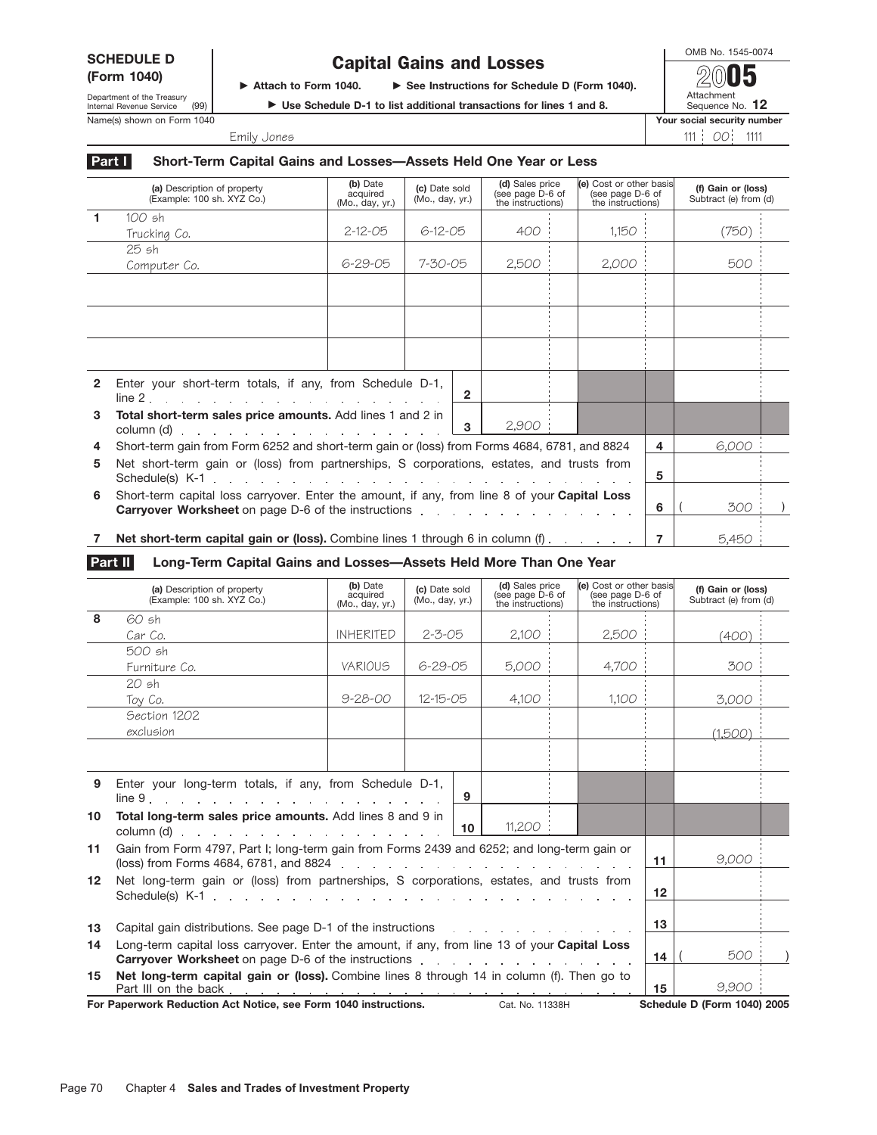**Part I** 

Department of the Treasury Internal Revenue Service (99)

# SCHEDULE D **Capital Gains and Losses Form 1040**  $\overline{\mathscr{D}(0,1)}$

Attachment Sequence No. 12 **2005**

Emily Jones 2011 111 200 1111

▶ Attach to Form 1040.

| ► Use Schedule D-1 to list additional transactions for lines 1 and 8. |
|-----------------------------------------------------------------------|
|-----------------------------------------------------------------------|

**See Instructions for Schedule D (Form 1040).**

Name(s) shown on Form 1040 **Your social security number Your social security number** 

|              | Part I<br>Short-Term Capital Gains and Losses—Assets Held One Year or Less                                                                                                                                                                                                                                                          |                                                                                                                                                                                                             |               |  |       |  |       |                                             |       |  |
|--------------|-------------------------------------------------------------------------------------------------------------------------------------------------------------------------------------------------------------------------------------------------------------------------------------------------------------------------------------|-------------------------------------------------------------------------------------------------------------------------------------------------------------------------------------------------------------|---------------|--|-------|--|-------|---------------------------------------------|-------|--|
|              | (a) Description of property<br>(Example: 100 sh. XYZ Co.)                                                                                                                                                                                                                                                                           | (d) Sales price<br>(e) Cost or other basis<br>(b) Date<br>(c) Date sold<br>(see page D-6 of<br>acquired<br>(see page D-6 of<br>(Mo., day, yr.)<br>the instructions)<br>the instructions)<br>(Mo., day, yr.) |               |  |       |  |       | (f) Gain or (loss)<br>Subtract (e) from (d) |       |  |
| $\mathbf{1}$ | 100 sh                                                                                                                                                                                                                                                                                                                              | $2 - 12 - 05$                                                                                                                                                                                               | $6 - 12 - 05$ |  | 400   |  | 1,150 |                                             | (750) |  |
|              | Trucking Co.                                                                                                                                                                                                                                                                                                                        |                                                                                                                                                                                                             |               |  |       |  |       |                                             |       |  |
|              | 25sh                                                                                                                                                                                                                                                                                                                                |                                                                                                                                                                                                             |               |  |       |  |       |                                             |       |  |
|              | Computer Co.                                                                                                                                                                                                                                                                                                                        | 6-29-05                                                                                                                                                                                                     | 7-30-05       |  | 2,500 |  | 2,000 |                                             | 500   |  |
|              |                                                                                                                                                                                                                                                                                                                                     |                                                                                                                                                                                                             |               |  |       |  |       |                                             |       |  |
|              |                                                                                                                                                                                                                                                                                                                                     |                                                                                                                                                                                                             |               |  |       |  |       |                                             |       |  |
|              |                                                                                                                                                                                                                                                                                                                                     |                                                                                                                                                                                                             |               |  |       |  |       |                                             |       |  |
| $\mathbf{2}$ | Enter your short-term totals, if any, from Schedule D-1,<br>$\overline{2}$<br>line $2$ , and a set of the set of the set of the set of the set of the set of the set of the set of the set of the set of the set of the set of the set of the set of the set of the set of the set of the set of the set of                         |                                                                                                                                                                                                             |               |  |       |  |       |                                             |       |  |
| 3            | Total short-term sales price amounts. Add lines 1 and 2 in<br>2,900<br>3                                                                                                                                                                                                                                                            |                                                                                                                                                                                                             |               |  |       |  |       |                                             |       |  |
| 4            | Short-term gain from Form 6252 and short-term gain or (loss) from Forms 4684, 6781, and 8824                                                                                                                                                                                                                                        |                                                                                                                                                                                                             |               |  |       |  |       | 4                                           | 6,000 |  |
| 5            | Net short-term gain or (loss) from partnerships, S corporations, estates, and trusts from                                                                                                                                                                                                                                           |                                                                                                                                                                                                             |               |  |       |  |       | 5                                           |       |  |
|              |                                                                                                                                                                                                                                                                                                                                     |                                                                                                                                                                                                             |               |  |       |  |       |                                             |       |  |
| 6            | Short-term capital loss carryover. Enter the amount, if any, from line 8 of your Capital Loss<br><b>Carryover Worksheet</b> on page D-6 of the instructions enter the state of the control of the instructions of the instructions of the control of the control of the control of the control of the control of the control of the |                                                                                                                                                                                                             |               |  |       |  |       | 6                                           | 300   |  |
|              |                                                                                                                                                                                                                                                                                                                                     |                                                                                                                                                                                                             |               |  |       |  |       |                                             |       |  |
| $7^{\circ}$  | Net short-term capital gain or (loss). Combine lines 1 through 6 in column (f)                                                                                                                                                                                                                                                      |                                                                                                                                                                                                             |               |  |       |  |       | $\overline{7}$                              | 5,450 |  |

### **Long-Term Capital Gains and Losses—Assets Held More Than One Year Part II**

|                                                                                    | (a) Description of property<br>(Example: 100 sh. XYZ Co.)                                                                                                                                                                          | (b) Date<br>acquired<br>(Mo., day, yr.)                                                                         | (c) Date sold<br>(Mo., day, yr.) | (d) Sales price<br>(see page D-6 of<br>the instructions) | (e) Cost or other basis<br>(see page D-6 of<br>the instructions) |    | (f) Gain or (loss)<br>Subtract (e) from (d) |
|------------------------------------------------------------------------------------|------------------------------------------------------------------------------------------------------------------------------------------------------------------------------------------------------------------------------------|-----------------------------------------------------------------------------------------------------------------|----------------------------------|----------------------------------------------------------|------------------------------------------------------------------|----|---------------------------------------------|
| 8                                                                                  | 60 sh                                                                                                                                                                                                                              |                                                                                                                 |                                  |                                                          |                                                                  |    |                                             |
|                                                                                    | Car Co.                                                                                                                                                                                                                            | <b>INHERITED</b>                                                                                                | $2 - 3 - 05$                     | 2.100                                                    | 2,500                                                            |    | (400)                                       |
|                                                                                    | 500 sh                                                                                                                                                                                                                             |                                                                                                                 |                                  |                                                          |                                                                  |    |                                             |
|                                                                                    | Furniture Co.                                                                                                                                                                                                                      | <b>VARIOUS</b>                                                                                                  | $6 - 29 - 05$                    | 5,000                                                    | 4,700                                                            |    | 300                                         |
|                                                                                    | 20 sh                                                                                                                                                                                                                              |                                                                                                                 |                                  |                                                          |                                                                  |    |                                             |
|                                                                                    | Toy Co.                                                                                                                                                                                                                            | $9 - 28 - 00$                                                                                                   | $12 - 15 - 05$                   | 4,100                                                    | 1,100                                                            |    | 3,000                                       |
|                                                                                    | Section 1202                                                                                                                                                                                                                       |                                                                                                                 |                                  |                                                          |                                                                  |    |                                             |
|                                                                                    | exclusion                                                                                                                                                                                                                          |                                                                                                                 |                                  |                                                          |                                                                  |    | (1,500)                                     |
|                                                                                    |                                                                                                                                                                                                                                    |                                                                                                                 |                                  |                                                          |                                                                  |    |                                             |
| 9                                                                                  | Enter your long-term totals, if any, from Schedule D-1,                                                                                                                                                                            |                                                                                                                 | 9                                |                                                          |                                                                  |    |                                             |
| 10                                                                                 | Total long-term sales price amounts. Add lines 8 and 9 in                                                                                                                                                                          |                                                                                                                 | 10                               | 11,200                                                   |                                                                  |    |                                             |
| 11                                                                                 | Gain from Form 4797, Part I; long-term gain from Forms 2439 and 6252; and long-term gain or                                                                                                                                        |                                                                                                                 |                                  |                                                          |                                                                  |    | 9.000                                       |
| 12 <sup>°</sup>                                                                    | Net long-term gain or (loss) from partnerships, S corporations, estates, and trusts from                                                                                                                                           |                                                                                                                 |                                  |                                                          |                                                                  |    |                                             |
| 13                                                                                 | Capital gain distributions. See page D-1 of the instructions<br>and a straight and a straight and                                                                                                                                  |                                                                                                                 |                                  |                                                          |                                                                  |    |                                             |
| 14                                                                                 | Long-term capital loss carryover. Enter the amount, if any, from line 13 of your Capital Loss                                                                                                                                      |                                                                                                                 |                                  |                                                          |                                                                  |    |                                             |
|                                                                                    | <b>Carryover Worksheet</b> on page D-6 of the instructions enter the content of the content of the content of the content of the content of the content of the content of the content of the content of the content of the content | 14                                                                                                              | 500                              |                                                          |                                                                  |    |                                             |
| 15                                                                                 | Net long-term capital gain or (loss). Combine lines 8 through 14 in column (f). Then go to<br>Part III on the back                                                                                                                 | the contract of the contract of the contract of the contract of the contract of the contract of the contract of |                                  |                                                          |                                                                  | 15 | 9.900                                       |
| For Paperwork Reduction Act Notice, see Form 1040 instructions.<br>Cat. No. 11338H |                                                                                                                                                                                                                                    |                                                                                                                 |                                  |                                                          |                                                                  |    | Schedule D (Form 1040) 2005                 |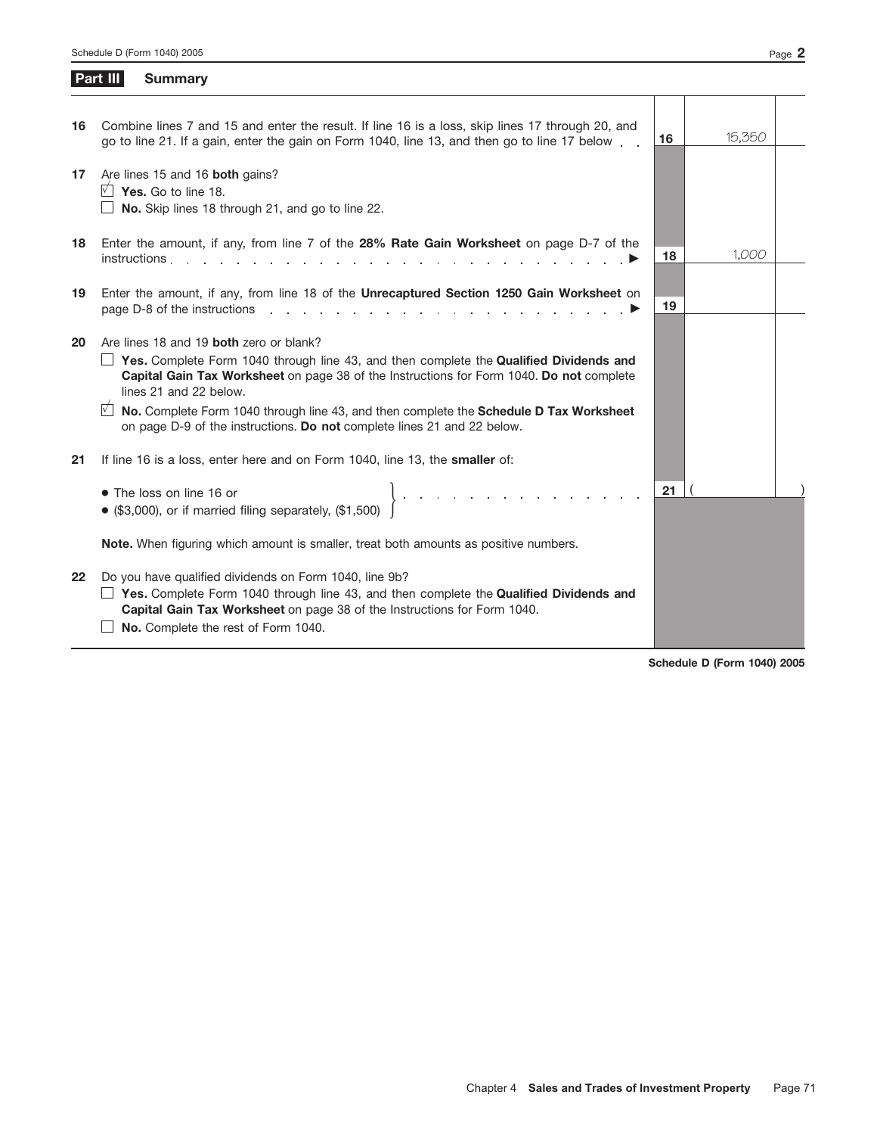|--|--|

|    | <b>Summary</b><br>Part III                                                                                                                                                                                                                                                                                                                                                                                                                      |    |        |  |
|----|-------------------------------------------------------------------------------------------------------------------------------------------------------------------------------------------------------------------------------------------------------------------------------------------------------------------------------------------------------------------------------------------------------------------------------------------------|----|--------|--|
| 16 | Combine lines 7 and 15 and enter the result. If line 16 is a loss, skip lines 17 through 20, and<br>go to line 21. If a gain, enter the gain on Form 1040, line 13, and then go to line 17 below                                                                                                                                                                                                                                                | 16 | 15,350 |  |
| 17 | Are lines 15 and 16 both gains?<br>$\sqrt{2}$ Yes. Go to line 18.<br>$\Box$ No. Skip lines 18 through 21, and go to line 22.                                                                                                                                                                                                                                                                                                                    |    |        |  |
| 18 | Enter the amount, if any, from line 7 of the 28% Rate Gain Worksheet on page D-7 of the<br>instructions.<br>a construction of the construction of the construction of the construction of the construction of the construction of the construction of the construction of the construction of the construction of the construction of the                                                                                                       | 18 | 1,000  |  |
| 19 | Enter the amount, if any, from line 18 of the Unrecaptured Section 1250 Gain Worksheet on<br>page D-8 of the instructions entertainment of the instructions and the contract of the instructions and the contract of the instructions of the instructions of the instructions of the instructions of the instructions of t                                                                                                                      | 19 |        |  |
| 20 | Are lines 18 and 19 both zero or blank?<br>$\Box$ Yes. Complete Form 1040 through line 43, and then complete the Qualified Dividends and<br>Capital Gain Tax Worksheet on page 38 of the Instructions for Form 1040. Do not complete<br>lines 21 and 22 below.<br>$\nabla$<br>No. Complete Form 1040 through line 43, and then complete the Schedule D Tax Worksheet<br>on page D-9 of the instructions. Do not complete lines 21 and 22 below. |    |        |  |
| 21 | If line 16 is a loss, enter here and on Form 1040, line 13, the smaller of:                                                                                                                                                                                                                                                                                                                                                                     |    |        |  |
|    | ● The loss on line 16 or<br>● (\$3,000), or if married filing separately, (\$1,500)                                                                                                                                                                                                                                                                                                                                                             | 21 |        |  |
|    | Note. When figuring which amount is smaller, treat both amounts as positive numbers.                                                                                                                                                                                                                                                                                                                                                            |    |        |  |
| 22 | Do you have qualified dividends on Form 1040, line 9b?<br>$\Box$ Yes. Complete Form 1040 through line 43, and then complete the Qualified Dividends and<br>Capital Gain Tax Worksheet on page 38 of the Instructions for Form 1040.<br>No. Complete the rest of Form 1040.                                                                                                                                                                      |    |        |  |

**Schedule D (Form 1040) 2005**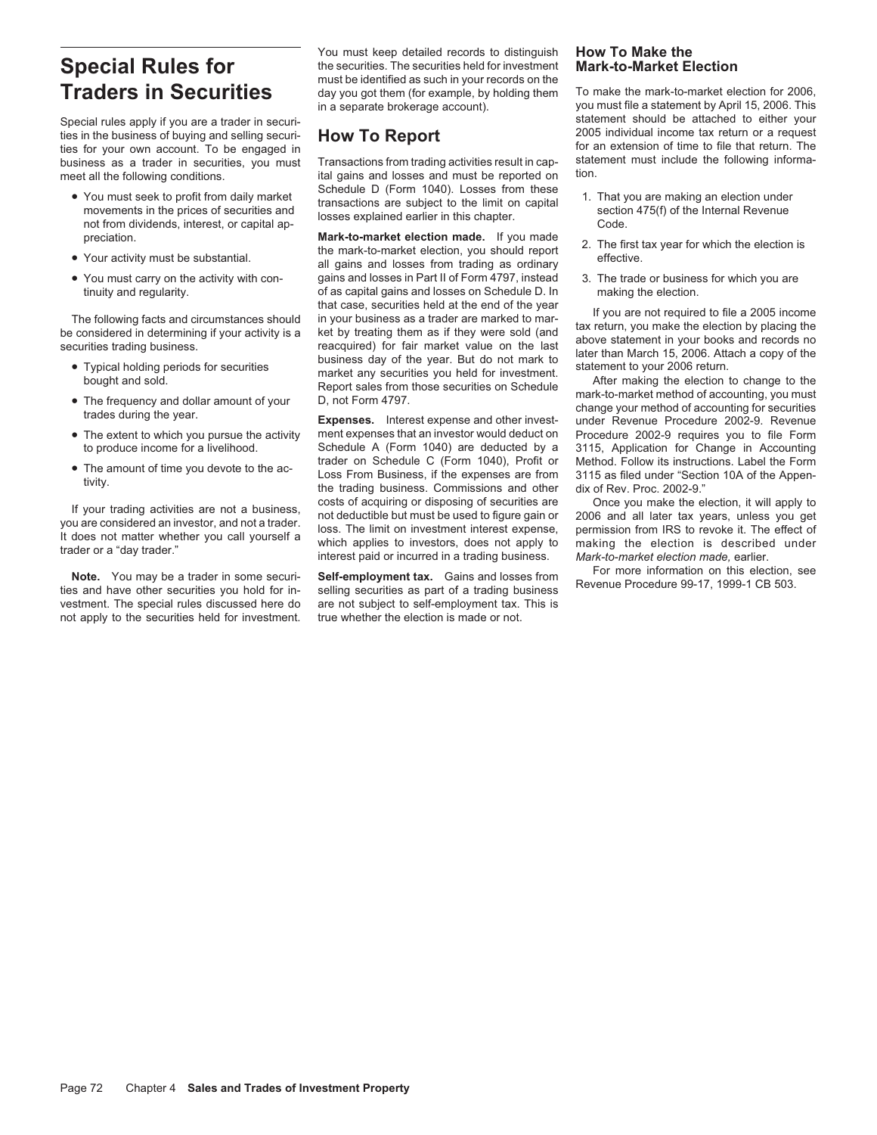- You must seek to profit from daily market<br>movements in the prices of securities and<br>not from dividends, interest, or capital<br>not from dividends, interest, or capital<br>ap-<br>not from dividends, interest, or capital ap-<br>not f
- 
- 

- 
- 
- 
- 

vestment. The special rules discussed here do are not subject to self-employment tax. This is not apply to the securities held for investment. If the whether the election is made or not. not apply to the securities held for investment.

You must keep detailed records to distinguish **How To Make the Special Rules for** the securities. The securities held for investment **Mark-to-Market Election** must be identified as such in your records on the **Traders in Securities**<br>in a separate brokerage account). Worlding them To make the mark-to-market election for 2006,<br>you must file a statement by April 15, 2006. This

business as a trader in securities, you must<br>meat all the following conditions.<br>Schedule D (Form 1040). Losses from these

preciation.<br> **Mark-to-market election made.** If you made<br> **Example 19 Four activity must be substantial.**<br>
all gains and losses from trading as ordinary<br>
effective. You must carry on the activity with con- gains and losses in Part II of Form 4797, instead 3. The trade or business for which you are tinuity and reqularity.<br>
of as capital gains and losses on Schedule D. In making the ele tinuity and regularity. of as capital gains and losses on Schedule D. In that case, securities held at the end of the year The following facts and circumstances should<br>
be considered in determining if your activity is a<br>
be considered in determining if your activity is a<br>
securities trading business.<br>
securities trading business.<br>
Typical hold

• The extent to which you pursue the activity ment expenses that an investor would deduct on Procedure 2002-9 requires you to file Form to produce income for a livelihood. Schedule A (Form 1040) are deducted by a 3115, App Schedule A (Form 1040) are deducted by a 3115, Application for Change in Accounting<br>trader on Schedule C (Form 1040), Profit or Method. Follow its instructions. Label the Form • The amount of time you devote to the ac-<br>Loss From Business, if the expenses are from 3115 as filed under "Section 10A of the Appen-<br>the trading business. Commissions and other dix of Rev. Proc. 2002-9."

you must file a statement by April 15, 2006. This statement should be attached to either your Special rules apply if you are a trader in securi-<br>Special rules apply if you are a trader in securi-<br>Special rules in the business of buying and selling securi-<br> $\overline{H}$   $\overline{H}$   $\overline{N}$   $\overline{R}$   $\overline{R}$   $\overline{R}$   $\overline{R$ ties in the business of buying and selling securi-<br>ties for your own account. To be engaged in<br>business as a trader in securities, you must Transactions from trading activities result in cap-<br>business as a trader in securi

- 
- 
- 

If your trading activities are not a business,<br>you are considered an investor, and not a trader.<br>It does not matter whether you call yourself a<br>trader or a "day trader." It does not matter whether you call yourself a<br>trade

Note. You may be a trader in some securi-<br>ties and have other securities you hold for in-<br>ties and have other securities you hold for in-<br>selling securities as part of a trading business<br>Revenue Procedure 99-17, 1999-1 CB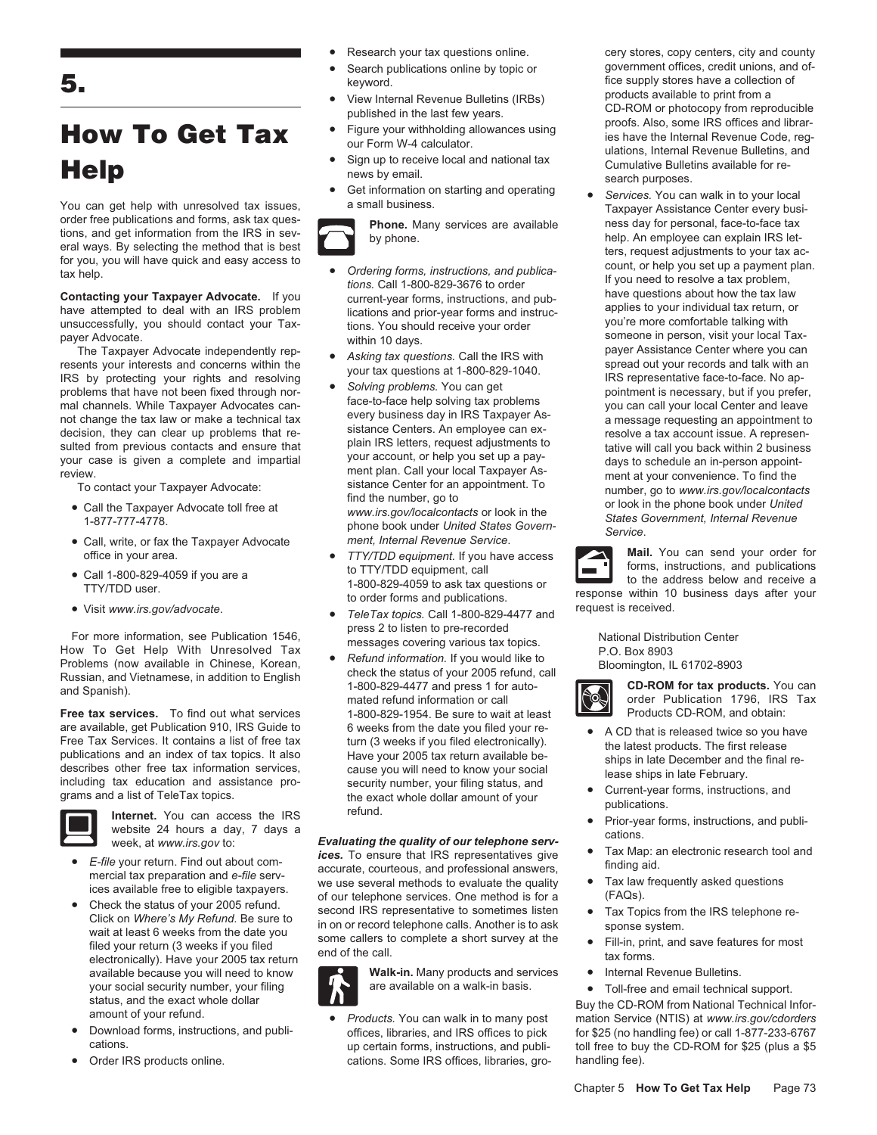have attempted to deal with an IRS problem a lications and prior-year forms and instruc-<br>
unsuccessfully you should contact your Tax-<br>
you're more comfortable talking with unsuccessfully, you should contact your Tax-<br>
you should receive your order<br>
youthin 10 days<br>
within 10 days

The Taxpayer Advocate independently rep-<br>
resents your interests and concerns within the<br>
IRS by protecting your rights and resolving<br>
problems that have not been fixed through nor-<br>
Passive Center where you can<br>
your tax mal channels. While Taxpayer Advocates can-<br>
mal channels. While Taxpayer Advocates can-<br>
mot change the tax law or make a technical tax<br>
decision, they can clear up problems that re-<br>
suited from previous contacts and ens

- 
- 
- 
- 

For more information, see Publication 1546,<br>
How To Get Help With Unresolved Tax<br>
Problems (now available in Chinese, Korean,<br>
Russian, and Vietnamese, in addition to English<br>
and Spanish).<br>
and Spanish and Spanish and Spa

**Free tax services.** To find out what services 1-800-829-1954. Be sure to wait at least Products CD-ROM, and obtain:<br>are available, get Publication 910, IRS Guide to 6 weeks from the date you filed your re-



- 
- electronically). Have your 2005 tax return end of the call.<br>available because you will need to know **Walk-in.** Many products and services Internal Revenue Bulletins. your social security number, your filing are available on a walk-in basis.  $\bullet$  Toll-free and email technical support.<br>Suv the CD-ROM from National Technical li
- 
- 
- 
- 
- 
- 
- 
- **FREXT START SEARCH CHOCES.**<br>• Get information on starting and operating *Services*. You can walk in to your local a small business. Taxpayer Assistance Center every busi-

- risted tions. Call 1-800-829-3676 to order<br>Contacting your Taxpayer Advocate. If you current-year forms, instructions, and pub-<br>have attempted to deal with an IRS problem lications and prior-year forms and instructions. Ap
	-
	- To contact your Taxpayer Advocate:<br>
	 Call the Taxpayer Advocate toll free at<br>
	 Call the Taxpayer Advocate toll free at<br>
	 Call the Taxpayer Advocate toll free at<br>
	 Call the phone book under United<br>
	 Call the phone book • Call the Taxpayer Advocate toll tree at *www.irs.gov/localcontacts* or look in the States Government, *Internal Revenue*<br>
	• Call, write, or fax the Taxpayer Advocate *ment, Internal Revenue Service*.<br>
	• Call, write, or
		-
	- in the busit. and publications. The politications is response within 10<br>● *TeleTax topics*. Call 1-800-829-4477 and request is received. <br>press 2 to listen to pre-recorded
		-

Free Tax Services. It contains a list of Tee lax of the detection of the RS Guide to the services of the contains and a index of tax topics. It also the publications and an index of tax topics. It also the publications an



Order IRS products online. cations. Some IRS offices, libraries, gro-

• Research your tax questions online. cery stores, copy centers, city and county • Search publications online by topic or government offices, credit unions, and of-**5.** keyword. **fice supply stores have a collection of**  $\chi$  iew Internal Revenue Bulletins (IRBs) **by products** available to print from a View Internal Revenue Bulletins (IRBs)<br> **EXENTAX**<br>
To Get Tax<br>
<br>
Figure your withholding allowances using<br>
Figure your withholding allowances using<br>
our Form W-4 calculator.<br>
Sign up to receive local and national tax<br>
exac

Nou can get help with unresolved tax issues,<br>
order free publications and forms, ask tax ques-<br>
tions, and get information from the IRS in sev-<br>
eral ways. By selecting the method that is best<br>
for you, you will have quick er Advocate.<br>within 10 days. er and the the someone in person, visit your local Tax-<br>payer Assistance Center where you can



office in your area.<br>
Call 1-800-829-4059 if you are a<br>
TTY/TDD equipment, call<br>
to TTY/TDD equipment, call<br>
to order forms and publications.<br>
to order forms and publications.<br>
to order forms and publications.<br>
to order fo



- 
- 
- 
- 
- 
- 
- 
- 

status, and the exact whole dollar **Buy the CD-ROM from National Technical Infor-** amount of your refund. • **•** *Products*. You can walk in to many post mation Service (NTIS) at *www.irs.gov/cdorders* • Download forms, instructions, and publi- offices, libraries, and IRS offices to pick for \$25 (no handling fee) or call 1-877-233-6767 up certain forms, instructions, and publi-<br>
cations. Some IRS offices, libraries, gro-<br>
handling fee).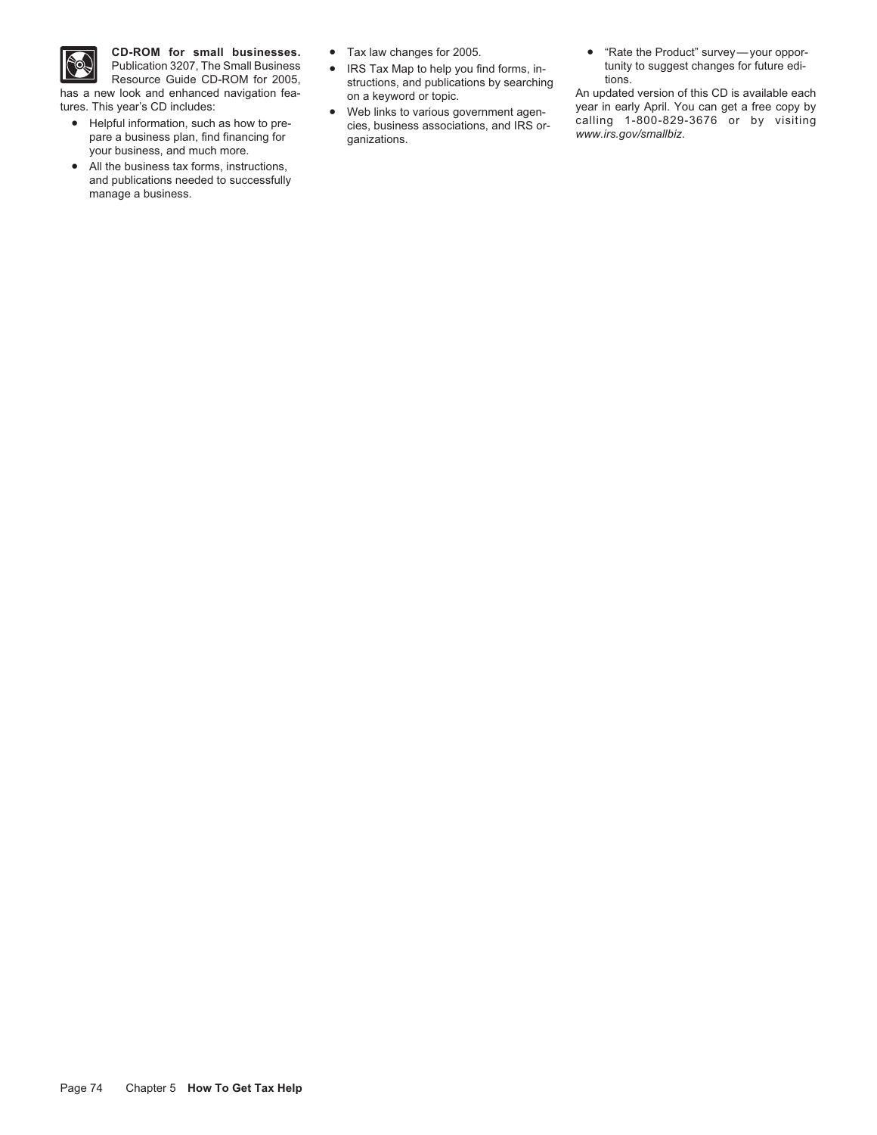

Resource Guide CD-ROM for 2005, structions, and publications by searching has a new look and enhanced navigation fea-<br>on a keyword or topic.

- pare a business plan, find financing for your business, and much more.
- All the business tax forms, instructions, and publications needed to successfully manage a business.
- 
- 
- res. This year's CD includes:<br>• Web links to various government agen-<br>• Helpful information, such as how to pre-<br>pare a business plan, find financing for ganizations. and IRS or-<br>ganizations.<br>ganizations.<br>www.irs.gov/small
- **CD-ROM for small businesses.** Tax law changes for 2005. "Rate the Product" survey—your oppor-<br>Publication 3207, The Small Business IRS Tax Map to help you find forms, in- tunity to suggest changes for future edi-Publication 3207, The Small Business <br>Resource Guide CD-ROM for 2005, <br>Structions, and publications by searching tions.

has a new look and enhanced navigation fea-<br>tures. This year's CD includes:<br>Meh links to various government agen-<br>year in early April. You can get a free copy by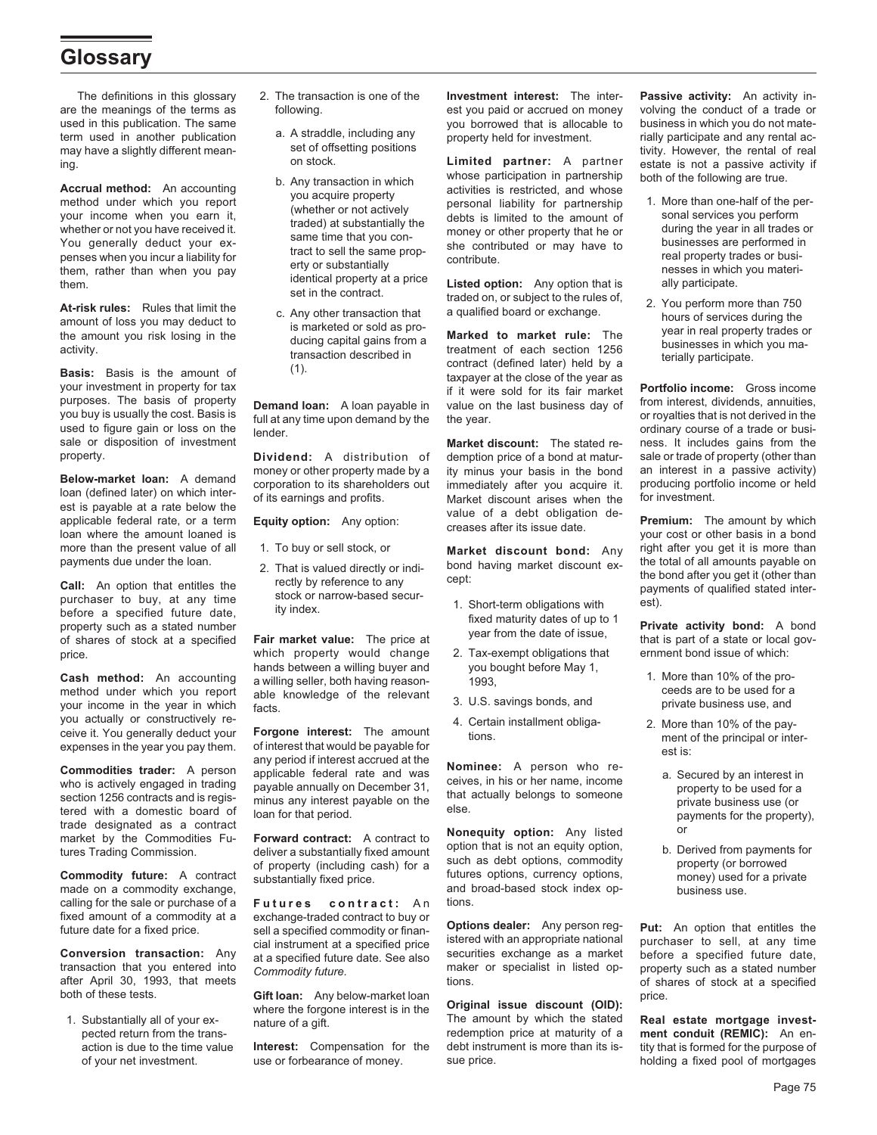# **Glossary**

The definitions in this glossary 2. The transaction is one of the **Investment interest:** The inter- **Passive activity:** An activity in-

**Accrual method:** An accounting<br>
method under which you report you acquire property<br>
method under which you report you acquire property<br>
whether or not actively<br>
whether or not actively<br>
whether or not actively<br>
whether or

purposes. The basis of property **Demand Ioan:** A loan payable in value on the last business day of from interest, dividends, annuities, you buy is usually the cost. Basis is full at any time upon demand by the the year. Th

est is payable at a rate below the<br>applicable federal rate, or a term **Equity option:** Any option: value of a debt obligation de-<br>loan where the amount loaned is<br>loan where the amount loaned is more than the present value of all 1. To buy or sell stock, or **Market discount bond:** Any right after you get it is more than payments due under the loan.

bout a purchaser to buy, at any time<br>of shares of stock at a specified **Fair market value:** The price and the column of shares of stock at a specified **Fair market value:** The price at the column of shares of stock at a sp

your income in the year in which facts.<br>you actually or constructively re-

Not actually or constructively re-<br>
expenses in the year you pay them. The amount of the principal or interest<br>
expenses in the year you pay them. The state of the principal or interest<br>
expenses in the year you pay them.

made on a commodity exchange,<br>calling for the sale or purchase of a **Futures** contract: An tions. calling for the sale or purchase of a<br>fixed amount of a commodity at a fixed amount of a commodity at a exchange-traded contract to buy or future date for a fixed price. Supersition as sell a specified commodity or finan-

transaction that you entered into a a specialist commodity future.<br>
after April 30, 1993, that meets commodity future.<br>
after April 30, 1993, that meets commodity future. after April 30, 1993, that meets<br>both of these tests. **Gift loan:** Any below-market loan<br>price. price. price.

- -
	-
	-

property. **Dividend:** A distribution of demption price of a bond at matur- sale or trade of property (other than

- 
- 

price. which property would change 2. Tax-exempt obligations that ernment bond issue of which: hands between a willing buyer and<br> **Cash method:** An accounting a willing seller, both having reason-<br>
method under which you report able knowledge of the relevant<br>
method under which you report able knowledge of the relev able knowledge of the relevant able knowledge of the relevant and the savings bonds, and a able knowledge of the relevant

sell a specified commodity or finan-<br>cial instrument at a specified price istered with an appropriate national purchaser to sell, at any time cial instrument at a specified price istered with an appropriate national cial purchaser to securities exchange as a market **Conversion transaction:** Any at a specified future date. See also securities exchange as a market before a specified future date, transaction that you entered into commodity future date. See also maker or specialist in li

following. est you paid or accrued on money volving the conduct of a trade or<br>you borrowed that is allocable to business in which you do not mate-

Below-market loan: A demand<br>loan (defined later) on which inter-<br>loan (defined later) on which inter-<br>of its earnings and profits.<br>Anarket discount arises when the for investment.

- 
- 
- 
- 

Commodity future: A contract substantially fixed price.<br>
made on a commodity exchange, bustantially fixed price.<br>
made on a commodity exchange, the substantially fixed price.<br>
and broad-based stock index op-<br>
and broad-bas

both of these tests. **Gift Ioan:** Any below-market loan<br>1. Substantially all of your ex-<br>pected return from the trans-<br>pected return from the trans-<br>pected return from the trans-<br>redemption price at maturity of a **ment con** action is due to the time value **Interest:** Compensation for the debt instrument is more than its is- tity that is formed for the purpose of original a fixed pool of mortoages of money.

used in this publication. The same **a**. A straddle, including any you borrowed that is allocable to business in which you do not mate-<br>-term used in another publication **a. A straddle, including any** property held for inve may have a slightly different mean-<br>on stock. **Limited partner:** A partner estate is not a passive activity if<br>h Any transaction in which whose participation in partnership both of the following are true.

- 
- 

sale or disposition of investment<br> **Dividend:** A distribution of demption price of a bond at matur-<br> **Dividend:** A distribution of demption price of a bond at matur-<br>
sale or trade of property (other than

- 
- -
	-

of your net investment. use or forbearance of money. sue price. holding a fixed pool of mortgages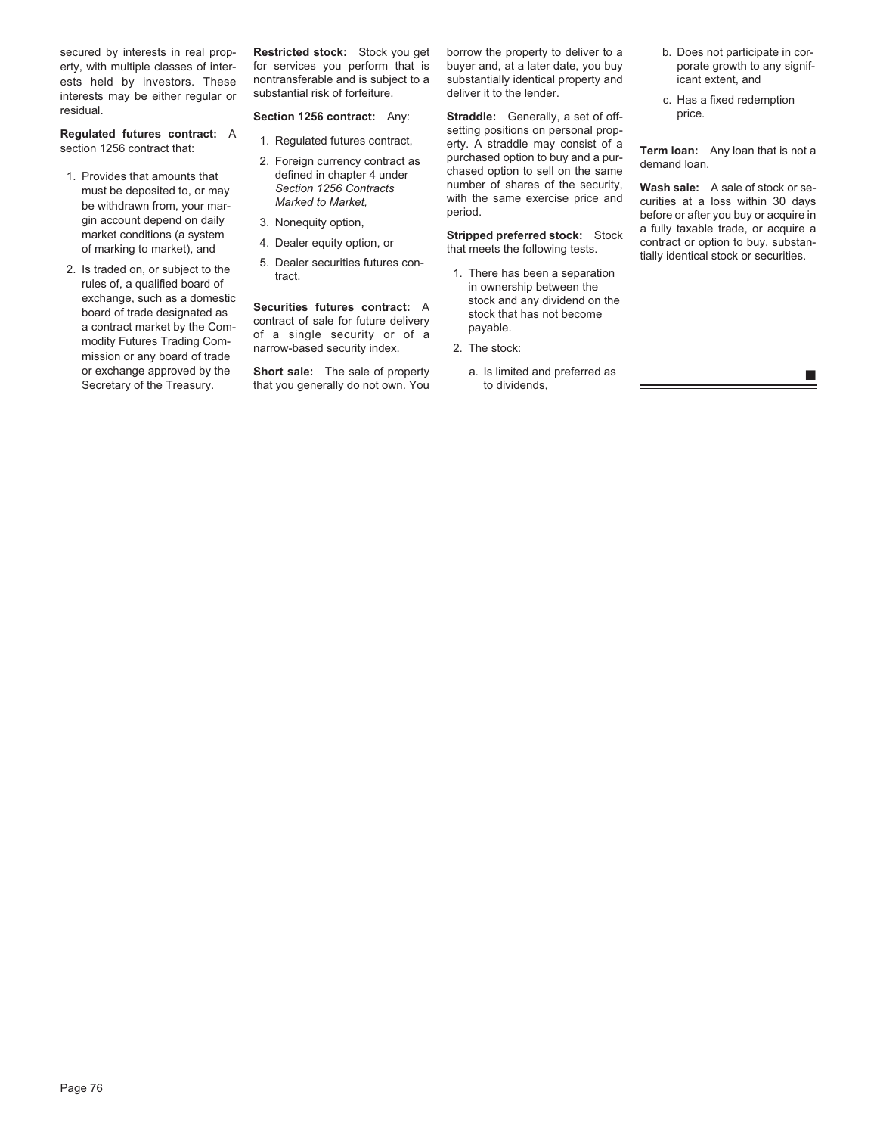interests may be either regular or substantial risk of forfeiture. deliver it to the lender. <br> **Section 1256 contract:** Any: **Straddle:** Generally, a set of off- price.

- 
- exchange, such as a domestic<br>board of trade designated as<br>a contract market by the Com-<br>modity Futures Trading Com-<br>mission or any board of trade<br>of a single security or of a<br>mission or any board of trade<br>mission or any bo

secured by interests in real prop- **Restricted stock:** Stock you get borrow the property to deliver to a b. Does not participate in corerty, with multiple classes of inter- for services you perform that is buyer and, at a later date, you buy porate growth to any signif-<br>ests held by investors. These nontransferable and is subject to a substantially identi ests held by investors. These nontransferable and is subject to a substantially identical property interests may be either requilar or substantial risk of forfeiture.

- 
- 
- 
- 
- 

or exchange approved by the **Short sale:** The sale of property a. Is limited and preferred as Secretary of the Treasury. that you generally do not own. You to dividends,

**Regulated futures contract:** A<br>section 1256 contract that: 1. Regulated futures contract,<br>2. Foreign currency contract as purchased option to buy and a pur-<br>1. Provides that amounts that defined in chapter 4 under that th 1. Provides that amounts that defined in chapter 4 under<br>must be deposited to, or may *Section 1256 Contracts* number of shares of the security, **Wash sale:** A sale of stock or se-<br>he with the same exercise price and curit

- 
- -
- 
- 

be withdrawn from, your mar-<br>
be withdrawn from, you mar-<br>
gin account depend on daily<br>
gin account depend on daily<br>
depend to Market,<br>
the same exercise price and<br>
the same exercise price and<br>
the same exercise price and<br>

■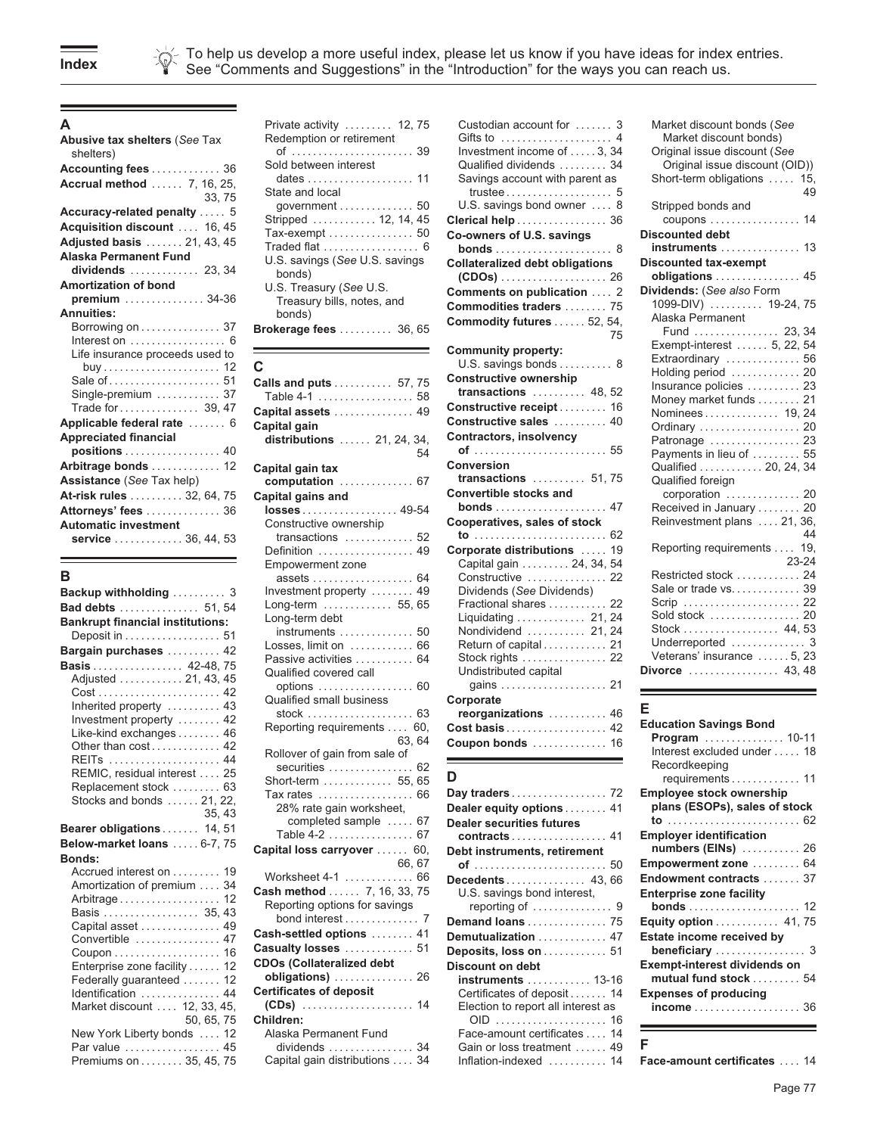

| ۰. |  |
|----|--|
|    |  |

| Abusive tax shelters (See Tax<br>shelters) |
|--------------------------------------------|
| Accounting fees 36                         |
| <b>Accrual method</b> 7, 16, 25,<br>33, 75 |
| Accuracy-related penalty  5                |
| Acquisition discount  16, 45               |
| Adjusted basis  21, 43, 45                 |
| <b>Alaska Permanent Fund</b>               |
| dividends  23, 34                          |
| <b>Amortization of bond</b>                |
| premium  34-36                             |
| <b>Annuities:</b>                          |
| Borrowing on 37                            |
| Interest on  6                             |
| Life insurance proceeds used to            |
|                                            |
| Sale of  51                                |
| Single-premium  37                         |
| Trade for  39, 47                          |
| Applicable federal rate  6                 |
| <b>Appreciated financial</b>               |
| positions 40                               |
| Arbitrage bonds  12                        |
| Assistance (See Tax help)                  |
| At-risk rules  32, 64, 75                  |
| Attorneys' fees  36                        |
| <b>Automatic investment</b>                |
| service  36, 44, 53                        |
|                                            |

۰

| <b>Backup withholding </b>                                                                                                                                                                                                                                                                                                                                                           |
|--------------------------------------------------------------------------------------------------------------------------------------------------------------------------------------------------------------------------------------------------------------------------------------------------------------------------------------------------------------------------------------|
| Bad debts  51, 54                                                                                                                                                                                                                                                                                                                                                                    |
| <b>Bankrupt financial institutions:</b>                                                                                                                                                                                                                                                                                                                                              |
| Deposit in 5                                                                                                                                                                                                                                                                                                                                                                         |
| Bargain purchases  42                                                                                                                                                                                                                                                                                                                                                                |
| Basis  42-48, 75                                                                                                                                                                                                                                                                                                                                                                     |
| Adjusted 21, 43, 45                                                                                                                                                                                                                                                                                                                                                                  |
|                                                                                                                                                                                                                                                                                                                                                                                      |
| Inherited property  43                                                                                                                                                                                                                                                                                                                                                               |
| Investment property  42                                                                                                                                                                                                                                                                                                                                                              |
| Like-kind exchanges 46                                                                                                                                                                                                                                                                                                                                                               |
| Other than cost 42                                                                                                                                                                                                                                                                                                                                                                   |
| REITs  44                                                                                                                                                                                                                                                                                                                                                                            |
| REMIC, residual interest  25                                                                                                                                                                                                                                                                                                                                                         |
| Replacement stock  63                                                                                                                                                                                                                                                                                                                                                                |
| Stocks and bonds  21, 22                                                                                                                                                                                                                                                                                                                                                             |
| 35, 43                                                                                                                                                                                                                                                                                                                                                                               |
| Bearer obligations  14, 5                                                                                                                                                                                                                                                                                                                                                            |
| Below-market loans  6-7, 79                                                                                                                                                                                                                                                                                                                                                          |
| Bonds:                                                                                                                                                                                                                                                                                                                                                                               |
| Accrued interest on  19                                                                                                                                                                                                                                                                                                                                                              |
| Amortization of premium 34                                                                                                                                                                                                                                                                                                                                                           |
| Arbitrage 12                                                                                                                                                                                                                                                                                                                                                                         |
| Basis  35, 43                                                                                                                                                                                                                                                                                                                                                                        |
| Capital asset  49                                                                                                                                                                                                                                                                                                                                                                    |
| Convertible  47                                                                                                                                                                                                                                                                                                                                                                      |
|                                                                                                                                                                                                                                                                                                                                                                                      |
| Enterprise zone facility 12<br>Federally guaranteed  12                                                                                                                                                                                                                                                                                                                              |
| Identification  44                                                                                                                                                                                                                                                                                                                                                                   |
| Market discount  12, 33, 45                                                                                                                                                                                                                                                                                                                                                          |
| 50, 65, 75                                                                                                                                                                                                                                                                                                                                                                           |
| New York Liberty bonds  12                                                                                                                                                                                                                                                                                                                                                           |
| Par value  45                                                                                                                                                                                                                                                                                                                                                                        |
| $\overline{C}$ $\overline{C}$ $\overline{C}$ $\overline{C}$ $\overline{C}$ $\overline{C}$ $\overline{C}$ $\overline{C}$ $\overline{C}$ $\overline{C}$ $\overline{C}$ $\overline{C}$ $\overline{C}$ $\overline{C}$ $\overline{C}$ $\overline{C}$ $\overline{C}$ $\overline{C}$ $\overline{C}$ $\overline{C}$ $\overline{C}$ $\overline{C}$ $\overline{C}$ $\overline{C}$ $\overline{$ |

| A                                              | Private activity $\dots \dots 12, 75$                                    | Custodian account for  3                         | Market discount bonds (See                      |
|------------------------------------------------|--------------------------------------------------------------------------|--------------------------------------------------|-------------------------------------------------|
| <b>Abusive tax shelters</b> (See Tax           | Redemption or retirement                                                 | Gifts to  4                                      | Market discount bonds)                          |
| shelters)                                      |                                                                          | Investment income of  3, 34                      | Original issue discount (See                    |
| <b>Accounting fees</b> 36                      | Sold between interest                                                    | Qualified dividends  34                          | Original issue discount (OID))                  |
| <b>Accrual method</b> 7, 16, 25,               | dates  11                                                                | Savings account with parent as                   | Short-term obligations  15,                     |
| 33, 75                                         | State and local                                                          |                                                  |                                                 |
| Accuracy-related penalty  5                    | government $\ldots \ldots \ldots \ldots 50$<br>Stripped  12, 14, 45      | U.S. savings bond owner  8                       | Stripped bonds and                              |
| Acquisition discount  16, 45                   | Tax-exempt  50                                                           | Clerical help  36                                | coupons  14                                     |
| Adjusted basis  21, 43, 45                     | Traded flat  6                                                           | Co-owners of U.S. savings                        | <b>Discounted debt</b><br>instruments  13       |
| Alaska Permanent Fund                          | U.S. savings (See U.S. savings                                           | <b>Collateralized debt obligations</b>           | Discounted tax-exempt                           |
| dividends $\ldots$ 23, 34                      | bonds)                                                                   |                                                  | obligations  45                                 |
| Amortization of bond                           | U.S. Treasury (See U.S.                                                  | Comments on publication  2                       | Dividends: (See also Form                       |
| premium  34-36                                 | Treasury bills, notes, and                                               | Commodities traders  75                          | 1099-DIV) $\ldots \ldots \ldots$ 19-24, 75      |
| <b>Annuities:</b>                              | bonds)                                                                   |                                                  | Alaska Permanent                                |
| Borrowing on $\dots\dots\dots\dots37$          | <b>Brokerage fees</b> $\ldots$ $\ldots$ 36, 65                           | Commodity futures  52, 54,<br>75                 | Fund  23, 34                                    |
| Interest on $\dots\dots\dots\dots\dots\dots$ 6 |                                                                          |                                                  | Exempt-interest  5, 22, 54                      |
| Life insurance proceeds used to                |                                                                          | Community property:<br>U.S. savings bonds  8     | Extraordinary  56                               |
|                                                | С                                                                        | <b>Constructive ownership</b>                    | Holding period $\ldots \ldots \ldots$ 20        |
|                                                | <b>Calls and puts</b> 57, 75                                             | transactions $\ldots$ 48, 52                     | Insurance policies  23                          |
| Single-premium  37                             | Table 4-1  58                                                            |                                                  | Money market funds  21                          |
| Trade for 39, 47                               | Capital assets  49                                                       | Constructive receipt 16                          | Nominees 19, 24                                 |
| Applicable federal rate  6                     | Capital gain                                                             | Constructive sales  40                           | Ordinary  20                                    |
| <b>Appreciated financial</b>                   | distributions  21, 24, 34,                                               | <b>Contractors, insolvency</b>                   | Patronage  23                                   |
| positions 40                                   | 54                                                                       |                                                  | Payments in lieu of  55                         |
| Arbitrage bonds 12                             | Capital gain tax                                                         | <b>Conversion</b>                                | Qualified  20, 24, 34                           |
| <b>Assistance</b> (See Tax help)               | computation  67                                                          | transactions $\ldots \ldots \ldots 51, 75$       | Qualified foreign                               |
| At-risk rules 32, 64, 75                       | Capital gains and                                                        | <b>Convertible stocks and</b><br><b>bonds</b> 47 | corporation  20<br>Received in January  20      |
| Attorneys' fees  36                            |                                                                          | Cooperatives, sales of stock                     | Reinvestment plans  21, 36,                     |
| Automatic investment                           | Constructive ownership                                                   |                                                  |                                                 |
| service  36, 44, 53                            | transactions $\ldots \ldots \ldots 52$<br>Definition  49                 | <b>Corporate distributions</b> 19                | Reporting requirements  19,                     |
|                                                | Empowerment zone                                                         | Capital gain  24, 34, 54                         | 23-24                                           |
| в                                              | assets 64                                                                | Constructive  22                                 | Restricted stock  24                            |
| Backup withholding  3                          | Investment property  49                                                  | Dividends (See Dividends)                        | Sale or trade vs. 39                            |
| Bad debts  51, 54                              | Long-term  55, 65                                                        | Fractional shares  22                            | Scrip  22                                       |
| <b>Bankrupt financial institutions:</b>        | Long-term debt                                                           | Liquidating  21, 24                              | Sold stock  20                                  |
| Deposit in 51                                  |                                                                          | Nondividend  21, 24                              | Stock  44, 53                                   |
| Bargain purchases  42                          | Losses, limit on  66                                                     | Return of capital 21                             | Underreported  3                                |
| <b>Basis</b> 42-48, 75                         | Passive activities  64                                                   | Stock rights  22                                 | Veterans' insurance 5, 23                       |
| Adjusted 21, 43, 45                            | Qualified covered call                                                   | Undistributed capital                            | Divorce  43,48                                  |
|                                                | options  60                                                              | gains  21                                        |                                                 |
| Inherited property  43                         | Qualified small business                                                 | Corporate                                        | Е                                               |
| Investment property  42                        | stock $\ldots \ldots \ldots \ldots \ldots \ldots 63$                     | reorganizations  46                              |                                                 |
| Like-kind exchanges $\dots \dots$ 46           | Reporting requirements  60,                                              |                                                  | <b>Education Savings Bond</b><br>Program  10-11 |
| Other than cost 42                             | 63, 64                                                                   | Coupon bonds  16                                 | Interest excluded under  18                     |
| REITS  44                                      | Rollover of gain from sale of                                            |                                                  | Recordkeeping                                   |
| REMIC, residual interest  25                   | securities $\ldots \ldots \ldots \ldots \ldots$ 62<br>Short-term  55, 65 | D                                                | requirements 11                                 |
| Replacement stock  63                          | Tax rates  66                                                            |                                                  | <b>Employee stock ownership</b>                 |
| Stocks and bonds $\ldots$ 21, 22,              | 28% rate gain worksheet,                                                 | Dealer equity options 41                         | plans (ESOPs), sales of stock                   |
| 35, 43                                         | completed sample  67                                                     | <b>Dealer securities futures</b>                 |                                                 |
| Bearer obligations  14, 51                     | Table 4-2  67                                                            | <b>contracts</b> 41                              | <b>Employer identification</b>                  |
| Below-market loans  6-7, 75                    | Capital loss carryover  60,                                              | Debt instruments, retirement                     | numbers (EINs)  26                              |
| <b>Bonds:</b>                                  | 66.67                                                                    |                                                  | Empowerment zone  64                            |
| Accrued interest on  19                        | Worksheet 4-1  66                                                        | Decedents 43.66                                  | Endowment contracts  37                         |
| Amortization of premium  34                    | Cash method  7, 16, 33, 75                                               | U.S. savings bond interest,                      | <b>Enterprise zone facility</b>                 |
| Arbitrage 12<br>Basis  35, 43                  | Reporting options for savings                                            | reporting of  9                                  |                                                 |
| Capital asset  49                              | bond interest $\ldots \ldots \ldots \ldots$ 7                            | <b>Demand loans</b> 75                           | <b>Equity option  41, 75</b>                    |
| Convertible  47                                | Cash-settled options  41                                                 | Demutualization  47                              | Estate income received by                       |
|                                                | Casualty losses  51                                                      | Deposits, loss on  51                            | beneficiary  3                                  |
| Enterprise zone facility 12                    | <b>CDOs (Collateralized debt</b>                                         | Discount on debt                                 | Exempt-interest dividends on                    |
| Federally guaranteed  12                       |                                                                          | <b>instruments</b> 13-16                         | mutual fund stock  54                           |
| Identification  44                             | <b>Certificates of deposit</b>                                           | Certificates of deposit 14                       | <b>Expenses of producing</b>                    |
| Market discount  12, 33, 45,                   |                                                                          | Election to report all interest as               |                                                 |
| 50, 65, 75                                     | Children:                                                                |                                                  |                                                 |
| New York Liberty bonds  12                     | Alaska Permanent Fund                                                    | Face-amount certificates  14                     |                                                 |
| Par value  45                                  | dividends $\ldots \ldots \ldots \ldots \ldots$ 34                        | Gain or loss treatment  49                       | F                                               |
| Premiums on 35, 45, 75                         | Capital gain distributions  34                                           | Inflation-indexed  14                            | Face-amount certificates  14                    |

| Private activity  12, 75<br>Redemption or retirement<br>of  39<br>Sold between interest<br>dates  11<br>State and local | Custodian account for  3<br>Investment income of  3, 34<br>Qualified dividends  34<br>Savings account with parent as | Market discount bonds (See<br>Market discount bonds)<br>Original issue discount (See<br>Original issue discount (OID))<br>Short-term obligations  15,<br>49 |
|-------------------------------------------------------------------------------------------------------------------------|----------------------------------------------------------------------------------------------------------------------|-------------------------------------------------------------------------------------------------------------------------------------------------------------|
| government $\ldots \ldots \ldots \ldots 50$                                                                             | U.S. savings bond owner  8                                                                                           | Stripped bonds and                                                                                                                                          |
| Stripped  12, 14, 45                                                                                                    | Clerical help  36                                                                                                    | coupons  14                                                                                                                                                 |
| Tax-exempt  50                                                                                                          | Co-owners of U.S. savings                                                                                            | <b>Discounted debt</b>                                                                                                                                      |
| Traded flat  6                                                                                                          |                                                                                                                      | <b>instruments</b> 13                                                                                                                                       |
| U.S. savings (See U.S. savings                                                                                          | <b>Collateralized debt obligations</b>                                                                               | <b>Discounted tax-exempt</b>                                                                                                                                |
| bonds)                                                                                                                  |                                                                                                                      | obligations  45                                                                                                                                             |
| U.S. Treasury (See U.S.                                                                                                 | Comments on publication  2                                                                                           | Dividends: (See also Form                                                                                                                                   |
| Treasury bills, notes, and                                                                                              | Commodities traders  75                                                                                              | 1099-DIV)  19-24, 75                                                                                                                                        |
| bonds)                                                                                                                  | <b>Commodity futures</b> 52, 54,                                                                                     | Alaska Permanent                                                                                                                                            |
| <b>okerage fees</b> 36, 65                                                                                              | 75                                                                                                                   | Fund  23, 34                                                                                                                                                |
|                                                                                                                         | <b>Community property:</b>                                                                                           | Exempt-interest  5, 22, 54                                                                                                                                  |
|                                                                                                                         | U.S. savings bonds $\ldots \ldots \ldots$ 8                                                                          | Extraordinary  56                                                                                                                                           |
|                                                                                                                         | <b>Constructive ownership</b>                                                                                        | Holding period  20                                                                                                                                          |
| alls and puts 57, 75<br>Table 4-1  58                                                                                   | transactions $\ldots$ 48, 52                                                                                         | Insurance policies  23                                                                                                                                      |
|                                                                                                                         | <b>Constructive receipt 16</b>                                                                                       | Money market funds 21                                                                                                                                       |
| apital assets  49                                                                                                       | Constructive sales  40                                                                                               | Nominees 19, 24                                                                                                                                             |
| apital gain                                                                                                             | <b>Contractors, insolvency</b>                                                                                       | Ordinary  20                                                                                                                                                |
| <b>distributions</b> 21, 24, 34,                                                                                        |                                                                                                                      | Patronage  23                                                                                                                                               |
| 54                                                                                                                      | Conversion                                                                                                           | Payments in lieu of  55                                                                                                                                     |
| apital gain tax                                                                                                         | transactions $\dots\dots\dots 51,75$                                                                                 | Qualified  20, 24, 34                                                                                                                                       |
| <b>computation</b> 67                                                                                                   | <b>Convertible stocks and</b>                                                                                        | Qualified foreign                                                                                                                                           |
| apital gains and                                                                                                        | <b>bonds</b> 47                                                                                                      | corporation  20<br>Received in January  20                                                                                                                  |
| <b>losses</b> 49-54                                                                                                     |                                                                                                                      | Reinvestment plans  21, 36,                                                                                                                                 |
| Constructive ownership                                                                                                  | Cooperatives, sales of stock                                                                                         | 44                                                                                                                                                          |
| transactions $\dots\dots\dots\dots$ 52                                                                                  | <b>to</b> 62                                                                                                         | Reporting requirements  19,                                                                                                                                 |
| Definition  49                                                                                                          | Corporate distributions  19                                                                                          | $23 - 24$                                                                                                                                                   |
| <b>Empowerment zone</b>                                                                                                 | Capital gain  24, 34, 54<br>Constructive  22                                                                         | Restricted stock  24                                                                                                                                        |
| assets 64<br>Investment property  49                                                                                    | Dividends (See Dividends)                                                                                            | Sale or trade vs. 39                                                                                                                                        |
| Long-term  55, 65                                                                                                       | Fractional shares  22                                                                                                | Scrip  22                                                                                                                                                   |
| Long-term debt                                                                                                          | Liquidating  21, 24                                                                                                  | Sold stock  20                                                                                                                                              |
| instruments  50                                                                                                         | Nondividend  21, 24                                                                                                  | Stock  44, 53                                                                                                                                               |
| Losses, limit on  66                                                                                                    | Return of capital  21                                                                                                | Underreported  3                                                                                                                                            |
| Passive activities  64                                                                                                  | Stock rights  22                                                                                                     | Veterans' insurance  5, 23                                                                                                                                  |
| Qualified covered call                                                                                                  | Undistributed capital                                                                                                | Divorce  43,48                                                                                                                                              |
| options  60                                                                                                             | gains  21                                                                                                            |                                                                                                                                                             |
| <b>Qualified small business</b>                                                                                         | Corporate                                                                                                            |                                                                                                                                                             |
|                                                                                                                         | reorganizations  46                                                                                                  | Е                                                                                                                                                           |
| Reporting requirements  60,                                                                                             | Cost basis 42                                                                                                        | <b>Education Savings Bond</b>                                                                                                                               |
|                                                                                                                         |                                                                                                                      | $10 - 11$<br>Program                                                                                                                                        |

| ◡                                  |
|------------------------------------|
| Day traders 72                     |
| Dealer equity options 41           |
| <b>Dealer securities futures</b>   |
| contracts 41                       |
| Debt instruments, retirement       |
| <b>of</b> 50                       |
| <b>Decedents</b> 43, 66            |
| U.S. savings bond interest,        |
| reporting of  9                    |
| Demand loans  75                   |
| Demutualization 47                 |
| Deposits, loss on 51               |
| Discount on debt                   |
| <b>instruments</b> 13-16           |
| Certificates of deposit  14        |
| Election to report all interest as |
|                                    |
| Face-amount certificates 14        |
| Gain or loss treatment  49         |
| Inflation-indexed  14              |
|                                    |

| Market discount bonds (See<br>Market discount bonds) |    |
|------------------------------------------------------|----|
| Original issue discount (See                         |    |
| Original issue discount (OID))                       |    |
| Short-term obligations  15,                          |    |
|                                                      | 49 |
| Stripped bonds and                                   |    |
| coupons  14                                          |    |
| iscounted debt                                       |    |
| instruments  13                                      |    |
| iscounted tax-exempt                                 |    |
| obligations  45                                      |    |
|                                                      |    |
| lividends: (See also Form                            |    |
| 1099-DIV)  19-24, 75                                 |    |
| Alaska Permanent                                     |    |
| Fund  23, 34                                         |    |
| Exempt-interest  5, 22, 54                           |    |
| Extraordinary  56                                    |    |
| Holding period  20                                   |    |
| Insurance policies  23                               |    |
| Money market funds 21                                |    |
| Nominees 19, 24                                      |    |
| Ordinary  20                                         |    |
| Patronage  23                                        |    |
| Payments in lieu of  55<br>Qualified  20, 24, 34     |    |
|                                                      |    |
| Qualified foreign                                    |    |
| corporation  20                                      |    |
| Received in January  20                              |    |
| Reinvestment plans  21, 36,                          |    |
|                                                      | 44 |
| Reporting requirements  19,                          |    |
| 23-24                                                |    |
|                                                      |    |
| Restricted stock  24<br>Sale or trade vs 39          |    |
|                                                      |    |
| Scrip  22                                            |    |
| Sold stock  20                                       |    |
| Stock  44,53                                         |    |
| Underreported  3                                     |    |
| Veterans' insurance  5, 23                           |    |
| Vivorce  43,48                                       |    |
|                                                      |    |

| Luucation oavings Donu              |  |
|-------------------------------------|--|
| Program  10-11                      |  |
| Interest excluded under  18         |  |
| Recordkeeping                       |  |
| requirements 11                     |  |
| <b>Employee stock ownership</b>     |  |
| plans (ESOPs), sales of stock       |  |
|                                     |  |
| <b>Employer identification</b>      |  |
|                                     |  |
| Empowerment zone  64                |  |
| Endowment contracts  37             |  |
| <b>Enterprise zone facility</b>     |  |
|                                     |  |
| Equity option 41, 75                |  |
| Estate income received by           |  |
| beneficiary  3                      |  |
| <b>Exempt-interest dividends on</b> |  |
| mutual fund stock  54               |  |
| <b>Expenses of producing</b>        |  |
|                                     |  |
|                                     |  |
|                                     |  |
|                                     |  |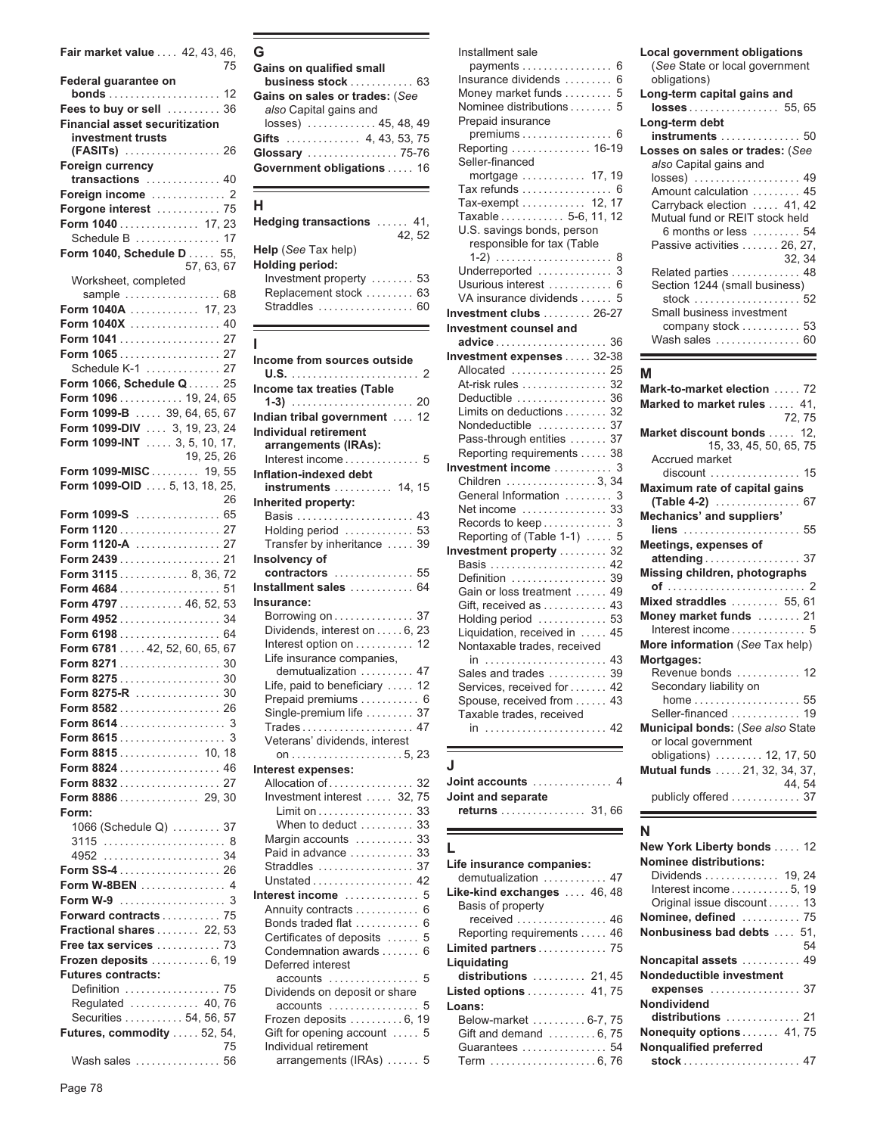| <b>Fair market value  42, 43, 46,</b>         | G                              | Installment sale                                | Local government obligations                      |
|-----------------------------------------------|--------------------------------|-------------------------------------------------|---------------------------------------------------|
| 75                                            | Gains on qualified small       | payments $\ldots \ldots \ldots \ldots \ldots$ 6 | (See State or local governmer                     |
| Federal guarantee on                          | business stock $\ldots$ 63     | Insurance dividends  6                          | obligations)                                      |
|                                               | Gains on sales or trades: (See | Money market funds  5                           | Long-term capital gains and                       |
| Fees to buy or sell  36                       | also Capital gains and         | Nominee distributions 5                         |                                                   |
| <b>Financial asset securitization</b>         | $losses)$ 45, 48, 49           | Prepaid insurance                               | Long-term debt                                    |
| investment trusts                             | Gifts  4, 43, 53, 75           | premiums $\ldots \ldots \ldots \ldots \ldots 6$ | instruments                                       |
| (FASITs)  26                                  | Glossary  75-76                | Reporting  16-19                                | Losses on sales or trades: (Se                    |
| <b>Foreign currency</b>                       | Government obligations  16     | Seller-financed<br>mortgage  17, 19             | also Capital gains and                            |
| transactions $\ldots \ldots \ldots \ldots 40$ |                                | Tax refunds  6                                  | $losses)$                                         |
| Foreign income  2                             |                                | Tax-exempt  12, 17                              | Amount calculation                                |
| Forgone interest  75                          | H.                             | Taxable  5-6, 11, 12                            | Carryback election  41.                           |
| Form 1040 17, 23                              | Hedging transactions  41,      | U.S. savings bonds, person                      | Mutual fund or REIT stock hel<br>6 months or less |
| Schedule B  17                                | 42.52                          | responsible for tax (Table                      | Passive activities  26, 2                         |
| Form 1040, Schedule D 55,                     | Help (See Tax help)            |                                                 | 32.                                               |
| 57, 63, 67                                    | <b>Holding period:</b>         | Underreported  3                                | Related parties                                   |
| Worksheet, completed                          | Investment property  53        | Usurious interest  6                            | Section 1244 (small business)                     |
| sample  68                                    | Replacement stock  63          | VA insurance dividends  5                       |                                                   |
| Form 1040A  17, 23                            | Straddles  60                  | Investment clubs  26-27                         | Small business investment                         |
| Form 1040X  40                                |                                | Investment counsel and                          | company stock                                     |
|                                               |                                |                                                 | Wash sales                                        |
|                                               |                                | Investment expenses 32-38                       |                                                   |
| Schedule K-1  27                              | Income from sources outside    | Allocated  25                                   | м                                                 |
| Form 1066, Schedule Q 25                      |                                | At-risk rules  32                               |                                                   |
| <b>Form 1096</b> 19, 24, 65                   | Income tax treaties (Table     | Deductible  36                                  | Mark-to-market election                           |
| Form 1099-B  39, 64, 65, 67                   |                                | Limits on deductions  32                        | Marked to market rules                            |
| Form 1099-DIV  3, 19, 23, 24                  | Indian tribal government  12   | Nondeductible  37                               | 72.                                               |
|                                               | <b>Individual retirement</b>   | Pass-through entities  37                       | Market discount bonds                             |
| Form 1099-INT  3, 5, 10, 17,<br>19, 25, 26    | arrangements (IRAs):           | Reporting requirements  38                      | 15, 33, 45, 50, 65,                               |
|                                               | Interest income 5              | Investment income  3                            | Accrued market                                    |
| Form 1099-MISC 19, 55                         | Inflation-indexed debt         | Children  3, 34                                 | discount                                          |
| Form 1099-OID  5, 13, 18, 25,                 | instruments  14, 15            | General Information  3                          | Maximum rate of capital gains                     |
| 26                                            | Inherited property:            | Net income  33                                  | $(Table 4-2)$                                     |
| Form 1099-S  65                               | Basis  43                      |                                                 | Mechanics' and suppliers'                         |
|                                               | Holding period  53             | Reporting of (Table 1-1)  5                     | liens                                             |
| Form 1120-A  27                               | Transfer by inheritance  39    | Investment property  32                         | Meetings, expenses of                             |
| Form 2439  21                                 | Insolvency of                  | Basis  42                                       | attending                                         |
| Form 3115  8, 36, 72                          | <b>contractors</b> 55          | Definition  39                                  | Missing children, photographs                     |
| Form 4684 51                                  | Installment sales  64          | Gain or loss treatment  49                      |                                                   |
| Form 4797  46, 52, 53                         | Insurance:                     | Gift, received as  43                           | Mixed straddles  55,                              |
| Form 4952 34                                  | Borrowing on 37                | Holding period  53                              | Money market funds                                |
| Form 6198 64                                  | Dividends, interest on 6, 23   | Liquidation, received in  45                    | Interest income                                   |
| Form 6781 42, 52, 60, 65, 67                  | Interest option on  12         | Nontaxable trades, received                     | More information (See Tax hel                     |
| Form 8271 30                                  | Life insurance companies,      | in  43                                          | Mortgages:                                        |
|                                               | demutualization  47            | Sales and trades  39                            | Revenue bonds                                     |
| Form 8275-R  30                               | Life, paid to beneficiary  12  | Services, received for  42                      | Secondary liability on                            |
| Form 8582 26                                  | Prepaid premiums  6            | Spouse, received from  43                       |                                                   |
|                                               | Single-premium life  37        | Taxable trades, received                        | Seller-financed                                   |
|                                               | Trades 47                      | in  42                                          | Municipal bonds: (See also Sta                    |
|                                               | Veterans' dividends, interest  |                                                 | or local government                               |
| Form 8815 10, 18                              |                                |                                                 | obligations)  12, 17,                             |
| Form 8824 46                                  | Interest expenses:             | J                                               | Mutual funds  21, 32, 34,                         |
|                                               | Allocation of  32              | Joint accounts $\dots\dots\dots\dots$ 4         | 44.                                               |
| Form 8886  29, 30                             | Investment interest  32, 75    | Joint and separate                              | publicly offered                                  |
| Form:                                         |                                | returns  31,66                                  |                                                   |
| 1066 (Schedule Q)  37                         | When to deduct  33             |                                                 | N                                                 |
|                                               | Margin accounts  33            |                                                 | New York Liberty bonds                            |
|                                               | Paid in advance  33            |                                                 | <b>Nominee distributions:</b>                     |
| Form SS-4 26                                  | Straddles  37                  | Life insurance companies:                       | Dividends  19,                                    |
| Form W-8BEN  4                                | Unstated  42                   | demutualization  47                             | Interest income $\dots \dots \dots 5$ ,           |
|                                               | Interest income  5             | Like-kind exchanges  46, 48                     | Original issue discount                           |
| Forward contracts  75                         | Annuity contracts  6           | Basis of property                               |                                                   |
| Fractional shares  22, 53                     | Bonds traded flat  6           | received $\ldots$ 46                            | Nominee, defined<br>Nonbusiness bad debts         |
| Free tax services  73                         | Certificates of deposits  5    | Reporting requirements  46                      |                                                   |
|                                               | Condemnation awards  6         | Limited partners 75                             |                                                   |
| Frozen deposits  6, 19                        | Deferred interest              | Liquidating                                     | Noncapital assets                                 |
| <b>Futures contracts:</b>                     |                                | distributions $\ldots$ 21, 45                   | Nondeductible investment                          |
| Definition  75                                | Dividends on deposit or share  | Listed options  41, 75                          | $express$                                         |
| Regulated  40, 76                             | accounts  5                    | Loans:                                          | Nondividend                                       |
| Securities  54, 56, 57                        | Frozen deposits  6, 19         | Below-market  6-7, 75                           | distributions                                     |
| Futures, commodity  52, 54,                   | Gift for opening account  5    | Gift and demand $\dots \dots 6$ , 75            | Nonequity options  41,                            |
| 75                                            | Individual retirement          | Guarantees  54                                  | <b>Nonqualified preferred</b>                     |
| Wash sales  56                                | arrangements (IRAs)  5         |                                                 |                                                   |

| 7 J                            | Gains on qualified small       | $p$ ayments $\ldots \ldots \ldots \ldots \ldots$ | Ore State of local government   |
|--------------------------------|--------------------------------|--------------------------------------------------|---------------------------------|
| Federal guarantee on           | business stock $\ldots$ 63     | Insurance dividends  6                           | obligations)                    |
|                                | Gains on sales or trades: (See | Money market funds  5                            | Long-term capital gains and     |
| Fees to buy or sell  36        | also Capital gains and         |                                                  |                                 |
| Financial asset securitization | $losses)$ 45, 48, 49           | Prepaid insurance                                | Long-term debt                  |
| investment trusts              | Gifts  4, 43, 53, 75           |                                                  | $instruments$ 50                |
|                                | Glossary  75-76                | Reporting  16-19                                 | Losses on sales or trades: (See |
| Foreign currency               | Government obligations  16     | Seller-financed <b>Seller-financed</b>           | also Capital gains and          |
| transactions  40               |                                | mortgage $\dots\dots\dots\dots$ 17, 19           |                                 |
| Earnian inaama                 |                                |                                                  | Amount calculation 45           |

| Hedging transactions  41                          |       |
|---------------------------------------------------|-------|
|                                                   | 42.52 |
| Help (See Tax help)                               |       |
| <b>Holding period:</b>                            |       |
| Investment property  5                            |       |
| Replacement stock  6                              |       |
| Straddles $\ldots \ldots \ldots \ldots \ldots 60$ |       |
|                                                   |       |

| Schedule K-1  27                                 | <b>INCOURT IT ONLY SOUTLES OUTSTAND</b> | Allocated  25                              | м                                            |
|--------------------------------------------------|-----------------------------------------|--------------------------------------------|----------------------------------------------|
| Form 1066, Schedule Q 25                         |                                         | At-risk rules 32                           |                                              |
| Form $1096$ 19, 24, 65                           | Income tax treaties (Table              | Deductible  36                             | Mark-to-market election  72                  |
| <b>Form 1099-B</b> 39, 64, 65, 67                |                                         | Limits on deductions  32                   | Marked to market rules  41,                  |
| Form 1099-DIV  3, 19, 23, 24                     | Indian tribal government  12            | Nondeductible  37                          | 72, 75                                       |
| Form 1099-INT  3, 5, 10, 17,                     | <b>Individual retirement</b>            | Pass-through entities  37                  | Market discount bonds  12,                   |
| 19, 25, 26                                       | arrangements (IRAs):                    | Reporting requirements  38                 | 15, 33, 45, 50, 65, 75                       |
| Form 1099-MISC 19, 55                            |                                         | Investment income  3                       | Accrued market                               |
| <b>Form 1099-OID</b> 5, 13, 18, 25,              | Inflation-indexed debt                  | Children 3, 34                             |                                              |
| 26                                               | $instruments$ 14, 15                    | General Information  3                     | Maximum rate of capital gains                |
|                                                  | Inherited property:                     | Net income  33                             |                                              |
| Form 1099-S  65                                  | Basis  43                               |                                            | Mechanics' and suppliers'                    |
| Form 1120 27                                     | Holding period  53                      | Reporting of (Table 1-1) $\dots$ 5         | liens  55                                    |
| Form 1120-A  27                                  | Transfer by inheritance  39             | Investment property  32                    | Meetings, expenses of                        |
| Form 2439  21                                    | Insolvency of                           | Basis  42                                  | attending 37                                 |
| Form 3115 8, 36, 72                              | $contractors$ 55                        | Definition  39                             | Missing children, photographs                |
| Form 4684 51                                     | Installment sales  64                   | Gain or loss treatment  49                 |                                              |
| Form 4797  46, 52, 53                            | Insurance:                              | Gift, received as  43                      | Mixed straddles  55, 61                      |
| Form 4952 34                                     | Borrowing on  37                        | Holding period  53                         | Money market funds  21                       |
| Form 6198 64                                     | Dividends, interest on 6, 23            | Liquidation, received in  45               | Interest income 5                            |
| Form 6781  42, 52, 60, 65, 67                    | Interest option on $\dots\dots\dots$ 12 | Nontaxable trades, received                | More information (See Tax help)              |
|                                                  | Life insurance companies,               | in  43                                     | Mortgages:                                   |
| Form 8275 30                                     | demutualization  47                     | Sales and trades  39                       | Revenue bonds  12                            |
| Form 8275-R  30                                  | Life, paid to beneficiary  12           | Services, received for  42                 | Secondary liability on                       |
|                                                  | Prepaid premiums  6                     | Spouse, received from  43                  |                                              |
| <b>Form 8582</b> 26                              | Single-premium life  37                 | Taxable trades, received                   | Seller-financed  19                          |
|                                                  | Trades 47                               |                                            | Municipal bonds: (See also State             |
| Form 8615 $\ldots \ldots \ldots \ldots \ldots 3$ | Veterans' dividends, interest           |                                            | or local government                          |
| Form 8815 10, 18                                 |                                         |                                            | obligations)  12, 17, 50                     |
| Form 8824 46                                     | Interest expenses:                      | J                                          | <b>Mutual funds</b> 21, 32, 34, 37,          |
| Form 8832 27                                     | Allocation of  32                       | Joint accounts  4                          | 44, 54                                       |
| Form 8886 29, 30                                 | Investment interest  32, 75             | Joint and separate                         | publicly offered  37                         |
| Form:                                            |                                         | <b>returns</b> 31,66                       |                                              |
| 1066 (Schedule Q) $\ldots \ldots \ldots$ 37      | When to deduct  33                      |                                            | N                                            |
|                                                  | Margin accounts  33                     |                                            |                                              |
|                                                  | Paid in advance  33                     | L.                                         | New York Liberty bonds  12                   |
| Form SS-4 26                                     | Straddles  37                           | Life insurance companies:                  | <b>Nominee distributions:</b>                |
| Form W-8BEN  4                                   | Unstated 42                             | demutualization  47                        | Dividends  19, 24                            |
|                                                  | Interest income  5                      | Like-kind exchanges $\ldots$ 46, 48        | Interest income $\ldots \ldots \ldots 5, 19$ |
| Forward contracts  75                            |                                         | Basis of property                          | Original issue discount  13                  |
| Fractional shares 22, 53                         |                                         | received  46                               | Nominee, defined  75                         |
|                                                  | Certificates of deposits  5             | Reporting requirements  46                 | Nonbusiness bad debts  51,                   |
| Free tax services  73                            | Condemnation awards  6                  | Limited partners 75                        | 54                                           |
| Frozen deposits $\ldots \ldots \ldots 6, 19$     | Deferred interest                       | Liquidating                                | Noncapital assets  49                        |
| <b>Futures contracts:</b>                        |                                         | $distributions \ldots \ldots \ldots 21,45$ | Nondeductible investment                     |
| Definition  75                                   | Dividends on deposit or share           | <b>Listed options</b> 41, 75               | expenses  37                                 |
| Regulated  40,76                                 | accounts  5                             | Loans:                                     | Nondividend                                  |
| Securities  54, 56, 57                           | Frozen deposits  6, 19                  | Below-market  6-7, 75                      | distributions  21                            |
| Futures, commodity  52, 54,                      | Gift for opening account $\ldots$ 5     | Gift and demand $\dots\dots\dots6$ , 75    | Nonequity options  41, 75                    |
| 75                                               | Individual retirement                   | Guarantees  54                             | Nongualified preferred                       |
| Wash sales  56                                   | arrangements (IRAs)  5                  | Term 6, 76                                 |                                              |
|                                                  |                                         |                                            |                                              |

| <b>Fair market value</b> 42, 43, 46,            | G                                                 | Installment sale                                   | Local government obligations     |
|-------------------------------------------------|---------------------------------------------------|----------------------------------------------------|----------------------------------|
| 75                                              | Gains on qualified small                          | payments 6                                         | (See State or local government   |
| Federal guarantee on                            | business stock  63                                | Insurance dividends  6                             | obligations)                     |
|                                                 | Gains on sales or trades: (See                    | Money market funds  5                              | Long-term capital gains and      |
| <b>Fees to buy or sell</b> $\dots\dots\dots$ 36 | also Capital gains and                            | Nominee distributions  5                           |                                  |
| <b>Financial asset securitization</b>           | $losses)$ 45, 48, 49                              | Prepaid insurance                                  | Long-term debt                   |
| investment trusts                               | Gifts  4, 43, 53, 75                              | $preminus \dots \dots \dots \dots \dots$ 6         | instruments  50                  |
|                                                 | Glossary  75-76                                   | Reporting  16-19                                   | Losses on sales or trades: (See  |
| Foreign currency                                | Government obligations  16                        | Seller-financed                                    | also Capital gains and           |
| transactions  40                                |                                                   | mortgage $\ldots \ldots \ldots$ 17, 19             |                                  |
| Foreign income $\ldots \ldots \ldots 2$         |                                                   | Tax refunds 6                                      | Amount calculation  45           |
| Forgone interest  75                            | н                                                 | Tax-exempt  12, 17                                 | Carryback election  41, 42       |
| Form 1040 17, 23                                | Hedging transactions  41,                         | Taxable  5-6, 11, 12                               | Mutual fund or REIT stock held   |
| Schedule B  17                                  | 42, 52                                            | U.S. savings bonds, person                         | 6 months or less  54             |
| Form 1040, Schedule D  55,                      | Help (See Tax help)                               | responsible for tax (Table                         | Passive activities  26, 27,      |
| 57, 63, 67                                      | <b>Holding period:</b>                            |                                                    | 32, 34                           |
| Worksheet, completed                            | Investment property  53                           | Underreported  3                                   | Related parties  48              |
| sample  68                                      | Replacement stock  63                             | Usurious interest  6                               | Section 1244 (small business)    |
| Form 1040A  17, 23                              | Straddles $\ldots \ldots \ldots \ldots \ldots 60$ | VA insurance dividends  5                          | stock  52                        |
|                                                 |                                                   | Investment clubs $\ldots \ldots \ldots 26-27$      | Small business investment        |
| Form 1040X  40                                  |                                                   | Investment counsel and                             | company stock  53                |
| Form 1041  27                                   |                                                   | <b>advice</b> 36                                   | Wash sales  60                   |
| Form $1065$ 27                                  | Income from sources outside                       | Investment expenses  32-38                         |                                  |
| Schedule K-1  27                                |                                                   | Allocated  25                                      | м                                |
| Form 1066, Schedule Q 25                        | Income tax treaties (Table                        | At-risk rules  32                                  | Mark-to-market election  72      |
| Form 1096 19, 24, 65                            |                                                   | Deductible  36                                     | Marked to market rules  41,      |
| Form 1099-B  39, 64, 65, 67                     | Indian tribal government  12                      | Limits on deductions  32                           | 72, 75                           |
| Form 1099-DIV  3, 19, 23, 24                    | <b>Individual retirement</b>                      | Nondeductible  37                                  | Market discount bonds  12,       |
| <b>Form 1099-INT</b> 3, 5, 10, 17,              | arrangements (IRAs):                              | Pass-through entities  37                          | 15, 33, 45, 50, 65, 75           |
| 19, 25, 26                                      | Interest income 5                                 | Reporting requirements  38                         | Accrued market                   |
| Form 1099-MISC 19, 55                           | Inflation-indexed debt                            | Investment income  3                               | discount  15                     |
| Form 1099-OID  5, 13, 18, 25,                   | $instruments$ 14, 15                              | Children 3.34                                      | Maximum rate of capital gains    |
| 26                                              | Inherited property:                               | General Information  3                             |                                  |
| Form 1099-S  65                                 |                                                   | Net income  33                                     | Mechanics' and suppliers'        |
| Form 1120  27                                   | Holding period $\ldots \ldots \ldots 53$          |                                                    | liens  55                        |
| Form 1120-A  27                                 | Transfer by inheritance  39                       | Reporting of (Table 1-1) $\dots$ 5                 | Meetings, expenses of            |
| Form 2439 21                                    | Insolvency of                                     | Investment property  32                            | attending 37                     |
| Form 3115  8, 36, 72                            | <b>contractors</b> 55                             | Basis  42                                          | Missing children, photographs    |
| Form 4684 51                                    | Installment sales  64                             | Definition  39                                     | <b>of</b> 2                      |
| Form 4797  46, 52, 53                           | Insurance:                                        | Gain or loss treatment  49                         | Mixed straddles  55, 61          |
| Form 4952 34                                    | Borrowing on $\dots\dots\dots\dots37$             | Gift, received as  43                              | Money market funds  21           |
|                                                 | Dividends, interest on  6, 23                     | Holding period  53<br>Liquidation, received in  45 | Interest income 5                |
| Form 6198 64                                    | Interest option on  12                            | Nontaxable trades, received                        | More information (See Tax help)  |
| Form 6781 42, 52, 60, 65, 67                    | Life insurance companies,                         | in  43                                             | Mortgages:                       |
| Form 8271 30                                    | demutualization  47                               | Sales and trades  39                               | Revenue bonds  12                |
| Form 8275 30                                    | Life, paid to beneficiary $\ldots$ 12             | Services, received for  42                         | Secondary liability on           |
| Form 8275-R  30                                 | Prepaid premiums  6                               | Spouse, received from  43                          | home  55                         |
|                                                 | Single-premium life  37                           | Taxable trades, received                           | Seller-financed  19              |
|                                                 | Trades 47                                         |                                                    | Municipal bonds: (See also State |
| Form 8615 3                                     | Veterans' dividends, interest                     |                                                    | or local government              |

| loint accounts ........................4 |  |
|------------------------------------------|--|
| oint and separate                        |  |
| <b>returns</b> 31,66                     |  |

| Form SS-4 26<br>Form W-8BEN 4<br>Forward contracts  75<br>Fractional shares  22, 53<br>Free tax services  73<br>Frozen deposits $\ldots \ldots \ldots 6, 19$<br><b>Futures contracts:</b><br>Definition  75<br>Regulated  40, 76<br>Securities  54, 56, 57<br>Futures, commodity $\ldots$ 52, 54,<br>75 | Paid in advance  33<br>Unstated  42<br>5<br>Interest income<br>Annuity contracts  6<br>Bonds traded flat  6<br>Certificates of deposits  5<br>Condemnation awards  6<br>Deferred interest<br>Dividends on deposit or share<br>Frozen deposits $\ldots \ldots \ldots 6$ , 19<br>Gift for opening account  5<br>Individual retirement | Life insurance companies:<br>demutualization  47<br>Like-kind exchanges  46, 48<br>Basis of property<br>received $\ldots$ 46<br>Reporting requirements  46<br>Liquidating the control of the control of the control of the control of the control of the control of the control of the control of the control of the control of the control of the control of the control of the control of t<br>distributions $\ldots \ldots \ldots$ 21, 45<br>Listed options $\ldots \ldots \ldots$ 41, 75<br>Loans:<br>Below-market  6-7, 75<br>Gift and demand $\ldots \ldots \ldots 6$ , 75<br>Guarantees  54 | New York Liberty bonds  12<br><b>Nominee distributions:</b><br>Dividends  19, 24<br>Interest income $\dots \dots \dots 5$ , 19<br>Original issue discount  13<br>Nominee, defined  75<br>Nonbusiness bad debts  51.<br>54<br>Noncapital assets  49<br>Nondeductible investment<br>Nondividend<br>$distributions \ldots \ldots \ldots \ldots 21$<br>Nonequity options  41, 75<br>Nongualified preferred |
|---------------------------------------------------------------------------------------------------------------------------------------------------------------------------------------------------------------------------------------------------------------------------------------------------------|-------------------------------------------------------------------------------------------------------------------------------------------------------------------------------------------------------------------------------------------------------------------------------------------------------------------------------------|----------------------------------------------------------------------------------------------------------------------------------------------------------------------------------------------------------------------------------------------------------------------------------------------------------------------------------------------------------------------------------------------------------------------------------------------------------------------------------------------------------------------------------------------------------------------------------------------------|--------------------------------------------------------------------------------------------------------------------------------------------------------------------------------------------------------------------------------------------------------------------------------------------------------------------------------------------------------------------------------------------------------|
| Wash sales $\dots\dots\dots\dots\dots$ 56                                                                                                                                                                                                                                                               | arrangements (IRAs) $\dots$ . 5                                                                                                                                                                                                                                                                                                     |                                                                                                                                                                                                                                                                                                                                                                                                                                                                                                                                                                                                    |                                                                                                                                                                                                                                                                                                                                                                                                        |

| obligations)                               |
|--------------------------------------------|
| ong-term capital gains and                 |
| losses 55, 65                              |
| ong-term debt                              |
| $instruments$ 50                           |
| osses on sales or trades: (See             |
| also Capital gains and                     |
| $losses)$ 49                               |
| Amount calculation  45                     |
| Carryback election  41, 42                 |
| Mutual fund or REIT stock held             |
| 6 months or less $\ldots \ldots \ldots 54$ |
| Passive activities  26, 27,                |
| 32.34                                      |
| Related parties  48                        |
| Section 1244 (small business)              |
|                                            |
| Small business investment                  |
| company stock  53                          |
| Wash sales  60                             |
|                                            |

| Mark-to-market election  72      |
|----------------------------------|
| Marked to market rules  41,      |
| 72, 75                           |
| Market discount bonds  12,       |
| 15, 33, 45, 50, 65, 75           |
| Accrued market                   |
| discount  15                     |
| Maximum rate of capital gains    |
| (Table 4-2)  67                  |
| Mechanics' and suppliers'        |
| liens  55                        |
| Meetings, expenses of            |
| attending 37                     |
| Missing children, photographs    |
|                                  |
| Mixed straddles  55, 61          |
| Money market funds  21           |
| Interest income 5                |
| More information (See Tax help)  |
| Mortgages:                       |
| Revenue bonds  12                |
| Secondary liability on           |
|                                  |
| Seller-financed  19              |
| Municipal bonds: (See also State |
| or local government              |
| obligations)  12, 17, 50         |
| Mutual funds  21, 32, 34, 37,    |
| 44.54                            |
| publicly offered  37             |
|                                  |

| New York Liberty bonds 12                     |
|-----------------------------------------------|
| <b>Nominee distributions:</b>                 |
| Dividends  19, 24                             |
| Interest income $\ldots \ldots \ldots 5$ , 19 |
| Original issue discount  13                   |
| Nominee, defined  75                          |
| Nonbusiness bad debts  51,                    |
| 54                                            |
| Noncapital assets  49                         |
| Nondeductible investment                      |
| expenses  37                                  |
| <b>Nondividend</b>                            |
| distributions  21                             |
| Nonequity options  41, 75                     |
| Nonqualified preferred                        |
|                                               |
|                                               |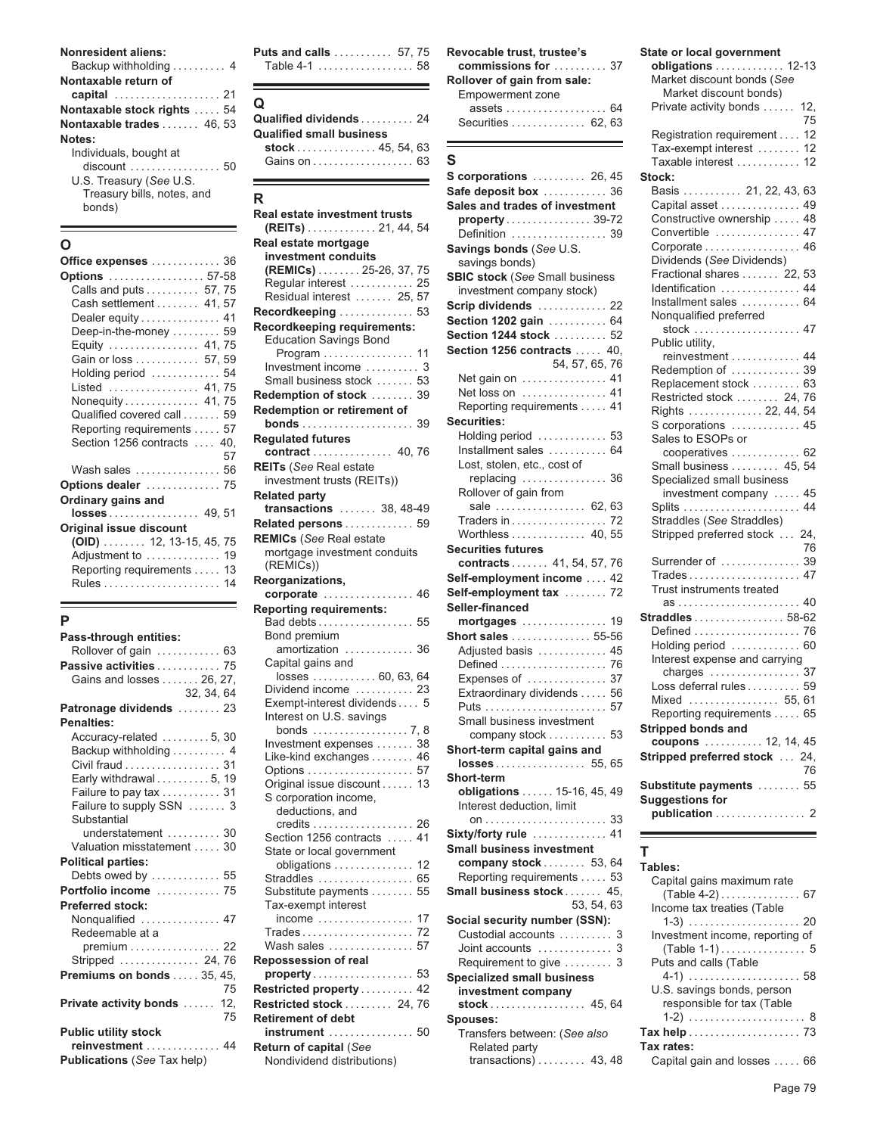| Backup withholding          |
|-----------------------------|
|                             |
|                             |
| Nontaxable stock rights  54 |
| Nontaxable trades  46, 53   |
|                             |
|                             |
| discount  50                |
|                             |
|                             |
|                             |
|                             |

| Office expenses  36         |    |
|-----------------------------|----|
| Options  57-58              |    |
| Calls and puts 57, 75       |    |
| Cash settlement  41, 57     |    |
| Dealer equity 41            |    |
| Deep-in-the-money  59       |    |
| Equity  41,75               |    |
| Gain or loss 57, 59         |    |
| Holding period  54          |    |
| Listed  41,75               |    |
| Nonequity 41, 75            |    |
| Qualified covered call  59  |    |
| Reporting requirements  57  |    |
| Section 1256 contracts  40, |    |
|                             | 57 |
| Wash sales  56              |    |
| Options dealer  75          |    |
| Ordinary gains and          |    |
| losses 49, 51               |    |
| Original issue discount     |    |
| $(OID)$ 12, 13-15, 45, 75   |    |
| Adjustment to  19           |    |
| Reporting requirements  13  |    |
|                             |    |
|                             |    |

| Pass-through entities:                                                                                               |
|----------------------------------------------------------------------------------------------------------------------|
| Rollover of gain  63                                                                                                 |
| Passive activities  75                                                                                               |
| Gains and losses  26, 27,                                                                                            |
| 32, 34, 64                                                                                                           |
| Patronage dividends  23                                                                                              |
| Penalties:                                                                                                           |
| Accuracy-related 5, 30                                                                                               |
| Backup withholding  4                                                                                                |
| Civil fraud 31                                                                                                       |
| Early withdrawal 5, 19                                                                                               |
| Failure to pay tax  31                                                                                               |
| Failure to supply SSN  3                                                                                             |
| Substantial                                                                                                          |
| understatement  30                                                                                                   |
| Valuation misstatement  30                                                                                           |
| <b>Political parties:</b>                                                                                            |
| Debts owed by  55                                                                                                    |
| Portfolio income  75                                                                                                 |
| <b>Preferred stock:</b>                                                                                              |
| Nonqualified  47                                                                                                     |
| Redeemable at a                                                                                                      |
| premium 22                                                                                                           |
| Stripped  24, 76                                                                                                     |
| Premiums on bonds  35, 45,                                                                                           |
| 75                                                                                                                   |
| Private activity bonds  12,                                                                                          |
| 75                                                                                                                   |
| <b>Public utility stock</b>                                                                                          |
| reinvestment  44                                                                                                     |
| $\mathbf{u}$ $\mathbf{u}$ $\mathbf{u}$ $\mathbf{v}$ $\mathbf{v}$ $\mathbf{v}$ $\mathbf{v}$ $\mathbf{v}$ $\mathbf{v}$ |

**Puts and calls** ............ 57, 75 **Revocable trust, trustee's** State or local government<br>4 Table 4-1 ..................... 58 commissions for ........... 37 obligations ............... 12-13 **Nontaxable return of Rollover of gain from sale:** Market discount bonds (*See*

| Qualified dividends $\ldots \ldots \ldots 24$ |  |  |  |  |
|-----------------------------------------------|--|--|--|--|
| Qualified small business                      |  |  |  |  |
| stock 45, 54, 63                              |  |  |  |  |
|                                               |  |  |  |  |
|                                               |  |  |  |  |

| DUIIUS)                                   | Real estate investment trusts                    | ווסט מווט נומטכט טו ווועכטנוופות<br>property 39-72 | Constructive ownership  48                   |
|-------------------------------------------|--------------------------------------------------|----------------------------------------------------|----------------------------------------------|
|                                           | $(REITS)$ 21, 44, 54                             | Definition  39                                     | Convertible  47                              |
| O                                         | Real estate mortgage                             | Savings bonds (See U.S.                            | Corporate  46                                |
| Office expenses  36                       | investment conduits                              | savings bonds)                                     | Dividends (See Dividends)                    |
| Options  57-58                            | (REMICs)  25-26, 37, 75                          | <b>SBIC stock (See Small business</b>              | Fractional shares  22, 53                    |
| Calls and puts 57, 75                     | Regular interest  25                             | investment company stock)                          | Identification  44                           |
| Cash settlement  41, 57                   | Residual interest  25, 57                        | Scrip dividends  22                                | Installment sales  64                        |
| Dealer equity 41                          | Recordkeeping  53                                |                                                    | Nonqualified preferred                       |
| Deep-in-the-money  59                     | Recordkeeping requirements:                      | Section 1202 gain  64                              |                                              |
| Equity  41,75                             | <b>Education Savings Bond</b>                    | <b>Section 1244 stock  52</b>                      | Public utility,                              |
| Gain or loss  57, 59                      | Program  11                                      | Section 1256 contracts  40,                        | reinvestment  44                             |
| Holding period  54                        | Investment income  3                             | 54, 57, 65, 76                                     | Redemption of  39                            |
|                                           | Small business stock  53                         | Net gain on  41                                    | Replacement stock  63                        |
| Listed  41,75                             | Redemption of stock  39                          | Net loss on  41                                    | Restricted stock  24, 76                     |
| Nonequity  41, 75                         | Redemption or retirement of                      | Reporting requirements  41                         | Rights  22, 44, 54                           |
| Qualified covered call  59                | <b>bonds</b> 39                                  | Securities:                                        | S corporations  45                           |
| Reporting requirements 57                 | <b>Regulated futures</b>                         | Holding period  53                                 | Sales to ESOPs or                            |
| Section 1256 contracts  40,               | contract 40, 76                                  | Installment sales  64                              | cooperatives  62                             |
| 57                                        | <b>REITs</b> (See Real estate)                   | Lost, stolen, etc., cost of                        | Small business  45, 54                       |
| Wash sales $\dots\dots\dots\dots\dots$ 56 | investment trusts (REITs))                       | replacing  36                                      | Specialized small business                   |
| Options dealer  75                        | <b>Related party</b>                             | Rollover of gain from                              | investment company  45                       |
| Ordinary gains and                        | transactions  38, 48-49                          | sale  62, 63                                       |                                              |
| <b>losses</b> 49, 51                      |                                                  | Traders in 72                                      | Straddles (See Straddles)                    |
| Original issue discount                   | Related persons  59                              | Worthless  40, 55                                  | Stripped preferred stock  24,                |
| $(OID)$ 12, 13-15, 45, 75                 | <b>REMICs</b> (See Real estate                   | <b>Securities futures</b>                          | 76                                           |
| Adjustment to  19                         | mortgage investment conduits                     | contracts  41, 54, 57, 76                          | Surrender of  39                             |
| Reporting requirements  13                | (REMICs))                                        |                                                    | Trades 47                                    |
|                                           | Reorganizations,                                 | Self-employment income  42                         | Trust instruments treated                    |
|                                           | corporate  46                                    | Self-employment tax  72                            |                                              |
|                                           | <b>Reporting requirements:</b>                   | Seller-financed                                    | Straddles  58-62                             |
| P                                         | Bad debts 55                                     | mortgages  19                                      | Defined  76                                  |
| Pass-through entities:                    | Bond premium                                     | <b>Short sales</b> 55-56                           | Holding period  60                           |
| Rollover of gain  63                      | amortization  36                                 | Adjusted basis  45                                 | Interest expense and carrying                |
| Passive activities  75                    | Capital gains and                                | Defined  76                                        | charges  37                                  |
| Gains and losses  26, 27,                 | losses  60, 63, 64                               | Expenses of $\dots\dots\dots\dots37$               | Loss deferral rules 59                       |
| 32, 34, 64                                | Dividend income  23                              | Extraordinary dividends  56                        | Mixed  55, 61                                |
| Patronage dividends  23                   | Exempt-interest dividends 5                      |                                                    | Reporting requirements  65                   |
| <b>Penalties:</b>                         | Interest on U.S. savings                         | Small business investment                          |                                              |
| Accuracy-related 5, 30                    |                                                  | company stock  53                                  | <b>Stripped bonds and</b>                    |
| Backup withholding  4                     | Investment expenses  38                          | Short-term capital gains and                       | coupons  12, 14, 45                          |
| Civil fraud 31                            | Like-kind exchanges  46                          |                                                    | Stripped preferred stock  24,                |
| Early withdrawal  5, 19                   | Options  57                                      | Short-term                                         |                                              |
| Failure to pay tax  31                    | Original issue discount  13                      | obligations  15-16, 45, 49                         | Substitute payments  55                      |
| Failure to supply SSN  3                  | S corporation income,<br>deductions, and         | Interest deduction, limit                          | <b>Suggestions for</b>                       |
| Substantial                               |                                                  |                                                    |                                              |
| understatement  30                        | Section 1256 contracts  41                       | Sixty/forty rule  41                               |                                              |
| Valuation misstatement  30                | State or local government                        | Small business investment                          | $\mathbf{T}$                                 |
| <b>Political parties:</b>                 | obligations $\ldots \ldots \ldots \ldots$ 12     | company stock  53, 64                              |                                              |
| Debts owed by  55                         | Straddles  65                                    | Reporting requirements  53                         | Tables:                                      |
| Portfolio income  75                      | Substitute payments  55                          | <b>Small business stock 45,</b>                    | Capital gains maximum rate                   |
| <b>Preferred stock:</b>                   | Tax-exempt interest                              | 53, 54, 63                                         | $(Table 4-2) \ldots \ldots \ldots \ldots 67$ |
| Nonqualified  47                          | income  17                                       |                                                    | Income tax treaties (Table                   |
| Redeemable at a                           | Trades 72                                        | Social security number (SSN):                      |                                              |
| premium 22                                | Wash sales  57                                   | Custodial accounts  3                              | Investment income, reporting of              |
| Stripped  24, 76                          |                                                  | Joint accounts  3                                  | (Table 1-1) 5                                |
|                                           | <b>Repossession of real</b>                      | Requirement to give  3                             | Puts and calls (Table                        |
| Premiums on bonds  35, 45,                | $property \ldots \ldots \ldots \ldots \ldots 53$ | <b>Specialized small business</b>                  |                                              |
| 75                                        | Restricted property  42                          | investment company                                 | U.S. savings bonds, person                   |
| <b>Private activity bonds</b> 12,         | Restricted stock  24,76                          |                                                    | responsible for tax (Table                   |
| 75                                        | <b>Retirement of debt</b>                        | Spouses:                                           |                                              |
| <b>Public utility stock</b>               | $instrument \dots \dots \dots \dots \dots 50$    | Transfers between: (See also                       | Tax help  73                                 |
| reinvestment  44                          | <b>Return of capital (See</b>                    | Related party                                      | Tax rates:                                   |
| <b>Publications (See Tax help)</b>        | Nondividend distributions)                       | transactions) $\ldots \ldots$ 43, 48               | Capital gain and losses  66                  |
|                                           |                                                  |                                                    |                                              |

**commissions for** ........... 37<br>Rollover of gain from sale:

| Nontaxable return of        |                         | Rollover of gain from sale:                           | <b>IVIATKEL GISCOUTIL DONUS TOBE</b> |
|-----------------------------|-------------------------|-------------------------------------------------------|--------------------------------------|
| <b>capital</b> 21           |                         | Empowerment zone                                      | Market discount bonds)               |
| Nontaxable stock rights  54 |                         | assets $\ldots \ldots \ldots \ldots \ldots \ldots$ 64 | Private activity bonds  12.          |
| Nontaxable trades  46, 53   | Qualified dividends  24 | Securities 62. 63                                     |                                      |

| discount $\ldots \ldots \ldots \ldots \ldots 50$ |                                                         | ১                                               | Taxable interest 12                             |
|--------------------------------------------------|---------------------------------------------------------|-------------------------------------------------|-------------------------------------------------|
| U.S. Treasury (See U.S.                          |                                                         | S corporations  26, 45                          | Stock:                                          |
| Treasury bills, notes, and                       | R                                                       | Safe deposit box  36                            | Basis  21, 22, 43, 63                           |
| bonds)                                           |                                                         | Sales and trades of investment                  | Capital asset  49                               |
|                                                  | Real estate investment trusts<br>$(REITS)$ 21, 44, 54   | property 39-72                                  | Constructive ownership  48                      |
|                                                  |                                                         | Definition  39                                  | Convertible  47                                 |
| Ο                                                | Real estate mortgage<br>investment conduits             | Savings bonds (See U.S.                         | Corporate  46                                   |
| Office expenses  36                              | (REMICs)  25-26, 37, 75                                 | savings bonds)                                  | Dividends (See Dividends)                       |
| <b>Options</b> 57-58                             | Regular interest  25                                    | <b>SBIC stock</b> (See Small business           | Fractional shares  22, 53<br>Identification  44 |
| Calls and puts 57, 75<br>Cash settlement  41, 57 | Residual interest  25, 57                               | investment company stock)                       | Installment sales  64                           |
| Dealer equity 41                                 | Recordkeeping  53                                       | Scrip dividends  22                             | Nonqualified preferred                          |
| Deep-in-the-money  59                            | Recordkeeping requirements:                             | Section 1202 gain  64                           |                                                 |
| Equity  41, 75                                   | <b>Education Savings Bond</b>                           | Section 1244 stock  52                          | Public utility,                                 |
| Gain or loss  57, 59                             | Program  11                                             | Section 1256 contracts  40,                     | reinvestment  44                                |
| Holding period $\ldots \ldots \ldots 54$         | Investment income  3                                    | 54, 57, 65, 76                                  | Redemption of  39                               |
| Listed  41,75                                    | Small business stock  53                                | Net gain on  41                                 | Replacement stock  63                           |
| Nonequity 41, 75                                 | Redemption of stock  39                                 | Net loss on  41                                 | Restricted stock  24, 76                        |
| Qualified covered call  59                       | <b>Redemption or retirement of</b>                      | Reporting requirements  41                      | Rights  22, 44, 54                              |
| Reporting requirements  57                       | <b>bonds</b> 39                                         | <b>Securities:</b>                              | S corporations  45                              |
| Section 1256 contracts  40,                      | <b>Regulated futures</b>                                | Holding period $\ldots \ldots \ldots \ldots 53$ | Sales to ESOPs or                               |
| 57                                               | <b>contract</b> 40, 76                                  | Installment sales  64                           | cooperatives  62                                |
| Wash sales  56                                   | <b>REITs</b> (See Real estate                           | Lost, stolen, etc., cost of                     | Small business  45, 54                          |
| Options dealer  75                               | investment trusts (REITs))                              | replacing  36                                   | Specialized small business                      |
| Ordinary gains and                               | <b>Related party</b>                                    | Rollover of gain from                           | investment company  45                          |
| <b>losses</b> 49, 51                             | <b>transactions</b> 38, 48-49                           | sale  62, 63                                    | Splits  44                                      |
| Original issue discount                          | Related persons 59                                      | Traders in 72<br>Worthless  40, 55              | Straddles (See Straddles)                       |
| $(OID)$ 12, 13-15, 45, 75                        | <b>REMICs</b> (See Real estate                          | <b>Securities futures</b>                       | Stripped preferred stock  24,<br>76             |
| Adjustment to  19                                | mortgage investment conduits                            | contracts 41, 54, 57, 76                        | Surrender of  39                                |
| Reporting requirements  13                       | (REMICs))                                               | Self-employment income  42                      | Trades 47                                       |
|                                                  | Reorganizations,<br>corporate  46                       | <b>Self-employment tax</b> 72                   | Trust instruments treated                       |
|                                                  | <b>Reporting requirements:</b>                          | Seller-financed                                 |                                                 |
| P                                                | Bad debts 55                                            | mortgages  19                                   | <b>Straddles</b> 58-62                          |
| Pass-through entities:                           | Bond premium                                            | <b>Short sales</b> 55-56                        | Defined  76                                     |
| Rollover of gain  63                             | amortization  36                                        | Adjusted basis  45                              | Holding period  60                              |
| Passive activities  75                           | Capital gains and                                       | Defined  76                                     | Interest expense and carrying                   |
| Gains and losses  26, 27,                        | losses $\ldots \ldots \ldots 60, 63, 64$                | Expenses of  37                                 | charges  37                                     |
| 32, 34, 64                                       | Dividend income $\ldots \ldots \ldots$ 23               | Extraordinary dividends  56                     | Loss deferral rules 59                          |
| Patronage dividends  23                          | Exempt-interest dividends 5                             |                                                 | Mixed  55, 61                                   |
| <b>Penalties:</b>                                | Interest on U.S. savings                                | Small business investment                       | Reporting requirements  65                      |
| Accuracy-related 5, 30                           |                                                         | company stock  53                               | Stripped bonds and                              |
| Backup withholding  4                            | Investment expenses  38                                 | Short-term capital gains and                    | coupons  12, 14, 45                             |
| Civil fraud 31                                   | Like-kind exchanges 46                                  |                                                 | Stripped preferred stock  24,                   |
| Early withdrawal $5, 19$                         |                                                         | <b>Short-term</b>                               | 76                                              |
| Failure to pay tax  31                           | Original issue discount 13                              | obligations  15-16, 45, 49                      | Substitute payments  55                         |
| Failure to supply SSN  3                         | S corporation income,<br>deductions, and                | Interest deduction, limit                       | <b>Suggestions for</b>                          |
| Substantial                                      | credits 26                                              |                                                 | publication  2                                  |
| understatement  30                               | Section 1256 contracts  41                              | Sixty/forty rule  41                            |                                                 |
| Valuation misstatement  30                       | State or local government                               | <b>Small business investment</b>                | Τ                                               |
| <b>Political parties:</b>                        | obligations $\ldots \ldots \ldots \ldots$ 12            | company stock  53, 64                           | Tables:                                         |
| Debts owed by  55                                | Straddles  65                                           | Reporting requirements 53                       | Capital gains maximum rate                      |
| Portfolio income  75                             | Substitute payments  55                                 | Small business stock  45,                       | (Table 4-2) 67                                  |
| <b>Preferred stock:</b>                          | Tax-exempt interest                                     | 53, 54, 63                                      | Income tax treaties (Table                      |
| Nonqualified  47                                 | income  17                                              | Social security number (SSN):                   |                                                 |
| Redeemable at a                                  | Trades 72                                               | Custodial accounts  3                           | Investment income, reporting of                 |
| premium 22                                       | Wash sales  57                                          | Joint accounts  3                               | (Table 1-1) 5                                   |
| Stripped  24,76                                  | <b>Repossession of real</b>                             | Requirement to give  3                          | Puts and calls (Table                           |
| Premiums on bonds  35, 45,                       | $property \ldots \ldots \ldots \ldots \ldots \ldots 53$ | <b>Specialized small business</b>               |                                                 |
| 75                                               | Restricted property 42                                  | investment company                              | U.S. savings bonds, person                      |
| <b>Private activity bonds</b> 12,                | Restricted stock  24, 76                                | stock 45, 64                                    | responsible for tax (Table                      |
| 75                                               | <b>Retirement of debt</b>                               | Spouses:                                        |                                                 |
| <b>Public utility stock</b>                      | $instrument \dots \dots \dots \dots \dots 50$           | Transfers between: (See also                    | Tax help  73                                    |

| Nontaxable return of                             |                                        | Rollover of gain from sale:             | Market discount bonds (See               |
|--------------------------------------------------|----------------------------------------|-----------------------------------------|------------------------------------------|
| capital  21                                      |                                        | Empowerment zone                        | Market discount bonds)                   |
| Nontaxable stock rights  54                      | Q                                      | assets 64                               | Private activity bonds  12,              |
| Nontaxable trades  46, 53                        | Qualified dividends  24                | Securities  62, 63                      | 75                                       |
|                                                  | <b>Qualified small business</b>        |                                         | Registration requirement 12              |
| Notes:                                           | stock 45, 54, 63                       |                                         | Tax-exempt interest  12                  |
| Individuals, bought at                           |                                        | S                                       | Taxable interest  12                     |
| discount $\ldots \ldots \ldots \ldots \ldots 50$ |                                        | S corporations  26, 45                  | Stock:                                   |
| U.S. Treasury (See U.S.                          |                                        | Safe deposit box  36                    | Basis  21, 22, 43, 63                    |
| Treasury bills, notes, and                       | R.                                     | Sales and trades of investment          | Capital asset  49                        |
| bonds)                                           | Real estate investment trusts          |                                         | Constructive ownership  48               |
|                                                  | $(REITS)$ 21, 44, 54                   | property 39-72                          | Convertible  47                          |
| Ο                                                | Real estate mortgage                   | Definition  39                          |                                          |
|                                                  | investment conduits                    | Savings bonds (See U.S.                 | Corporate  46                            |
| Office expenses 36                               | (REMICs)  25-26, 37, 75                | savings bonds)                          | Dividends (See Dividends)                |
| Options  57-58                                   | Regular interest  25                   | <b>SBIC stock (See Small business)</b>  | Fractional shares  22, 53                |
| Calls and puts 57, 75                            | Residual interest  25, 57              | investment company stock)               | Identification  44                       |
| Cash settlement  41, 57                          | Recordkeeping  53                      | Scrip dividends  22                     | Installment sales  64                    |
| Dealer equity  41                                |                                        | Section 1202 gain  64                   | Nonqualified preferred                   |
| Deep-in-the-money  59                            | Recordkeeping requirements:            | <b>Section 1244 stock  52</b>           | stock  47                                |
| Equity  41,75                                    | <b>Education Savings Bond</b>          | Section 1256 contracts  40,             | Public utility,                          |
| Gain or loss 57, 59                              | Program  11                            | 54, 57, 65, 76                          | reinvestment  44                         |
| Holding period $\ldots \ldots \ldots 54$         | Investment income $\ldots \ldots$ 3    | Net gain on  41                         | Redemption of  39                        |
| Listed  41,75                                    | Small business stock  53               |                                         | Replacement stock  63                    |
| Nonequity 41, 75                                 | Redemption of stock  39                | Net loss on $\dots\dots\dots\dots$ . 41 | Restricted stock  24, 76                 |
| Qualified covered call  59                       | Redemption or retirement of            | Reporting requirements  41              | Rights  22, 44, 54                       |
| Reporting requirements  57                       | <b>bonds</b> 39                        | Securities:                             | S corporations $\dots\dots\dots\dots$ 45 |
| Section 1256 contracts  40,                      | <b>Regulated futures</b>               | Holding period  53                      | Sales to ESOPs or                        |
| 57                                               | contract 40, 76                        | Installment sales  64                   | cooperatives  62                         |
| Wash sales  56                                   | <b>REITs</b> (See Real estate          | Lost, stolen, etc., cost of             | Small business  45, 54                   |
| Options dealer  75                               | investment trusts (REITs))             | replacing  36                           | Specialized small business               |
|                                                  | <b>Related party</b>                   | Rollover of gain from                   | investment company  45                   |
| Ordinary gains and                               | transactions $\ldots \ldots 38, 48-49$ | sale  62, 63                            |                                          |
| <b>losses</b> 49, 51                             | Related persons  59                    |                                         | Straddles (See Straddles)                |
| Original issue discount                          | <b>REMICs</b> (See Real estate         | Worthless  40, 55                       | Stripped preferred stock  24,            |
| $(OID)$ 12, 13-15, 45, 75                        | mortgage investment conduits           | <b>Securities futures</b>               | 76                                       |
| Adjustment to  19                                | (REMICs))                              | contracts 41, 54, 57, 76                | Surrender of  39                         |
| Reporting requirements  13                       |                                        | Self-employment income  42              | Trades 47                                |
|                                                  | Reorganizations,                       | <b>Self-employment tax</b> 72           | Trust instruments treated                |
|                                                  | corporate  46                          | Seller-financed                         |                                          |
| P                                                | <b>Reporting requirements:</b>         |                                         | Straddles  58-62                         |
|                                                  | Bad debts 55                           | mortgages  19                           | Defined  76                              |
| Pass-through entities:                           | Bond premium                           | <b>Short sales</b> 55-56                | Holding period  60                       |
| Rollover of gain  63                             | amortization  36                       | Adjusted basis  45                      | Interest expense and carrying            |
| Passive activities 75                            | Capital gains and                      | Defined  76                             | charges $\dots\dots\dots\dots\dots37$    |
| Gains and losses  26, 27,                        | $losses$ 60, 63, 64                    | Expenses of  37                         | Loss deferral rules 59                   |
| 32, 34, 64                                       | Dividend income  23                    | Extraordinary dividends  56             | Mixed  55, 61                            |
| Patronage dividends  23                          | Exempt-interest dividends 5            | Puts  57                                | Reporting requirements  65               |
| Penalties:                                       | Interest on U.S. savings               | Small business investment               | <b>Stripped bonds and</b>                |
| Accuracy-related 5, 30                           |                                        | company stock  53                       |                                          |
| Backup withholding  4                            | Investment expenses  38                | Short-term capital gains and            | coupons  12, 14, 45                      |
| Civil fraud 31                                   | Like-kind exchanges 46                 |                                         | Stripped preferred stock  24,            |
| Early withdrawal5, 19                            | Options  57                            | Short-term                              | 76                                       |
| Failure to pay tax  31                           | Original issue discount  13            | obligations  15-16, 45, 49              | Substitute payments  55                  |
| Failure to supply SSN  3                         | S corporation income,                  | Interest deduction, limit               | <b>Suggestions for</b>                   |
| Substantial                                      | deductions, and                        |                                         | publication  2                           |
|                                                  | crodite<br>26                          |                                         |                                          |

| Capital gains maximum rate      |
|---------------------------------|
| (Table 4-2) 67                  |
| Income tax treaties (Table      |
|                                 |
| Investment income, reporting of |
| (Table 1-1) 5                   |
| Puts and calls (Table           |
|                                 |
| U.S. savings bonds, person      |
| responsible for tax (Table      |
|                                 |
|                                 |
| Tax rates:                      |
| Capital gain and losses  66     |
|                                 |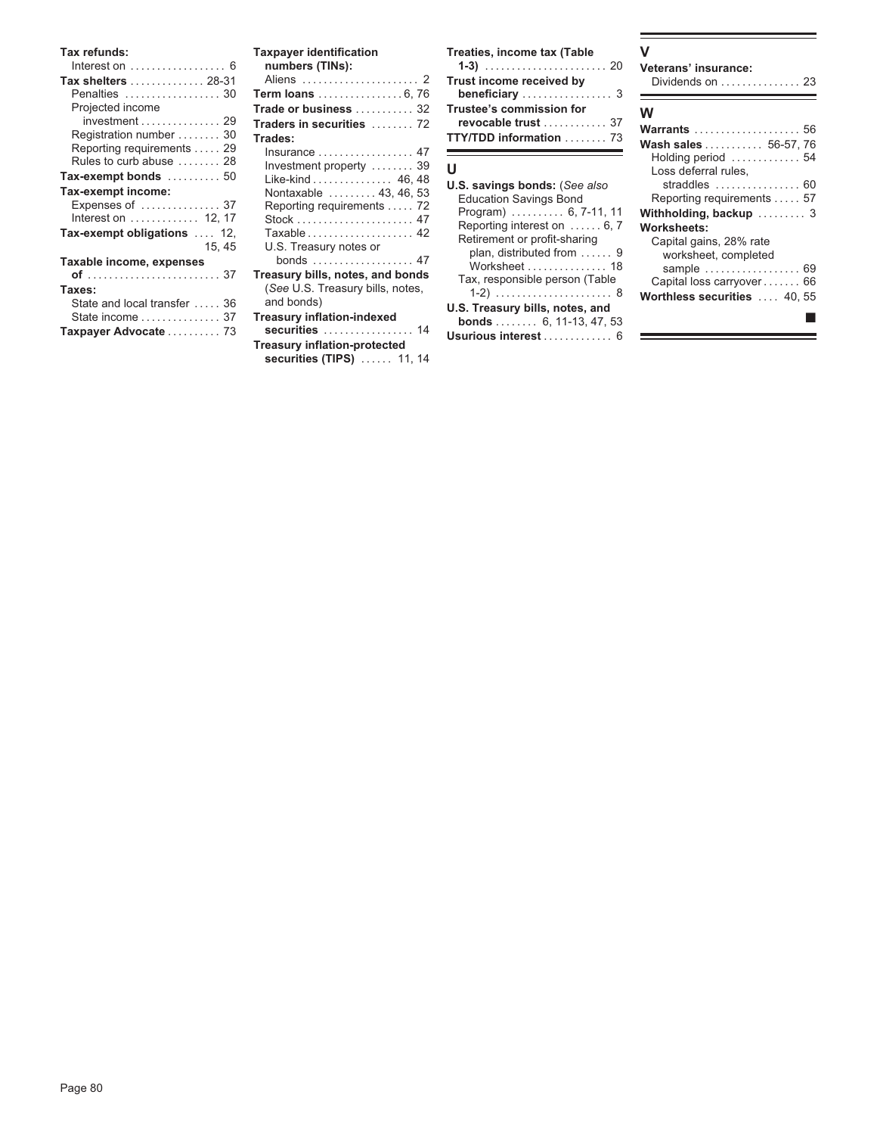| Tax refunds:                                              |
|-----------------------------------------------------------|
|                                                           |
| Tax shelters  28-31                                       |
| Penalties  30                                             |
| Projected income                                          |
| investment 29                                             |
| Registration number  30                                   |
| Reporting requirements  29                                |
| Rules to curb abuse  28                                   |
| $\textsf{Tax-exempt bonds} \dots \dots \dots \dots \dots$ |
| Tax-exempt income:                                        |
|                                                           |
| Interest on $\dots\dots\dots\dots$ 12, 17                 |
| Tax-exempt obligations  12,                               |
| 15, 45                                                    |
| Taxable income, expenses                                  |
| <b>of</b> 37                                              |
| Taxes:                                                    |
| State and local transfer  36                              |
| State income 37                                           |
| Taxpayer Advocate  73                                     |
|                                                           |

| Tax refunds:<br>Interest on $\dots\dots\dots\dots\dots\dots$ 6<br>Tax shelters 28-31<br>Penalties  30                                                                                                                                                                                                                    | <b>Taxpayer identification</b><br>numbers (TINs):<br><b>Term loans</b> 6, 76                                                                                                                                                                                                   | Treaties, income tax (Table<br>Trust income received by                                                                                                                                                                                                                                                                                                                                                                                                        | Veterans' insurance:<br>Dividends on  23                                                                                                                                                                                                                                                                                                         |
|--------------------------------------------------------------------------------------------------------------------------------------------------------------------------------------------------------------------------------------------------------------------------------------------------------------------------|--------------------------------------------------------------------------------------------------------------------------------------------------------------------------------------------------------------------------------------------------------------------------------|----------------------------------------------------------------------------------------------------------------------------------------------------------------------------------------------------------------------------------------------------------------------------------------------------------------------------------------------------------------------------------------------------------------------------------------------------------------|--------------------------------------------------------------------------------------------------------------------------------------------------------------------------------------------------------------------------------------------------------------------------------------------------------------------------------------------------|
| Projected income<br>$investment \ldots \ldots \ldots \ldots 29$<br>Registration number  30<br>Reporting requirements  29<br>Rules to curb abuse  28<br>$\textsf{Tax-exempt bonds} \dots \dots \dots \dots 50$<br>Tax-exempt income:<br>Interest on $\dots\dots\dots\dots$ 12, 17<br>Tax-exempt obligations  12,<br>15.45 | Trade or business  32<br>Traders in securities  72<br>Trades:<br>Insurance $\ldots \ldots \ldots \ldots \ldots$ 47<br>Investment property $\dots \dots 39$<br>Like-kind 46, 48<br>Nontaxable  43, 46, 53<br>Reporting requirements  72<br>Taxable 42<br>U.S. Treasury notes or | Trustee's commission for<br>revocable trust  37<br>TTY/TDD information  73<br>$\mathbf{U}$<br><b>U.S. savings bonds: (See also</b><br><b>Education Savings Bond</b><br>Program) $\ldots \ldots \ldots 6$ , 7-11, 11<br>Reporting interest on  6, 7<br>Retirement or profit-sharing<br>plan, distributed from  9<br>Worksheet  18<br>Tax, responsible person (Table<br>U.S. Treasury bills, notes, and<br><b>bonds</b> 6, 11-13, 47, 53<br>Usurious interest  6 | W<br><b>Warrants</b> 56<br>Wash sales  56-57, 76<br>Holding period  54<br>Loss deferral rules.<br>straddles $\dots\dots\dots\dots\dots$ . 60<br>Reporting requirements 57<br>Withholding, backup  3<br>Worksheets:<br>Capital gains, 28% rate<br>worksheet, completed<br>sample  69<br>Capital loss carryover 66<br>Worthless securities  40, 55 |
| Taxable income, expenses<br>Taxes:<br>State and local transfer  36<br>Taxpayer Advocate  73                                                                                                                                                                                                                              | bonds  47<br>Treasury bills, notes, and bonds<br>(See U.S. Treasury bills, notes,<br>and bonds)<br><b>Treasury inflation-indexed</b><br>securities $\ldots \ldots \ldots \ldots \ldots$ 14<br><b>Treasury inflation-protected</b><br>securities (TIPS) $\ldots$ 11, 14         |                                                                                                                                                                                                                                                                                                                                                                                                                                                                |                                                                                                                                                                                                                                                                                                                                                  |

# **Wash sales** ............ 56-57, 76<br>
Holding period ............. 54

# Page 80